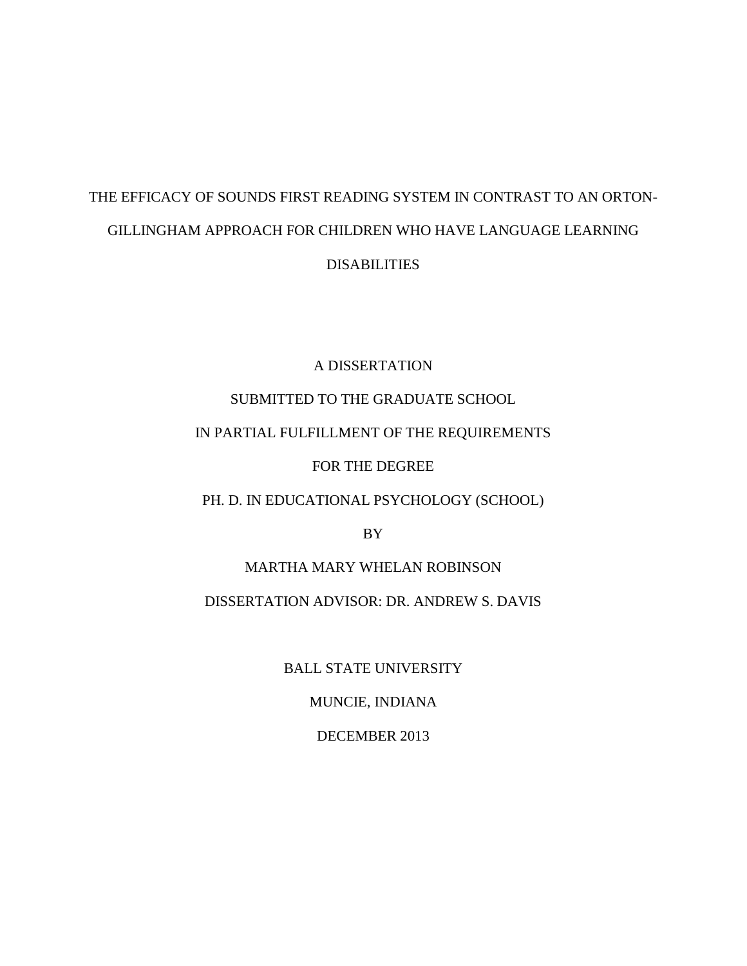# THE EFFICACY OF SOUNDS FIRST READING SYSTEM IN CONTRAST TO AN ORTON-GILLINGHAM APPROACH FOR CHILDREN WHO HAVE LANGUAGE LEARNING DISABILITIES

# A DISSERTATION

# SUBMITTED TO THE GRADUATE SCHOOL

# IN PARTIAL FULFILLMENT OF THE REQUIREMENTS

# FOR THE DEGREE

# PH. D. IN EDUCATIONAL PSYCHOLOGY (SCHOOL)

BY

# MARTHA MARY WHELAN ROBINSON DISSERTATION ADVISOR: DR. ANDREW S. DAVIS

BALL STATE UNIVERSITY

MUNCIE, INDIANA

DECEMBER 2013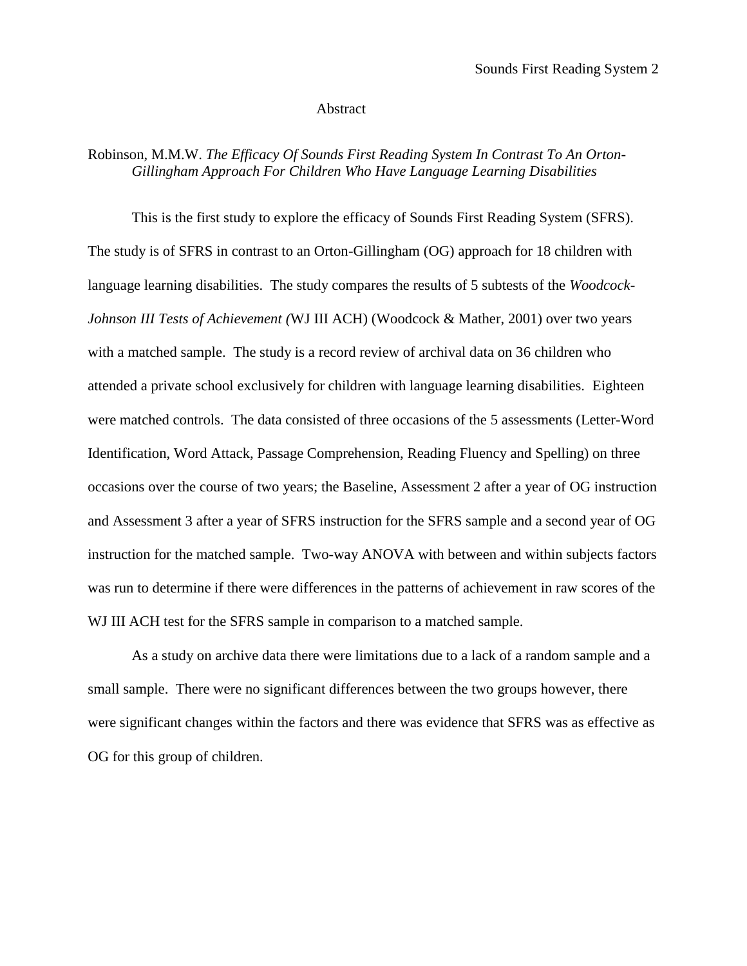#### Abstract

# Robinson, M.M.W. *The Efficacy Of Sounds First Reading System In Contrast To An Orton-Gillingham Approach For Children Who Have Language Learning Disabilities*

This is the first study to explore the efficacy of Sounds First Reading System (SFRS). The study is of SFRS in contrast to an Orton-Gillingham (OG) approach for 18 children with language learning disabilities. The study compares the results of 5 subtests of the *Woodcock-Johnson III Tests of Achievement (*WJ III ACH) (Woodcock & Mather, 2001) over two years with a matched sample. The study is a record review of archival data on 36 children who attended a private school exclusively for children with language learning disabilities. Eighteen were matched controls. The data consisted of three occasions of the 5 assessments (Letter-Word Identification, Word Attack, Passage Comprehension, Reading Fluency and Spelling) on three occasions over the course of two years; the Baseline, Assessment 2 after a year of OG instruction and Assessment 3 after a year of SFRS instruction for the SFRS sample and a second year of OG instruction for the matched sample. Two-way ANOVA with between and within subjects factors was run to determine if there were differences in the patterns of achievement in raw scores of the WJ III ACH test for the SFRS sample in comparison to a matched sample.

As a study on archive data there were limitations due to a lack of a random sample and a small sample. There were no significant differences between the two groups however, there were significant changes within the factors and there was evidence that SFRS was as effective as OG for this group of children.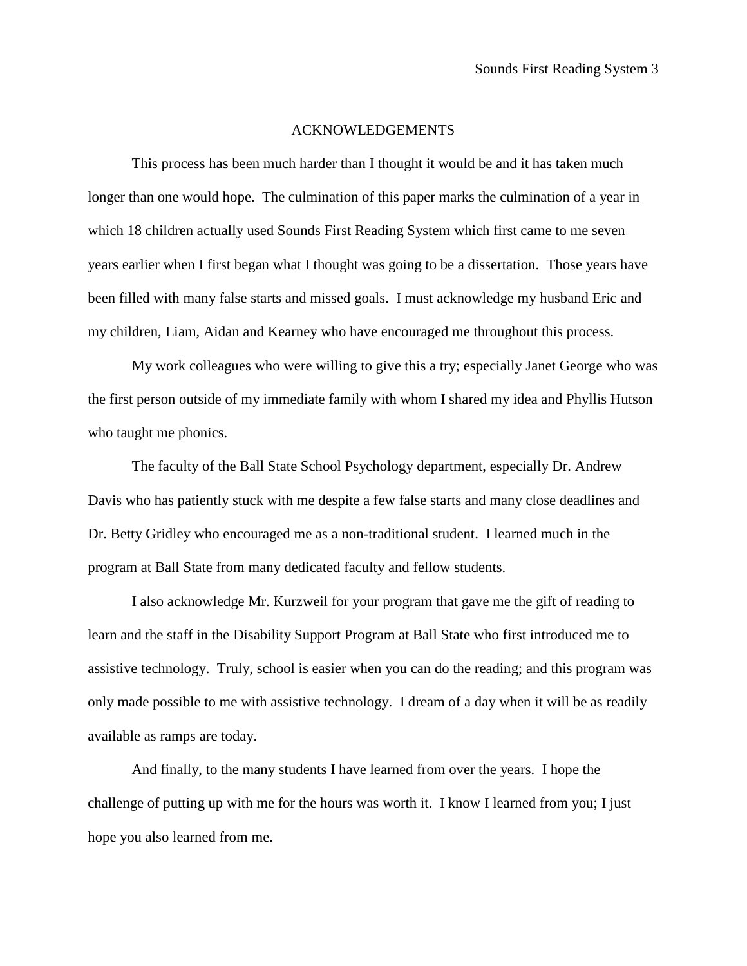## ACKNOWLEDGEMENTS

This process has been much harder than I thought it would be and it has taken much longer than one would hope. The culmination of this paper marks the culmination of a year in which 18 children actually used Sounds First Reading System which first came to me seven years earlier when I first began what I thought was going to be a dissertation. Those years have been filled with many false starts and missed goals. I must acknowledge my husband Eric and my children, Liam, Aidan and Kearney who have encouraged me throughout this process.

My work colleagues who were willing to give this a try; especially Janet George who was the first person outside of my immediate family with whom I shared my idea and Phyllis Hutson who taught me phonics.

The faculty of the Ball State School Psychology department, especially Dr. Andrew Davis who has patiently stuck with me despite a few false starts and many close deadlines and Dr. Betty Gridley who encouraged me as a non-traditional student. I learned much in the program at Ball State from many dedicated faculty and fellow students.

I also acknowledge Mr. Kurzweil for your program that gave me the gift of reading to learn and the staff in the Disability Support Program at Ball State who first introduced me to assistive technology. Truly, school is easier when you can do the reading; and this program was only made possible to me with assistive technology. I dream of a day when it will be as readily available as ramps are today.

And finally, to the many students I have learned from over the years. I hope the challenge of putting up with me for the hours was worth it. I know I learned from you; I just hope you also learned from me.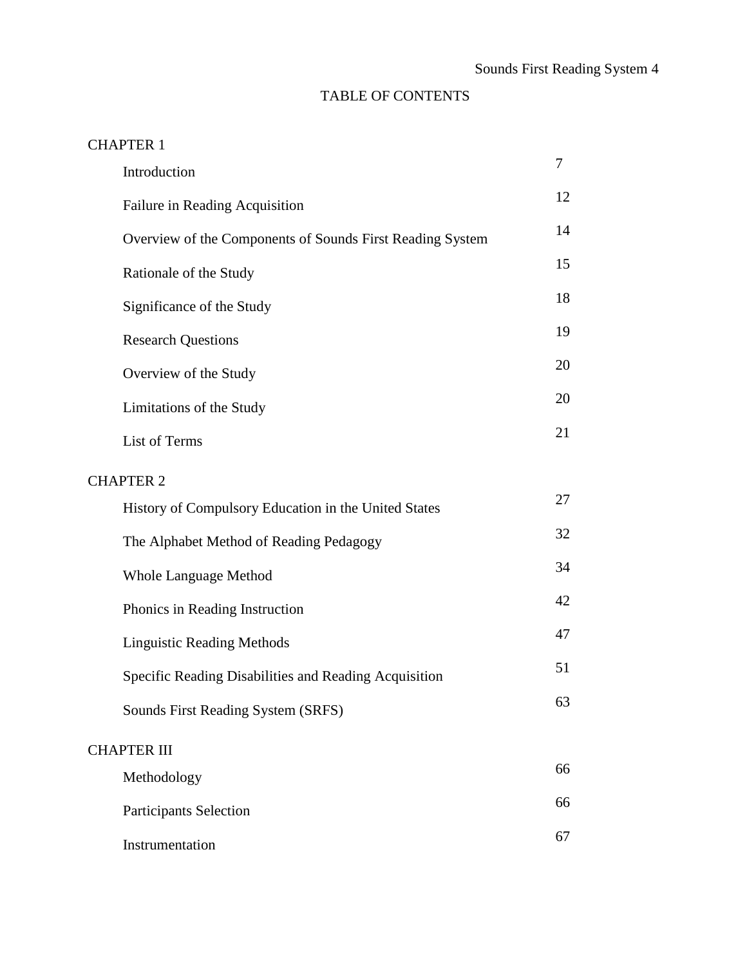# TABLE OF CONTENTS

# CHAPTER 1

| Introduction                                              | 7  |  |  |
|-----------------------------------------------------------|----|--|--|
| Failure in Reading Acquisition                            | 12 |  |  |
| Overview of the Components of Sounds First Reading System | 14 |  |  |
| Rationale of the Study                                    | 15 |  |  |
| Significance of the Study                                 | 18 |  |  |
| <b>Research Questions</b>                                 | 19 |  |  |
| Overview of the Study                                     | 20 |  |  |
| Limitations of the Study                                  | 20 |  |  |
| List of Terms                                             | 21 |  |  |
| <b>CHAPTER 2</b>                                          |    |  |  |
| History of Compulsory Education in the United States      | 27 |  |  |
| The Alphabet Method of Reading Pedagogy                   | 32 |  |  |
| <b>Whole Language Method</b>                              | 34 |  |  |
| Phonics in Reading Instruction                            | 42 |  |  |
| <b>Linguistic Reading Methods</b>                         | 47 |  |  |
| Specific Reading Disabilities and Reading Acquisition     | 51 |  |  |
| Sounds First Reading System (SRFS)                        | 63 |  |  |
| <b>CHAPTER III</b>                                        |    |  |  |
| Methodology                                               | 66 |  |  |
| <b>Participants Selection</b>                             | 66 |  |  |
| Instrumentation                                           | 67 |  |  |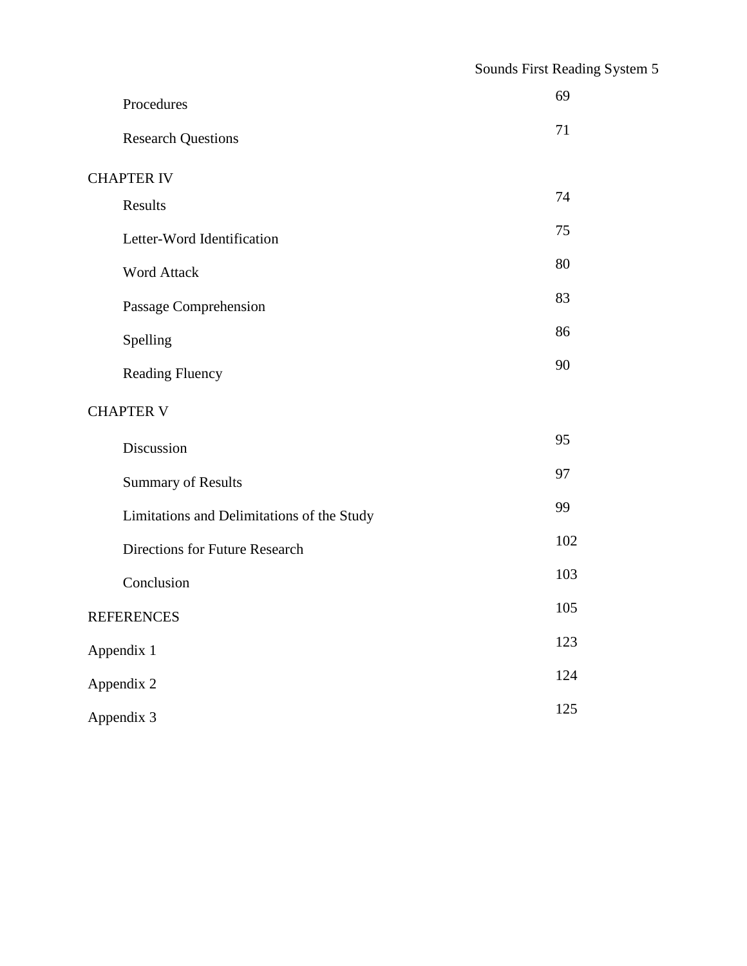|                   | Procedures                                 | 69  |  |  |
|-------------------|--------------------------------------------|-----|--|--|
|                   | <b>Research Questions</b>                  | 71  |  |  |
| <b>CHAPTER IV</b> |                                            |     |  |  |
|                   | Results                                    | 74  |  |  |
|                   | Letter-Word Identification                 | 75  |  |  |
|                   | <b>Word Attack</b>                         | 80  |  |  |
|                   | Passage Comprehension                      | 83  |  |  |
|                   | Spelling                                   | 86  |  |  |
|                   | <b>Reading Fluency</b>                     | 90  |  |  |
| <b>CHAPTER V</b>  |                                            |     |  |  |
|                   | Discussion                                 | 95  |  |  |
|                   | <b>Summary of Results</b>                  | 97  |  |  |
|                   | Limitations and Delimitations of the Study | 99  |  |  |
|                   | Directions for Future Research             | 102 |  |  |
|                   | Conclusion                                 | 103 |  |  |
|                   | <b>REFERENCES</b>                          | 105 |  |  |
| Appendix 1        |                                            | 123 |  |  |
| Appendix 2        |                                            | 124 |  |  |
| Appendix 3        |                                            | 125 |  |  |
|                   |                                            |     |  |  |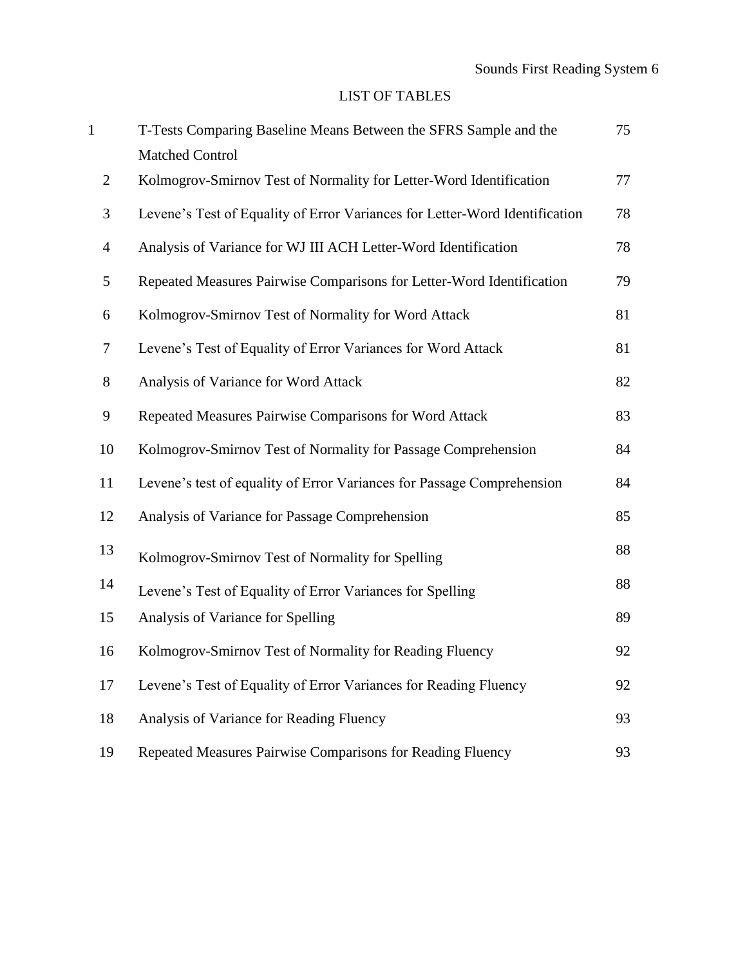# LIST OF TABLES

| $\mathbf{1}$   | T-Tests Comparing Baseline Means Between the SFRS Sample and the            | 75 |
|----------------|-----------------------------------------------------------------------------|----|
|                | <b>Matched Control</b>                                                      |    |
| $\overline{2}$ | Kolmogrov-Smirnov Test of Normality for Letter-Word Identification          | 77 |
| 3              | Levene's Test of Equality of Error Variances for Letter-Word Identification | 78 |
| $\overline{4}$ | Analysis of Variance for WJ III ACH Letter-Word Identification              | 78 |
| 5              | Repeated Measures Pairwise Comparisons for Letter-Word Identification       | 79 |
| 6              | Kolmogrov-Smirnov Test of Normality for Word Attack                         | 81 |
| 7              | Levene's Test of Equality of Error Variances for Word Attack                | 81 |
| $8\,$          | Analysis of Variance for Word Attack                                        | 82 |
| 9              | Repeated Measures Pairwise Comparisons for Word Attack                      | 83 |
| 10             | Kolmogrov-Smirnov Test of Normality for Passage Comprehension               | 84 |
| 11             | Levene's test of equality of Error Variances for Passage Comprehension      | 84 |
| 12             | Analysis of Variance for Passage Comprehension                              | 85 |
| 13             | Kolmogrov-Smirnov Test of Normality for Spelling                            | 88 |
| 14             | Levene's Test of Equality of Error Variances for Spelling                   | 88 |
| 15             | Analysis of Variance for Spelling                                           | 89 |
| 16             | Kolmogrov-Smirnov Test of Normality for Reading Fluency                     | 92 |
| 17             | Levene's Test of Equality of Error Variances for Reading Fluency            | 92 |
| 18             | Analysis of Variance for Reading Fluency                                    | 93 |
| 19             | Repeated Measures Pairwise Comparisons for Reading Fluency                  | 93 |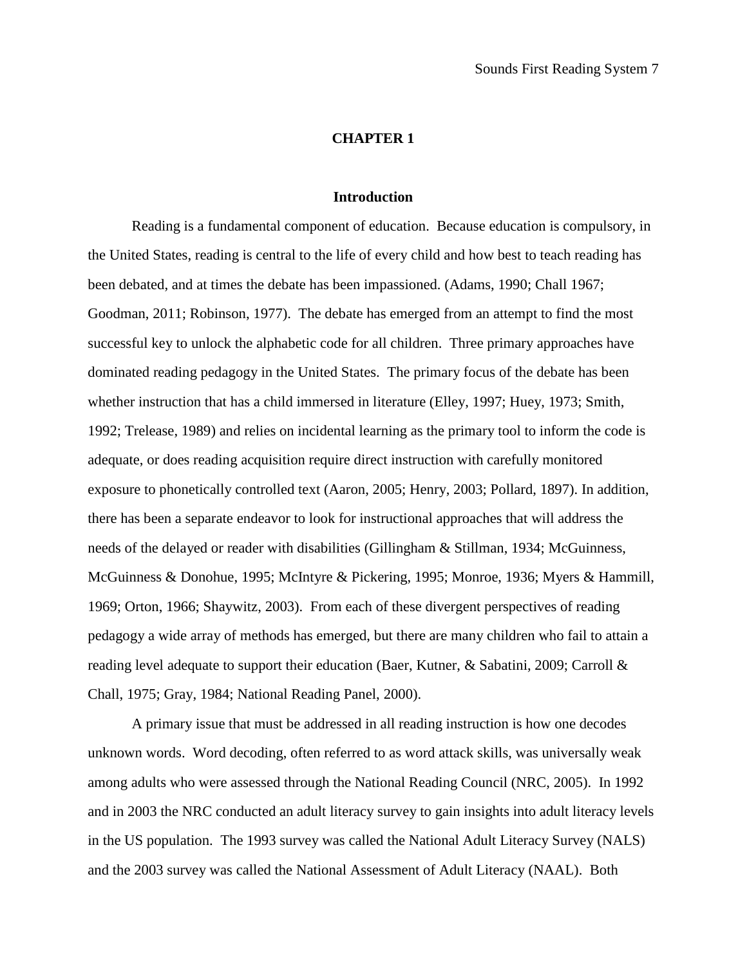#### **CHAPTER 1**

#### **Introduction**

Reading is a fundamental component of education. Because education is compulsory, in the United States, reading is central to the life of every child and how best to teach reading has been debated, and at times the debate has been impassioned. (Adams, 1990; Chall 1967; Goodman, 2011; Robinson, 1977). The debate has emerged from an attempt to find the most successful key to unlock the alphabetic code for all children. Three primary approaches have dominated reading pedagogy in the United States. The primary focus of the debate has been whether instruction that has a child immersed in literature (Elley, 1997; Huey, 1973; Smith, 1992; Trelease, 1989) and relies on incidental learning as the primary tool to inform the code is adequate, or does reading acquisition require direct instruction with carefully monitored exposure to phonetically controlled text (Aaron, 2005; Henry, 2003; Pollard, 1897). In addition, there has been a separate endeavor to look for instructional approaches that will address the needs of the delayed or reader with disabilities (Gillingham & Stillman, 1934; McGuinness, McGuinness & Donohue, 1995; McIntyre & Pickering, 1995; Monroe, 1936; Myers & Hammill, 1969; Orton, 1966; Shaywitz, 2003). From each of these divergent perspectives of reading pedagogy a wide array of methods has emerged, but there are many children who fail to attain a reading level adequate to support their education (Baer, Kutner, & Sabatini, 2009; Carroll & Chall, 1975; Gray, 1984; National Reading Panel, 2000).

A primary issue that must be addressed in all reading instruction is how one decodes unknown words. Word decoding, often referred to as word attack skills, was universally weak among adults who were assessed through the National Reading Council (NRC, 2005). In 1992 and in 2003 the NRC conducted an adult literacy survey to gain insights into adult literacy levels in the US population. The 1993 survey was called the National Adult Literacy Survey (NALS) and the 2003 survey was called the National Assessment of Adult Literacy (NAAL). Both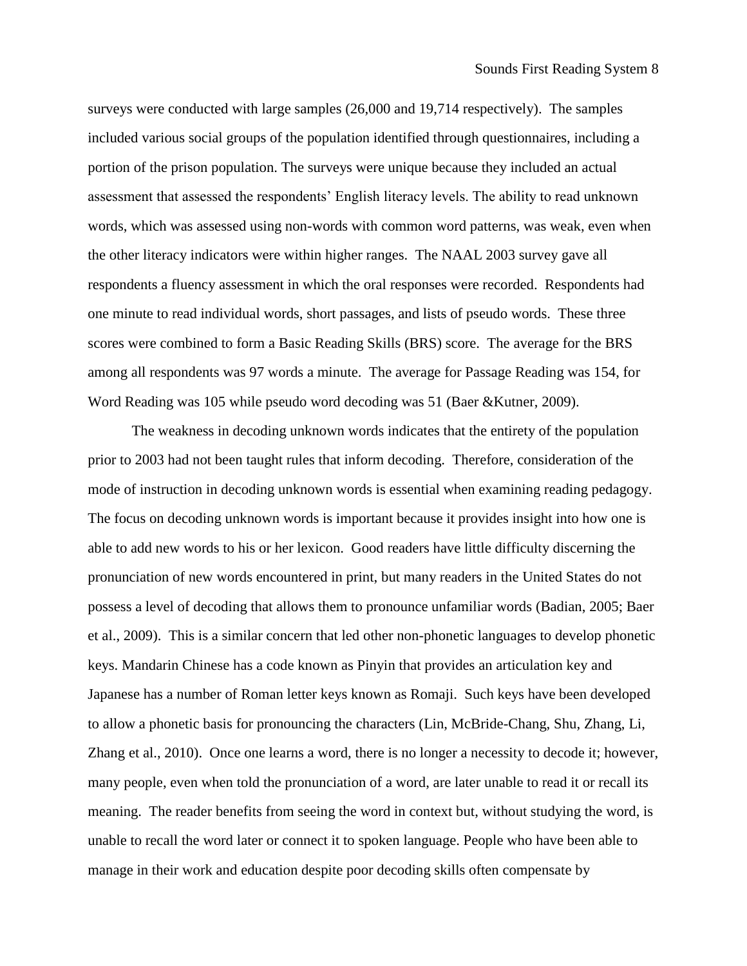surveys were conducted with large samples (26,000 and 19,714 respectively). The samples included various social groups of the population identified through questionnaires, including a portion of the prison population. The surveys were unique because they included an actual assessment that assessed the respondents' English literacy levels. The ability to read unknown words, which was assessed using non-words with common word patterns, was weak, even when the other literacy indicators were within higher ranges. The NAAL 2003 survey gave all respondents a fluency assessment in which the oral responses were recorded. Respondents had one minute to read individual words, short passages, and lists of pseudo words. These three scores were combined to form a Basic Reading Skills (BRS) score. The average for the BRS among all respondents was 97 words a minute. The average for Passage Reading was 154, for Word Reading was 105 while pseudo word decoding was 51 (Baer &Kutner, 2009).

The weakness in decoding unknown words indicates that the entirety of the population prior to 2003 had not been taught rules that inform decoding. Therefore, consideration of the mode of instruction in decoding unknown words is essential when examining reading pedagogy. The focus on decoding unknown words is important because it provides insight into how one is able to add new words to his or her lexicon. Good readers have little difficulty discerning the pronunciation of new words encountered in print, but many readers in the United States do not possess a level of decoding that allows them to pronounce unfamiliar words (Badian, 2005; Baer et al., 2009). This is a similar concern that led other non-phonetic languages to develop phonetic keys. Mandarin Chinese has a code known as Pinyin that provides an articulation key and Japanese has a number of Roman letter keys known as Romaji. Such keys have been developed to allow a phonetic basis for pronouncing the characters (Lin, McBride-Chang, Shu, Zhang, Li, Zhang et al., 2010). Once one learns a word, there is no longer a necessity to decode it; however, many people, even when told the pronunciation of a word, are later unable to read it or recall its meaning. The reader benefits from seeing the word in context but, without studying the word, is unable to recall the word later or connect it to spoken language. People who have been able to manage in their work and education despite poor decoding skills often compensate by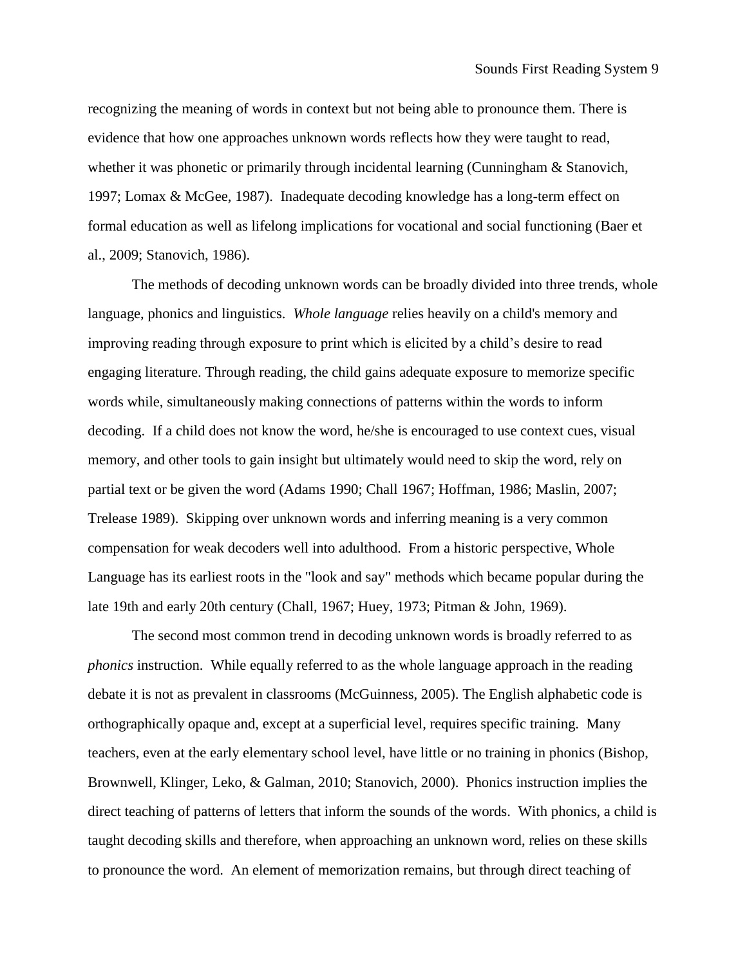recognizing the meaning of words in context but not being able to pronounce them. There is evidence that how one approaches unknown words reflects how they were taught to read, whether it was phonetic or primarily through incidental learning (Cunningham & Stanovich, 1997; Lomax & McGee, 1987). Inadequate decoding knowledge has a long-term effect on formal education as well as lifelong implications for vocational and social functioning (Baer et al., 2009; Stanovich, 1986).

The methods of decoding unknown words can be broadly divided into three trends, whole language, phonics and linguistics. *Whole language* relies heavily on a child's memory and improving reading through exposure to print which is elicited by a child's desire to read engaging literature. Through reading, the child gains adequate exposure to memorize specific words while, simultaneously making connections of patterns within the words to inform decoding. If a child does not know the word, he/she is encouraged to use context cues, visual memory, and other tools to gain insight but ultimately would need to skip the word, rely on partial text or be given the word (Adams 1990; Chall 1967; Hoffman, 1986; Maslin, 2007; Trelease 1989). Skipping over unknown words and inferring meaning is a very common compensation for weak decoders well into adulthood. From a historic perspective, Whole Language has its earliest roots in the "look and say" methods which became popular during the late 19th and early 20th century (Chall, 1967; Huey, 1973; Pitman & John, 1969).

The second most common trend in decoding unknown words is broadly referred to as *phonics* instruction. While equally referred to as the whole language approach in the reading debate it is not as prevalent in classrooms (McGuinness, 2005). The English alphabetic code is orthographically opaque and, except at a superficial level, requires specific training. Many teachers, even at the early elementary school level, have little or no training in phonics (Bishop, Brownwell, Klinger, Leko, & Galman, 2010; Stanovich, 2000). Phonics instruction implies the direct teaching of patterns of letters that inform the sounds of the words. With phonics, a child is taught decoding skills and therefore, when approaching an unknown word, relies on these skills to pronounce the word. An element of memorization remains, but through direct teaching of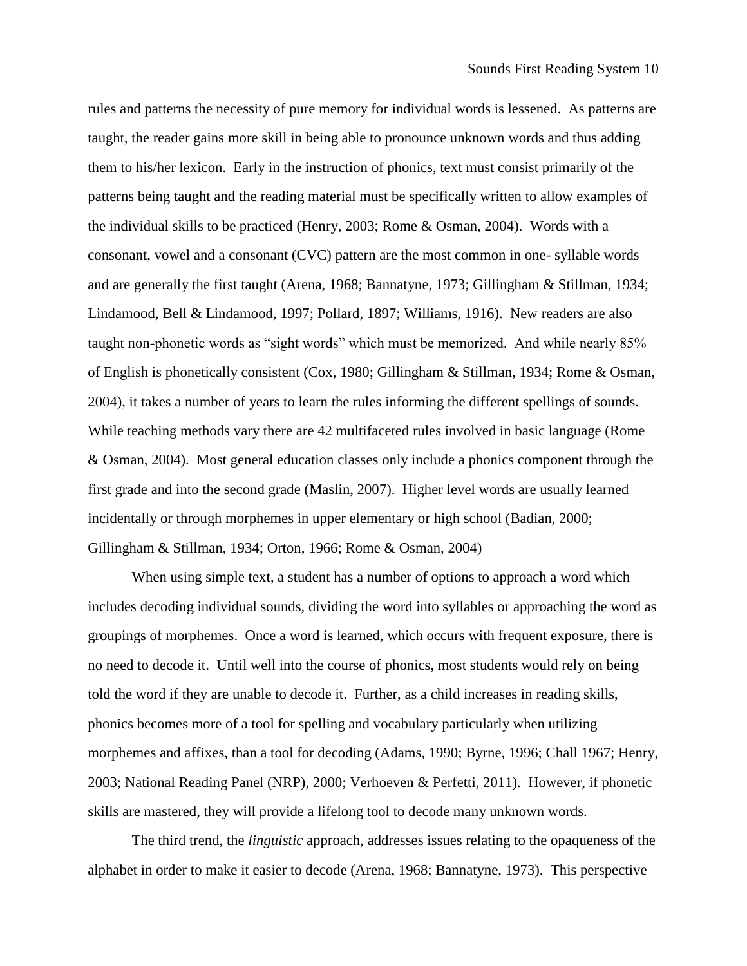rules and patterns the necessity of pure memory for individual words is lessened. As patterns are taught, the reader gains more skill in being able to pronounce unknown words and thus adding them to his/her lexicon. Early in the instruction of phonics, text must consist primarily of the patterns being taught and the reading material must be specifically written to allow examples of the individual skills to be practiced (Henry, 2003; Rome & Osman, 2004). Words with a consonant, vowel and a consonant (CVC) pattern are the most common in one- syllable words and are generally the first taught (Arena, 1968; Bannatyne, 1973; Gillingham & Stillman, 1934; Lindamood, Bell & Lindamood, 1997; Pollard, 1897; Williams, 1916). New readers are also taught non-phonetic words as "sight words" which must be memorized. And while nearly 85% of English is phonetically consistent (Cox, 1980; Gillingham & Stillman, 1934; Rome & Osman, 2004), it takes a number of years to learn the rules informing the different spellings of sounds. While teaching methods vary there are 42 multifaceted rules involved in basic language (Rome & Osman, 2004). Most general education classes only include a phonics component through the first grade and into the second grade (Maslin, 2007). Higher level words are usually learned incidentally or through morphemes in upper elementary or high school (Badian, 2000; Gillingham & Stillman, 1934; Orton, 1966; Rome & Osman, 2004)

When using simple text, a student has a number of options to approach a word which includes decoding individual sounds, dividing the word into syllables or approaching the word as groupings of morphemes. Once a word is learned, which occurs with frequent exposure, there is no need to decode it. Until well into the course of phonics, most students would rely on being told the word if they are unable to decode it. Further, as a child increases in reading skills, phonics becomes more of a tool for spelling and vocabulary particularly when utilizing morphemes and affixes, than a tool for decoding (Adams, 1990; Byrne, 1996; Chall 1967; Henry, 2003; National Reading Panel (NRP), 2000; Verhoeven & Perfetti, 2011). However, if phonetic skills are mastered, they will provide a lifelong tool to decode many unknown words.

The third trend, the *linguistic* approach, addresses issues relating to the opaqueness of the alphabet in order to make it easier to decode (Arena, 1968; Bannatyne, 1973). This perspective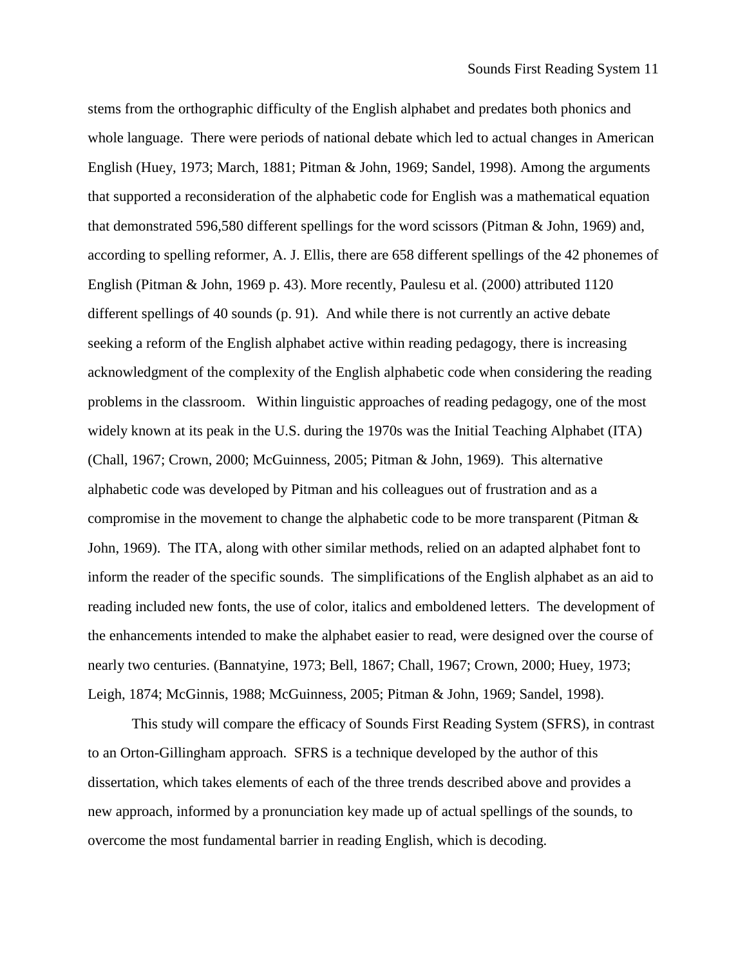stems from the orthographic difficulty of the English alphabet and predates both phonics and whole language. There were periods of national debate which led to actual changes in American English (Huey, 1973; March, 1881; Pitman & John, 1969; Sandel, 1998). Among the arguments that supported a reconsideration of the alphabetic code for English was a mathematical equation that demonstrated 596,580 different spellings for the word scissors (Pitman & John, 1969) and, according to spelling reformer, A. J. Ellis, there are 658 different spellings of the 42 phonemes of English (Pitman & John, 1969 p. 43). More recently, Paulesu et al. (2000) attributed 1120 different spellings of 40 sounds (p. 91). And while there is not currently an active debate seeking a reform of the English alphabet active within reading pedagogy, there is increasing acknowledgment of the complexity of the English alphabetic code when considering the reading problems in the classroom. Within linguistic approaches of reading pedagogy, one of the most widely known at its peak in the U.S. during the 1970s was the Initial Teaching Alphabet (ITA) (Chall, 1967; Crown, 2000; McGuinness, 2005; Pitman & John, 1969). This alternative alphabetic code was developed by Pitman and his colleagues out of frustration and as a compromise in the movement to change the alphabetic code to be more transparent (Pitman & John, 1969). The ITA, along with other similar methods, relied on an adapted alphabet font to inform the reader of the specific sounds. The simplifications of the English alphabet as an aid to reading included new fonts, the use of color, italics and emboldened letters. The development of the enhancements intended to make the alphabet easier to read, were designed over the course of nearly two centuries. (Bannatyine, 1973; Bell, 1867; Chall, 1967; Crown, 2000; Huey, 1973; Leigh, 1874; McGinnis, 1988; McGuinness, 2005; Pitman & John, 1969; Sandel, 1998).

This study will compare the efficacy of Sounds First Reading System (SFRS), in contrast to an Orton-Gillingham approach. SFRS is a technique developed by the author of this dissertation, which takes elements of each of the three trends described above and provides a new approach, informed by a pronunciation key made up of actual spellings of the sounds, to overcome the most fundamental barrier in reading English, which is decoding.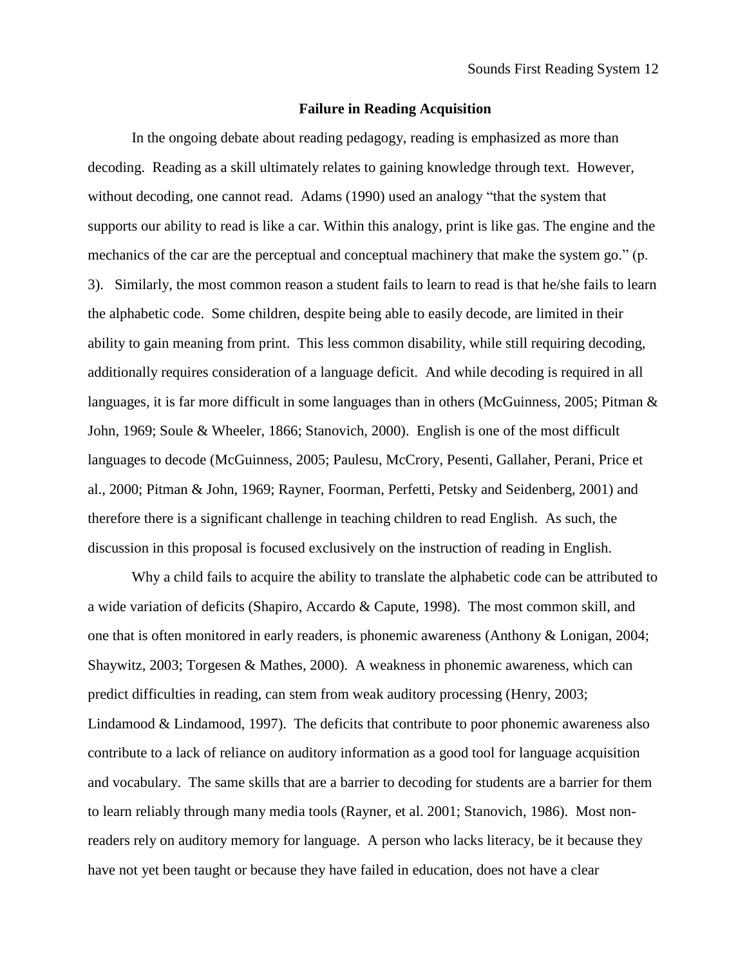#### **Failure in Reading Acquisition**

In the ongoing debate about reading pedagogy, reading is emphasized as more than decoding. Reading as a skill ultimately relates to gaining knowledge through text. However, without decoding, one cannot read. Adams (1990) used an analogy "that the system that supports our ability to read is like a car. Within this analogy, print is like gas. The engine and the mechanics of the car are the perceptual and conceptual machinery that make the system go." (p. 3). Similarly, the most common reason a student fails to learn to read is that he/she fails to learn the alphabetic code. Some children, despite being able to easily decode, are limited in their ability to gain meaning from print. This less common disability, while still requiring decoding, additionally requires consideration of a language deficit. And while decoding is required in all languages, it is far more difficult in some languages than in others (McGuinness, 2005; Pitman & John, 1969; Soule & Wheeler, 1866; Stanovich, 2000). English is one of the most difficult languages to decode (McGuinness, 2005; Paulesu, McCrory, Pesenti, Gallaher, Perani, Price et al., 2000; Pitman & John, 1969; Rayner, Foorman, Perfetti, Petsky and Seidenberg, 2001) and therefore there is a significant challenge in teaching children to read English. As such, the discussion in this proposal is focused exclusively on the instruction of reading in English.

Why a child fails to acquire the ability to translate the alphabetic code can be attributed to a wide variation of deficits (Shapiro, Accardo & Capute, 1998). The most common skill, and one that is often monitored in early readers, is phonemic awareness (Anthony & Lonigan, 2004; Shaywitz, 2003; Torgesen & Mathes, 2000). A weakness in phonemic awareness, which can predict difficulties in reading, can stem from weak auditory processing (Henry, 2003; Lindamood & Lindamood, 1997). The deficits that contribute to poor phonemic awareness also contribute to a lack of reliance on auditory information as a good tool for language acquisition and vocabulary. The same skills that are a barrier to decoding for students are a barrier for them to learn reliably through many media tools (Rayner, et al. 2001; Stanovich, 1986). Most nonreaders rely on auditory memory for language. A person who lacks literacy, be it because they have not yet been taught or because they have failed in education, does not have a clear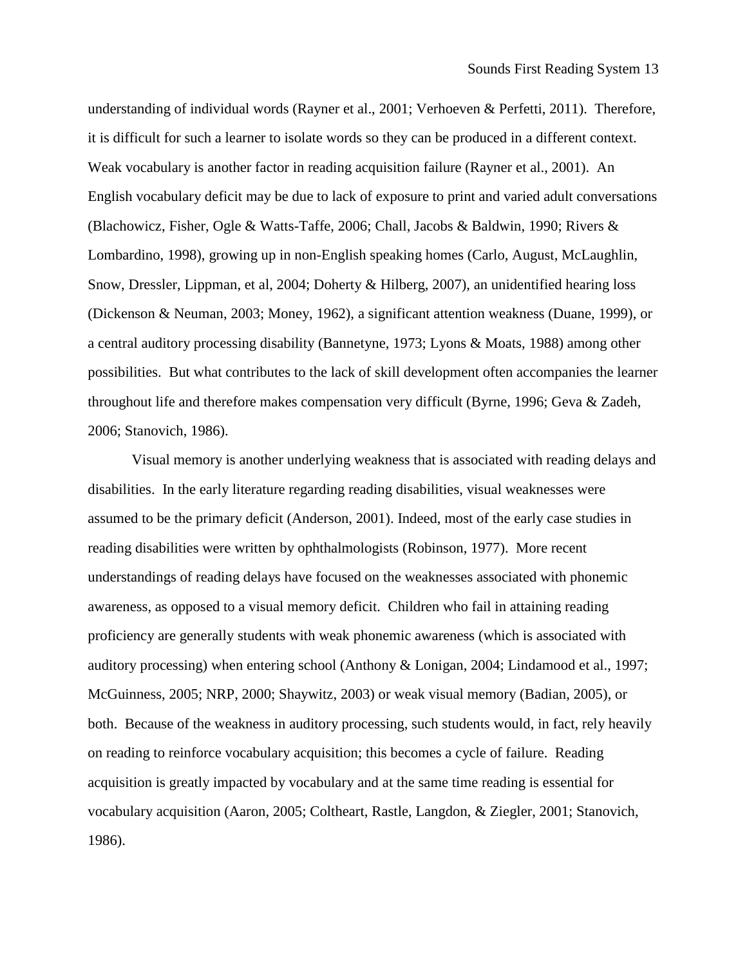understanding of individual words (Rayner et al., 2001; Verhoeven & Perfetti, 2011). Therefore, it is difficult for such a learner to isolate words so they can be produced in a different context. Weak vocabulary is another factor in reading acquisition failure (Rayner et al., 2001). An English vocabulary deficit may be due to lack of exposure to print and varied adult conversations (Blachowicz, Fisher, Ogle & Watts-Taffe, 2006; Chall, Jacobs & Baldwin, 1990; Rivers & Lombardino, 1998), growing up in non-English speaking homes (Carlo, August, McLaughlin, Snow, Dressler, Lippman, et al, 2004; Doherty & Hilberg, 2007), an unidentified hearing loss (Dickenson & Neuman, 2003; Money, 1962), a significant attention weakness (Duane, 1999), or a central auditory processing disability (Bannetyne, 1973; Lyons & Moats, 1988) among other possibilities. But what contributes to the lack of skill development often accompanies the learner throughout life and therefore makes compensation very difficult (Byrne, 1996; Geva & Zadeh, 2006; Stanovich, 1986).

Visual memory is another underlying weakness that is associated with reading delays and disabilities. In the early literature regarding reading disabilities, visual weaknesses were assumed to be the primary deficit (Anderson, 2001). Indeed, most of the early case studies in reading disabilities were written by ophthalmologists (Robinson, 1977). More recent understandings of reading delays have focused on the weaknesses associated with phonemic awareness, as opposed to a visual memory deficit. Children who fail in attaining reading proficiency are generally students with weak phonemic awareness (which is associated with auditory processing) when entering school (Anthony & Lonigan, 2004; Lindamood et al., 1997; McGuinness, 2005; NRP, 2000; Shaywitz, 2003) or weak visual memory (Badian, 2005), or both. Because of the weakness in auditory processing, such students would, in fact, rely heavily on reading to reinforce vocabulary acquisition; this becomes a cycle of failure. Reading acquisition is greatly impacted by vocabulary and at the same time reading is essential for vocabulary acquisition (Aaron, 2005; Coltheart, Rastle, Langdon, & Ziegler, 2001; Stanovich, 1986).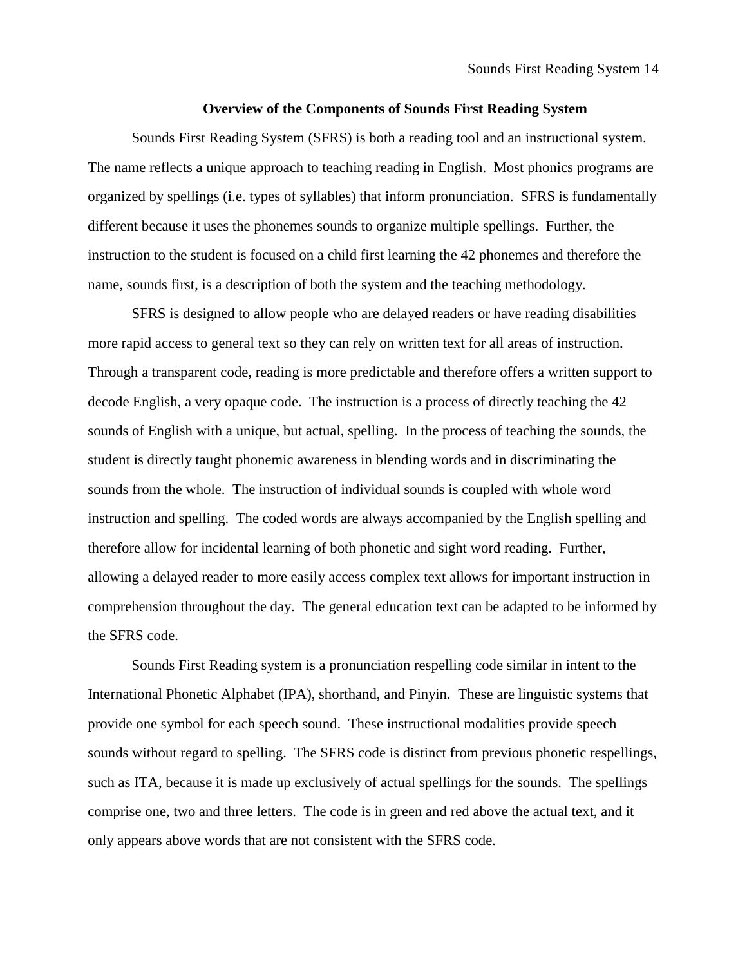## **Overview of the Components of Sounds First Reading System**

Sounds First Reading System (SFRS) is both a reading tool and an instructional system. The name reflects a unique approach to teaching reading in English. Most phonics programs are organized by spellings (i.e. types of syllables) that inform pronunciation. SFRS is fundamentally different because it uses the phonemes sounds to organize multiple spellings. Further, the instruction to the student is focused on a child first learning the 42 phonemes and therefore the name, sounds first, is a description of both the system and the teaching methodology.

SFRS is designed to allow people who are delayed readers or have reading disabilities more rapid access to general text so they can rely on written text for all areas of instruction. Through a transparent code, reading is more predictable and therefore offers a written support to decode English, a very opaque code. The instruction is a process of directly teaching the 42 sounds of English with a unique, but actual, spelling. In the process of teaching the sounds, the student is directly taught phonemic awareness in blending words and in discriminating the sounds from the whole. The instruction of individual sounds is coupled with whole word instruction and spelling. The coded words are always accompanied by the English spelling and therefore allow for incidental learning of both phonetic and sight word reading. Further, allowing a delayed reader to more easily access complex text allows for important instruction in comprehension throughout the day. The general education text can be adapted to be informed by the SFRS code.

Sounds First Reading system is a pronunciation respelling code similar in intent to the International Phonetic Alphabet (IPA), shorthand, and Pinyin. These are linguistic systems that provide one symbol for each speech sound. These instructional modalities provide speech sounds without regard to spelling. The SFRS code is distinct from previous phonetic respellings, such as ITA, because it is made up exclusively of actual spellings for the sounds. The spellings comprise one, two and three letters. The code is in green and red above the actual text, and it only appears above words that are not consistent with the SFRS code.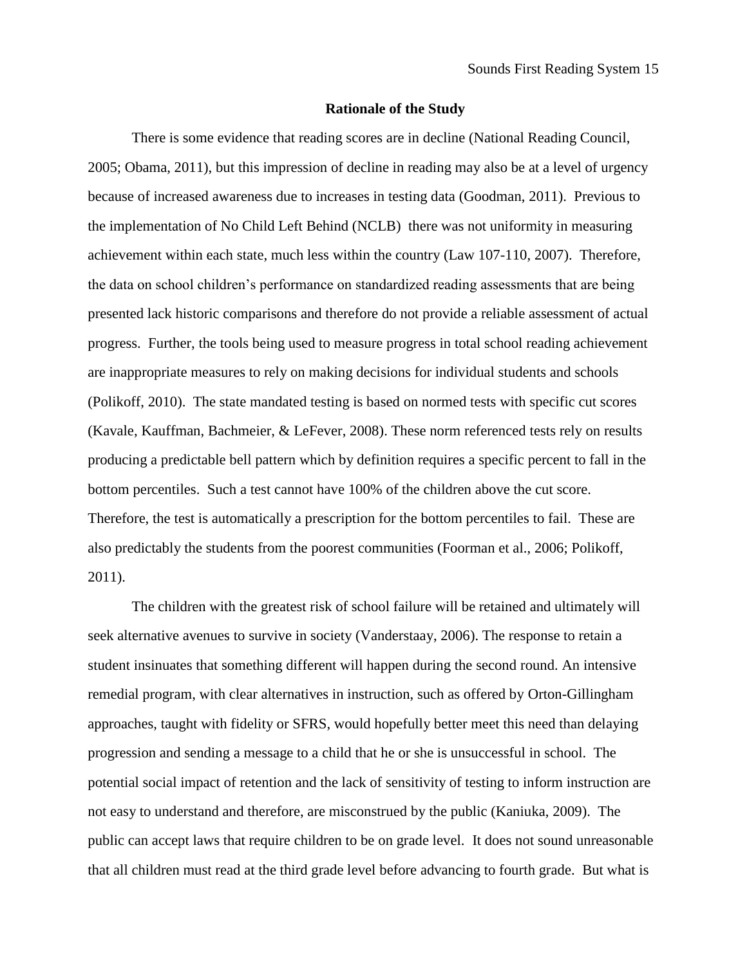#### **Rationale of the Study**

There is some evidence that reading scores are in decline (National Reading Council, 2005; Obama, 2011), but this impression of decline in reading may also be at a level of urgency because of increased awareness due to increases in testing data (Goodman, 2011). Previous to the implementation of No Child Left Behind (NCLB) there was not uniformity in measuring achievement within each state, much less within the country (Law 107-110, 2007). Therefore, the data on school children's performance on standardized reading assessments that are being presented lack historic comparisons and therefore do not provide a reliable assessment of actual progress. Further, the tools being used to measure progress in total school reading achievement are inappropriate measures to rely on making decisions for individual students and schools (Polikoff, 2010). The state mandated testing is based on normed tests with specific cut scores (Kavale, Kauffman, Bachmeier, & LeFever, 2008). These norm referenced tests rely on results producing a predictable bell pattern which by definition requires a specific percent to fall in the bottom percentiles. Such a test cannot have 100% of the children above the cut score. Therefore, the test is automatically a prescription for the bottom percentiles to fail. These are also predictably the students from the poorest communities (Foorman et al., 2006; Polikoff, 2011).

The children with the greatest risk of school failure will be retained and ultimately will seek alternative avenues to survive in society (Vanderstaay, 2006). The response to retain a student insinuates that something different will happen during the second round. An intensive remedial program, with clear alternatives in instruction, such as offered by Orton-Gillingham approaches, taught with fidelity or SFRS, would hopefully better meet this need than delaying progression and sending a message to a child that he or she is unsuccessful in school. The potential social impact of retention and the lack of sensitivity of testing to inform instruction are not easy to understand and therefore, are misconstrued by the public (Kaniuka, 2009). The public can accept laws that require children to be on grade level. It does not sound unreasonable that all children must read at the third grade level before advancing to fourth grade. But what is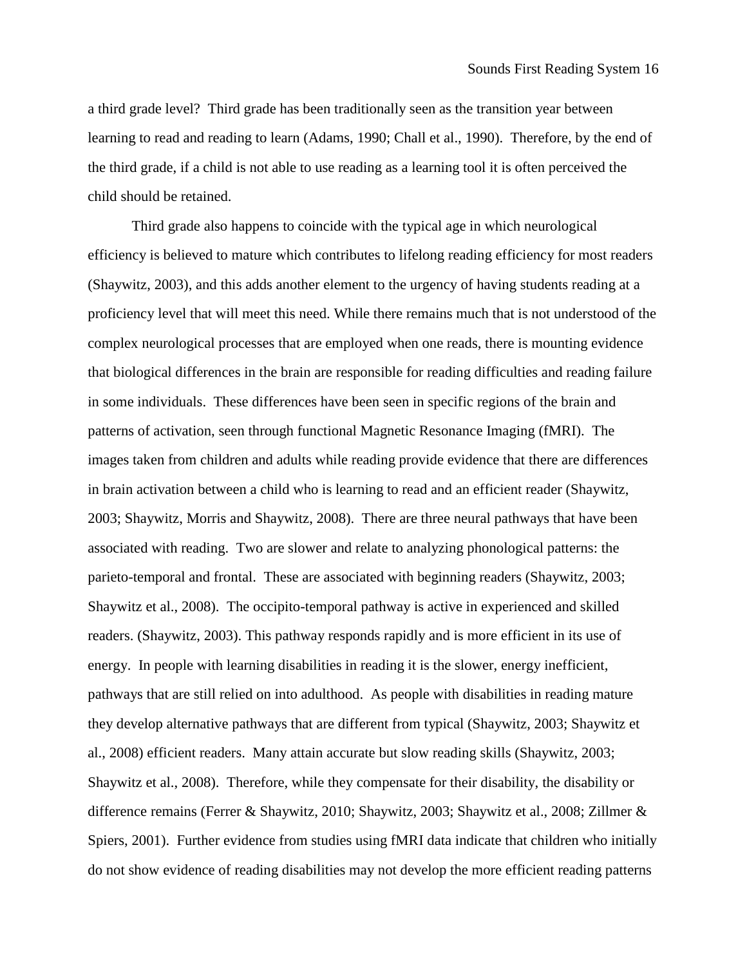a third grade level? Third grade has been traditionally seen as the transition year between learning to read and reading to learn (Adams, 1990; Chall et al., 1990). Therefore, by the end of the third grade, if a child is not able to use reading as a learning tool it is often perceived the child should be retained.

Third grade also happens to coincide with the typical age in which neurological efficiency is believed to mature which contributes to lifelong reading efficiency for most readers (Shaywitz, 2003), and this adds another element to the urgency of having students reading at a proficiency level that will meet this need. While there remains much that is not understood of the complex neurological processes that are employed when one reads, there is mounting evidence that biological differences in the brain are responsible for reading difficulties and reading failure in some individuals. These differences have been seen in specific regions of the brain and patterns of activation, seen through functional Magnetic Resonance Imaging (fMRI). The images taken from children and adults while reading provide evidence that there are differences in brain activation between a child who is learning to read and an efficient reader (Shaywitz, 2003; Shaywitz, Morris and Shaywitz, 2008). There are three neural pathways that have been associated with reading. Two are slower and relate to analyzing phonological patterns: the parieto-temporal and frontal. These are associated with beginning readers (Shaywitz, 2003; Shaywitz et al., 2008). The occipito-temporal pathway is active in experienced and skilled readers. (Shaywitz, 2003). This pathway responds rapidly and is more efficient in its use of energy. In people with learning disabilities in reading it is the slower, energy inefficient, pathways that are still relied on into adulthood. As people with disabilities in reading mature they develop alternative pathways that are different from typical (Shaywitz, 2003; Shaywitz et al., 2008) efficient readers. Many attain accurate but slow reading skills (Shaywitz, 2003; Shaywitz et al., 2008). Therefore, while they compensate for their disability, the disability or difference remains (Ferrer & Shaywitz, 2010; Shaywitz, 2003; Shaywitz et al., 2008; Zillmer & Spiers, 2001). Further evidence from studies using fMRI data indicate that children who initially do not show evidence of reading disabilities may not develop the more efficient reading patterns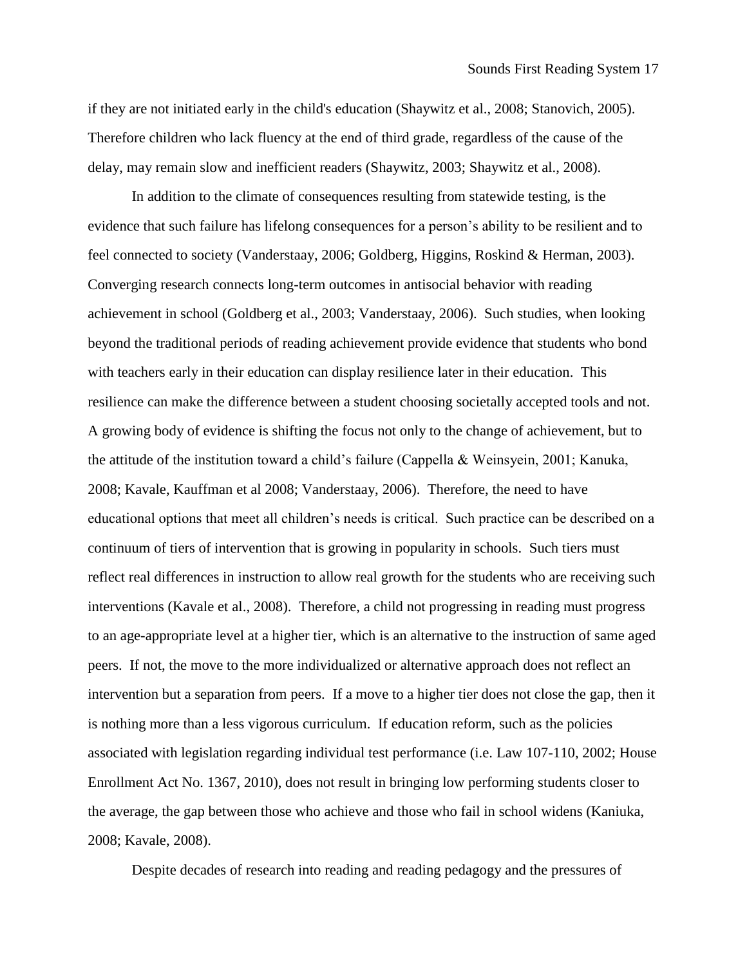if they are not initiated early in the child's education (Shaywitz et al., 2008; Stanovich, 2005). Therefore children who lack fluency at the end of third grade, regardless of the cause of the delay, may remain slow and inefficient readers (Shaywitz, 2003; Shaywitz et al., 2008).

In addition to the climate of consequences resulting from statewide testing, is the evidence that such failure has lifelong consequences for a person's ability to be resilient and to feel connected to society (Vanderstaay, 2006; Goldberg, Higgins, Roskind & Herman, 2003). Converging research connects long-term outcomes in antisocial behavior with reading achievement in school (Goldberg et al., 2003; Vanderstaay, 2006). Such studies, when looking beyond the traditional periods of reading achievement provide evidence that students who bond with teachers early in their education can display resilience later in their education. This resilience can make the difference between a student choosing societally accepted tools and not. A growing body of evidence is shifting the focus not only to the change of achievement, but to the attitude of the institution toward a child's failure (Cappella & Weinsyein, 2001; Kanuka, 2008; Kavale, Kauffman et al 2008; Vanderstaay, 2006). Therefore, the need to have educational options that meet all children's needs is critical. Such practice can be described on a continuum of tiers of intervention that is growing in popularity in schools. Such tiers must reflect real differences in instruction to allow real growth for the students who are receiving such interventions (Kavale et al., 2008). Therefore, a child not progressing in reading must progress to an age-appropriate level at a higher tier, which is an alternative to the instruction of same aged peers. If not, the move to the more individualized or alternative approach does not reflect an intervention but a separation from peers. If a move to a higher tier does not close the gap, then it is nothing more than a less vigorous curriculum. If education reform, such as the policies associated with legislation regarding individual test performance (i.e. Law 107-110, 2002; House Enrollment Act No. 1367, 2010), does not result in bringing low performing students closer to the average, the gap between those who achieve and those who fail in school widens (Kaniuka, 2008; Kavale, 2008).

Despite decades of research into reading and reading pedagogy and the pressures of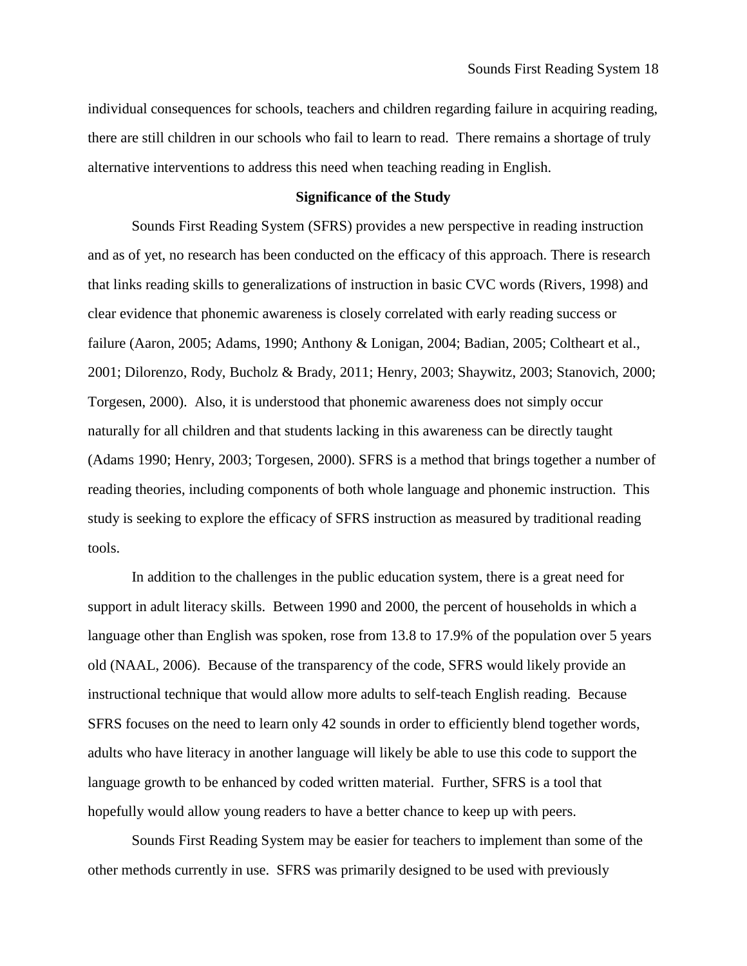individual consequences for schools, teachers and children regarding failure in acquiring reading, there are still children in our schools who fail to learn to read. There remains a shortage of truly alternative interventions to address this need when teaching reading in English.

## **Significance of the Study**

Sounds First Reading System (SFRS) provides a new perspective in reading instruction and as of yet, no research has been conducted on the efficacy of this approach. There is research that links reading skills to generalizations of instruction in basic CVC words (Rivers, 1998) and clear evidence that phonemic awareness is closely correlated with early reading success or failure (Aaron, 2005; Adams, 1990; Anthony & Lonigan, 2004; Badian, 2005; Coltheart et al., 2001; Dilorenzo, Rody, Bucholz & Brady, 2011; Henry, 2003; Shaywitz, 2003; Stanovich, 2000; Torgesen, 2000). Also, it is understood that phonemic awareness does not simply occur naturally for all children and that students lacking in this awareness can be directly taught (Adams 1990; Henry, 2003; Torgesen, 2000). SFRS is a method that brings together a number of reading theories, including components of both whole language and phonemic instruction. This study is seeking to explore the efficacy of SFRS instruction as measured by traditional reading tools.

In addition to the challenges in the public education system, there is a great need for support in adult literacy skills. Between 1990 and 2000, the percent of households in which a language other than English was spoken, rose from 13.8 to 17.9% of the population over 5 years old (NAAL, 2006). Because of the transparency of the code, SFRS would likely provide an instructional technique that would allow more adults to self-teach English reading. Because SFRS focuses on the need to learn only 42 sounds in order to efficiently blend together words, adults who have literacy in another language will likely be able to use this code to support the language growth to be enhanced by coded written material. Further, SFRS is a tool that hopefully would allow young readers to have a better chance to keep up with peers.

Sounds First Reading System may be easier for teachers to implement than some of the other methods currently in use. SFRS was primarily designed to be used with previously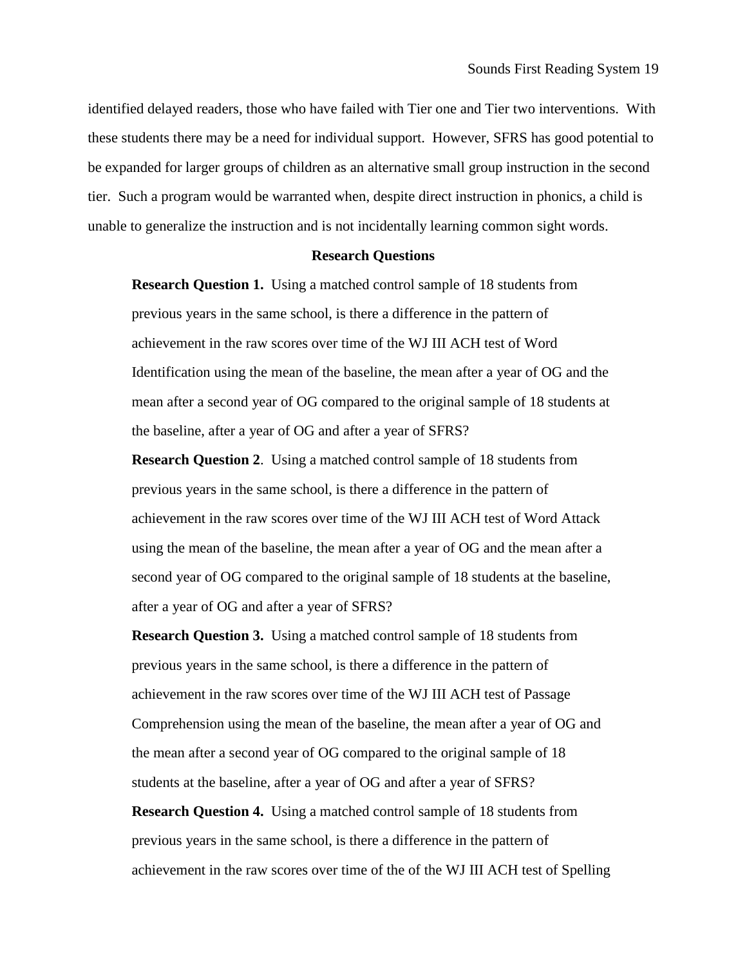identified delayed readers, those who have failed with Tier one and Tier two interventions. With these students there may be a need for individual support. However, SFRS has good potential to be expanded for larger groups of children as an alternative small group instruction in the second tier. Such a program would be warranted when, despite direct instruction in phonics, a child is unable to generalize the instruction and is not incidentally learning common sight words.

#### **Research Questions**

**Research Question 1.** Using a matched control sample of 18 students from previous years in the same school, is there a difference in the pattern of achievement in the raw scores over time of the WJ III ACH test of Word Identification using the mean of the baseline, the mean after a year of OG and the mean after a second year of OG compared to the original sample of 18 students at the baseline, after a year of OG and after a year of SFRS?

**Research Question 2**. Using a matched control sample of 18 students from previous years in the same school, is there a difference in the pattern of achievement in the raw scores over time of the WJ III ACH test of Word Attack using the mean of the baseline, the mean after a year of OG and the mean after a second year of OG compared to the original sample of 18 students at the baseline, after a year of OG and after a year of SFRS?

**Research Question 3.** Using a matched control sample of 18 students from previous years in the same school, is there a difference in the pattern of achievement in the raw scores over time of the WJ III ACH test of Passage Comprehension using the mean of the baseline, the mean after a year of OG and the mean after a second year of OG compared to the original sample of 18 students at the baseline, after a year of OG and after a year of SFRS?

**Research Question 4.** Using a matched control sample of 18 students from previous years in the same school, is there a difference in the pattern of achievement in the raw scores over time of the of the WJ III ACH test of Spelling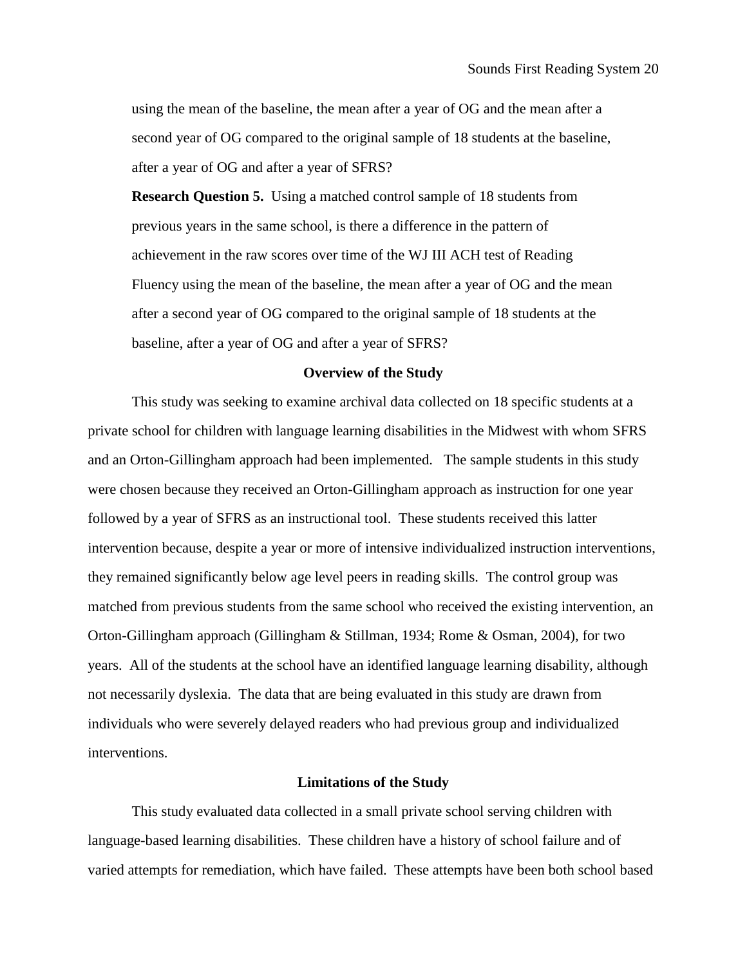using the mean of the baseline, the mean after a year of OG and the mean after a second year of OG compared to the original sample of 18 students at the baseline, after a year of OG and after a year of SFRS?

**Research Question 5.** Using a matched control sample of 18 students from previous years in the same school, is there a difference in the pattern of achievement in the raw scores over time of the WJ III ACH test of Reading Fluency using the mean of the baseline, the mean after a year of OG and the mean after a second year of OG compared to the original sample of 18 students at the baseline, after a year of OG and after a year of SFRS?

#### **Overview of the Study**

This study was seeking to examine archival data collected on 18 specific students at a private school for children with language learning disabilities in the Midwest with whom SFRS and an Orton-Gillingham approach had been implemented. The sample students in this study were chosen because they received an Orton-Gillingham approach as instruction for one year followed by a year of SFRS as an instructional tool. These students received this latter intervention because, despite a year or more of intensive individualized instruction interventions, they remained significantly below age level peers in reading skills. The control group was matched from previous students from the same school who received the existing intervention, an Orton-Gillingham approach (Gillingham & Stillman, 1934; Rome & Osman, 2004), for two years. All of the students at the school have an identified language learning disability, although not necessarily dyslexia. The data that are being evaluated in this study are drawn from individuals who were severely delayed readers who had previous group and individualized interventions.

### **Limitations of the Study**

This study evaluated data collected in a small private school serving children with language-based learning disabilities. These children have a history of school failure and of varied attempts for remediation, which have failed. These attempts have been both school based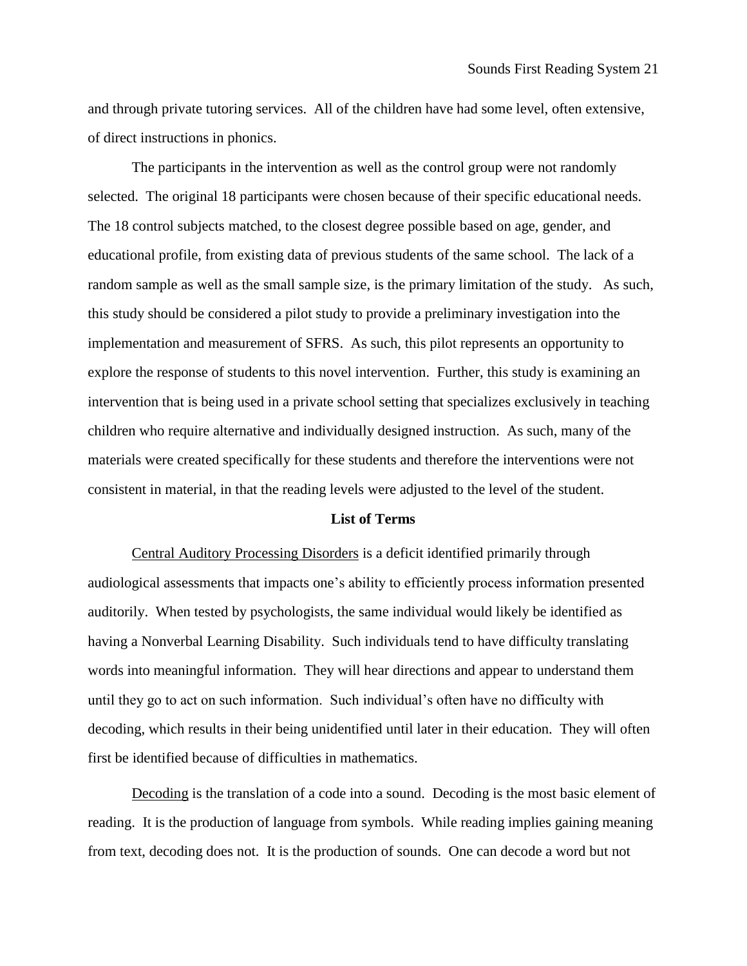and through private tutoring services. All of the children have had some level, often extensive, of direct instructions in phonics.

The participants in the intervention as well as the control group were not randomly selected. The original 18 participants were chosen because of their specific educational needs. The 18 control subjects matched, to the closest degree possible based on age, gender, and educational profile, from existing data of previous students of the same school. The lack of a random sample as well as the small sample size, is the primary limitation of the study. As such, this study should be considered a pilot study to provide a preliminary investigation into the implementation and measurement of SFRS. As such, this pilot represents an opportunity to explore the response of students to this novel intervention. Further, this study is examining an intervention that is being used in a private school setting that specializes exclusively in teaching children who require alternative and individually designed instruction. As such, many of the materials were created specifically for these students and therefore the interventions were not consistent in material, in that the reading levels were adjusted to the level of the student.

## **List of Terms**

Central Auditory Processing Disorders is a deficit identified primarily through audiological assessments that impacts one's ability to efficiently process information presented auditorily. When tested by psychologists, the same individual would likely be identified as having a Nonverbal Learning Disability. Such individuals tend to have difficulty translating words into meaningful information. They will hear directions and appear to understand them until they go to act on such information. Such individual's often have no difficulty with decoding, which results in their being unidentified until later in their education. They will often first be identified because of difficulties in mathematics.

Decoding is the translation of a code into a sound. Decoding is the most basic element of reading. It is the production of language from symbols. While reading implies gaining meaning from text, decoding does not. It is the production of sounds. One can decode a word but not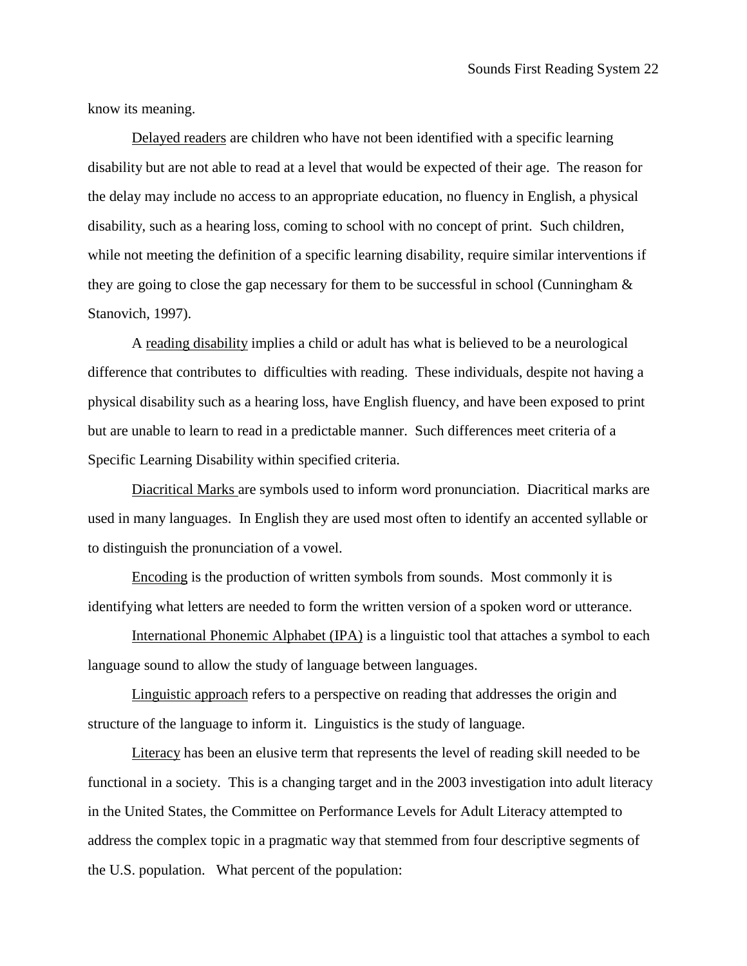know its meaning.

Delayed readers are children who have not been identified with a specific learning disability but are not able to read at a level that would be expected of their age. The reason for the delay may include no access to an appropriate education, no fluency in English, a physical disability, such as a hearing loss, coming to school with no concept of print. Such children, while not meeting the definition of a specific learning disability, require similar interventions if they are going to close the gap necessary for them to be successful in school (Cunningham & Stanovich, 1997).

A reading disability implies a child or adult has what is believed to be a neurological difference that contributes to difficulties with reading. These individuals, despite not having a physical disability such as a hearing loss, have English fluency, and have been exposed to print but are unable to learn to read in a predictable manner. Such differences meet criteria of a Specific Learning Disability within specified criteria.

Diacritical Marks are symbols used to inform word pronunciation. Diacritical marks are used in many languages. In English they are used most often to identify an accented syllable or to distinguish the pronunciation of a vowel.

Encoding is the production of written symbols from sounds. Most commonly it is identifying what letters are needed to form the written version of a spoken word or utterance.

International Phonemic Alphabet (IPA) is a linguistic tool that attaches a symbol to each language sound to allow the study of language between languages.

Linguistic approach refers to a perspective on reading that addresses the origin and structure of the language to inform it. Linguistics is the study of language.

Literacy has been an elusive term that represents the level of reading skill needed to be functional in a society. This is a changing target and in the 2003 investigation into adult literacy in the United States, the Committee on Performance Levels for Adult Literacy attempted to address the complex topic in a pragmatic way that stemmed from four descriptive segments of the U.S. population. What percent of the population: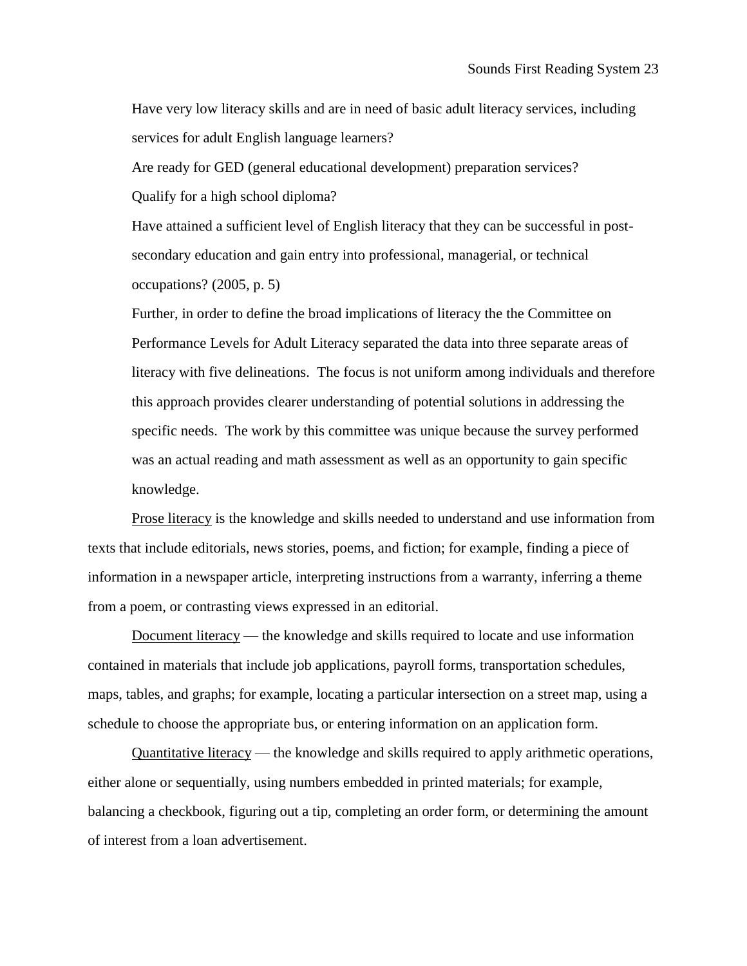Have very low literacy skills and are in need of basic adult literacy services, including services for adult English language learners?

Are ready for GED (general educational development) preparation services? Qualify for a high school diploma?

Have attained a sufficient level of English literacy that they can be successful in postsecondary education and gain entry into professional, managerial, or technical occupations? (2005, p. 5)

Further, in order to define the broad implications of literacy the the Committee on Performance Levels for Adult Literacy separated the data into three separate areas of literacy with five delineations. The focus is not uniform among individuals and therefore this approach provides clearer understanding of potential solutions in addressing the specific needs. The work by this committee was unique because the survey performed was an actual reading and math assessment as well as an opportunity to gain specific knowledge.

Prose literacy is the knowledge and skills needed to understand and use information from texts that include editorials, news stories, poems, and fiction; for example, finding a piece of information in a newspaper article, interpreting instructions from a warranty, inferring a theme from a poem, or contrasting views expressed in an editorial.

Document literacy — the knowledge and skills required to locate and use information contained in materials that include job applications, payroll forms, transportation schedules, maps, tables, and graphs; for example, locating a particular intersection on a street map, using a schedule to choose the appropriate bus, or entering information on an application form.

Quantitative literacy — the knowledge and skills required to apply arithmetic operations, either alone or sequentially, using numbers embedded in printed materials; for example, balancing a checkbook, figuring out a tip, completing an order form, or determining the amount of interest from a loan advertisement.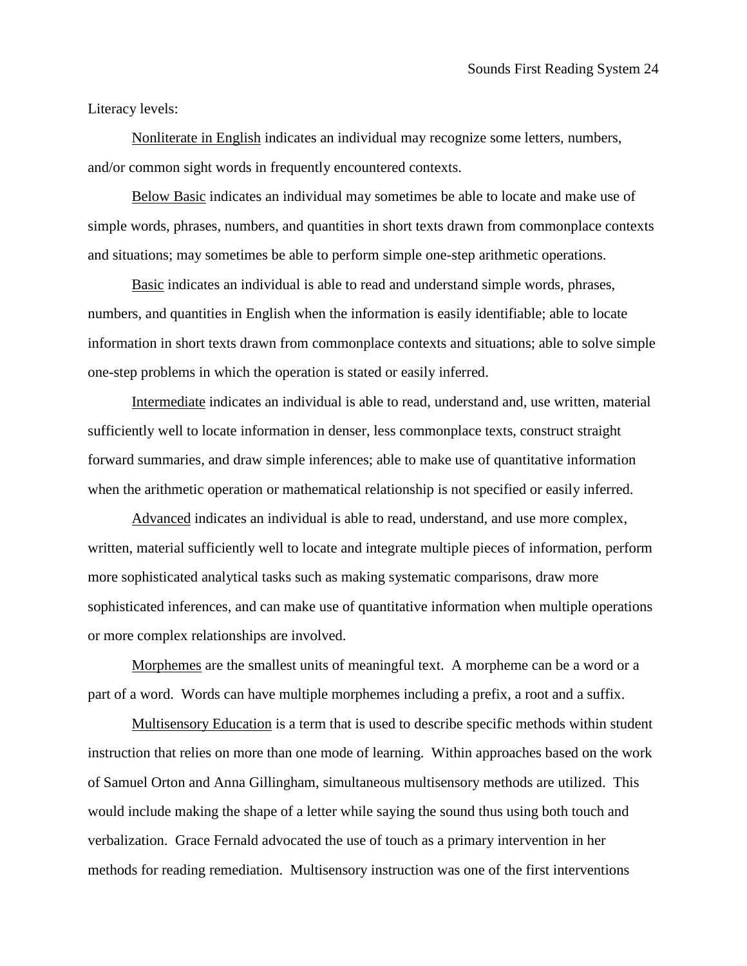# Literacy levels:

Nonliterate in English indicates an individual may recognize some letters, numbers, and/or common sight words in frequently encountered contexts.

Below Basic indicates an individual may sometimes be able to locate and make use of simple words, phrases, numbers, and quantities in short texts drawn from commonplace contexts and situations; may sometimes be able to perform simple one-step arithmetic operations.

Basic indicates an individual is able to read and understand simple words, phrases, numbers, and quantities in English when the information is easily identifiable; able to locate information in short texts drawn from commonplace contexts and situations; able to solve simple one-step problems in which the operation is stated or easily inferred.

Intermediate indicates an individual is able to read, understand and, use written, material sufficiently well to locate information in denser, less commonplace texts, construct straight forward summaries, and draw simple inferences; able to make use of quantitative information when the arithmetic operation or mathematical relationship is not specified or easily inferred.

Advanced indicates an individual is able to read, understand, and use more complex, written, material sufficiently well to locate and integrate multiple pieces of information, perform more sophisticated analytical tasks such as making systematic comparisons, draw more sophisticated inferences, and can make use of quantitative information when multiple operations or more complex relationships are involved.

Morphemes are the smallest units of meaningful text. A morpheme can be a word or a part of a word. Words can have multiple morphemes including a prefix, a root and a suffix.

Multisensory Education is a term that is used to describe specific methods within student instruction that relies on more than one mode of learning. Within approaches based on the work of Samuel Orton and Anna Gillingham, simultaneous multisensory methods are utilized. This would include making the shape of a letter while saying the sound thus using both touch and verbalization. Grace Fernald advocated the use of touch as a primary intervention in her methods for reading remediation. Multisensory instruction was one of the first interventions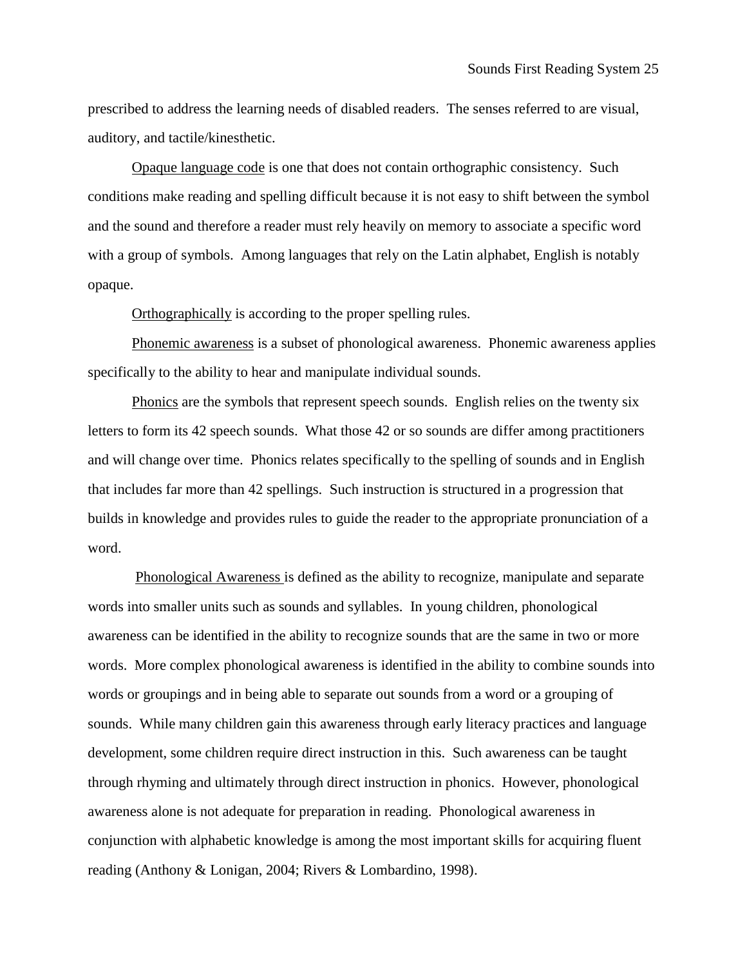prescribed to address the learning needs of disabled readers. The senses referred to are visual, auditory, and tactile/kinesthetic.

Opaque language code is one that does not contain orthographic consistency. Such conditions make reading and spelling difficult because it is not easy to shift between the symbol and the sound and therefore a reader must rely heavily on memory to associate a specific word with a group of symbols. Among languages that rely on the Latin alphabet, English is notably opaque.

Orthographically is according to the proper spelling rules.

Phonemic awareness is a subset of phonological awareness. Phonemic awareness applies specifically to the ability to hear and manipulate individual sounds.

Phonics are the symbols that represent speech sounds. English relies on the twenty six letters to form its 42 speech sounds. What those 42 or so sounds are differ among practitioners and will change over time. Phonics relates specifically to the spelling of sounds and in English that includes far more than 42 spellings. Such instruction is structured in a progression that builds in knowledge and provides rules to guide the reader to the appropriate pronunciation of a word.

Phonological Awareness is defined as the ability to recognize, manipulate and separate words into smaller units such as sounds and syllables. In young children, phonological awareness can be identified in the ability to recognize sounds that are the same in two or more words. More complex phonological awareness is identified in the ability to combine sounds into words or groupings and in being able to separate out sounds from a word or a grouping of sounds. While many children gain this awareness through early literacy practices and language development, some children require direct instruction in this. Such awareness can be taught through rhyming and ultimately through direct instruction in phonics. However, phonological awareness alone is not adequate for preparation in reading. Phonological awareness in conjunction with alphabetic knowledge is among the most important skills for acquiring fluent reading (Anthony & Lonigan, 2004; Rivers & Lombardino, 1998).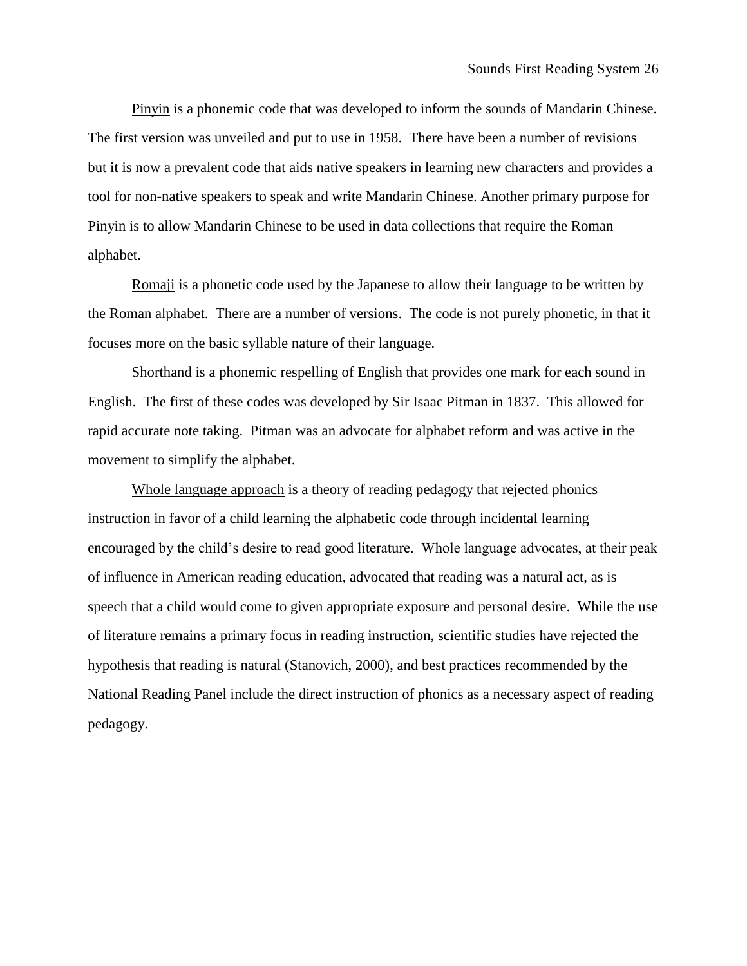Pinyin is a phonemic code that was developed to inform the sounds of Mandarin Chinese. The first version was unveiled and put to use in 1958. There have been a number of revisions but it is now a prevalent code that aids native speakers in learning new characters and provides a tool for non-native speakers to speak and write Mandarin Chinese. Another primary purpose for Pinyin is to allow Mandarin Chinese to be used in data collections that require the Roman alphabet.

Romaji is a phonetic code used by the Japanese to allow their language to be written by the Roman alphabet. There are a number of versions. The code is not purely phonetic, in that it focuses more on the basic syllable nature of their language.

Shorthand is a phonemic respelling of English that provides one mark for each sound in English. The first of these codes was developed by Sir Isaac Pitman in 1837. This allowed for rapid accurate note taking. Pitman was an advocate for alphabet reform and was active in the movement to simplify the alphabet.

Whole language approach is a theory of reading pedagogy that rejected phonics instruction in favor of a child learning the alphabetic code through incidental learning encouraged by the child's desire to read good literature. Whole language advocates, at their peak of influence in American reading education, advocated that reading was a natural act, as is speech that a child would come to given appropriate exposure and personal desire. While the use of literature remains a primary focus in reading instruction, scientific studies have rejected the hypothesis that reading is natural (Stanovich, 2000), and best practices recommended by the National Reading Panel include the direct instruction of phonics as a necessary aspect of reading pedagogy.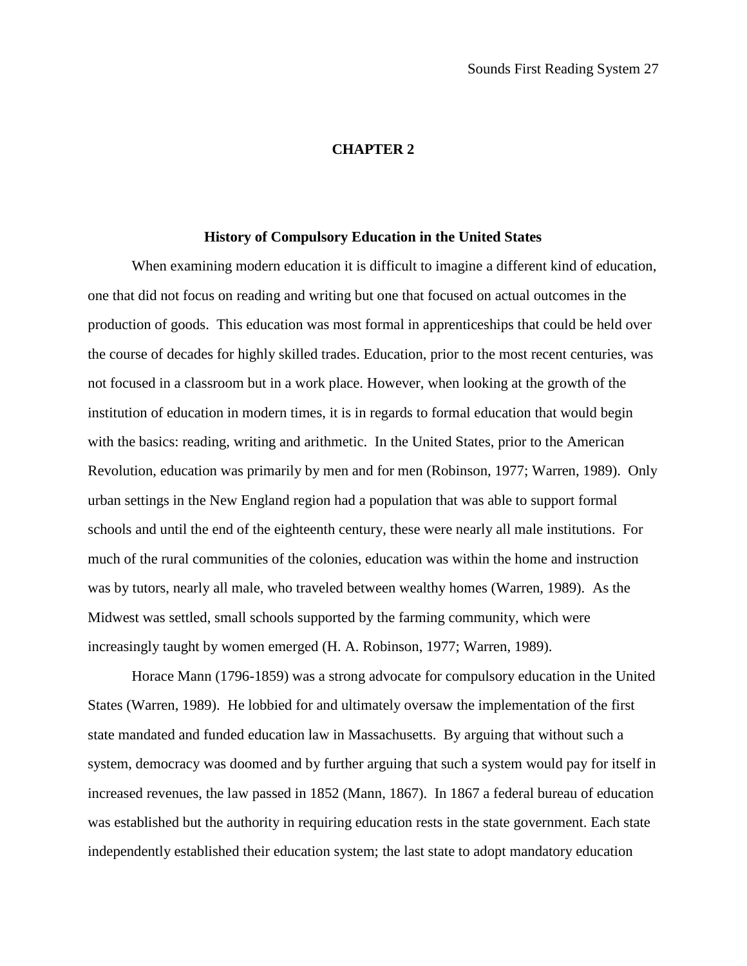## **CHAPTER 2**

# **History of Compulsory Education in the United States**

When examining modern education it is difficult to imagine a different kind of education, one that did not focus on reading and writing but one that focused on actual outcomes in the production of goods. This education was most formal in apprenticeships that could be held over the course of decades for highly skilled trades. Education, prior to the most recent centuries, was not focused in a classroom but in a work place. However, when looking at the growth of the institution of education in modern times, it is in regards to formal education that would begin with the basics: reading, writing and arithmetic. In the United States, prior to the American Revolution, education was primarily by men and for men (Robinson, 1977; Warren, 1989). Only urban settings in the New England region had a population that was able to support formal schools and until the end of the eighteenth century, these were nearly all male institutions. For much of the rural communities of the colonies, education was within the home and instruction was by tutors, nearly all male, who traveled between wealthy homes (Warren, 1989). As the Midwest was settled, small schools supported by the farming community, which were increasingly taught by women emerged (H. A. Robinson, 1977; Warren, 1989).

Horace Mann (1796-1859) was a strong advocate for compulsory education in the United States (Warren, 1989). He lobbied for and ultimately oversaw the implementation of the first state mandated and funded education law in Massachusetts. By arguing that without such a system, democracy was doomed and by further arguing that such a system would pay for itself in increased revenues, the law passed in 1852 (Mann, 1867). In 1867 a federal bureau of education was established but the authority in requiring education rests in the state government. Each state independently established their education system; the last state to adopt mandatory education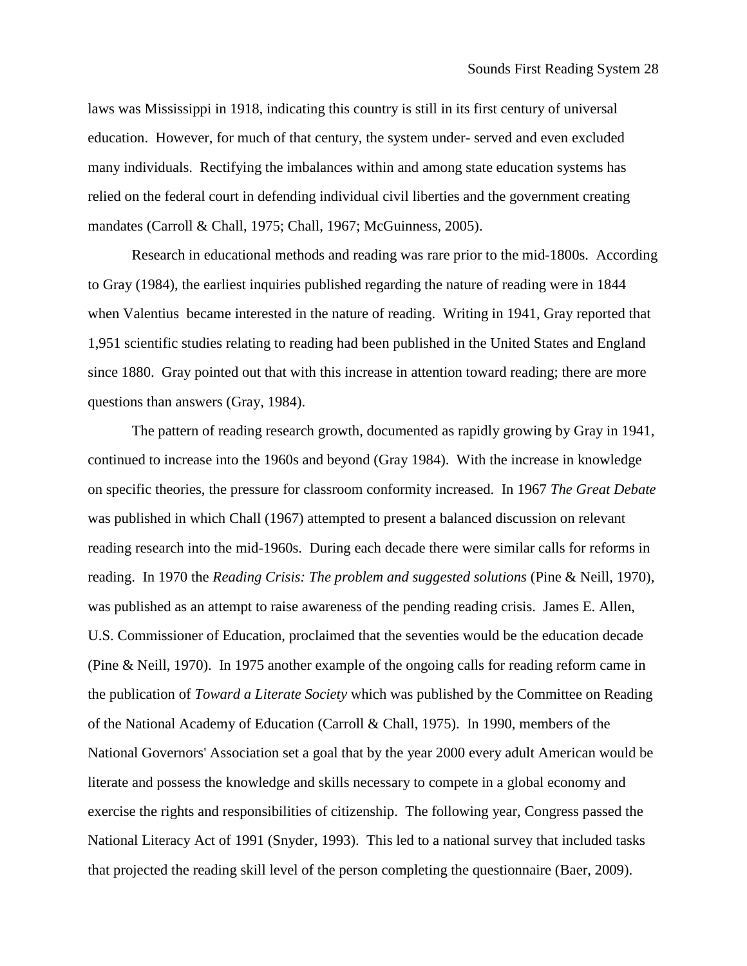laws was Mississippi in 1918, indicating this country is still in its first century of universal education. However, for much of that century, the system under- served and even excluded many individuals. Rectifying the imbalances within and among state education systems has relied on the federal court in defending individual civil liberties and the government creating mandates (Carroll & Chall, 1975; Chall, 1967; McGuinness, 2005).

Research in educational methods and reading was rare prior to the mid-1800s. According to Gray (1984), the earliest inquiries published regarding the nature of reading were in 1844 when Valentius became interested in the nature of reading. Writing in 1941, Gray reported that 1,951 scientific studies relating to reading had been published in the United States and England since 1880. Gray pointed out that with this increase in attention toward reading; there are more questions than answers (Gray, 1984).

The pattern of reading research growth, documented as rapidly growing by Gray in 1941, continued to increase into the 1960s and beyond (Gray 1984). With the increase in knowledge on specific theories, the pressure for classroom conformity increased. In 1967 *The Great Debate* was published in which Chall (1967) attempted to present a balanced discussion on relevant reading research into the mid-1960s. During each decade there were similar calls for reforms in reading. In 1970 the *Reading Crisis: The problem and suggested solutions* (Pine & Neill, 1970)*,* was published as an attempt to raise awareness of the pending reading crisis. James E. Allen, U.S. Commissioner of Education, proclaimed that the seventies would be the education decade (Pine & Neill, 1970). In 1975 another example of the ongoing calls for reading reform came in the publication of *Toward a Literate Society* which was published by the Committee on Reading of the National Academy of Education (Carroll & Chall, 1975). In 1990, members of the National Governors' Association set a goal that by the year 2000 every adult American would be literate and possess the knowledge and skills necessary to compete in a global economy and exercise the rights and responsibilities of citizenship. The following year, Congress passed the National Literacy Act of 1991 (Snyder, 1993). This led to a national survey that included tasks that projected the reading skill level of the person completing the questionnaire (Baer, 2009).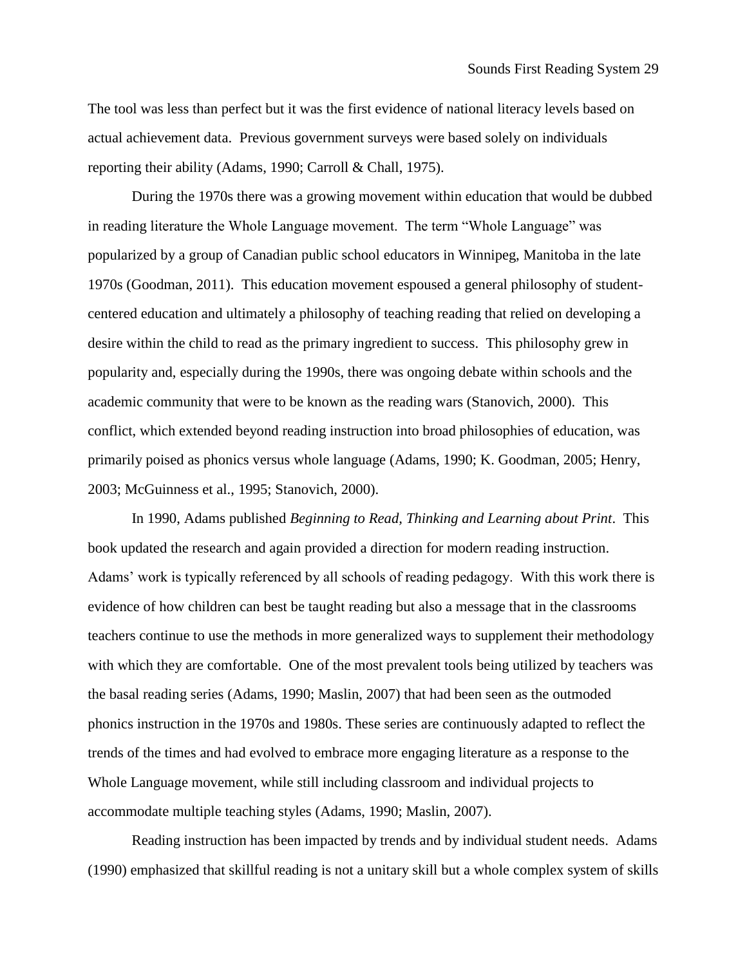The tool was less than perfect but it was the first evidence of national literacy levels based on actual achievement data. Previous government surveys were based solely on individuals reporting their ability (Adams, 1990; Carroll & Chall, 1975).

During the 1970s there was a growing movement within education that would be dubbed in reading literature the Whole Language movement. The term "Whole Language" was popularized by a group of Canadian public school educators in Winnipeg, Manitoba in the late 1970s (Goodman, 2011). This education movement espoused a general philosophy of studentcentered education and ultimately a philosophy of teaching reading that relied on developing a desire within the child to read as the primary ingredient to success. This philosophy grew in popularity and, especially during the 1990s, there was ongoing debate within schools and the academic community that were to be known as the reading wars (Stanovich, 2000). This conflict, which extended beyond reading instruction into broad philosophies of education, was primarily poised as phonics versus whole language (Adams, 1990; K. Goodman, 2005; Henry, 2003; McGuinness et al., 1995; Stanovich, 2000).

In 1990, Adams published *Beginning to Read, Thinking and Learning about Print*. This book updated the research and again provided a direction for modern reading instruction. Adams' work is typically referenced by all schools of reading pedagogy. With this work there is evidence of how children can best be taught reading but also a message that in the classrooms teachers continue to use the methods in more generalized ways to supplement their methodology with which they are comfortable. One of the most prevalent tools being utilized by teachers was the basal reading series (Adams, 1990; Maslin, 2007) that had been seen as the outmoded phonics instruction in the 1970s and 1980s. These series are continuously adapted to reflect the trends of the times and had evolved to embrace more engaging literature as a response to the Whole Language movement, while still including classroom and individual projects to accommodate multiple teaching styles (Adams, 1990; Maslin, 2007).

Reading instruction has been impacted by trends and by individual student needs. Adams (1990) emphasized that skillful reading is not a unitary skill but a whole complex system of skills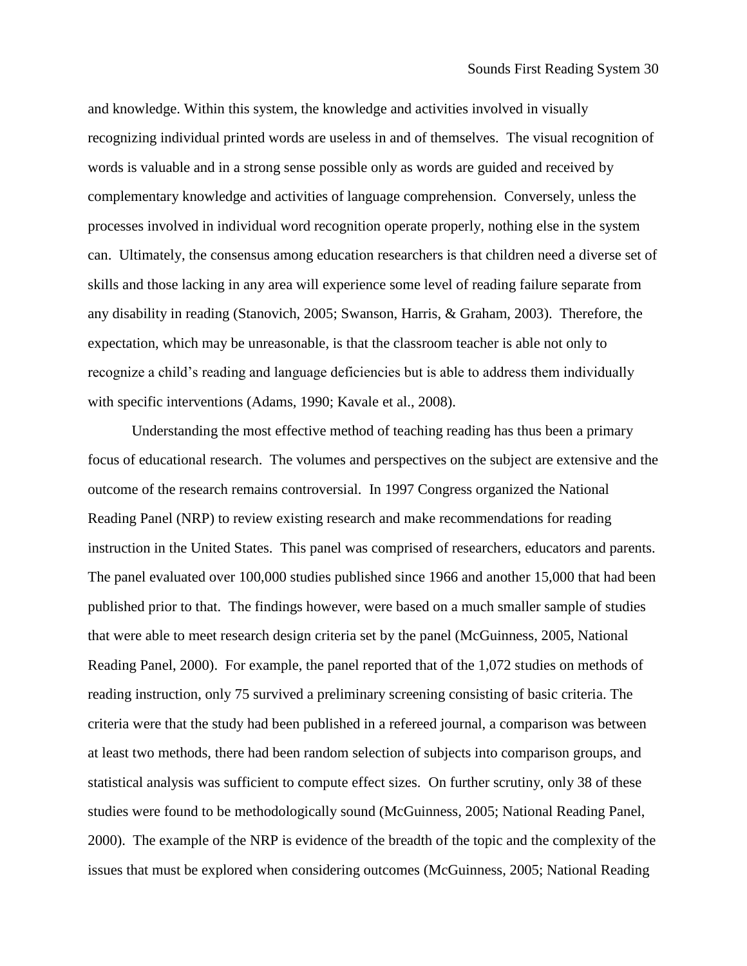and knowledge. Within this system, the knowledge and activities involved in visually recognizing individual printed words are useless in and of themselves. The visual recognition of words is valuable and in a strong sense possible only as words are guided and received by complementary knowledge and activities of language comprehension. Conversely, unless the processes involved in individual word recognition operate properly, nothing else in the system can. Ultimately, the consensus among education researchers is that children need a diverse set of skills and those lacking in any area will experience some level of reading failure separate from any disability in reading (Stanovich, 2005; Swanson, Harris, & Graham, 2003). Therefore, the expectation, which may be unreasonable, is that the classroom teacher is able not only to recognize a child's reading and language deficiencies but is able to address them individually with specific interventions (Adams, 1990; Kavale et al., 2008).

Understanding the most effective method of teaching reading has thus been a primary focus of educational research. The volumes and perspectives on the subject are extensive and the outcome of the research remains controversial. In 1997 Congress organized the National Reading Panel (NRP) to review existing research and make recommendations for reading instruction in the United States. This panel was comprised of researchers, educators and parents. The panel evaluated over 100,000 studies published since 1966 and another 15,000 that had been published prior to that. The findings however, were based on a much smaller sample of studies that were able to meet research design criteria set by the panel (McGuinness, 2005, National Reading Panel, 2000). For example, the panel reported that of the 1,072 studies on methods of reading instruction, only 75 survived a preliminary screening consisting of basic criteria. The criteria were that the study had been published in a refereed journal, a comparison was between at least two methods, there had been random selection of subjects into comparison groups, and statistical analysis was sufficient to compute effect sizes. On further scrutiny, only 38 of these studies were found to be methodologically sound (McGuinness, 2005; National Reading Panel, 2000). The example of the NRP is evidence of the breadth of the topic and the complexity of the issues that must be explored when considering outcomes (McGuinness, 2005; National Reading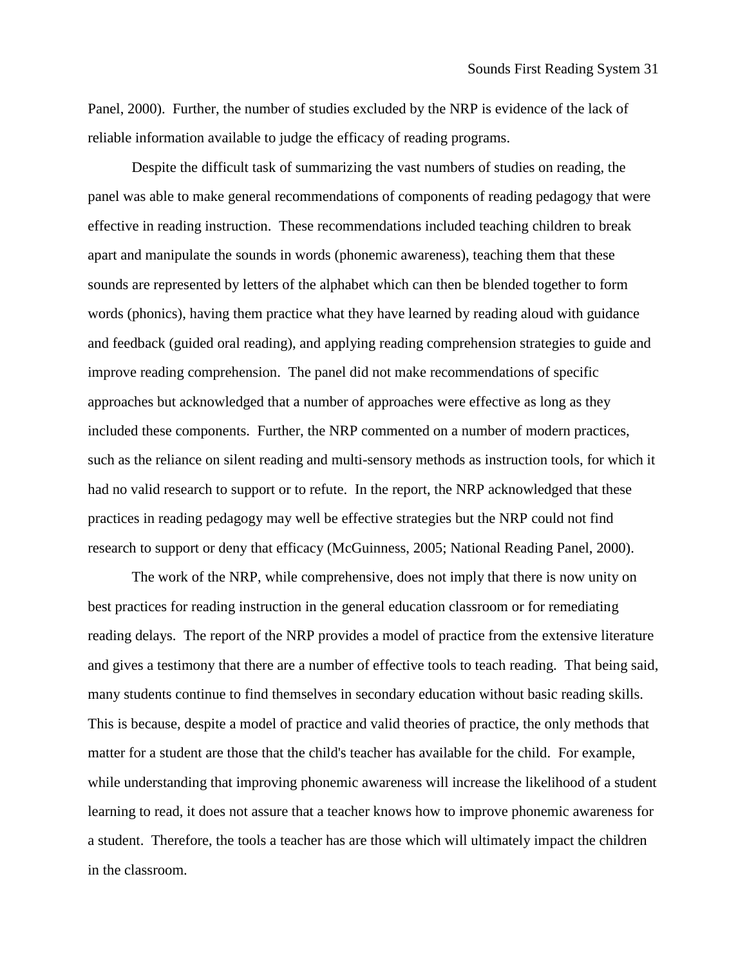Panel, 2000). Further, the number of studies excluded by the NRP is evidence of the lack of reliable information available to judge the efficacy of reading programs.

Despite the difficult task of summarizing the vast numbers of studies on reading, the panel was able to make general recommendations of components of reading pedagogy that were effective in reading instruction. These recommendations included teaching children to break apart and manipulate the sounds in words (phonemic awareness), teaching them that these sounds are represented by letters of the alphabet which can then be blended together to form words (phonics), having them practice what they have learned by reading aloud with guidance and feedback (guided oral reading), and applying reading comprehension strategies to guide and improve reading comprehension. The panel did not make recommendations of specific approaches but acknowledged that a number of approaches were effective as long as they included these components. Further, the NRP commented on a number of modern practices, such as the reliance on silent reading and multi-sensory methods as instruction tools, for which it had no valid research to support or to refute. In the report, the NRP acknowledged that these practices in reading pedagogy may well be effective strategies but the NRP could not find research to support or deny that efficacy (McGuinness, 2005; National Reading Panel, 2000).

The work of the NRP, while comprehensive, does not imply that there is now unity on best practices for reading instruction in the general education classroom or for remediating reading delays. The report of the NRP provides a model of practice from the extensive literature and gives a testimony that there are a number of effective tools to teach reading. That being said, many students continue to find themselves in secondary education without basic reading skills. This is because, despite a model of practice and valid theories of practice, the only methods that matter for a student are those that the child's teacher has available for the child. For example, while understanding that improving phonemic awareness will increase the likelihood of a student learning to read, it does not assure that a teacher knows how to improve phonemic awareness for a student. Therefore, the tools a teacher has are those which will ultimately impact the children in the classroom.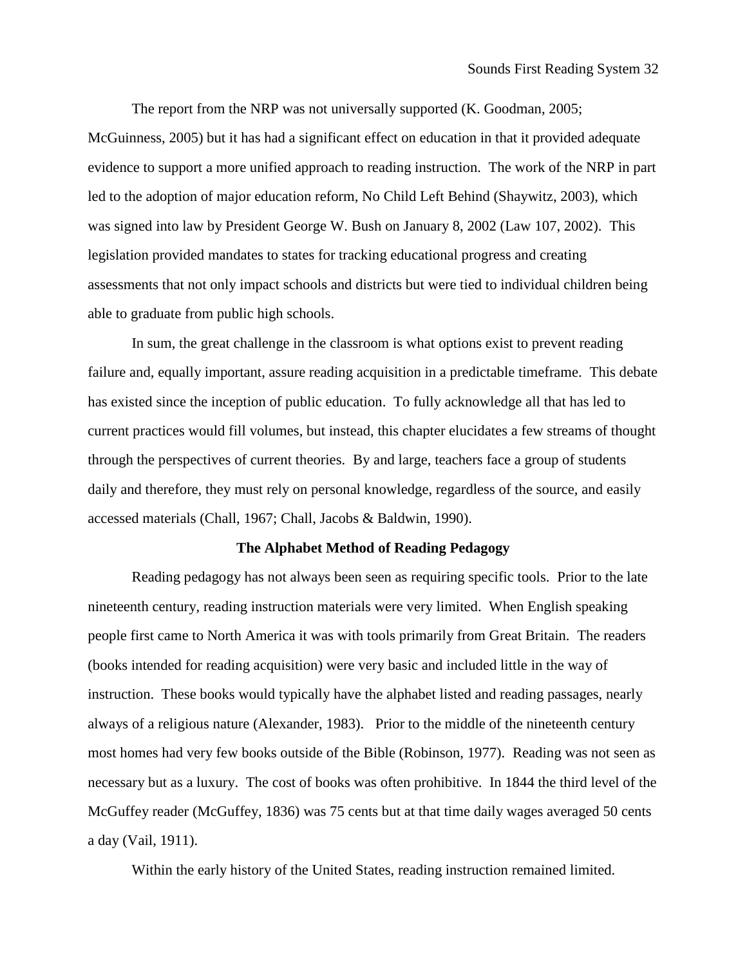The report from the NRP was not universally supported (K. Goodman, 2005; McGuinness, 2005) but it has had a significant effect on education in that it provided adequate evidence to support a more unified approach to reading instruction. The work of the NRP in part led to the adoption of major education reform, No Child Left Behind (Shaywitz, 2003), which was signed into law by President George W. Bush on January 8, 2002 (Law 107, 2002). This legislation provided mandates to states for tracking educational progress and creating assessments that not only impact schools and districts but were tied to individual children being able to graduate from public high schools.

In sum, the great challenge in the classroom is what options exist to prevent reading failure and, equally important, assure reading acquisition in a predictable timeframe. This debate has existed since the inception of public education. To fully acknowledge all that has led to current practices would fill volumes, but instead, this chapter elucidates a few streams of thought through the perspectives of current theories. By and large, teachers face a group of students daily and therefore, they must rely on personal knowledge, regardless of the source, and easily accessed materials (Chall, 1967; Chall, Jacobs & Baldwin, 1990).

## **The Alphabet Method of Reading Pedagogy**

Reading pedagogy has not always been seen as requiring specific tools. Prior to the late nineteenth century, reading instruction materials were very limited. When English speaking people first came to North America it was with tools primarily from Great Britain. The readers (books intended for reading acquisition) were very basic and included little in the way of instruction. These books would typically have the alphabet listed and reading passages, nearly always of a religious nature (Alexander, 1983). Prior to the middle of the nineteenth century most homes had very few books outside of the Bible (Robinson, 1977). Reading was not seen as necessary but as a luxury. The cost of books was often prohibitive. In 1844 the third level of the McGuffey reader (McGuffey, 1836) was 75 cents but at that time daily wages averaged 50 cents a day (Vail, 1911).

Within the early history of the United States, reading instruction remained limited.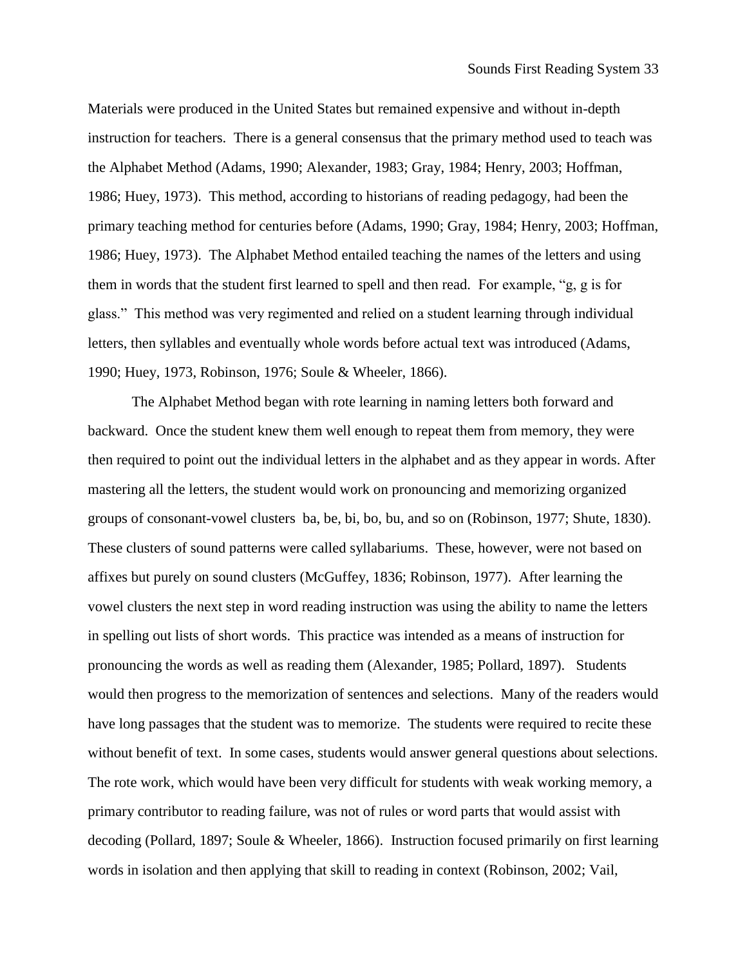Materials were produced in the United States but remained expensive and without in-depth instruction for teachers. There is a general consensus that the primary method used to teach was the Alphabet Method (Adams, 1990; Alexander, 1983; Gray, 1984; Henry, 2003; Hoffman, 1986; Huey, 1973). This method, according to historians of reading pedagogy, had been the primary teaching method for centuries before (Adams, 1990; Gray, 1984; Henry, 2003; Hoffman, 1986; Huey, 1973). The Alphabet Method entailed teaching the names of the letters and using them in words that the student first learned to spell and then read. For example, "g, g is for glass." This method was very regimented and relied on a student learning through individual letters, then syllables and eventually whole words before actual text was introduced (Adams, 1990; Huey, 1973, Robinson, 1976; Soule & Wheeler, 1866).

The Alphabet Method began with rote learning in naming letters both forward and backward. Once the student knew them well enough to repeat them from memory, they were then required to point out the individual letters in the alphabet and as they appear in words. After mastering all the letters, the student would work on pronouncing and memorizing organized groups of consonant-vowel clusters ba, be, bi, bo, bu, and so on (Robinson, 1977; Shute, 1830). These clusters of sound patterns were called syllabariums. These, however, were not based on affixes but purely on sound clusters (McGuffey, 1836; Robinson, 1977). After learning the vowel clusters the next step in word reading instruction was using the ability to name the letters in spelling out lists of short words. This practice was intended as a means of instruction for pronouncing the words as well as reading them (Alexander, 1985; Pollard, 1897). Students would then progress to the memorization of sentences and selections. Many of the readers would have long passages that the student was to memorize. The students were required to recite these without benefit of text. In some cases, students would answer general questions about selections. The rote work, which would have been very difficult for students with weak working memory, a primary contributor to reading failure, was not of rules or word parts that would assist with decoding (Pollard, 1897; Soule & Wheeler, 1866). Instruction focused primarily on first learning words in isolation and then applying that skill to reading in context (Robinson, 2002; Vail,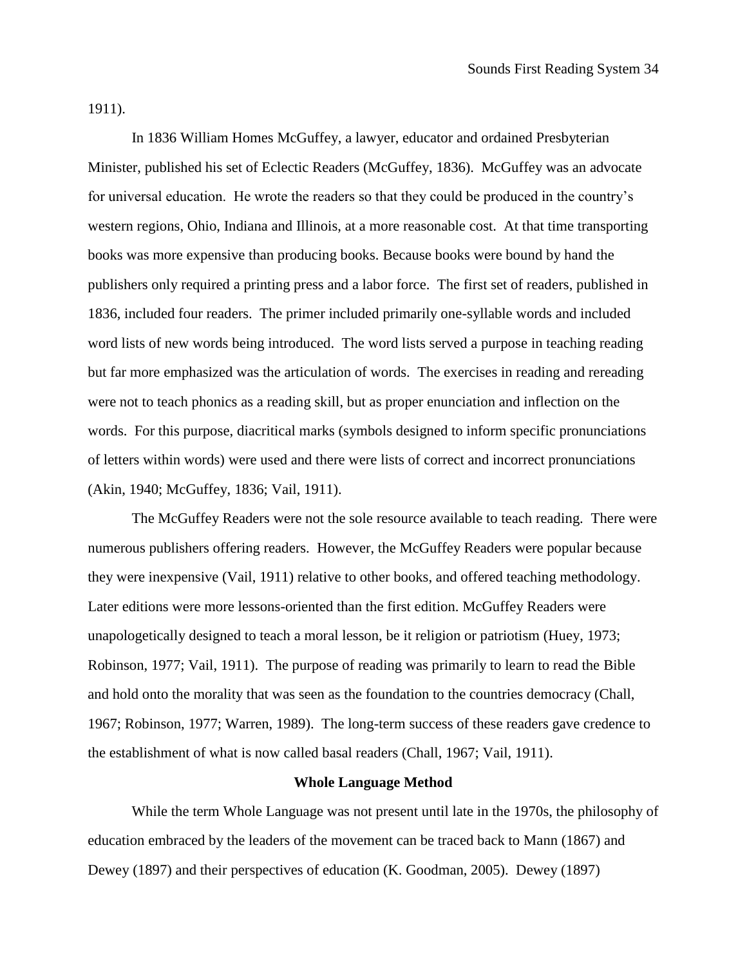1911).

In 1836 William Homes McGuffey, a lawyer, educator and ordained Presbyterian Minister, published his set of Eclectic Readers (McGuffey, 1836). McGuffey was an advocate for universal education. He wrote the readers so that they could be produced in the country's western regions, Ohio, Indiana and Illinois, at a more reasonable cost. At that time transporting books was more expensive than producing books. Because books were bound by hand the publishers only required a printing press and a labor force. The first set of readers, published in 1836, included four readers. The primer included primarily one-syllable words and included word lists of new words being introduced. The word lists served a purpose in teaching reading but far more emphasized was the articulation of words. The exercises in reading and rereading were not to teach phonics as a reading skill, but as proper enunciation and inflection on the words. For this purpose, diacritical marks (symbols designed to inform specific pronunciations of letters within words) were used and there were lists of correct and incorrect pronunciations (Akin, 1940; McGuffey, 1836; Vail, 1911).

The McGuffey Readers were not the sole resource available to teach reading. There were numerous publishers offering readers. However, the McGuffey Readers were popular because they were inexpensive (Vail, 1911) relative to other books, and offered teaching methodology. Later editions were more lessons-oriented than the first edition. McGuffey Readers were unapologetically designed to teach a moral lesson, be it religion or patriotism (Huey, 1973; Robinson, 1977; Vail, 1911). The purpose of reading was primarily to learn to read the Bible and hold onto the morality that was seen as the foundation to the countries democracy (Chall, 1967; Robinson, 1977; Warren, 1989). The long-term success of these readers gave credence to the establishment of what is now called basal readers (Chall, 1967; Vail, 1911).

#### **Whole Language Method**

While the term Whole Language was not present until late in the 1970s, the philosophy of education embraced by the leaders of the movement can be traced back to Mann (1867) and Dewey (1897) and their perspectives of education (K. Goodman, 2005). Dewey (1897)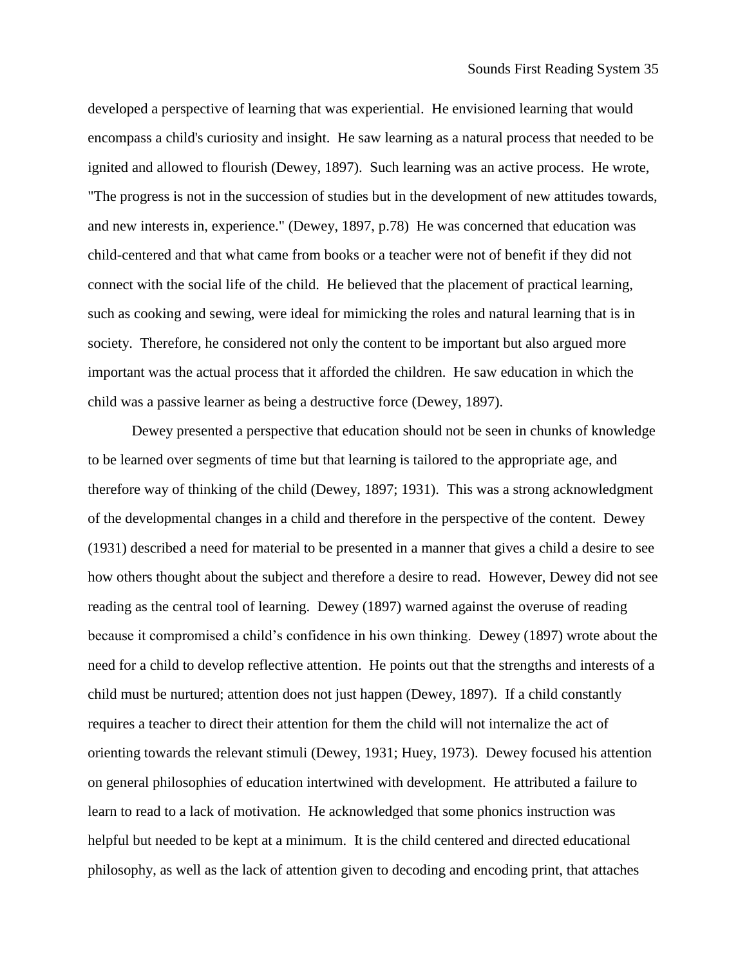developed a perspective of learning that was experiential. He envisioned learning that would encompass a child's curiosity and insight. He saw learning as a natural process that needed to be ignited and allowed to flourish (Dewey, 1897). Such learning was an active process. He wrote, "The progress is not in the succession of studies but in the development of new attitudes towards, and new interests in, experience." (Dewey, 1897, p.78) He was concerned that education was child-centered and that what came from books or a teacher were not of benefit if they did not connect with the social life of the child. He believed that the placement of practical learning, such as cooking and sewing, were ideal for mimicking the roles and natural learning that is in society. Therefore, he considered not only the content to be important but also argued more important was the actual process that it afforded the children. He saw education in which the child was a passive learner as being a destructive force (Dewey, 1897).

Dewey presented a perspective that education should not be seen in chunks of knowledge to be learned over segments of time but that learning is tailored to the appropriate age, and therefore way of thinking of the child (Dewey, 1897; 1931). This was a strong acknowledgment of the developmental changes in a child and therefore in the perspective of the content. Dewey (1931) described a need for material to be presented in a manner that gives a child a desire to see how others thought about the subject and therefore a desire to read. However, Dewey did not see reading as the central tool of learning. Dewey (1897) warned against the overuse of reading because it compromised a child's confidence in his own thinking. Dewey (1897) wrote about the need for a child to develop reflective attention. He points out that the strengths and interests of a child must be nurtured; attention does not just happen (Dewey, 1897). If a child constantly requires a teacher to direct their attention for them the child will not internalize the act of orienting towards the relevant stimuli (Dewey, 1931; Huey, 1973). Dewey focused his attention on general philosophies of education intertwined with development. He attributed a failure to learn to read to a lack of motivation. He acknowledged that some phonics instruction was helpful but needed to be kept at a minimum. It is the child centered and directed educational philosophy, as well as the lack of attention given to decoding and encoding print, that attaches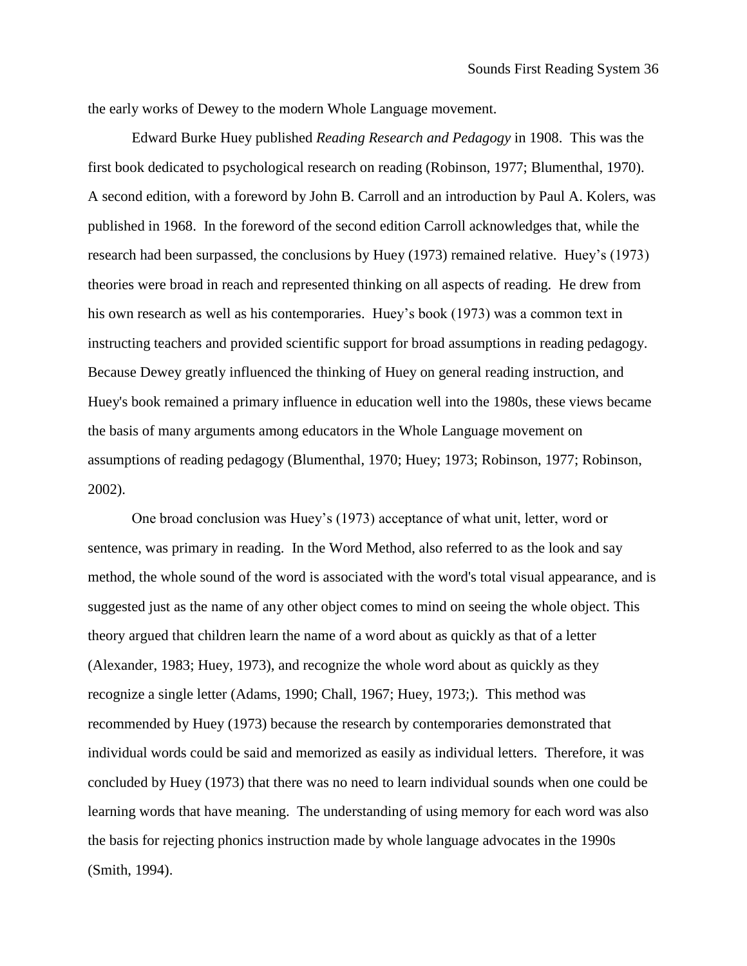the early works of Dewey to the modern Whole Language movement.

Edward Burke Huey published *Reading Research and Pedagogy* in 1908. This was the first book dedicated to psychological research on reading (Robinson, 1977; Blumenthal, 1970). A second edition, with a foreword by John B. Carroll and an introduction by Paul A. Kolers, was published in 1968. In the foreword of the second edition Carroll acknowledges that, while the research had been surpassed, the conclusions by Huey (1973) remained relative. Huey's (1973) theories were broad in reach and represented thinking on all aspects of reading. He drew from his own research as well as his contemporaries. Huey's book (1973) was a common text in instructing teachers and provided scientific support for broad assumptions in reading pedagogy. Because Dewey greatly influenced the thinking of Huey on general reading instruction, and Huey's book remained a primary influence in education well into the 1980s, these views became the basis of many arguments among educators in the Whole Language movement on assumptions of reading pedagogy (Blumenthal, 1970; Huey; 1973; Robinson, 1977; Robinson, 2002).

One broad conclusion was Huey's (1973) acceptance of what unit, letter, word or sentence, was primary in reading. In the Word Method, also referred to as the look and say method, the whole sound of the word is associated with the word's total visual appearance, and is suggested just as the name of any other object comes to mind on seeing the whole object. This theory argued that children learn the name of a word about as quickly as that of a letter (Alexander, 1983; Huey, 1973), and recognize the whole word about as quickly as they recognize a single letter (Adams, 1990; Chall, 1967; Huey, 1973;). This method was recommended by Huey (1973) because the research by contemporaries demonstrated that individual words could be said and memorized as easily as individual letters. Therefore, it was concluded by Huey (1973) that there was no need to learn individual sounds when one could be learning words that have meaning. The understanding of using memory for each word was also the basis for rejecting phonics instruction made by whole language advocates in the 1990s (Smith, 1994).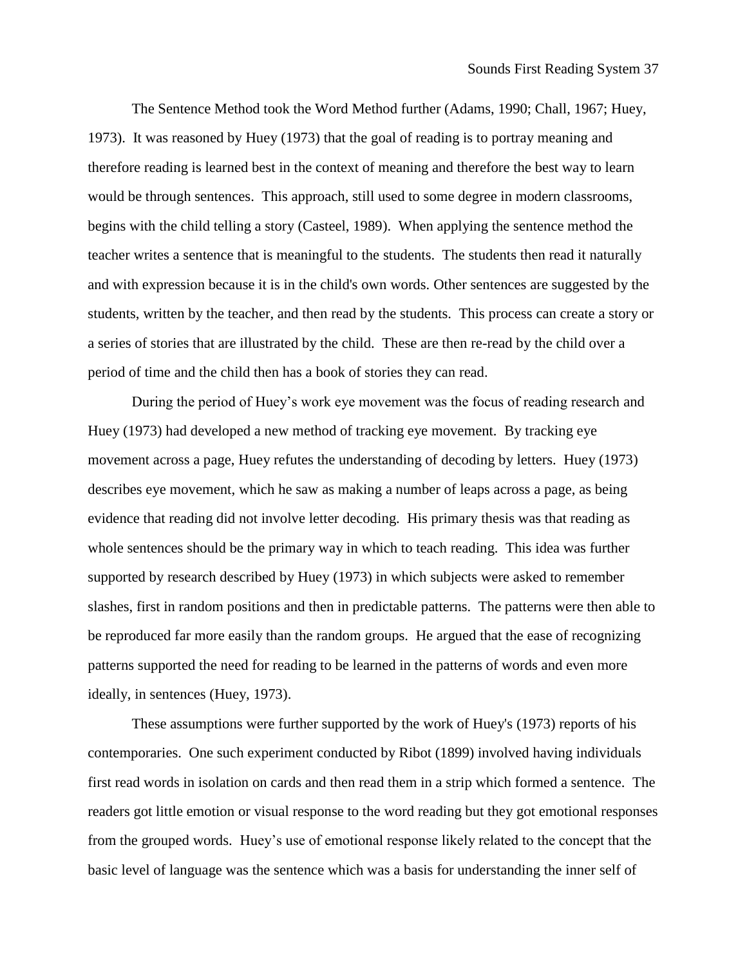The Sentence Method took the Word Method further (Adams, 1990; Chall, 1967; Huey, 1973). It was reasoned by Huey (1973) that the goal of reading is to portray meaning and therefore reading is learned best in the context of meaning and therefore the best way to learn would be through sentences. This approach, still used to some degree in modern classrooms, begins with the child telling a story (Casteel, 1989). When applying the sentence method the teacher writes a sentence that is meaningful to the students. The students then read it naturally and with expression because it is in the child's own words. Other sentences are suggested by the students, written by the teacher, and then read by the students. This process can create a story or a series of stories that are illustrated by the child. These are then re-read by the child over a period of time and the child then has a book of stories they can read.

During the period of Huey's work eye movement was the focus of reading research and Huey (1973) had developed a new method of tracking eye movement. By tracking eye movement across a page, Huey refutes the understanding of decoding by letters. Huey (1973) describes eye movement, which he saw as making a number of leaps across a page, as being evidence that reading did not involve letter decoding. His primary thesis was that reading as whole sentences should be the primary way in which to teach reading. This idea was further supported by research described by Huey (1973) in which subjects were asked to remember slashes, first in random positions and then in predictable patterns. The patterns were then able to be reproduced far more easily than the random groups. He argued that the ease of recognizing patterns supported the need for reading to be learned in the patterns of words and even more ideally, in sentences (Huey, 1973).

These assumptions were further supported by the work of Huey's (1973) reports of his contemporaries. One such experiment conducted by Ribot (1899) involved having individuals first read words in isolation on cards and then read them in a strip which formed a sentence. The readers got little emotion or visual response to the word reading but they got emotional responses from the grouped words. Huey's use of emotional response likely related to the concept that the basic level of language was the sentence which was a basis for understanding the inner self of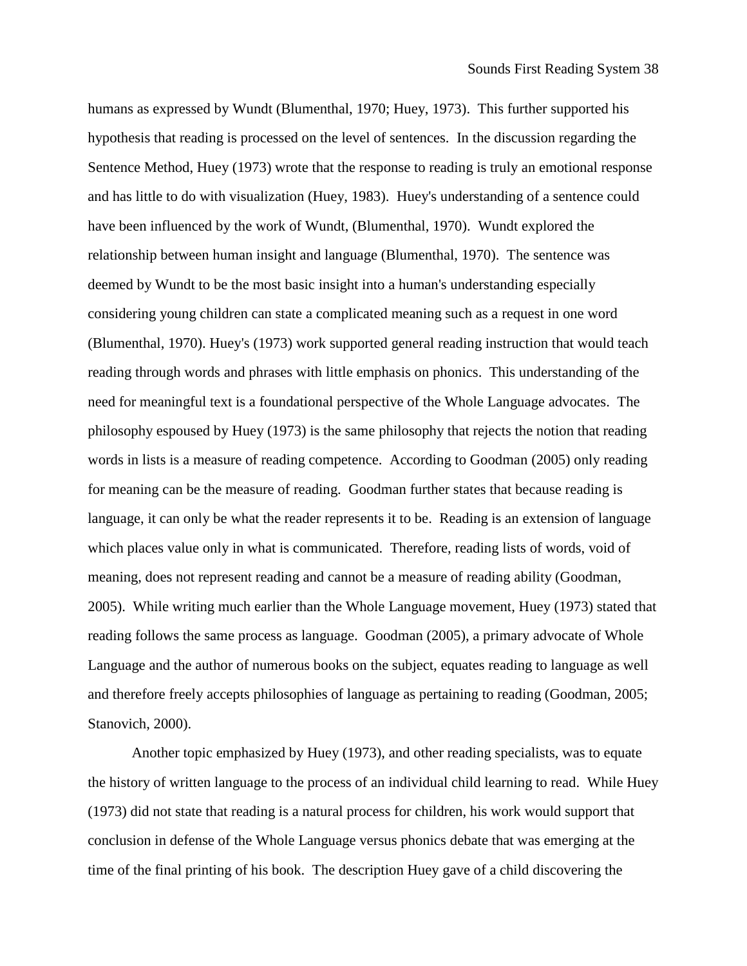humans as expressed by Wundt (Blumenthal, 1970; Huey, 1973). This further supported his hypothesis that reading is processed on the level of sentences. In the discussion regarding the Sentence Method, Huey (1973) wrote that the response to reading is truly an emotional response and has little to do with visualization (Huey, 1983). Huey's understanding of a sentence could have been influenced by the work of Wundt, (Blumenthal, 1970). Wundt explored the relationship between human insight and language (Blumenthal, 1970). The sentence was deemed by Wundt to be the most basic insight into a human's understanding especially considering young children can state a complicated meaning such as a request in one word (Blumenthal, 1970). Huey's (1973) work supported general reading instruction that would teach reading through words and phrases with little emphasis on phonics. This understanding of the need for meaningful text is a foundational perspective of the Whole Language advocates. The philosophy espoused by Huey (1973) is the same philosophy that rejects the notion that reading words in lists is a measure of reading competence. According to Goodman (2005) only reading for meaning can be the measure of reading. Goodman further states that because reading is language, it can only be what the reader represents it to be. Reading is an extension of language which places value only in what is communicated. Therefore, reading lists of words, void of meaning, does not represent reading and cannot be a measure of reading ability (Goodman, 2005). While writing much earlier than the Whole Language movement, Huey (1973) stated that reading follows the same process as language. Goodman (2005), a primary advocate of Whole Language and the author of numerous books on the subject, equates reading to language as well and therefore freely accepts philosophies of language as pertaining to reading (Goodman, 2005; Stanovich, 2000).

Another topic emphasized by Huey (1973), and other reading specialists, was to equate the history of written language to the process of an individual child learning to read. While Huey (1973) did not state that reading is a natural process for children, his work would support that conclusion in defense of the Whole Language versus phonics debate that was emerging at the time of the final printing of his book. The description Huey gave of a child discovering the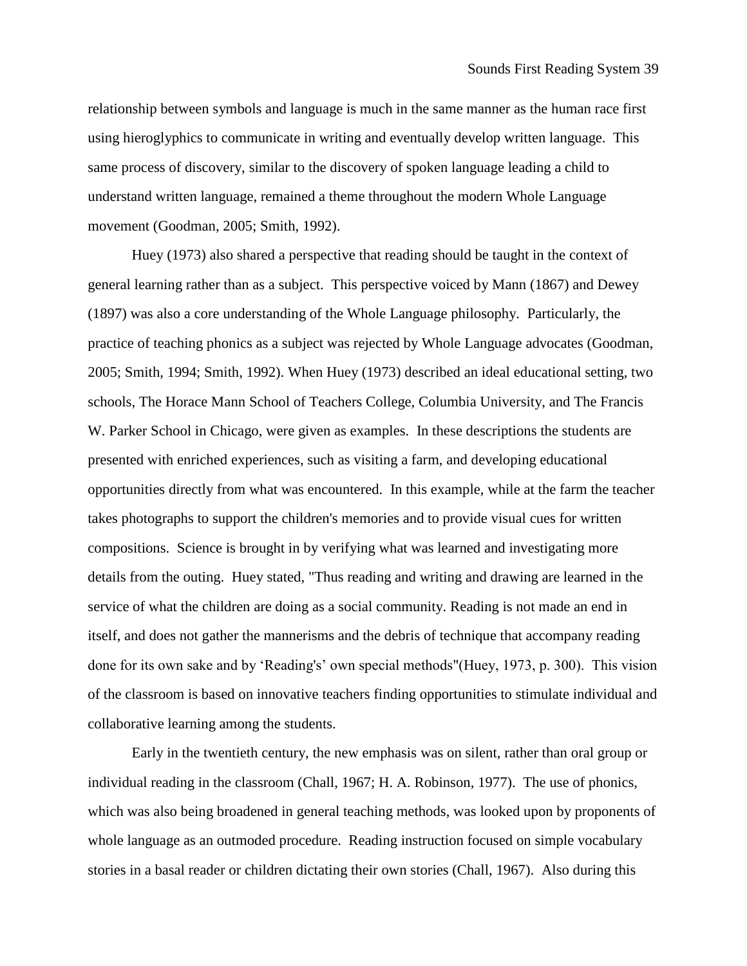relationship between symbols and language is much in the same manner as the human race first using hieroglyphics to communicate in writing and eventually develop written language. This same process of discovery, similar to the discovery of spoken language leading a child to understand written language, remained a theme throughout the modern Whole Language movement (Goodman, 2005; Smith, 1992).

Huey (1973) also shared a perspective that reading should be taught in the context of general learning rather than as a subject. This perspective voiced by Mann (1867) and Dewey (1897) was also a core understanding of the Whole Language philosophy. Particularly, the practice of teaching phonics as a subject was rejected by Whole Language advocates (Goodman, 2005; Smith, 1994; Smith, 1992). When Huey (1973) described an ideal educational setting, two schools, The Horace Mann School of Teachers College, Columbia University, and The Francis W. Parker School in Chicago, were given as examples. In these descriptions the students are presented with enriched experiences, such as visiting a farm, and developing educational opportunities directly from what was encountered. In this example, while at the farm the teacher takes photographs to support the children's memories and to provide visual cues for written compositions. Science is brought in by verifying what was learned and investigating more details from the outing. Huey stated, "Thus reading and writing and drawing are learned in the service of what the children are doing as a social community. Reading is not made an end in itself, and does not gather the mannerisms and the debris of technique that accompany reading done for its own sake and by 'Reading's' own special methods"(Huey, 1973, p. 300). This vision of the classroom is based on innovative teachers finding opportunities to stimulate individual and collaborative learning among the students.

Early in the twentieth century, the new emphasis was on silent, rather than oral group or individual reading in the classroom (Chall, 1967; H. A. Robinson, 1977). The use of phonics, which was also being broadened in general teaching methods, was looked upon by proponents of whole language as an outmoded procedure. Reading instruction focused on simple vocabulary stories in a basal reader or children dictating their own stories (Chall, 1967). Also during this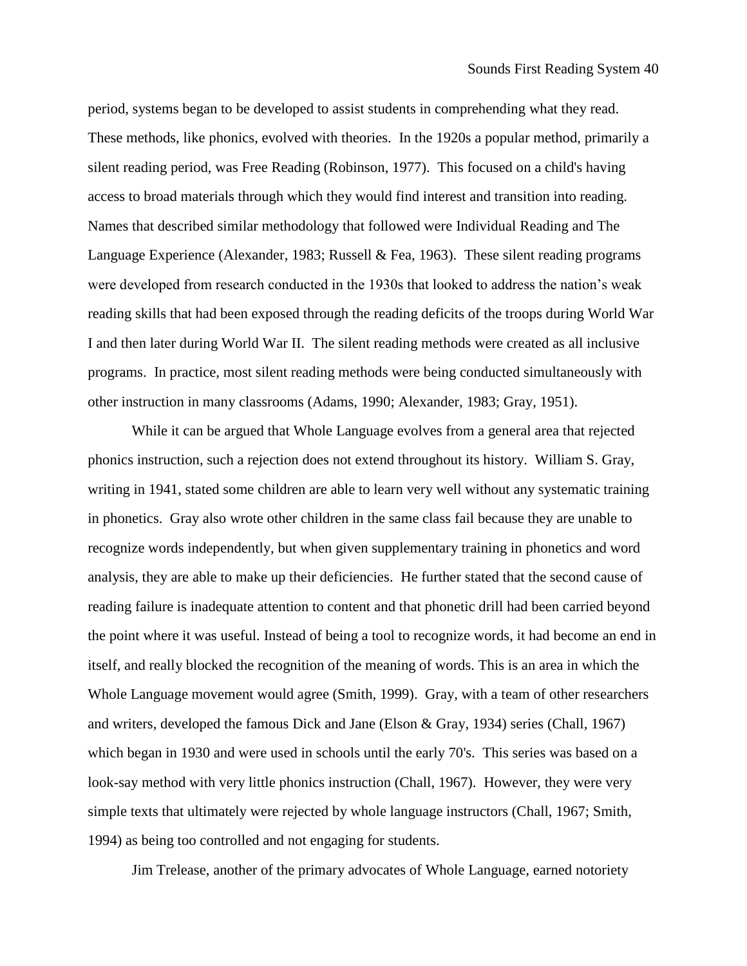period, systems began to be developed to assist students in comprehending what they read. These methods, like phonics, evolved with theories. In the 1920s a popular method, primarily a silent reading period, was Free Reading (Robinson, 1977). This focused on a child's having access to broad materials through which they would find interest and transition into reading. Names that described similar methodology that followed were Individual Reading and The Language Experience (Alexander, 1983; Russell & Fea, 1963). These silent reading programs were developed from research conducted in the 1930s that looked to address the nation's weak reading skills that had been exposed through the reading deficits of the troops during World War I and then later during World War II. The silent reading methods were created as all inclusive programs. In practice, most silent reading methods were being conducted simultaneously with other instruction in many classrooms (Adams, 1990; Alexander, 1983; Gray, 1951).

While it can be argued that Whole Language evolves from a general area that rejected phonics instruction, such a rejection does not extend throughout its history. William S. Gray, writing in 1941, stated some children are able to learn very well without any systematic training in phonetics. Gray also wrote other children in the same class fail because they are unable to recognize words independently, but when given supplementary training in phonetics and word analysis, they are able to make up their deficiencies. He further stated that the second cause of reading failure is inadequate attention to content and that phonetic drill had been carried beyond the point where it was useful. Instead of being a tool to recognize words, it had become an end in itself, and really blocked the recognition of the meaning of words. This is an area in which the Whole Language movement would agree (Smith, 1999). Gray, with a team of other researchers and writers, developed the famous Dick and Jane (Elson & Gray, 1934) series (Chall, 1967) which began in 1930 and were used in schools until the early 70's. This series was based on a look-say method with very little phonics instruction (Chall, 1967). However, they were very simple texts that ultimately were rejected by whole language instructors (Chall, 1967; Smith, 1994) as being too controlled and not engaging for students.

Jim Trelease, another of the primary advocates of Whole Language, earned notoriety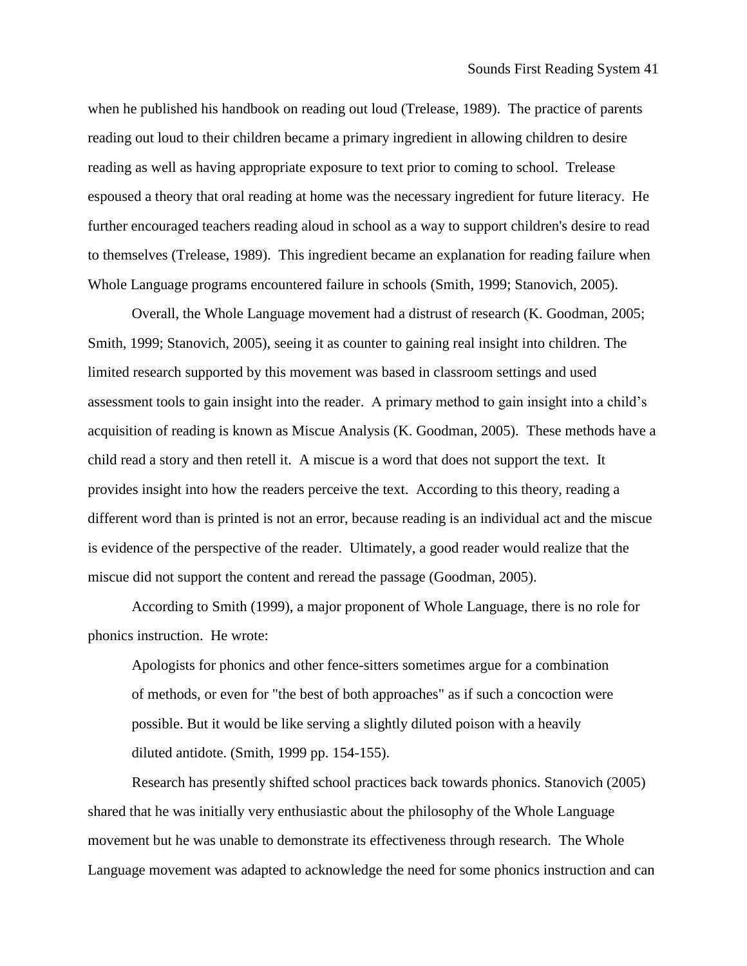when he published his handbook on reading out loud (Trelease, 1989). The practice of parents reading out loud to their children became a primary ingredient in allowing children to desire reading as well as having appropriate exposure to text prior to coming to school. Trelease espoused a theory that oral reading at home was the necessary ingredient for future literacy. He further encouraged teachers reading aloud in school as a way to support children's desire to read to themselves (Trelease, 1989). This ingredient became an explanation for reading failure when Whole Language programs encountered failure in schools (Smith, 1999; Stanovich, 2005).

Overall, the Whole Language movement had a distrust of research (K. Goodman, 2005; Smith, 1999; Stanovich, 2005), seeing it as counter to gaining real insight into children. The limited research supported by this movement was based in classroom settings and used assessment tools to gain insight into the reader. A primary method to gain insight into a child's acquisition of reading is known as Miscue Analysis (K. Goodman, 2005). These methods have a child read a story and then retell it. A miscue is a word that does not support the text. It provides insight into how the readers perceive the text. According to this theory, reading a different word than is printed is not an error, because reading is an individual act and the miscue is evidence of the perspective of the reader. Ultimately, a good reader would realize that the miscue did not support the content and reread the passage (Goodman, 2005).

According to Smith (1999), a major proponent of Whole Language, there is no role for phonics instruction. He wrote:

Apologists for phonics and other fence-sitters sometimes argue for a combination of methods, or even for "the best of both approaches" as if such a concoction were possible. But it would be like serving a slightly diluted poison with a heavily diluted antidote. (Smith, 1999 pp. 154-155).

Research has presently shifted school practices back towards phonics. Stanovich (2005) shared that he was initially very enthusiastic about the philosophy of the Whole Language movement but he was unable to demonstrate its effectiveness through research. The Whole Language movement was adapted to acknowledge the need for some phonics instruction and can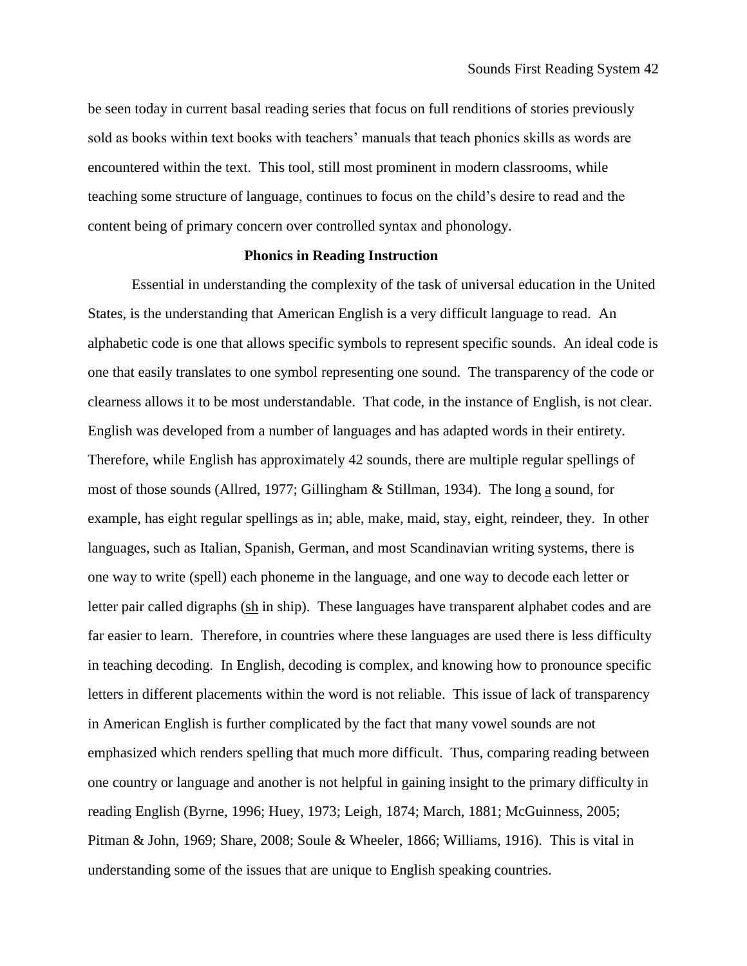be seen today in current basal reading series that focus on full renditions of stories previously sold as books within text books with teachers' manuals that teach phonics skills as words are encountered within the text. This tool, still most prominent in modern classrooms, while teaching some structure of language, continues to focus on the child's desire to read and the content being of primary concern over controlled syntax and phonology.

# **Phonics in Reading Instruction**

Essential in understanding the complexity of the task of universal education in the United States, is the understanding that American English is a very difficult language to read. An alphabetic code is one that allows specific symbols to represent specific sounds. An ideal code is one that easily translates to one symbol representing one sound. The transparency of the code or clearness allows it to be most understandable. That code, in the instance of English, is not clear. English was developed from a number of languages and has adapted words in their entirety. Therefore, while English has approximately 42 sounds, there are multiple regular spellings of most of those sounds (Allred, 1977; Gillingham & Stillman, 1934). The long a sound, for example, has eight regular spellings as in; able, make, maid, stay, eight, reindeer, they. In other languages, such as Italian, Spanish, German, and most Scandinavian writing systems, there is one way to write (spell) each phoneme in the language, and one way to decode each letter or letter pair called digraphs (sh in ship). These languages have transparent alphabet codes and are far easier to learn. Therefore, in countries where these languages are used there is less difficulty in teaching decoding. In English, decoding is complex, and knowing how to pronounce specific letters in different placements within the word is not reliable. This issue of lack of transparency in American English is further complicated by the fact that many vowel sounds are not emphasized which renders spelling that much more difficult. Thus, comparing reading between one country or language and another is not helpful in gaining insight to the primary difficulty in reading English (Byrne, 1996; Huey, 1973; Leigh, 1874; March, 1881; McGuinness, 2005; Pitman & John, 1969; Share, 2008; Soule & Wheeler, 1866; Williams, 1916). This is vital in understanding some of the issues that are unique to English speaking countries.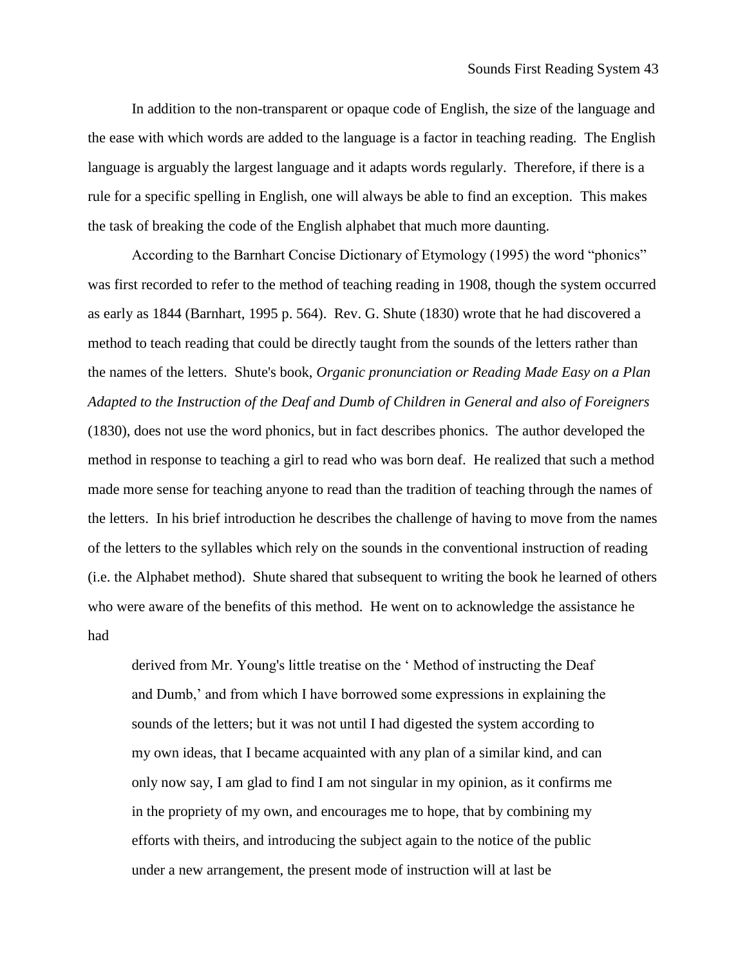In addition to the non-transparent or opaque code of English, the size of the language and the ease with which words are added to the language is a factor in teaching reading. The English language is arguably the largest language and it adapts words regularly. Therefore, if there is a rule for a specific spelling in English, one will always be able to find an exception. This makes the task of breaking the code of the English alphabet that much more daunting.

According to the Barnhart Concise Dictionary of Etymology (1995) the word "phonics" was first recorded to refer to the method of teaching reading in 1908, though the system occurred as early as 1844 (Barnhart, 1995 p. 564). Rev. G. Shute (1830) wrote that he had discovered a method to teach reading that could be directly taught from the sounds of the letters rather than the names of the letters. Shute's book, *Organic pronunciation or Reading Made Easy on a Plan Adapted to the Instruction of the Deaf and Dumb of Children in General and also of Foreigners* (1830), does not use the word phonics, but in fact describes phonics. The author developed the method in response to teaching a girl to read who was born deaf. He realized that such a method made more sense for teaching anyone to read than the tradition of teaching through the names of the letters. In his brief introduction he describes the challenge of having to move from the names of the letters to the syllables which rely on the sounds in the conventional instruction of reading (i.e. the Alphabet method). Shute shared that subsequent to writing the book he learned of others who were aware of the benefits of this method. He went on to acknowledge the assistance he had

derived from Mr. Young's little treatise on the ' Method of instructing the Deaf and Dumb,' and from which I have borrowed some expressions in explaining the sounds of the letters; but it was not until I had digested the system according to my own ideas, that I became acquainted with any plan of a similar kind, and can only now say, I am glad to find I am not singular in my opinion, as it confirms me in the propriety of my own, and encourages me to hope, that by combining my efforts with theirs, and introducing the subject again to the notice of the public under a new arrangement, the present mode of instruction will at last be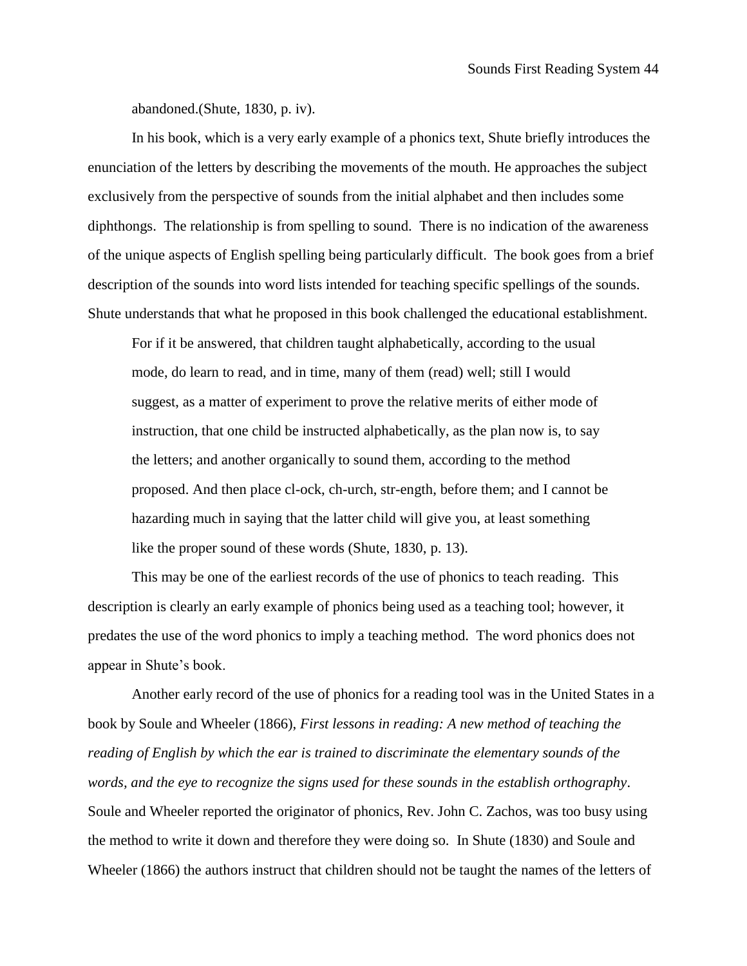abandoned.(Shute, 1830, p. iv).

In his book, which is a very early example of a phonics text, Shute briefly introduces the enunciation of the letters by describing the movements of the mouth. He approaches the subject exclusively from the perspective of sounds from the initial alphabet and then includes some diphthongs. The relationship is from spelling to sound. There is no indication of the awareness of the unique aspects of English spelling being particularly difficult. The book goes from a brief description of the sounds into word lists intended for teaching specific spellings of the sounds. Shute understands that what he proposed in this book challenged the educational establishment.

For if it be answered, that children taught alphabetically, according to the usual mode, do learn to read, and in time, many of them (read) well; still I would suggest, as a matter of experiment to prove the relative merits of either mode of instruction, that one child be instructed alphabetically, as the plan now is, to say the letters; and another organically to sound them, according to the method proposed. And then place cl-ock, ch-urch, str-ength, before them; and I cannot be hazarding much in saying that the latter child will give you, at least something like the proper sound of these words (Shute, 1830, p. 13).

This may be one of the earliest records of the use of phonics to teach reading. This description is clearly an early example of phonics being used as a teaching tool; however, it predates the use of the word phonics to imply a teaching method. The word phonics does not appear in Shute's book.

Another early record of the use of phonics for a reading tool was in the United States in a book by Soule and Wheeler (1866), *First lessons in reading: A new method of teaching the reading of English by which the ear is trained to discriminate the elementary sounds of the words, and the eye to recognize the signs used for these sounds in the establish orthography*. Soule and Wheeler reported the originator of phonics, Rev. John C. Zachos, was too busy using the method to write it down and therefore they were doing so. In Shute (1830) and Soule and Wheeler (1866) the authors instruct that children should not be taught the names of the letters of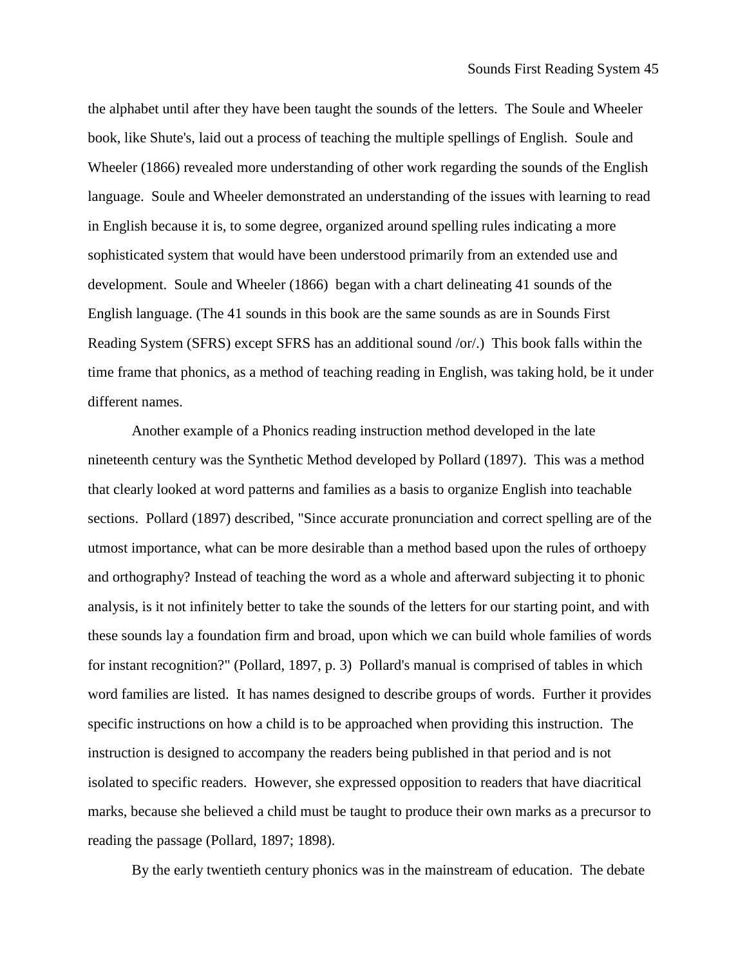the alphabet until after they have been taught the sounds of the letters. The Soule and Wheeler book, like Shute's, laid out a process of teaching the multiple spellings of English. Soule and Wheeler (1866) revealed more understanding of other work regarding the sounds of the English language. Soule and Wheeler demonstrated an understanding of the issues with learning to read in English because it is, to some degree, organized around spelling rules indicating a more sophisticated system that would have been understood primarily from an extended use and development. Soule and Wheeler (1866) began with a chart delineating 41 sounds of the English language. (The 41 sounds in this book are the same sounds as are in Sounds First Reading System (SFRS) except SFRS has an additional sound /or/.) This book falls within the time frame that phonics, as a method of teaching reading in English, was taking hold, be it under different names.

Another example of a Phonics reading instruction method developed in the late nineteenth century was the Synthetic Method developed by Pollard (1897). This was a method that clearly looked at word patterns and families as a basis to organize English into teachable sections. Pollard (1897) described, "Since accurate pronunciation and correct spelling are of the utmost importance, what can be more desirable than a method based upon the rules of orthoepy and orthography? Instead of teaching the word as a whole and afterward subjecting it to phonic analysis, is it not infinitely better to take the sounds of the letters for our starting point, and with these sounds lay a foundation firm and broad, upon which we can build whole families of words for instant recognition?" (Pollard, 1897, p. 3) Pollard's manual is comprised of tables in which word families are listed. It has names designed to describe groups of words. Further it provides specific instructions on how a child is to be approached when providing this instruction. The instruction is designed to accompany the readers being published in that period and is not isolated to specific readers. However, she expressed opposition to readers that have diacritical marks, because she believed a child must be taught to produce their own marks as a precursor to reading the passage (Pollard, 1897; 1898).

By the early twentieth century phonics was in the mainstream of education. The debate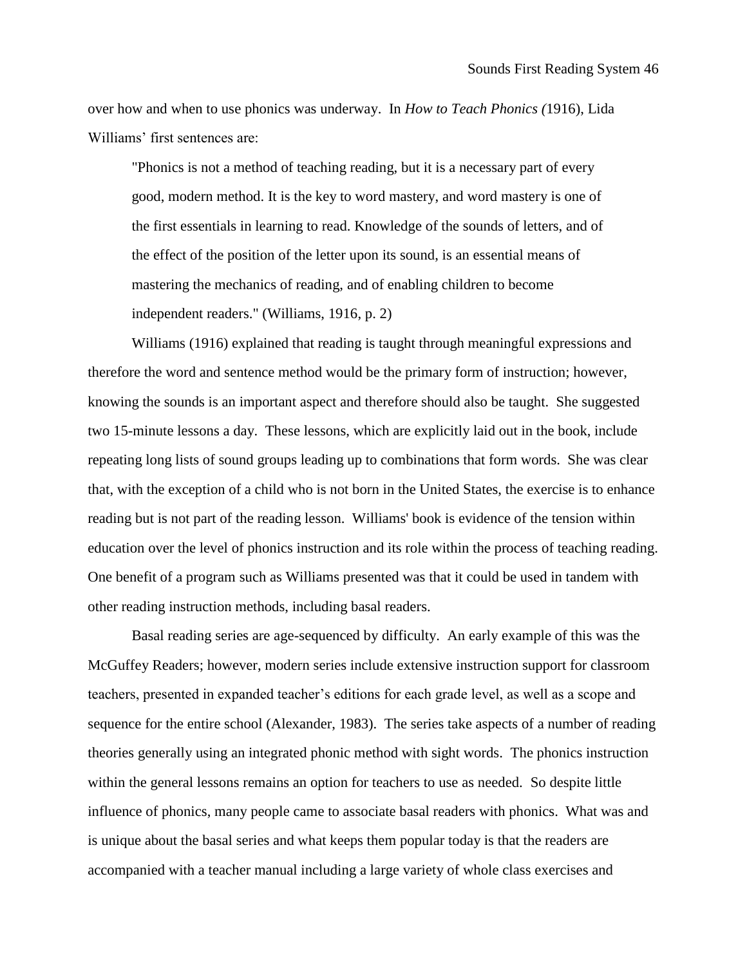over how and when to use phonics was underway. In *How to Teach Phonics (*1916), Lida Williams' first sentences are:

"Phonics is not a method of teaching reading, but it is a necessary part of every good, modern method. It is the key to word mastery, and word mastery is one of the first essentials in learning to read. Knowledge of the sounds of letters, and of the effect of the position of the letter upon its sound, is an essential means of mastering the mechanics of reading, and of enabling children to become independent readers." (Williams, 1916, p. 2)

Williams (1916) explained that reading is taught through meaningful expressions and therefore the word and sentence method would be the primary form of instruction; however, knowing the sounds is an important aspect and therefore should also be taught. She suggested two 15-minute lessons a day. These lessons, which are explicitly laid out in the book, include repeating long lists of sound groups leading up to combinations that form words. She was clear that, with the exception of a child who is not born in the United States, the exercise is to enhance reading but is not part of the reading lesson. Williams' book is evidence of the tension within education over the level of phonics instruction and its role within the process of teaching reading. One benefit of a program such as Williams presented was that it could be used in tandem with other reading instruction methods, including basal readers.

Basal reading series are age-sequenced by difficulty. An early example of this was the McGuffey Readers; however, modern series include extensive instruction support for classroom teachers, presented in expanded teacher's editions for each grade level, as well as a scope and sequence for the entire school (Alexander, 1983). The series take aspects of a number of reading theories generally using an integrated phonic method with sight words. The phonics instruction within the general lessons remains an option for teachers to use as needed. So despite little influence of phonics, many people came to associate basal readers with phonics. What was and is unique about the basal series and what keeps them popular today is that the readers are accompanied with a teacher manual including a large variety of whole class exercises and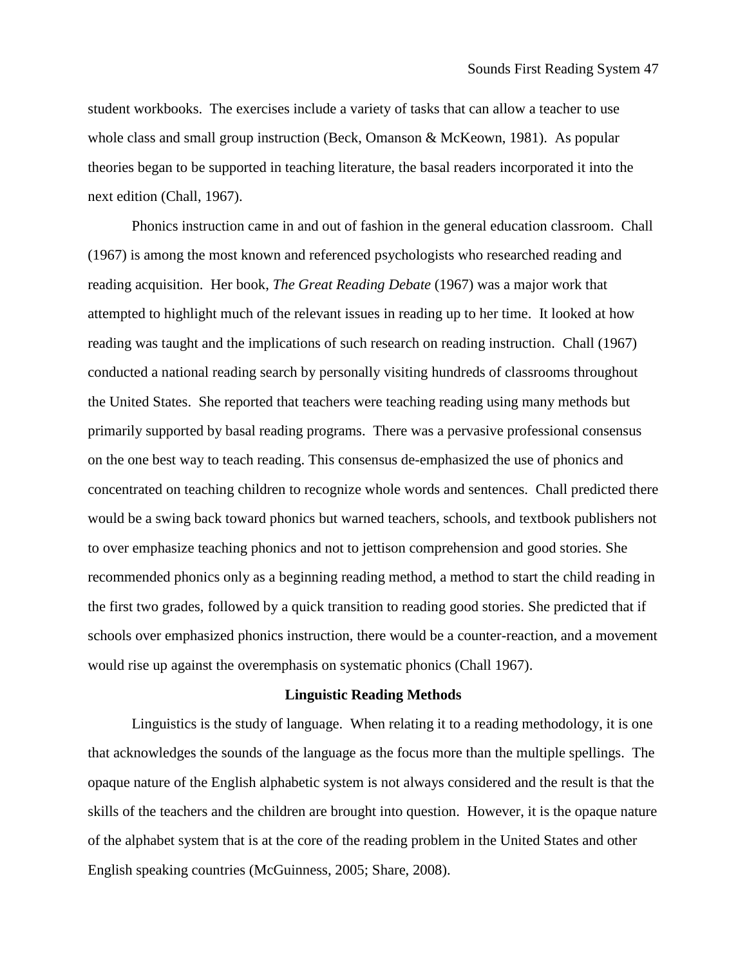student workbooks. The exercises include a variety of tasks that can allow a teacher to use whole class and small group instruction (Beck, Omanson & McKeown, 1981). As popular theories began to be supported in teaching literature, the basal readers incorporated it into the next edition (Chall, 1967).

Phonics instruction came in and out of fashion in the general education classroom. Chall (1967) is among the most known and referenced psychologists who researched reading and reading acquisition. Her book, *The Great Reading Debate* (1967) was a major work that attempted to highlight much of the relevant issues in reading up to her time. It looked at how reading was taught and the implications of such research on reading instruction. Chall (1967) conducted a national reading search by personally visiting hundreds of classrooms throughout the United States. She reported that teachers were teaching reading using many methods but primarily supported by basal reading programs. There was a pervasive professional consensus on the one best way to teach reading. This consensus de-emphasized the use of phonics and concentrated on teaching children to recognize whole words and sentences. Chall predicted there would be a swing back toward phonics but warned teachers, schools, and textbook publishers not to over emphasize teaching phonics and not to jettison comprehension and good stories. She recommended phonics only as a beginning reading method, a method to start the child reading in the first two grades, followed by a quick transition to reading good stories. She predicted that if schools over emphasized phonics instruction, there would be a counter-reaction, and a movement would rise up against the overemphasis on systematic phonics (Chall 1967).

### **Linguistic Reading Methods**

Linguistics is the study of language. When relating it to a reading methodology, it is one that acknowledges the sounds of the language as the focus more than the multiple spellings. The opaque nature of the English alphabetic system is not always considered and the result is that the skills of the teachers and the children are brought into question. However, it is the opaque nature of the alphabet system that is at the core of the reading problem in the United States and other English speaking countries (McGuinness, 2005; Share, 2008).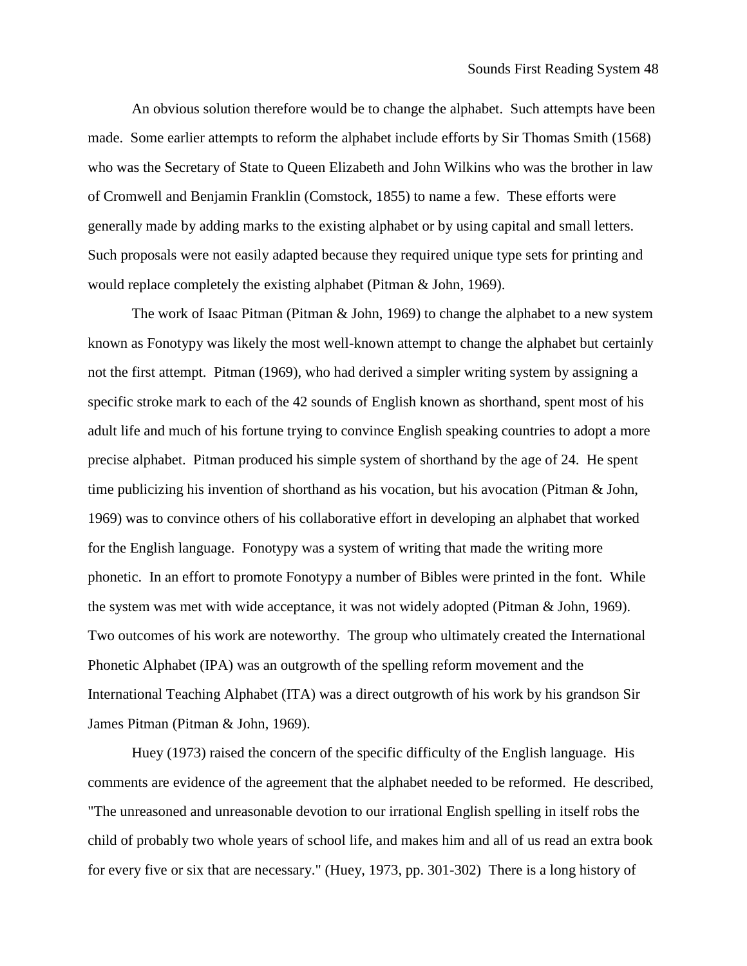An obvious solution therefore would be to change the alphabet. Such attempts have been made. Some earlier attempts to reform the alphabet include efforts by Sir Thomas Smith (1568) who was the Secretary of State to Queen Elizabeth and John Wilkins who was the brother in law of Cromwell and Benjamin Franklin (Comstock, 1855) to name a few. These efforts were generally made by adding marks to the existing alphabet or by using capital and small letters. Such proposals were not easily adapted because they required unique type sets for printing and would replace completely the existing alphabet (Pitman & John, 1969).

The work of Isaac Pitman (Pitman & John, 1969) to change the alphabet to a new system known as Fonotypy was likely the most well-known attempt to change the alphabet but certainly not the first attempt. Pitman (1969), who had derived a simpler writing system by assigning a specific stroke mark to each of the 42 sounds of English known as shorthand, spent most of his adult life and much of his fortune trying to convince English speaking countries to adopt a more precise alphabet. Pitman produced his simple system of shorthand by the age of 24. He spent time publicizing his invention of shorthand as his vocation, but his avocation (Pitman & John, 1969) was to convince others of his collaborative effort in developing an alphabet that worked for the English language. Fonotypy was a system of writing that made the writing more phonetic. In an effort to promote Fonotypy a number of Bibles were printed in the font. While the system was met with wide acceptance, it was not widely adopted (Pitman & John, 1969). Two outcomes of his work are noteworthy. The group who ultimately created the International Phonetic Alphabet (IPA) was an outgrowth of the spelling reform movement and the International Teaching Alphabet (ITA) was a direct outgrowth of his work by his grandson Sir James Pitman (Pitman & John, 1969).

Huey (1973) raised the concern of the specific difficulty of the English language. His comments are evidence of the agreement that the alphabet needed to be reformed. He described, "The unreasoned and unreasonable devotion to our irrational English spelling in itself robs the child of probably two whole years of school life, and makes him and all of us read an extra book for every five or six that are necessary." (Huey, 1973, pp. 301-302) There is a long history of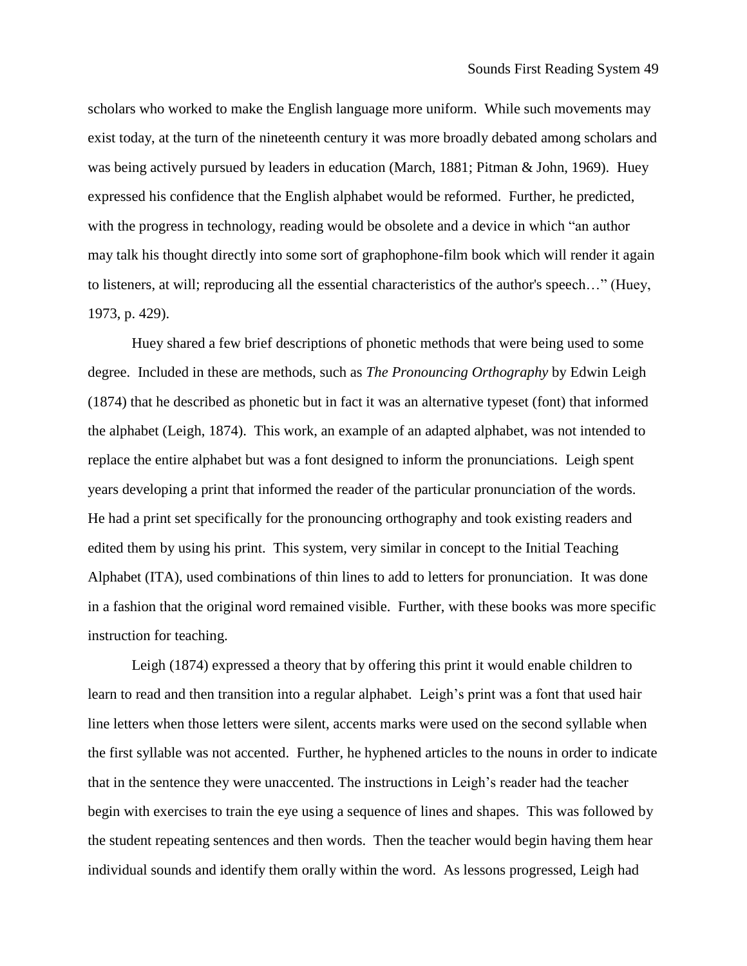scholars who worked to make the English language more uniform. While such movements may exist today, at the turn of the nineteenth century it was more broadly debated among scholars and was being actively pursued by leaders in education (March, 1881; Pitman & John, 1969). Huey expressed his confidence that the English alphabet would be reformed. Further, he predicted, with the progress in technology, reading would be obsolete and a device in which "an author may talk his thought directly into some sort of graphophone-film book which will render it again to listeners, at will; reproducing all the essential characteristics of the author's speech…" (Huey, 1973, p. 429).

Huey shared a few brief descriptions of phonetic methods that were being used to some degree. Included in these are methods, such as *The Pronouncing Orthography* by Edwin Leigh (1874) that he described as phonetic but in fact it was an alternative typeset (font) that informed the alphabet (Leigh, 1874). This work, an example of an adapted alphabet, was not intended to replace the entire alphabet but was a font designed to inform the pronunciations. Leigh spent years developing a print that informed the reader of the particular pronunciation of the words. He had a print set specifically for the pronouncing orthography and took existing readers and edited them by using his print. This system, very similar in concept to the Initial Teaching Alphabet (ITA), used combinations of thin lines to add to letters for pronunciation. It was done in a fashion that the original word remained visible. Further, with these books was more specific instruction for teaching.

Leigh (1874) expressed a theory that by offering this print it would enable children to learn to read and then transition into a regular alphabet. Leigh's print was a font that used hair line letters when those letters were silent, accents marks were used on the second syllable when the first syllable was not accented. Further, he hyphened articles to the nouns in order to indicate that in the sentence they were unaccented. The instructions in Leigh's reader had the teacher begin with exercises to train the eye using a sequence of lines and shapes. This was followed by the student repeating sentences and then words. Then the teacher would begin having them hear individual sounds and identify them orally within the word. As lessons progressed, Leigh had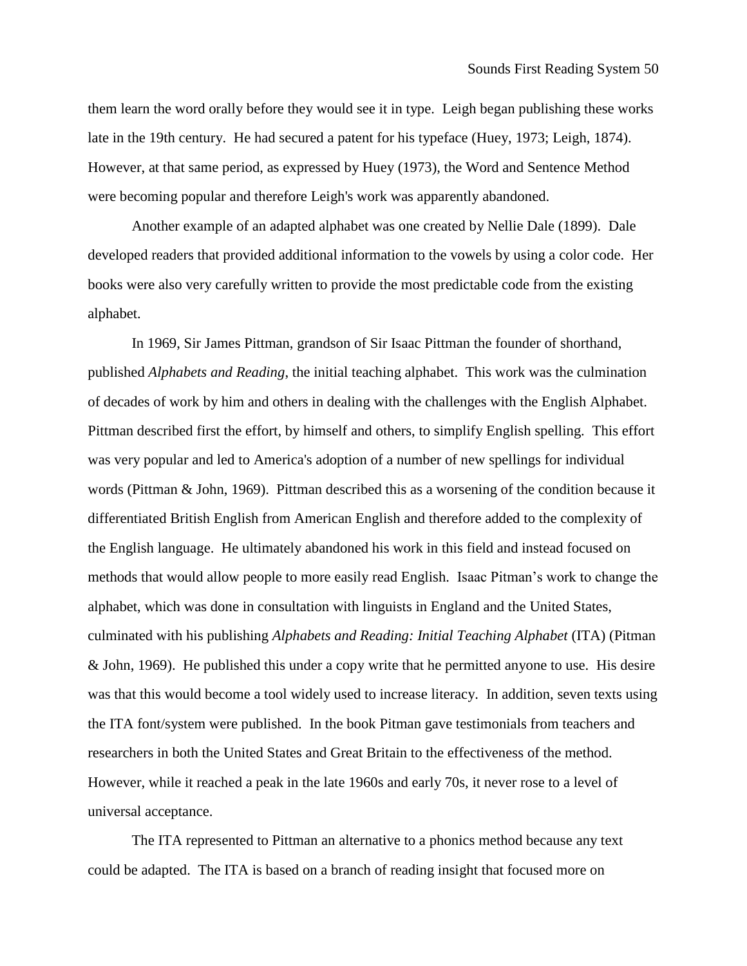them learn the word orally before they would see it in type. Leigh began publishing these works late in the 19th century. He had secured a patent for his typeface (Huey, 1973; Leigh, 1874). However, at that same period, as expressed by Huey (1973), the Word and Sentence Method were becoming popular and therefore Leigh's work was apparently abandoned.

Another example of an adapted alphabet was one created by Nellie Dale (1899). Dale developed readers that provided additional information to the vowels by using a color code. Her books were also very carefully written to provide the most predictable code from the existing alphabet.

In 1969, Sir James Pittman, grandson of Sir Isaac Pittman the founder of shorthand, published *Alphabets and Reading*, the initial teaching alphabet. This work was the culmination of decades of work by him and others in dealing with the challenges with the English Alphabet. Pittman described first the effort, by himself and others, to simplify English spelling. This effort was very popular and led to America's adoption of a number of new spellings for individual words (Pittman & John, 1969). Pittman described this as a worsening of the condition because it differentiated British English from American English and therefore added to the complexity of the English language. He ultimately abandoned his work in this field and instead focused on methods that would allow people to more easily read English. Isaac Pitman's work to change the alphabet, which was done in consultation with linguists in England and the United States, culminated with his publishing *Alphabets and Reading: Initial Teaching Alphabet* (ITA) (Pitman & John, 1969). He published this under a copy write that he permitted anyone to use. His desire was that this would become a tool widely used to increase literacy. In addition, seven texts using the ITA font/system were published. In the book Pitman gave testimonials from teachers and researchers in both the United States and Great Britain to the effectiveness of the method. However, while it reached a peak in the late 1960s and early 70s, it never rose to a level of universal acceptance.

The ITA represented to Pittman an alternative to a phonics method because any text could be adapted. The ITA is based on a branch of reading insight that focused more on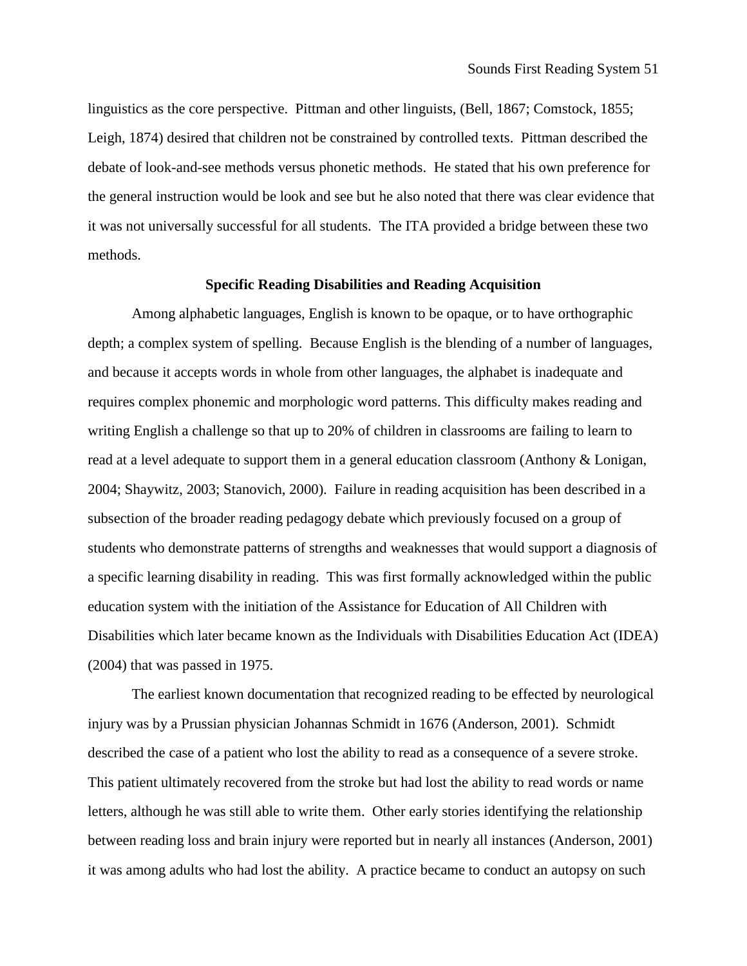linguistics as the core perspective. Pittman and other linguists, (Bell, 1867; Comstock, 1855; Leigh, 1874) desired that children not be constrained by controlled texts. Pittman described the debate of look-and-see methods versus phonetic methods. He stated that his own preference for the general instruction would be look and see but he also noted that there was clear evidence that it was not universally successful for all students. The ITA provided a bridge between these two methods.

### **Specific Reading Disabilities and Reading Acquisition**

Among alphabetic languages, English is known to be opaque, or to have orthographic depth; a complex system of spelling. Because English is the blending of a number of languages, and because it accepts words in whole from other languages, the alphabet is inadequate and requires complex phonemic and morphologic word patterns. This difficulty makes reading and writing English a challenge so that up to 20% of children in classrooms are failing to learn to read at a level adequate to support them in a general education classroom (Anthony & Lonigan, 2004; Shaywitz, 2003; Stanovich, 2000). Failure in reading acquisition has been described in a subsection of the broader reading pedagogy debate which previously focused on a group of students who demonstrate patterns of strengths and weaknesses that would support a diagnosis of a specific learning disability in reading. This was first formally acknowledged within the public education system with the initiation of the Assistance for Education of All Children with Disabilities which later became known as the Individuals with Disabilities Education Act (IDEA) (2004) that was passed in 1975.

The earliest known documentation that recognized reading to be effected by neurological injury was by a Prussian physician Johannas Schmidt in 1676 (Anderson, 2001). Schmidt described the case of a patient who lost the ability to read as a consequence of a severe stroke. This patient ultimately recovered from the stroke but had lost the ability to read words or name letters, although he was still able to write them. Other early stories identifying the relationship between reading loss and brain injury were reported but in nearly all instances (Anderson, 2001) it was among adults who had lost the ability. A practice became to conduct an autopsy on such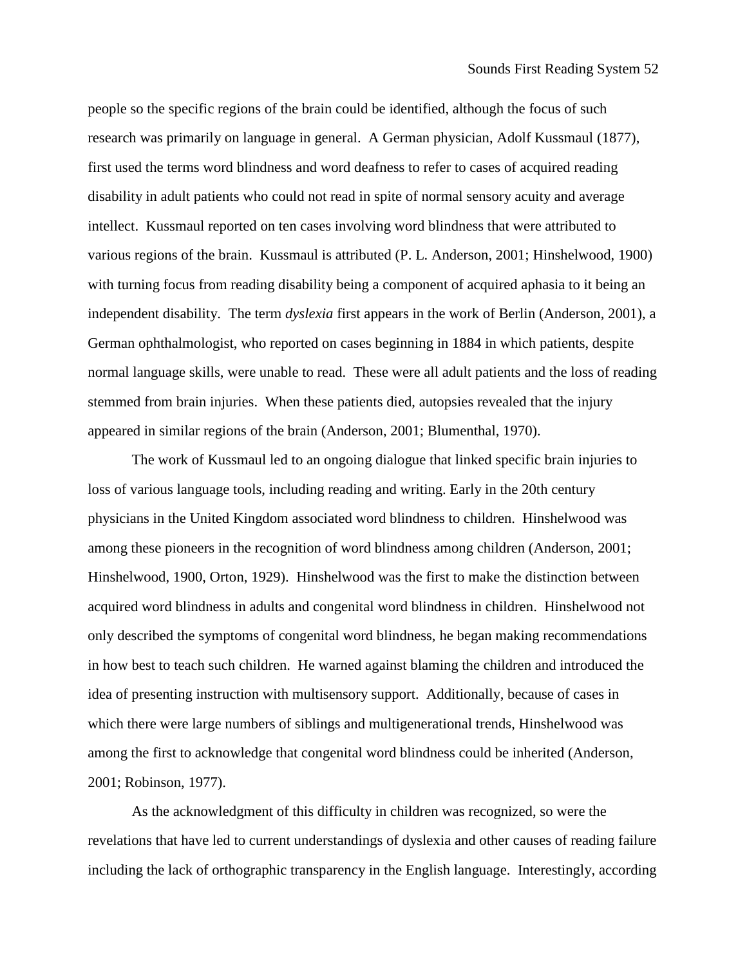people so the specific regions of the brain could be identified, although the focus of such research was primarily on language in general. A German physician, Adolf Kussmaul (1877), first used the terms word blindness and word deafness to refer to cases of acquired reading disability in adult patients who could not read in spite of normal sensory acuity and average intellect. Kussmaul reported on ten cases involving word blindness that were attributed to various regions of the brain. Kussmaul is attributed (P. L. Anderson, 2001; Hinshelwood, 1900) with turning focus from reading disability being a component of acquired aphasia to it being an independent disability. The term *dyslexia* first appears in the work of Berlin (Anderson, 2001), a German ophthalmologist, who reported on cases beginning in 1884 in which patients, despite normal language skills, were unable to read. These were all adult patients and the loss of reading stemmed from brain injuries. When these patients died, autopsies revealed that the injury appeared in similar regions of the brain (Anderson, 2001; Blumenthal, 1970).

The work of Kussmaul led to an ongoing dialogue that linked specific brain injuries to loss of various language tools, including reading and writing. Early in the 20th century physicians in the United Kingdom associated word blindness to children. Hinshelwood was among these pioneers in the recognition of word blindness among children (Anderson, 2001; Hinshelwood, 1900, Orton, 1929). Hinshelwood was the first to make the distinction between acquired word blindness in adults and congenital word blindness in children. Hinshelwood not only described the symptoms of congenital word blindness, he began making recommendations in how best to teach such children. He warned against blaming the children and introduced the idea of presenting instruction with multisensory support. Additionally, because of cases in which there were large numbers of siblings and multigenerational trends, Hinshelwood was among the first to acknowledge that congenital word blindness could be inherited (Anderson, 2001; Robinson, 1977).

As the acknowledgment of this difficulty in children was recognized, so were the revelations that have led to current understandings of dyslexia and other causes of reading failure including the lack of orthographic transparency in the English language. Interestingly, according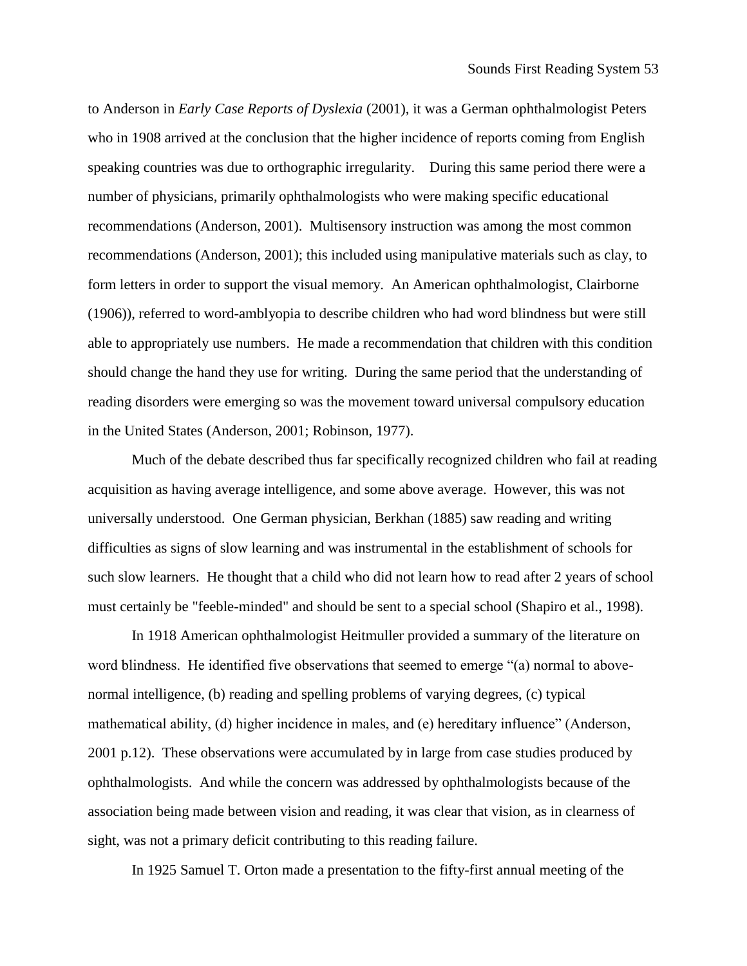to Anderson in *Early Case Reports of Dyslexia* (2001), it was a German ophthalmologist Peters who in 1908 arrived at the conclusion that the higher incidence of reports coming from English speaking countries was due to orthographic irregularity. During this same period there were a number of physicians, primarily ophthalmologists who were making specific educational recommendations (Anderson, 2001). Multisensory instruction was among the most common recommendations (Anderson, 2001); this included using manipulative materials such as clay, to form letters in order to support the visual memory. An American ophthalmologist, Clairborne (1906)), referred to word-amblyopia to describe children who had word blindness but were still able to appropriately use numbers. He made a recommendation that children with this condition should change the hand they use for writing. During the same period that the understanding of reading disorders were emerging so was the movement toward universal compulsory education in the United States (Anderson, 2001; Robinson, 1977).

Much of the debate described thus far specifically recognized children who fail at reading acquisition as having average intelligence, and some above average. However, this was not universally understood. One German physician, Berkhan (1885) saw reading and writing difficulties as signs of slow learning and was instrumental in the establishment of schools for such slow learners. He thought that a child who did not learn how to read after 2 years of school must certainly be "feeble-minded" and should be sent to a special school (Shapiro et al., 1998).

In 1918 American ophthalmologist Heitmuller provided a summary of the literature on word blindness. He identified five observations that seemed to emerge "(a) normal to abovenormal intelligence, (b) reading and spelling problems of varying degrees, (c) typical mathematical ability, (d) higher incidence in males, and (e) hereditary influence" (Anderson, 2001 p.12). These observations were accumulated by in large from case studies produced by ophthalmologists. And while the concern was addressed by ophthalmologists because of the association being made between vision and reading, it was clear that vision, as in clearness of sight, was not a primary deficit contributing to this reading failure.

In 1925 Samuel T. Orton made a presentation to the fifty-first annual meeting of the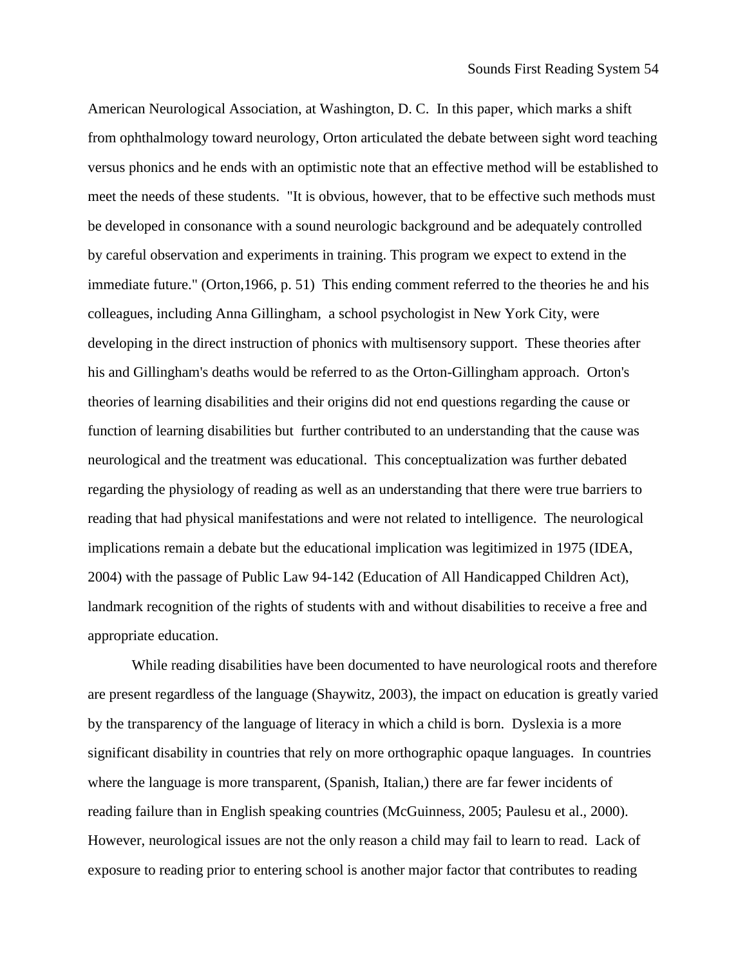American Neurological Association, at Washington, D. C. In this paper, which marks a shift from ophthalmology toward neurology, Orton articulated the debate between sight word teaching versus phonics and he ends with an optimistic note that an effective method will be established to meet the needs of these students. "It is obvious, however, that to be effective such methods must be developed in consonance with a sound neurologic background and be adequately controlled by careful observation and experiments in training. This program we expect to extend in the immediate future." (Orton,1966, p. 51) This ending comment referred to the theories he and his colleagues, including Anna Gillingham, a school psychologist in New York City, were developing in the direct instruction of phonics with multisensory support. These theories after his and Gillingham's deaths would be referred to as the Orton-Gillingham approach. Orton's theories of learning disabilities and their origins did not end questions regarding the cause or function of learning disabilities but further contributed to an understanding that the cause was neurological and the treatment was educational. This conceptualization was further debated regarding the physiology of reading as well as an understanding that there were true barriers to reading that had physical manifestations and were not related to intelligence. The neurological implications remain a debate but the educational implication was legitimized in 1975 (IDEA, 2004) with the passage of Public Law 94-142 (Education of All Handicapped Children Act), landmark recognition of the rights of students with and without disabilities to receive a free and appropriate education.

While reading disabilities have been documented to have neurological roots and therefore are present regardless of the language (Shaywitz, 2003), the impact on education is greatly varied by the transparency of the language of literacy in which a child is born. Dyslexia is a more significant disability in countries that rely on more orthographic opaque languages. In countries where the language is more transparent, (Spanish, Italian,) there are far fewer incidents of reading failure than in English speaking countries (McGuinness, 2005; Paulesu et al., 2000). However, neurological issues are not the only reason a child may fail to learn to read. Lack of exposure to reading prior to entering school is another major factor that contributes to reading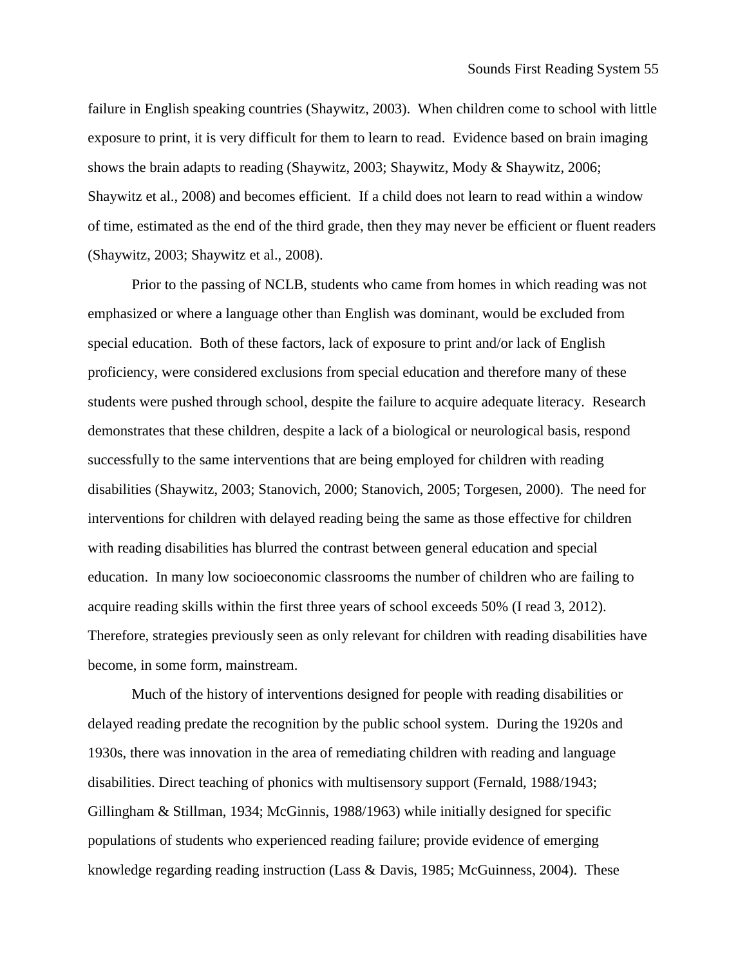failure in English speaking countries (Shaywitz, 2003). When children come to school with little exposure to print, it is very difficult for them to learn to read. Evidence based on brain imaging shows the brain adapts to reading (Shaywitz, 2003; Shaywitz, Mody & Shaywitz, 2006; Shaywitz et al., 2008) and becomes efficient. If a child does not learn to read within a window of time, estimated as the end of the third grade, then they may never be efficient or fluent readers (Shaywitz, 2003; Shaywitz et al., 2008).

Prior to the passing of NCLB, students who came from homes in which reading was not emphasized or where a language other than English was dominant, would be excluded from special education. Both of these factors, lack of exposure to print and/or lack of English proficiency, were considered exclusions from special education and therefore many of these students were pushed through school, despite the failure to acquire adequate literacy. Research demonstrates that these children, despite a lack of a biological or neurological basis, respond successfully to the same interventions that are being employed for children with reading disabilities (Shaywitz, 2003; Stanovich, 2000; Stanovich, 2005; Torgesen, 2000). The need for interventions for children with delayed reading being the same as those effective for children with reading disabilities has blurred the contrast between general education and special education. In many low socioeconomic classrooms the number of children who are failing to acquire reading skills within the first three years of school exceeds 50% (I read 3, 2012). Therefore, strategies previously seen as only relevant for children with reading disabilities have become, in some form, mainstream.

Much of the history of interventions designed for people with reading disabilities or delayed reading predate the recognition by the public school system. During the 1920s and 1930s, there was innovation in the area of remediating children with reading and language disabilities. Direct teaching of phonics with multisensory support (Fernald, 1988/1943; Gillingham & Stillman, 1934; McGinnis, 1988/1963) while initially designed for specific populations of students who experienced reading failure; provide evidence of emerging knowledge regarding reading instruction (Lass & Davis, 1985; McGuinness, 2004). These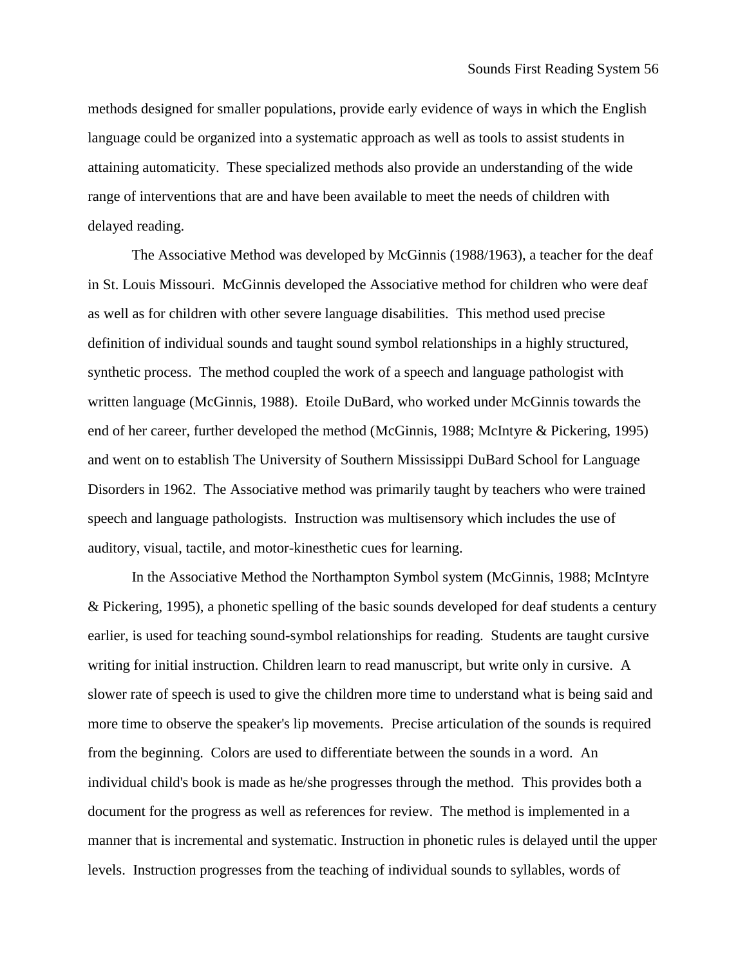methods designed for smaller populations, provide early evidence of ways in which the English language could be organized into a systematic approach as well as tools to assist students in attaining automaticity. These specialized methods also provide an understanding of the wide range of interventions that are and have been available to meet the needs of children with delayed reading.

The Associative Method was developed by McGinnis (1988/1963), a teacher for the deaf in St. Louis Missouri. McGinnis developed the Associative method for children who were deaf as well as for children with other severe language disabilities. This method used precise definition of individual sounds and taught sound symbol relationships in a highly structured, synthetic process. The method coupled the work of a speech and language pathologist with written language (McGinnis, 1988). Etoile DuBard, who worked under McGinnis towards the end of her career, further developed the method (McGinnis, 1988; McIntyre & Pickering, 1995) and went on to establish The University of Southern Mississippi DuBard School for Language Disorders in 1962. The Associative method was primarily taught by teachers who were trained speech and language pathologists. Instruction was multisensory which includes the use of auditory, visual, tactile, and motor-kinesthetic cues for learning.

In the Associative Method the Northampton Symbol system (McGinnis, 1988; McIntyre & Pickering, 1995), a phonetic spelling of the basic sounds developed for deaf students a century earlier, is used for teaching sound-symbol relationships for reading. Students are taught cursive writing for initial instruction. Children learn to read manuscript, but write only in cursive. A slower rate of speech is used to give the children more time to understand what is being said and more time to observe the speaker's lip movements. Precise articulation of the sounds is required from the beginning. Colors are used to differentiate between the sounds in a word. An individual child's book is made as he/she progresses through the method. This provides both a document for the progress as well as references for review. The method is implemented in a manner that is incremental and systematic. Instruction in phonetic rules is delayed until the upper levels. Instruction progresses from the teaching of individual sounds to syllables, words of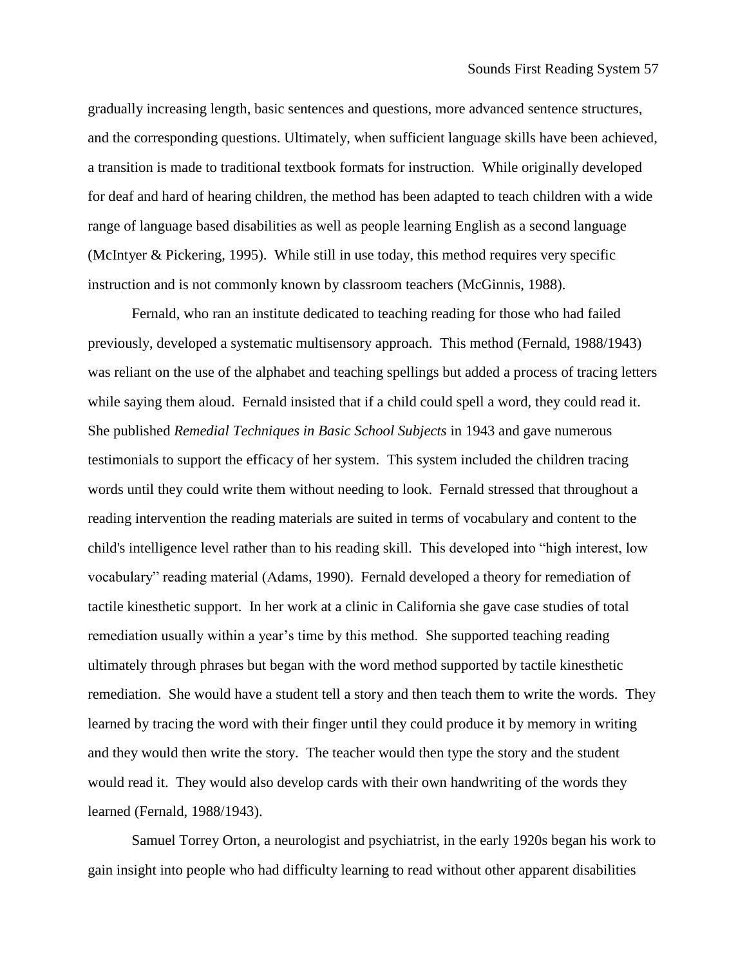gradually increasing length, basic sentences and questions, more advanced sentence structures, and the corresponding questions. Ultimately, when sufficient language skills have been achieved, a transition is made to traditional textbook formats for instruction. While originally developed for deaf and hard of hearing children, the method has been adapted to teach children with a wide range of language based disabilities as well as people learning English as a second language (McIntyer & Pickering, 1995). While still in use today, this method requires very specific instruction and is not commonly known by classroom teachers (McGinnis, 1988).

Fernald, who ran an institute dedicated to teaching reading for those who had failed previously, developed a systematic multisensory approach. This method (Fernald, 1988/1943) was reliant on the use of the alphabet and teaching spellings but added a process of tracing letters while saying them aloud. Fernald insisted that if a child could spell a word, they could read it. She published *Remedial Techniques in Basic School Subjects* in 1943 and gave numerous testimonials to support the efficacy of her system. This system included the children tracing words until they could write them without needing to look. Fernald stressed that throughout a reading intervention the reading materials are suited in terms of vocabulary and content to the child's intelligence level rather than to his reading skill. This developed into "high interest, low vocabulary" reading material (Adams, 1990). Fernald developed a theory for remediation of tactile kinesthetic support. In her work at a clinic in California she gave case studies of total remediation usually within a year's time by this method. She supported teaching reading ultimately through phrases but began with the word method supported by tactile kinesthetic remediation. She would have a student tell a story and then teach them to write the words. They learned by tracing the word with their finger until they could produce it by memory in writing and they would then write the story. The teacher would then type the story and the student would read it. They would also develop cards with their own handwriting of the words they learned (Fernald, 1988/1943).

Samuel Torrey Orton, a neurologist and psychiatrist, in the early 1920s began his work to gain insight into people who had difficulty learning to read without other apparent disabilities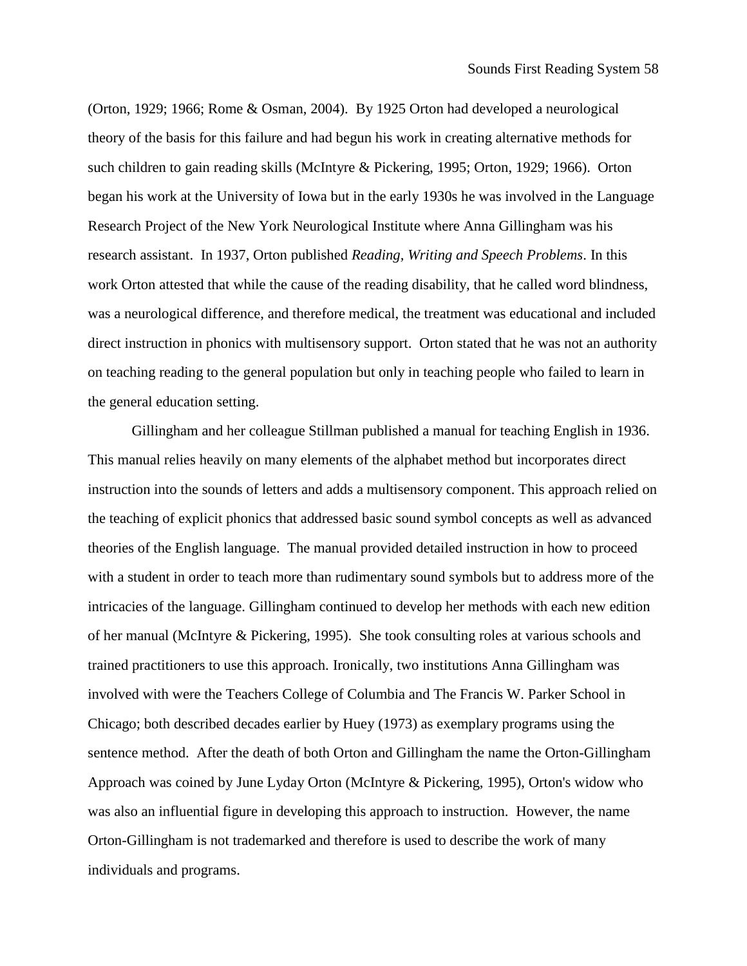(Orton, 1929; 1966; Rome & Osman, 2004). By 1925 Orton had developed a neurological theory of the basis for this failure and had begun his work in creating alternative methods for such children to gain reading skills (McIntyre & Pickering, 1995; Orton, 1929; 1966). Orton began his work at the University of Iowa but in the early 1930s he was involved in the Language Research Project of the New York Neurological Institute where Anna Gillingham was his research assistant. In 1937, Orton published *Reading, Writing and Speech Problems*. In this work Orton attested that while the cause of the reading disability, that he called word blindness, was a neurological difference, and therefore medical, the treatment was educational and included direct instruction in phonics with multisensory support. Orton stated that he was not an authority on teaching reading to the general population but only in teaching people who failed to learn in the general education setting.

Gillingham and her colleague Stillman published a manual for teaching English in 1936. This manual relies heavily on many elements of the alphabet method but incorporates direct instruction into the sounds of letters and adds a multisensory component. This approach relied on the teaching of explicit phonics that addressed basic sound symbol concepts as well as advanced theories of the English language. The manual provided detailed instruction in how to proceed with a student in order to teach more than rudimentary sound symbols but to address more of the intricacies of the language. Gillingham continued to develop her methods with each new edition of her manual (McIntyre & Pickering, 1995). She took consulting roles at various schools and trained practitioners to use this approach. Ironically, two institutions Anna Gillingham was involved with were the Teachers College of Columbia and The Francis W. Parker School in Chicago; both described decades earlier by Huey (1973) as exemplary programs using the sentence method. After the death of both Orton and Gillingham the name the Orton-Gillingham Approach was coined by June Lyday Orton (McIntyre & Pickering, 1995), Orton's widow who was also an influential figure in developing this approach to instruction. However, the name Orton-Gillingham is not trademarked and therefore is used to describe the work of many individuals and programs.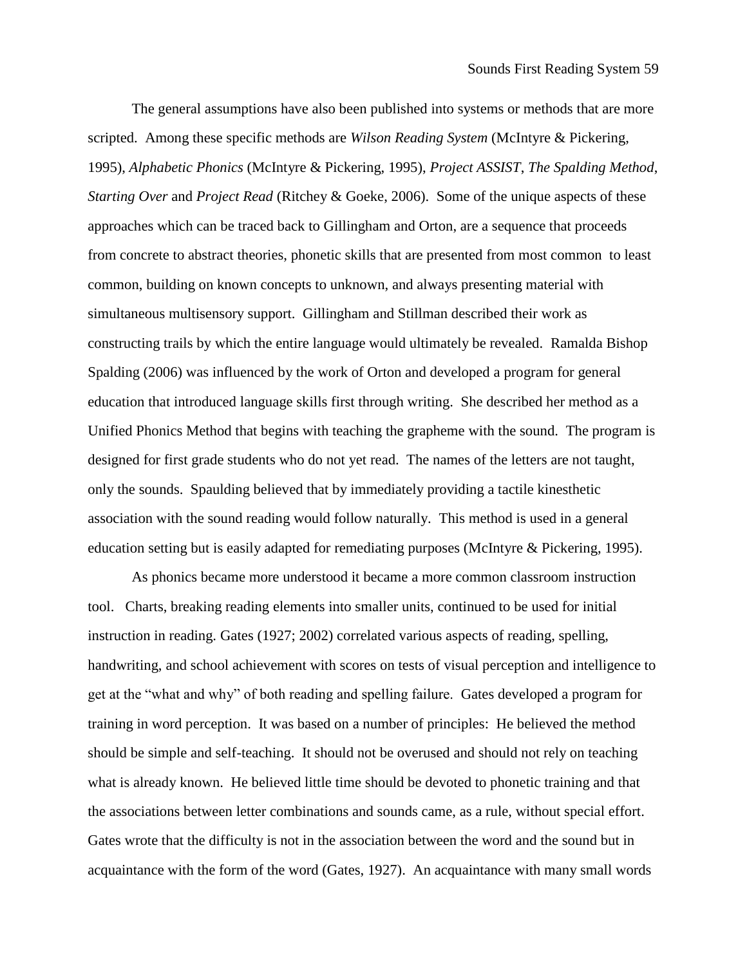The general assumptions have also been published into systems or methods that are more scripted. Among these specific methods are *Wilson Reading System* (McIntyre & Pickering, 1995), *Alphabetic Phonics* (McIntyre & Pickering, 1995), *Project ASSIST*, *The Spalding Method*, *Starting Over* and *Project Read* (Ritchey & Goeke, 2006). Some of the unique aspects of these approaches which can be traced back to Gillingham and Orton, are a sequence that proceeds from concrete to abstract theories, phonetic skills that are presented from most common to least common, building on known concepts to unknown, and always presenting material with simultaneous multisensory support. Gillingham and Stillman described their work as constructing trails by which the entire language would ultimately be revealed. Ramalda Bishop Spalding (2006) was influenced by the work of Orton and developed a program for general education that introduced language skills first through writing. She described her method as a Unified Phonics Method that begins with teaching the grapheme with the sound. The program is designed for first grade students who do not yet read. The names of the letters are not taught, only the sounds. Spaulding believed that by immediately providing a tactile kinesthetic association with the sound reading would follow naturally. This method is used in a general education setting but is easily adapted for remediating purposes (McIntyre & Pickering, 1995).

As phonics became more understood it became a more common classroom instruction tool. Charts, breaking reading elements into smaller units, continued to be used for initial instruction in reading. Gates (1927; 2002) correlated various aspects of reading, spelling, handwriting, and school achievement with scores on tests of visual perception and intelligence to get at the "what and why" of both reading and spelling failure. Gates developed a program for training in word perception. It was based on a number of principles: He believed the method should be simple and self-teaching. It should not be overused and should not rely on teaching what is already known. He believed little time should be devoted to phonetic training and that the associations between letter combinations and sounds came, as a rule, without special effort. Gates wrote that the difficulty is not in the association between the word and the sound but in acquaintance with the form of the word (Gates, 1927). An acquaintance with many small words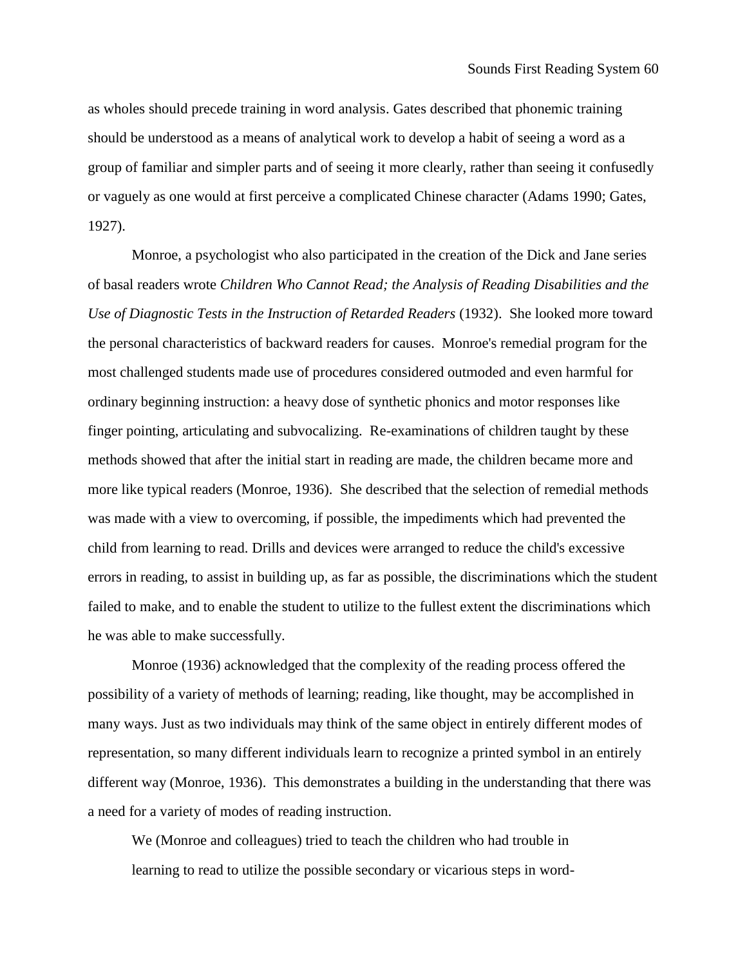as wholes should precede training in word analysis. Gates described that phonemic training should be understood as a means of analytical work to develop a habit of seeing a word as a group of familiar and simpler parts and of seeing it more clearly, rather than seeing it confusedly or vaguely as one would at first perceive a complicated Chinese character (Adams 1990; Gates, 1927).

Monroe, a psychologist who also participated in the creation of the Dick and Jane series of basal readers wrote *Children Who Cannot Read; the Analysis of Reading Disabilities and the Use of Diagnostic Tests in the Instruction of Retarded Readers* (1932). She looked more toward the personal characteristics of backward readers for causes. Monroe's remedial program for the most challenged students made use of procedures considered outmoded and even harmful for ordinary beginning instruction: a heavy dose of synthetic phonics and motor responses like finger pointing, articulating and subvocalizing. Re-examinations of children taught by these methods showed that after the initial start in reading are made, the children became more and more like typical readers (Monroe, 1936). She described that the selection of remedial methods was made with a view to overcoming, if possible, the impediments which had prevented the child from learning to read. Drills and devices were arranged to reduce the child's excessive errors in reading, to assist in building up, as far as possible, the discriminations which the student failed to make, and to enable the student to utilize to the fullest extent the discriminations which he was able to make successfully.

Monroe (1936) acknowledged that the complexity of the reading process offered the possibility of a variety of methods of learning; reading, like thought, may be accomplished in many ways. Just as two individuals may think of the same object in entirely different modes of representation, so many different individuals learn to recognize a printed symbol in an entirely different way (Monroe, 1936). This demonstrates a building in the understanding that there was a need for a variety of modes of reading instruction.

We (Monroe and colleagues) tried to teach the children who had trouble in learning to read to utilize the possible secondary or vicarious steps in word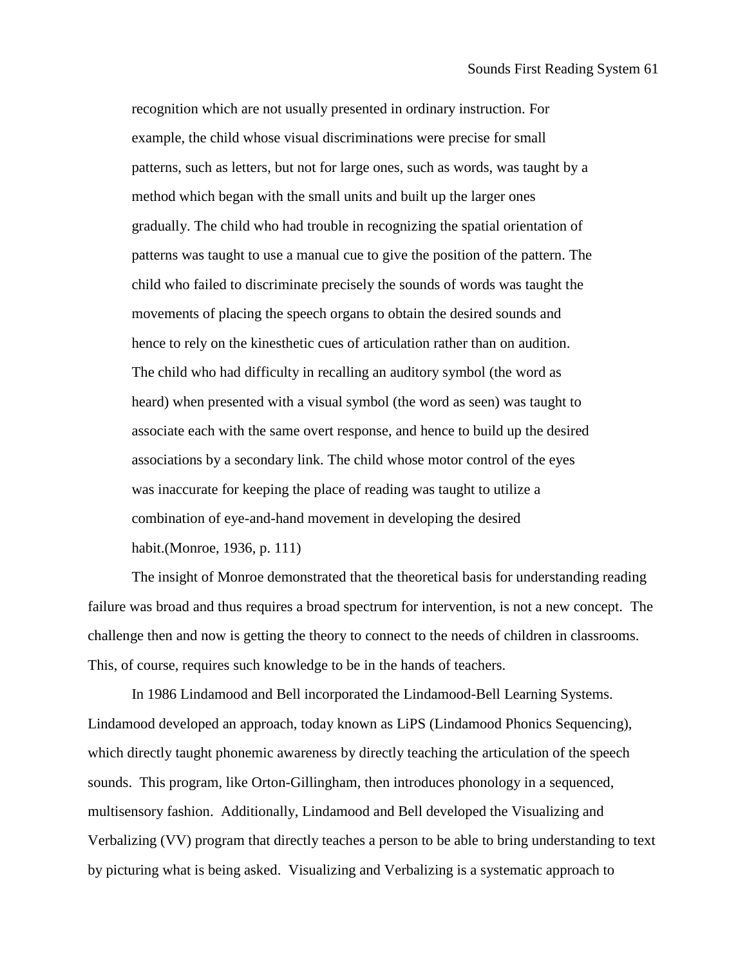recognition which are not usually presented in ordinary instruction. For example, the child whose visual discriminations were precise for small patterns, such as letters, but not for large ones, such as words, was taught by a method which began with the small units and built up the larger ones gradually. The child who had trouble in recognizing the spatial orientation of patterns was taught to use a manual cue to give the position of the pattern. The child who failed to discriminate precisely the sounds of words was taught the movements of placing the speech organs to obtain the desired sounds and hence to rely on the kinesthetic cues of articulation rather than on audition. The child who had difficulty in recalling an auditory symbol (the word as heard) when presented with a visual symbol (the word as seen) was taught to associate each with the same overt response, and hence to build up the desired associations by a secondary link. The child whose motor control of the eyes was inaccurate for keeping the place of reading was taught to utilize a combination of eye-and-hand movement in developing the desired habit.(Monroe, 1936, p. 111)

The insight of Monroe demonstrated that the theoretical basis for understanding reading failure was broad and thus requires a broad spectrum for intervention, is not a new concept. The challenge then and now is getting the theory to connect to the needs of children in classrooms. This, of course, requires such knowledge to be in the hands of teachers.

In 1986 Lindamood and Bell incorporated the Lindamood-Bell Learning Systems. Lindamood developed an approach, today known as LiPS (Lindamood Phonics Sequencing), which directly taught phonemic awareness by directly teaching the articulation of the speech sounds. This program, like Orton-Gillingham, then introduces phonology in a sequenced, multisensory fashion. Additionally, Lindamood and Bell developed the Visualizing and Verbalizing (VV) program that directly teaches a person to be able to bring understanding to text by picturing what is being asked. Visualizing and Verbalizing is a systematic approach to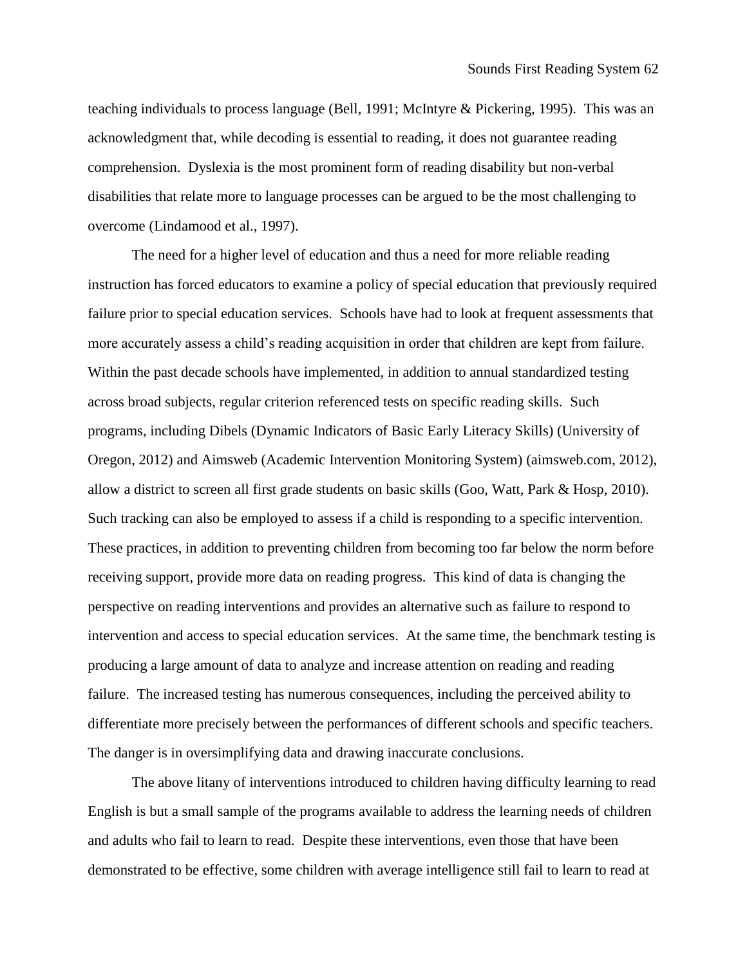teaching individuals to process language (Bell, 1991; McIntyre & Pickering, 1995). This was an acknowledgment that, while decoding is essential to reading, it does not guarantee reading comprehension. Dyslexia is the most prominent form of reading disability but non-verbal disabilities that relate more to language processes can be argued to be the most challenging to overcome (Lindamood et al., 1997).

The need for a higher level of education and thus a need for more reliable reading instruction has forced educators to examine a policy of special education that previously required failure prior to special education services. Schools have had to look at frequent assessments that more accurately assess a child's reading acquisition in order that children are kept from failure. Within the past decade schools have implemented, in addition to annual standardized testing across broad subjects, regular criterion referenced tests on specific reading skills. Such programs, including Dibels (Dynamic Indicators of Basic Early Literacy Skills) (University of Oregon, 2012) and Aimsweb (Academic Intervention Monitoring System) (aimsweb.com, 2012), allow a district to screen all first grade students on basic skills (Goo, Watt, Park & Hosp, 2010). Such tracking can also be employed to assess if a child is responding to a specific intervention. These practices, in addition to preventing children from becoming too far below the norm before receiving support, provide more data on reading progress. This kind of data is changing the perspective on reading interventions and provides an alternative such as failure to respond to intervention and access to special education services. At the same time, the benchmark testing is producing a large amount of data to analyze and increase attention on reading and reading failure. The increased testing has numerous consequences, including the perceived ability to differentiate more precisely between the performances of different schools and specific teachers. The danger is in oversimplifying data and drawing inaccurate conclusions.

The above litany of interventions introduced to children having difficulty learning to read English is but a small sample of the programs available to address the learning needs of children and adults who fail to learn to read. Despite these interventions, even those that have been demonstrated to be effective, some children with average intelligence still fail to learn to read at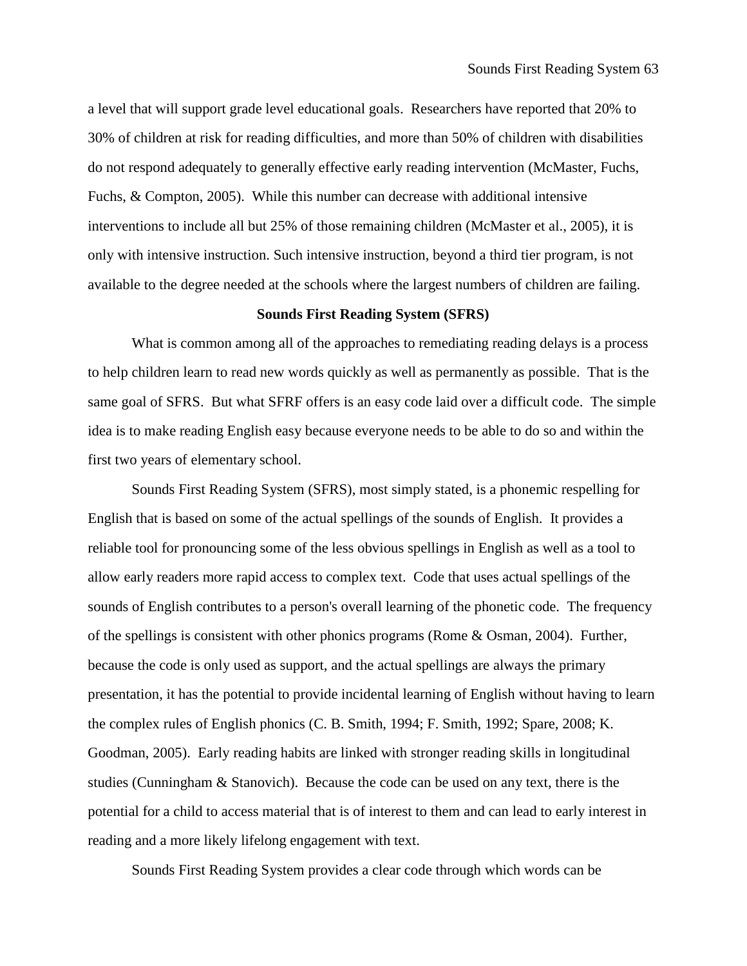a level that will support grade level educational goals. Researchers have reported that 20% to 30% of children at risk for reading difficulties, and more than 50% of children with disabilities do not respond adequately to generally effective early reading intervention (McMaster, Fuchs, Fuchs, & Compton, 2005). While this number can decrease with additional intensive interventions to include all but 25% of those remaining children (McMaster et al., 2005), it is only with intensive instruction. Such intensive instruction, beyond a third tier program, is not available to the degree needed at the schools where the largest numbers of children are failing.

## **Sounds First Reading System (SFRS)**

What is common among all of the approaches to remediating reading delays is a process to help children learn to read new words quickly as well as permanently as possible. That is the same goal of SFRS. But what SFRF offers is an easy code laid over a difficult code. The simple idea is to make reading English easy because everyone needs to be able to do so and within the first two years of elementary school.

Sounds First Reading System (SFRS), most simply stated, is a phonemic respelling for English that is based on some of the actual spellings of the sounds of English. It provides a reliable tool for pronouncing some of the less obvious spellings in English as well as a tool to allow early readers more rapid access to complex text. Code that uses actual spellings of the sounds of English contributes to a person's overall learning of the phonetic code. The frequency of the spellings is consistent with other phonics programs (Rome & Osman, 2004). Further, because the code is only used as support, and the actual spellings are always the primary presentation, it has the potential to provide incidental learning of English without having to learn the complex rules of English phonics (C. B. Smith, 1994; F. Smith, 1992; Spare, 2008; K. Goodman, 2005). Early reading habits are linked with stronger reading skills in longitudinal studies (Cunningham & Stanovich). Because the code can be used on any text, there is the potential for a child to access material that is of interest to them and can lead to early interest in reading and a more likely lifelong engagement with text.

Sounds First Reading System provides a clear code through which words can be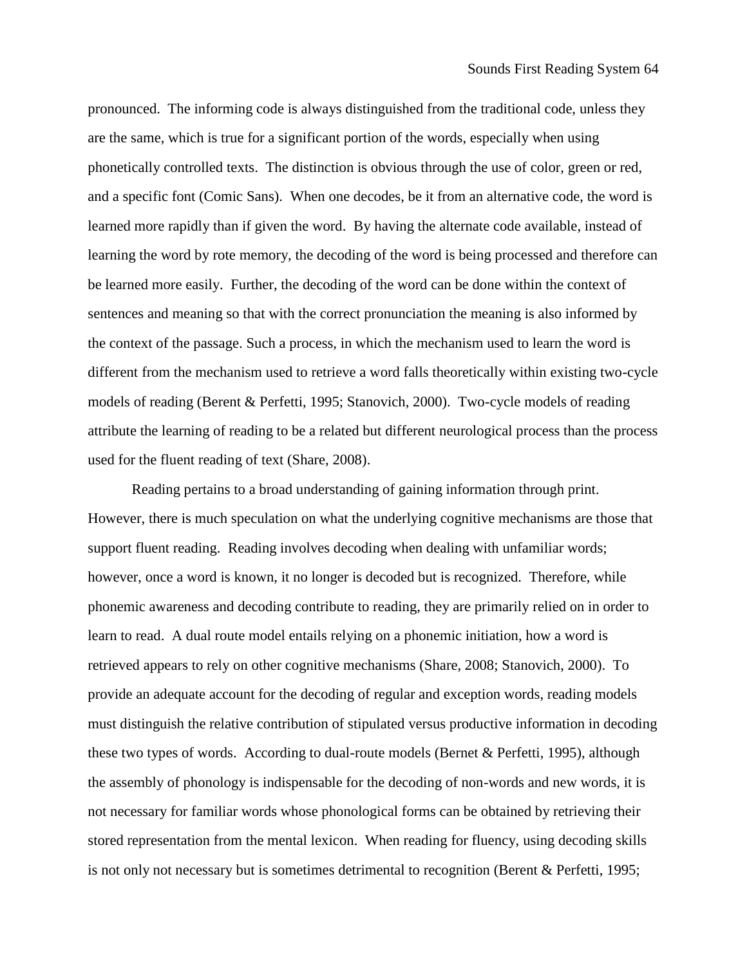pronounced. The informing code is always distinguished from the traditional code, unless they are the same, which is true for a significant portion of the words, especially when using phonetically controlled texts. The distinction is obvious through the use of color, green or red, and a specific font (Comic Sans). When one decodes, be it from an alternative code, the word is learned more rapidly than if given the word. By having the alternate code available, instead of learning the word by rote memory, the decoding of the word is being processed and therefore can be learned more easily. Further, the decoding of the word can be done within the context of sentences and meaning so that with the correct pronunciation the meaning is also informed by the context of the passage. Such a process, in which the mechanism used to learn the word is different from the mechanism used to retrieve a word falls theoretically within existing two-cycle models of reading (Berent & Perfetti, 1995; Stanovich, 2000). Two-cycle models of reading attribute the learning of reading to be a related but different neurological process than the process used for the fluent reading of text (Share, 2008).

Reading pertains to a broad understanding of gaining information through print. However, there is much speculation on what the underlying cognitive mechanisms are those that support fluent reading. Reading involves decoding when dealing with unfamiliar words; however, once a word is known, it no longer is decoded but is recognized. Therefore, while phonemic awareness and decoding contribute to reading, they are primarily relied on in order to learn to read. A dual route model entails relying on a phonemic initiation, how a word is retrieved appears to rely on other cognitive mechanisms (Share, 2008; Stanovich, 2000). To provide an adequate account for the decoding of regular and exception words, reading models must distinguish the relative contribution of stipulated versus productive information in decoding these two types of words. According to dual-route models (Bernet & Perfetti, 1995), although the assembly of phonology is indispensable for the decoding of non-words and new words, it is not necessary for familiar words whose phonological forms can be obtained by retrieving their stored representation from the mental lexicon. When reading for fluency, using decoding skills is not only not necessary but is sometimes detrimental to recognition (Berent & Perfetti, 1995;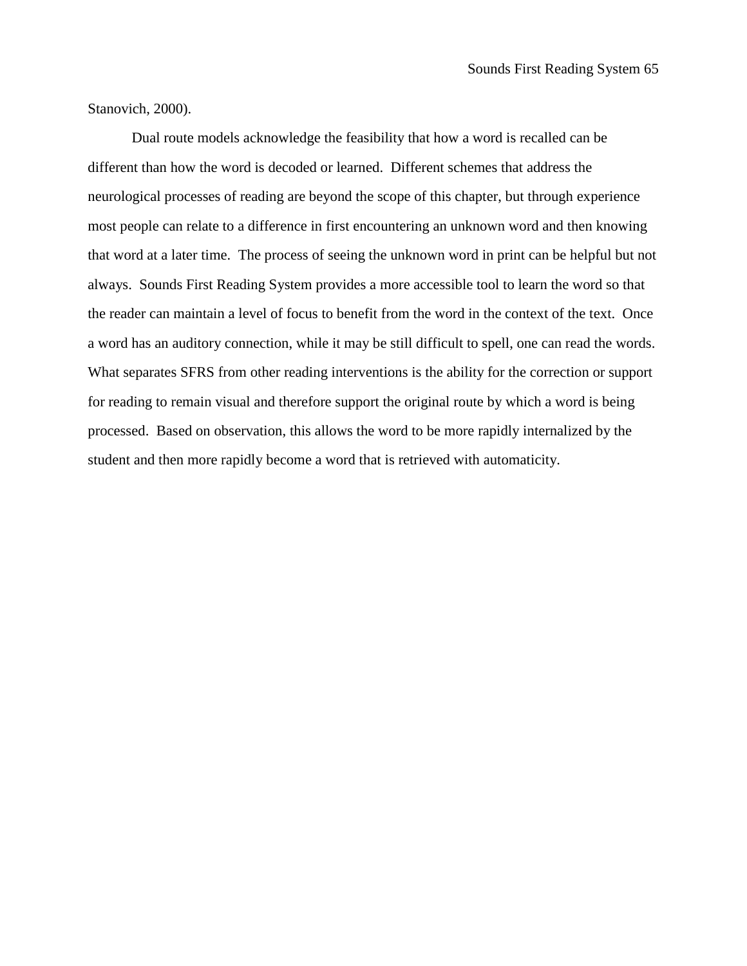Stanovich, 2000).

Dual route models acknowledge the feasibility that how a word is recalled can be different than how the word is decoded or learned. Different schemes that address the neurological processes of reading are beyond the scope of this chapter, but through experience most people can relate to a difference in first encountering an unknown word and then knowing that word at a later time. The process of seeing the unknown word in print can be helpful but not always. Sounds First Reading System provides a more accessible tool to learn the word so that the reader can maintain a level of focus to benefit from the word in the context of the text. Once a word has an auditory connection, while it may be still difficult to spell, one can read the words. What separates SFRS from other reading interventions is the ability for the correction or support for reading to remain visual and therefore support the original route by which a word is being processed. Based on observation, this allows the word to be more rapidly internalized by the student and then more rapidly become a word that is retrieved with automaticity.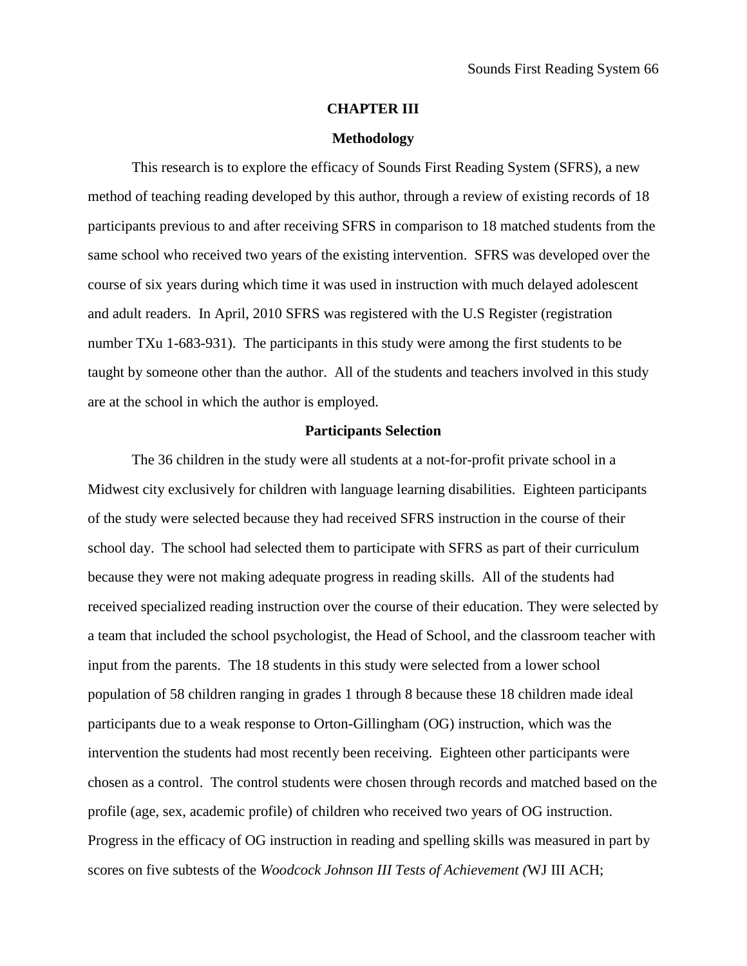### **CHAPTER III**

#### **Methodology**

This research is to explore the efficacy of Sounds First Reading System (SFRS), a new method of teaching reading developed by this author, through a review of existing records of 18 participants previous to and after receiving SFRS in comparison to 18 matched students from the same school who received two years of the existing intervention. SFRS was developed over the course of six years during which time it was used in instruction with much delayed adolescent and adult readers. In April, 2010 SFRS was registered with the U.S Register (registration number TXu 1-683-931). The participants in this study were among the first students to be taught by someone other than the author. All of the students and teachers involved in this study are at the school in which the author is employed.

## **Participants Selection**

The 36 children in the study were all students at a not-for-profit private school in a Midwest city exclusively for children with language learning disabilities. Eighteen participants of the study were selected because they had received SFRS instruction in the course of their school day. The school had selected them to participate with SFRS as part of their curriculum because they were not making adequate progress in reading skills. All of the students had received specialized reading instruction over the course of their education. They were selected by a team that included the school psychologist, the Head of School, and the classroom teacher with input from the parents. The 18 students in this study were selected from a lower school population of 58 children ranging in grades 1 through 8 because these 18 children made ideal participants due to a weak response to Orton-Gillingham (OG) instruction, which was the intervention the students had most recently been receiving. Eighteen other participants were chosen as a control. The control students were chosen through records and matched based on the profile (age, sex, academic profile) of children who received two years of OG instruction. Progress in the efficacy of OG instruction in reading and spelling skills was measured in part by scores on five subtests of the *Woodcock Johnson III Tests of Achievement (*WJ III ACH;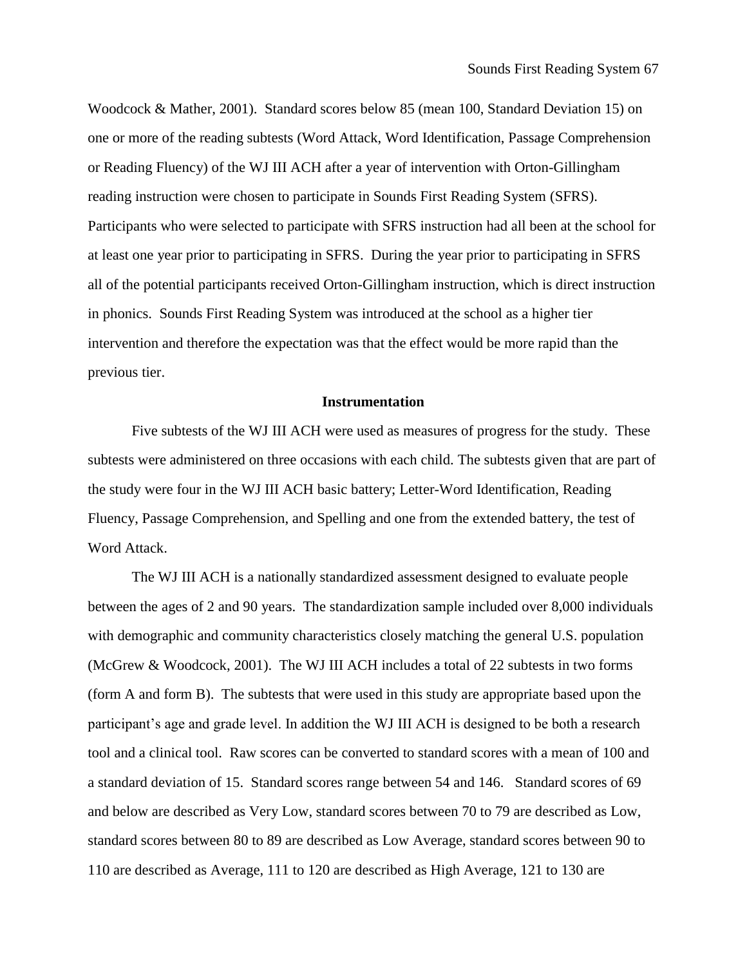Woodcock & Mather, 2001). Standard scores below 85 (mean 100, Standard Deviation 15) on one or more of the reading subtests (Word Attack, Word Identification, Passage Comprehension or Reading Fluency) of the WJ III ACH after a year of intervention with Orton-Gillingham reading instruction were chosen to participate in Sounds First Reading System (SFRS). Participants who were selected to participate with SFRS instruction had all been at the school for at least one year prior to participating in SFRS. During the year prior to participating in SFRS all of the potential participants received Orton-Gillingham instruction, which is direct instruction in phonics. Sounds First Reading System was introduced at the school as a higher tier intervention and therefore the expectation was that the effect would be more rapid than the previous tier.

# **Instrumentation**

Five subtests of the WJ III ACH were used as measures of progress for the study. These subtests were administered on three occasions with each child. The subtests given that are part of the study were four in the WJ III ACH basic battery; Letter-Word Identification, Reading Fluency, Passage Comprehension, and Spelling and one from the extended battery, the test of Word Attack.

The WJ III ACH is a nationally standardized assessment designed to evaluate people between the ages of 2 and 90 years. The standardization sample included over 8,000 individuals with demographic and community characteristics closely matching the general U.S. population (McGrew & Woodcock, 2001). The WJ III ACH includes a total of 22 subtests in two forms (form A and form B). The subtests that were used in this study are appropriate based upon the participant's age and grade level. In addition the WJ III ACH is designed to be both a research tool and a clinical tool. Raw scores can be converted to standard scores with a mean of 100 and a standard deviation of 15. Standard scores range between 54 and 146. Standard scores of 69 and below are described as Very Low, standard scores between 70 to 79 are described as Low, standard scores between 80 to 89 are described as Low Average, standard scores between 90 to 110 are described as Average, 111 to 120 are described as High Average, 121 to 130 are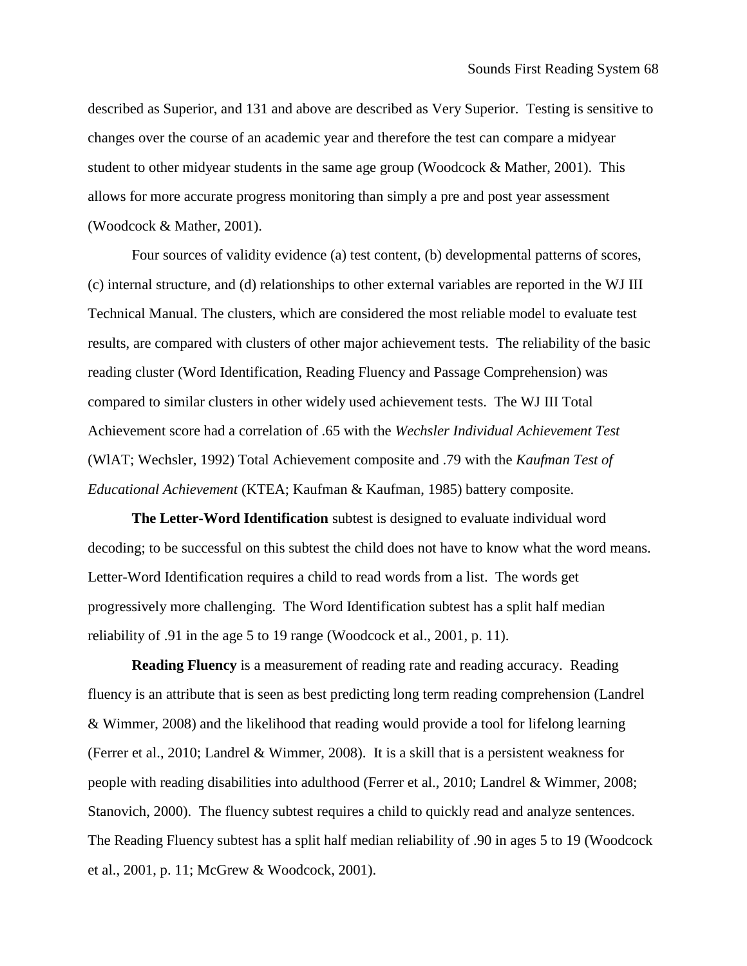described as Superior, and 131 and above are described as Very Superior. Testing is sensitive to changes over the course of an academic year and therefore the test can compare a midyear student to other midyear students in the same age group (Woodcock & Mather, 2001). This allows for more accurate progress monitoring than simply a pre and post year assessment (Woodcock & Mather, 2001).

Four sources of validity evidence (a) test content, (b) developmental patterns of scores, (c) internal structure, and (d) relationships to other external variables are reported in the WJ III Technical Manual. The clusters, which are considered the most reliable model to evaluate test results, are compared with clusters of other major achievement tests. The reliability of the basic reading cluster (Word Identification, Reading Fluency and Passage Comprehension) was compared to similar clusters in other widely used achievement tests. The WJ III Total Achievement score had a correlation of .65 with the *Wechsler Individual Achievement Test* (WlAT; Wechsler, 1992) Total Achievement composite and .79 with the *Kaufman Test of Educational Achievement* (KTEA; Kaufman & Kaufman, 1985) battery composite.

**The Letter-Word Identification** subtest is designed to evaluate individual word decoding; to be successful on this subtest the child does not have to know what the word means. Letter-Word Identification requires a child to read words from a list. The words get progressively more challenging. The Word Identification subtest has a split half median reliability of .91 in the age 5 to 19 range (Woodcock et al., 2001, p. 11).

**Reading Fluency** is a measurement of reading rate and reading accuracy. Reading fluency is an attribute that is seen as best predicting long term reading comprehension (Landrel & Wimmer, 2008) and the likelihood that reading would provide a tool for lifelong learning (Ferrer et al., 2010; Landrel & Wimmer, 2008). It is a skill that is a persistent weakness for people with reading disabilities into adulthood (Ferrer et al., 2010; Landrel & Wimmer, 2008; Stanovich, 2000). The fluency subtest requires a child to quickly read and analyze sentences. The Reading Fluency subtest has a split half median reliability of .90 in ages 5 to 19 (Woodcock et al., 2001, p. 11; McGrew & Woodcock, 2001).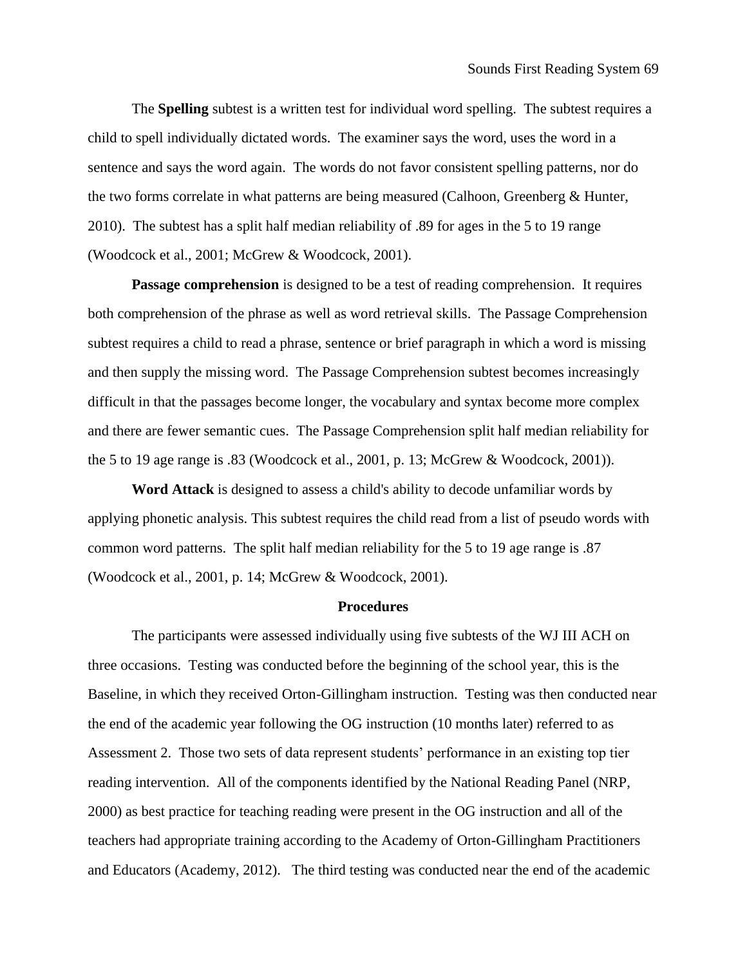The **Spelling** subtest is a written test for individual word spelling. The subtest requires a child to spell individually dictated words. The examiner says the word, uses the word in a sentence and says the word again. The words do not favor consistent spelling patterns, nor do the two forms correlate in what patterns are being measured (Calhoon, Greenberg & Hunter, 2010). The subtest has a split half median reliability of .89 for ages in the 5 to 19 range (Woodcock et al., 2001; McGrew & Woodcock, 2001).

**Passage comprehension** is designed to be a test of reading comprehension. It requires both comprehension of the phrase as well as word retrieval skills. The Passage Comprehension subtest requires a child to read a phrase, sentence or brief paragraph in which a word is missing and then supply the missing word. The Passage Comprehension subtest becomes increasingly difficult in that the passages become longer, the vocabulary and syntax become more complex and there are fewer semantic cues. The Passage Comprehension split half median reliability for the 5 to 19 age range is .83 (Woodcock et al., 2001, p. 13; McGrew & Woodcock, 2001)).

**Word Attack** is designed to assess a child's ability to decode unfamiliar words by applying phonetic analysis. This subtest requires the child read from a list of pseudo words with common word patterns. The split half median reliability for the 5 to 19 age range is .87 (Woodcock et al., 2001, p. 14; McGrew & Woodcock, 2001).

## **Procedures**

The participants were assessed individually using five subtests of the WJ III ACH on three occasions. Testing was conducted before the beginning of the school year, this is the Baseline, in which they received Orton-Gillingham instruction. Testing was then conducted near the end of the academic year following the OG instruction (10 months later) referred to as Assessment 2. Those two sets of data represent students' performance in an existing top tier reading intervention. All of the components identified by the National Reading Panel (NRP, 2000) as best practice for teaching reading were present in the OG instruction and all of the teachers had appropriate training according to the Academy of Orton-Gillingham Practitioners and Educators (Academy, 2012). The third testing was conducted near the end of the academic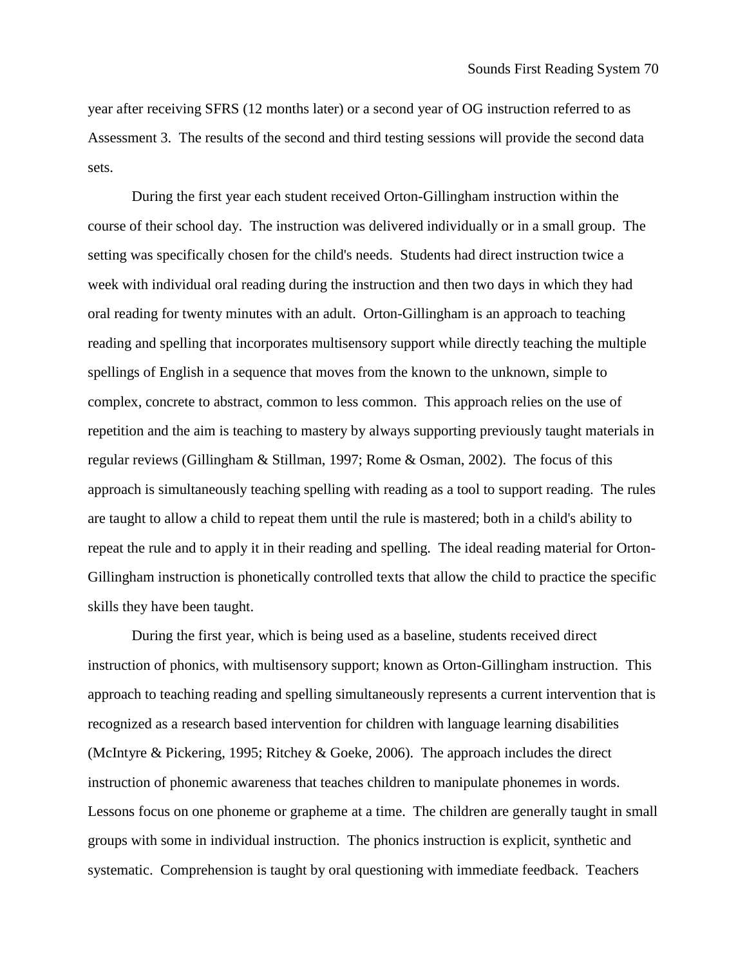year after receiving SFRS (12 months later) or a second year of OG instruction referred to as Assessment 3. The results of the second and third testing sessions will provide the second data sets.

During the first year each student received Orton-Gillingham instruction within the course of their school day. The instruction was delivered individually or in a small group. The setting was specifically chosen for the child's needs. Students had direct instruction twice a week with individual oral reading during the instruction and then two days in which they had oral reading for twenty minutes with an adult. Orton-Gillingham is an approach to teaching reading and spelling that incorporates multisensory support while directly teaching the multiple spellings of English in a sequence that moves from the known to the unknown, simple to complex, concrete to abstract, common to less common. This approach relies on the use of repetition and the aim is teaching to mastery by always supporting previously taught materials in regular reviews (Gillingham & Stillman, 1997; Rome & Osman, 2002). The focus of this approach is simultaneously teaching spelling with reading as a tool to support reading. The rules are taught to allow a child to repeat them until the rule is mastered; both in a child's ability to repeat the rule and to apply it in their reading and spelling. The ideal reading material for Orton-Gillingham instruction is phonetically controlled texts that allow the child to practice the specific skills they have been taught.

During the first year, which is being used as a baseline, students received direct instruction of phonics, with multisensory support; known as Orton-Gillingham instruction. This approach to teaching reading and spelling simultaneously represents a current intervention that is recognized as a research based intervention for children with language learning disabilities (McIntyre & Pickering, 1995; Ritchey & Goeke, 2006). The approach includes the direct instruction of phonemic awareness that teaches children to manipulate phonemes in words. Lessons focus on one phoneme or grapheme at a time. The children are generally taught in small groups with some in individual instruction. The phonics instruction is explicit, synthetic and systematic. Comprehension is taught by oral questioning with immediate feedback. Teachers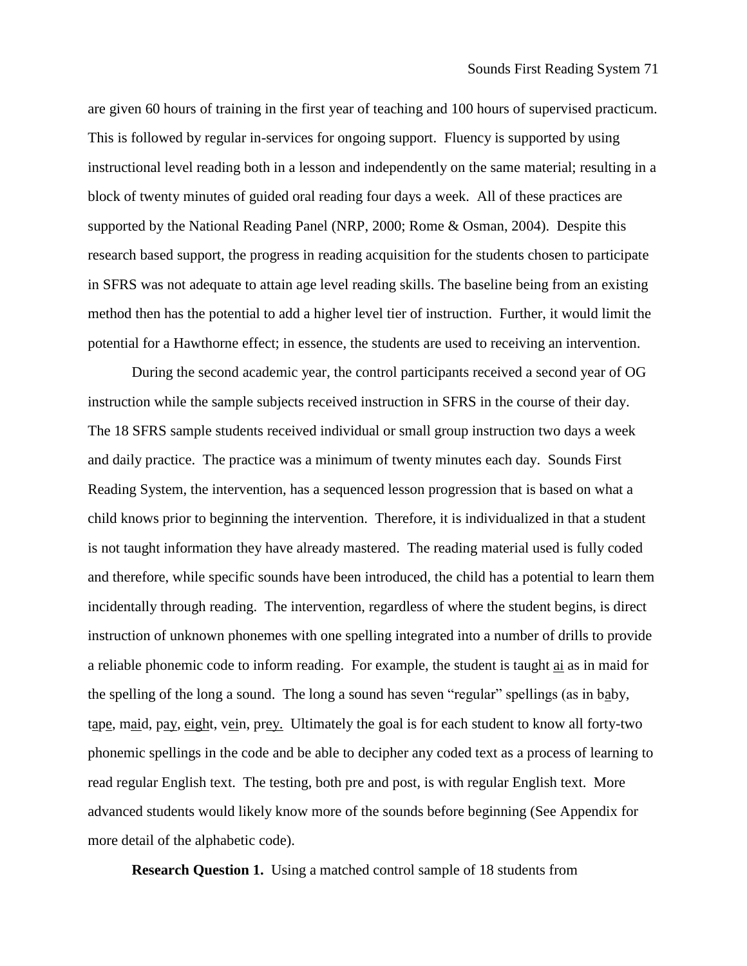are given 60 hours of training in the first year of teaching and 100 hours of supervised practicum. This is followed by regular in-services for ongoing support. Fluency is supported by using instructional level reading both in a lesson and independently on the same material; resulting in a block of twenty minutes of guided oral reading four days a week. All of these practices are supported by the National Reading Panel (NRP, 2000; Rome & Osman, 2004). Despite this research based support, the progress in reading acquisition for the students chosen to participate in SFRS was not adequate to attain age level reading skills. The baseline being from an existing method then has the potential to add a higher level tier of instruction. Further, it would limit the potential for a Hawthorne effect; in essence, the students are used to receiving an intervention.

During the second academic year, the control participants received a second year of OG instruction while the sample subjects received instruction in SFRS in the course of their day. The 18 SFRS sample students received individual or small group instruction two days a week and daily practice. The practice was a minimum of twenty minutes each day. Sounds First Reading System, the intervention, has a sequenced lesson progression that is based on what a child knows prior to beginning the intervention. Therefore, it is individualized in that a student is not taught information they have already mastered. The reading material used is fully coded and therefore, while specific sounds have been introduced, the child has a potential to learn them incidentally through reading. The intervention, regardless of where the student begins, is direct instruction of unknown phonemes with one spelling integrated into a number of drills to provide a reliable phonemic code to inform reading. For example, the student is taught ai as in maid for the spelling of the long a sound. The long a sound has seven "regular" spellings (as in baby, tape, maid, pay, eight, vein, prey. Ultimately the goal is for each student to know all forty-two phonemic spellings in the code and be able to decipher any coded text as a process of learning to read regular English text. The testing, both pre and post, is with regular English text. More advanced students would likely know more of the sounds before beginning (See Appendix for more detail of the alphabetic code).

**Research Question 1.** Using a matched control sample of 18 students from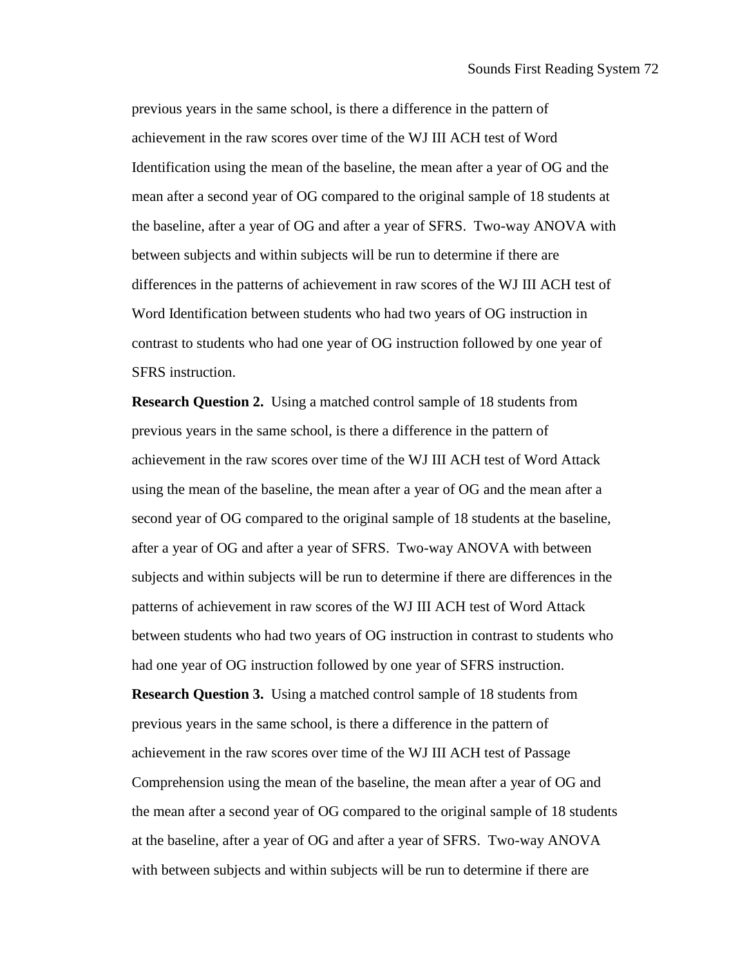previous years in the same school, is there a difference in the pattern of achievement in the raw scores over time of the WJ III ACH test of Word Identification using the mean of the baseline, the mean after a year of OG and the mean after a second year of OG compared to the original sample of 18 students at the baseline, after a year of OG and after a year of SFRS. Two-way ANOVA with between subjects and within subjects will be run to determine if there are differences in the patterns of achievement in raw scores of the WJ III ACH test of Word Identification between students who had two years of OG instruction in contrast to students who had one year of OG instruction followed by one year of SFRS instruction.

**Research Question 2.** Using a matched control sample of 18 students from previous years in the same school, is there a difference in the pattern of achievement in the raw scores over time of the WJ III ACH test of Word Attack using the mean of the baseline, the mean after a year of OG and the mean after a second year of OG compared to the original sample of 18 students at the baseline, after a year of OG and after a year of SFRS. Two-way ANOVA with between subjects and within subjects will be run to determine if there are differences in the patterns of achievement in raw scores of the WJ III ACH test of Word Attack between students who had two years of OG instruction in contrast to students who had one year of OG instruction followed by one year of SFRS instruction. **Research Question 3.** Using a matched control sample of 18 students from previous years in the same school, is there a difference in the pattern of achievement in the raw scores over time of the WJ III ACH test of Passage Comprehension using the mean of the baseline, the mean after a year of OG and the mean after a second year of OG compared to the original sample of 18 students

at the baseline, after a year of OG and after a year of SFRS. Two-way ANOVA

with between subjects and within subjects will be run to determine if there are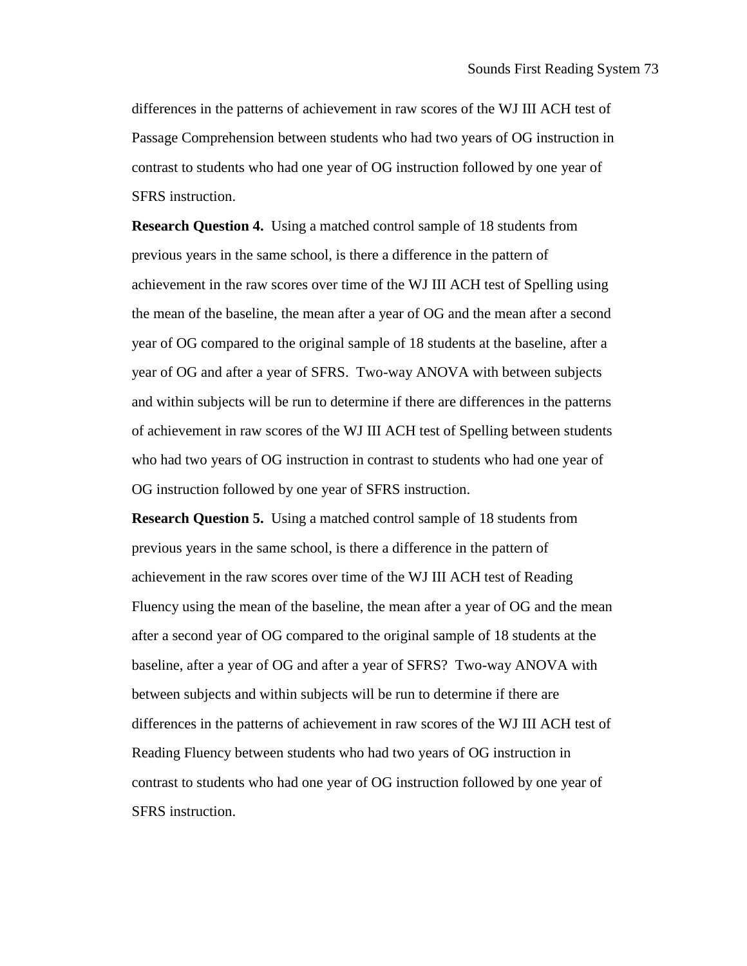differences in the patterns of achievement in raw scores of the WJ III ACH test of Passage Comprehension between students who had two years of OG instruction in contrast to students who had one year of OG instruction followed by one year of SFRS instruction.

**Research Question 4.** Using a matched control sample of 18 students from previous years in the same school, is there a difference in the pattern of achievement in the raw scores over time of the WJ III ACH test of Spelling using the mean of the baseline, the mean after a year of OG and the mean after a second year of OG compared to the original sample of 18 students at the baseline, after a year of OG and after a year of SFRS. Two-way ANOVA with between subjects and within subjects will be run to determine if there are differences in the patterns of achievement in raw scores of the WJ III ACH test of Spelling between students who had two years of OG instruction in contrast to students who had one year of OG instruction followed by one year of SFRS instruction.

**Research Question 5.** Using a matched control sample of 18 students from previous years in the same school, is there a difference in the pattern of achievement in the raw scores over time of the WJ III ACH test of Reading Fluency using the mean of the baseline, the mean after a year of OG and the mean after a second year of OG compared to the original sample of 18 students at the baseline, after a year of OG and after a year of SFRS? Two-way ANOVA with between subjects and within subjects will be run to determine if there are differences in the patterns of achievement in raw scores of the WJ III ACH test of Reading Fluency between students who had two years of OG instruction in contrast to students who had one year of OG instruction followed by one year of SFRS instruction.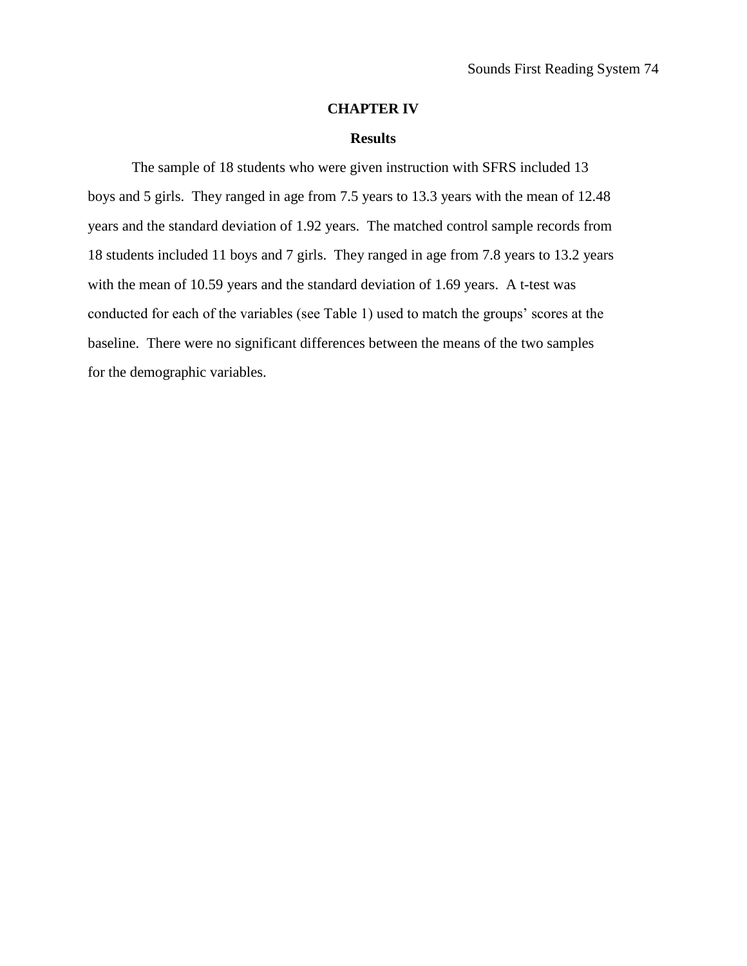## **CHAPTER IV**

### **Results**

The sample of 18 students who were given instruction with SFRS included 13 boys and 5 girls. They ranged in age from 7.5 years to 13.3 years with the mean of 12.48 years and the standard deviation of 1.92 years. The matched control sample records from 18 students included 11 boys and 7 girls. They ranged in age from 7.8 years to 13.2 years with the mean of 10.59 years and the standard deviation of 1.69 years. A t-test was conducted for each of the variables (see Table 1) used to match the groups' scores at the baseline. There were no significant differences between the means of the two samples for the demographic variables.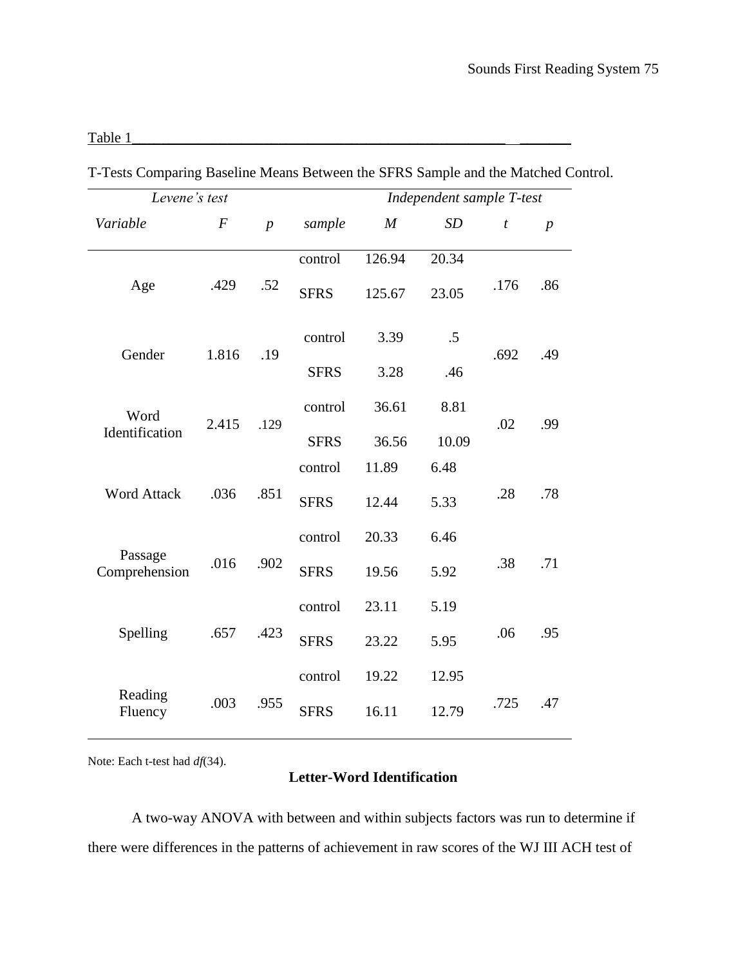## Table  $1$

| Levene's test            |                  |                  |             |        | Independent sample T-test |                  |                  |
|--------------------------|------------------|------------------|-------------|--------|---------------------------|------------------|------------------|
| Variable                 | $\boldsymbol{F}$ | $\boldsymbol{p}$ | sample      | M      | SD                        | $\boldsymbol{t}$ | $\boldsymbol{p}$ |
|                          |                  |                  | control     | 126.94 | 20.34                     |                  |                  |
| Age                      | .429             | .52              | <b>SFRS</b> | 125.67 | 23.05                     | .176             | .86              |
|                          |                  |                  | control     | 3.39   | .5                        |                  |                  |
| Gender                   | 1.816            | .19              | <b>SFRS</b> | 3.28   | .46                       | .692             | .49              |
| Word                     |                  |                  | control     | 36.61  | 8.81                      |                  |                  |
| Identification           | 2.415            | .129             | <b>SFRS</b> | 36.56  | 10.09                     | .02              | .99              |
|                          |                  |                  | control     | 11.89  | 6.48                      |                  |                  |
| <b>Word Attack</b>       | .036             | .851             | <b>SFRS</b> | 12.44  | 5.33                      | .28              | .78              |
|                          |                  |                  | control     | 20.33  | 6.46                      |                  |                  |
| Passage<br>Comprehension | .016             | .902             | <b>SFRS</b> | 19.56  | 5.92                      | .38              | .71              |
|                          |                  |                  | control     | 23.11  | 5.19                      |                  |                  |
| Spelling                 | .657             | .423             | <b>SFRS</b> | 23.22  | 5.95                      | .06              | .95              |
|                          |                  |                  | control     | 19.22  | 12.95                     |                  |                  |
| Reading<br>Fluency       | .003             | .955             | <b>SFRS</b> | 16.11  | 12.79                     | .725             | .47              |

T-Tests Comparing Baseline Means Between the SFRS Sample and the Matched Control.

Note: Each t-test had *df*(34).

## **Letter-Word Identification**

A two-way ANOVA with between and within subjects factors was run to determine if there were differences in the patterns of achievement in raw scores of the WJ III ACH test of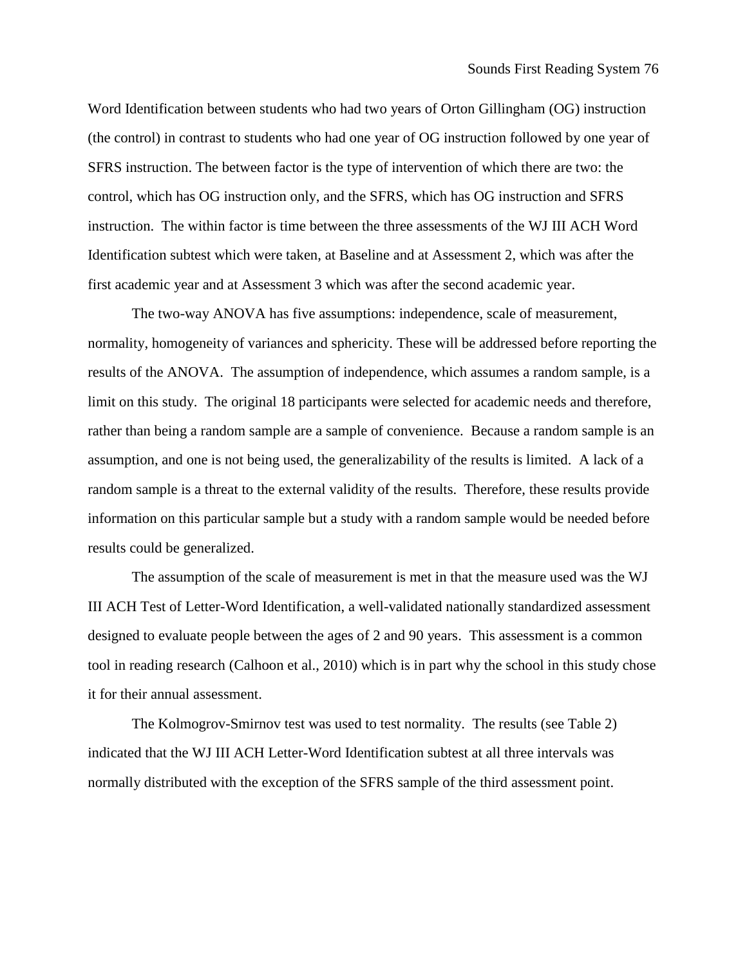Word Identification between students who had two years of Orton Gillingham (OG) instruction (the control) in contrast to students who had one year of OG instruction followed by one year of SFRS instruction. The between factor is the type of intervention of which there are two: the control, which has OG instruction only, and the SFRS, which has OG instruction and SFRS instruction. The within factor is time between the three assessments of the WJ III ACH Word Identification subtest which were taken, at Baseline and at Assessment 2, which was after the first academic year and at Assessment 3 which was after the second academic year.

The two-way ANOVA has five assumptions: independence, scale of measurement, normality, homogeneity of variances and sphericity. These will be addressed before reporting the results of the ANOVA. The assumption of independence, which assumes a random sample, is a limit on this study. The original 18 participants were selected for academic needs and therefore, rather than being a random sample are a sample of convenience. Because a random sample is an assumption, and one is not being used, the generalizability of the results is limited. A lack of a random sample is a threat to the external validity of the results. Therefore, these results provide information on this particular sample but a study with a random sample would be needed before results could be generalized.

The assumption of the scale of measurement is met in that the measure used was the WJ III ACH Test of Letter-Word Identification, a well-validated nationally standardized assessment designed to evaluate people between the ages of 2 and 90 years. This assessment is a common tool in reading research (Calhoon et al., 2010) which is in part why the school in this study chose it for their annual assessment.

The Kolmogrov-Smirnov test was used to test normality. The results (see Table 2) indicated that the WJ III ACH Letter-Word Identification subtest at all three intervals was normally distributed with the exception of the SFRS sample of the third assessment point.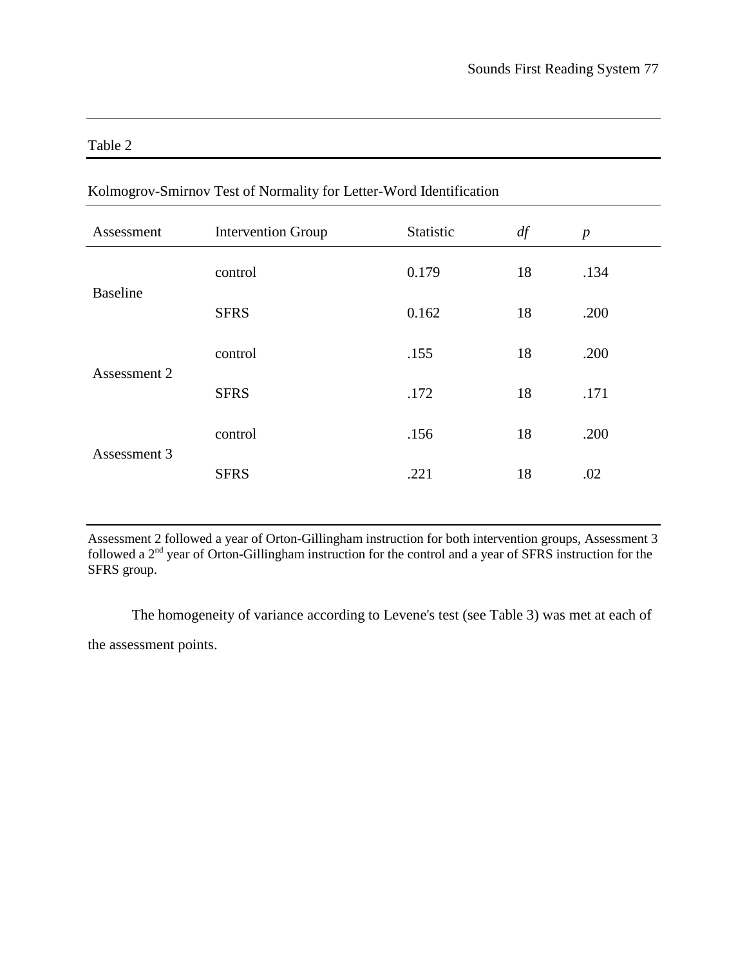| m<br>.,<br>Π |  |
|--------------|--|
|--------------|--|

| Assessment      | <b>Intervention Group</b> | Statistic | df | $\boldsymbol{p}$ |
|-----------------|---------------------------|-----------|----|------------------|
|                 | control                   | 0.179     | 18 | .134             |
| <b>Baseline</b> | <b>SFRS</b>               | 0.162     | 18 | .200             |
|                 | control                   | .155      | 18 | .200             |
| Assessment 2    | <b>SFRS</b>               | .172      | 18 | .171             |
|                 | control                   | .156      | 18 | .200             |
| Assessment 3    | <b>SFRS</b>               | .221      | 18 | .02              |

## Kolmogrov-Smirnov Test of Normality for Letter-Word Identification

Assessment 2 followed a year of Orton-Gillingham instruction for both intervention groups, Assessment 3 followed a 2<sup>nd</sup> year of Orton-Gillingham instruction for the control and a year of SFRS instruction for the SFRS group.

The homogeneity of variance according to Levene's test (see Table 3) was met at each of the assessment points.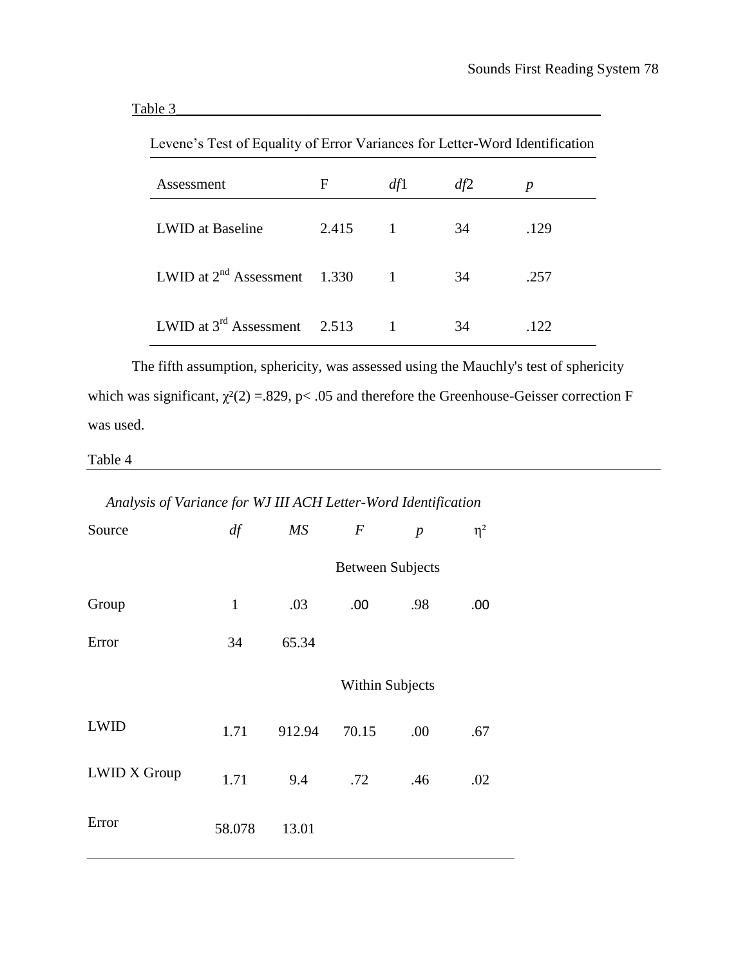| Levene s I est of Equality of Error variances for Letter-word Identification |       |              |     |      |
|------------------------------------------------------------------------------|-------|--------------|-----|------|
| Assessment                                                                   | F     | df1          | df2 | p    |
| LWID at Baseline                                                             | 2.415 | $\mathbf{1}$ | 34  | .129 |
| LWID at $2^{nd}$ Assessment 1.330                                            |       |              | 34  | .257 |
| LWID at $3^{rd}$ Assessment 2.513                                            |       |              | 34  | .122 |

Levene's Test of Equality of Error Variances for Letter-Word Identification

The fifth assumption, sphericity, was assessed using the Mauchly's test of sphericity which was significant,  $\chi^2(2) = 829$ , p< .05 and therefore the Greenhouse-Geisser correction F was used.

## Table 4

## *Analysis of Variance for WJ III ACH Letter-Word Identification*

| Source              | df           | MS     | $\boldsymbol{F}$        | $\boldsymbol{p}$ | $\eta^2$ |
|---------------------|--------------|--------|-------------------------|------------------|----------|
|                     |              |        | <b>Between Subjects</b> |                  |          |
| Group               | $\mathbf{1}$ | .03    | .00.                    | .98              | .00      |
| Error               | 34           | 65.34  |                         |                  |          |
|                     |              |        | <b>Within Subjects</b>  |                  |          |
| <b>LWID</b>         | 1.71         | 912.94 | 70.15                   | .00              | .67      |
| <b>LWID X Group</b> | 1.71         | 9.4    | .72                     | .46              | .02      |
| Error               | 58.078       | 13.01  |                         |                  |          |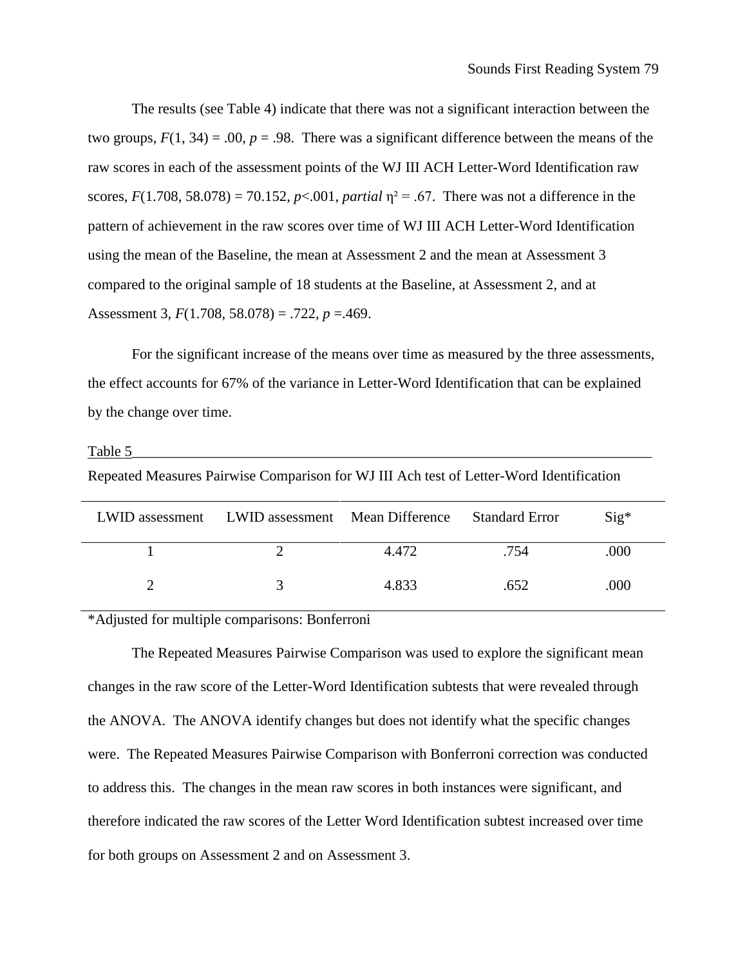The results (see Table 4) indicate that there was not a significant interaction between the two groups,  $F(1, 34) = .00$ ,  $p = .98$ . There was a significant difference between the means of the raw scores in each of the assessment points of the WJ III ACH Letter-Word Identification raw scores,  $F(1.708, 58.078) = 70.152$ ,  $p < .001$ , *partial*  $\eta^2 = .67$ . There was not a difference in the pattern of achievement in the raw scores over time of WJ III ACH Letter-Word Identification using the mean of the Baseline, the mean at Assessment 2 and the mean at Assessment 3 compared to the original sample of 18 students at the Baseline, at Assessment 2, and at Assessment 3, *F*(1.708, 58.078) = .722, *p* =.469.

For the significant increase of the means over time as measured by the three assessments, the effect accounts for 67% of the variance in Letter-Word Identification that can be explained by the change over time.

| Repeated Measures Pairwise Comparison for WJ III Ach test of Letter-Word Identification |                                                 |       |                       |               |
|-----------------------------------------------------------------------------------------|-------------------------------------------------|-------|-----------------------|---------------|
|                                                                                         | LWID assessment LWID assessment Mean Difference |       | <b>Standard Error</b> | $\text{Sig*}$ |
|                                                                                         |                                                 | 4.472 | .754                  | .000          |

2 3 4.833 .652 .000

Table 5\_\_\_\_\_\_\_\_\_\_\_\_\_\_\_\_\_\_\_\_\_\_\_\_\_\_\_\_\_\_\_\_\_\_\_\_\_\_\_\_\_\_\_\_\_\_\_\_\_\_\_\_\_\_\_\_\_\_\_\_\_\_\_\_\_\_\_\_\_\_\_

\*Adjusted for multiple comparisons: Bonferroni

The Repeated Measures Pairwise Comparison was used to explore the significant mean changes in the raw score of the Letter-Word Identification subtests that were revealed through the ANOVA. The ANOVA identify changes but does not identify what the specific changes were. The Repeated Measures Pairwise Comparison with Bonferroni correction was conducted to address this. The changes in the mean raw scores in both instances were significant, and therefore indicated the raw scores of the Letter Word Identification subtest increased over time for both groups on Assessment 2 and on Assessment 3.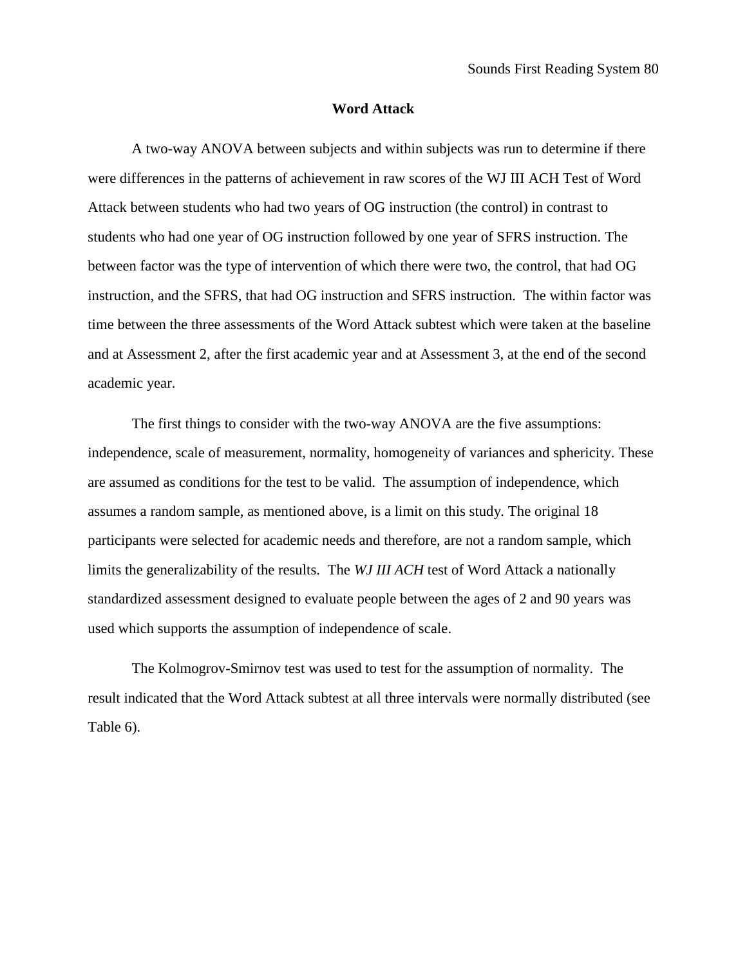### **Word Attack**

A two-way ANOVA between subjects and within subjects was run to determine if there were differences in the patterns of achievement in raw scores of the WJ III ACH Test of Word Attack between students who had two years of OG instruction (the control) in contrast to students who had one year of OG instruction followed by one year of SFRS instruction. The between factor was the type of intervention of which there were two, the control, that had OG instruction, and the SFRS, that had OG instruction and SFRS instruction. The within factor was time between the three assessments of the Word Attack subtest which were taken at the baseline and at Assessment 2, after the first academic year and at Assessment 3, at the end of the second academic year.

The first things to consider with the two-way ANOVA are the five assumptions: independence, scale of measurement, normality, homogeneity of variances and sphericity. These are assumed as conditions for the test to be valid. The assumption of independence, which assumes a random sample, as mentioned above, is a limit on this study. The original 18 participants were selected for academic needs and therefore, are not a random sample, which limits the generalizability of the results. The *WJ III ACH* test of Word Attack a nationally standardized assessment designed to evaluate people between the ages of 2 and 90 years was used which supports the assumption of independence of scale.

The Kolmogrov-Smirnov test was used to test for the assumption of normality. The result indicated that the Word Attack subtest at all three intervals were normally distributed (see Table 6).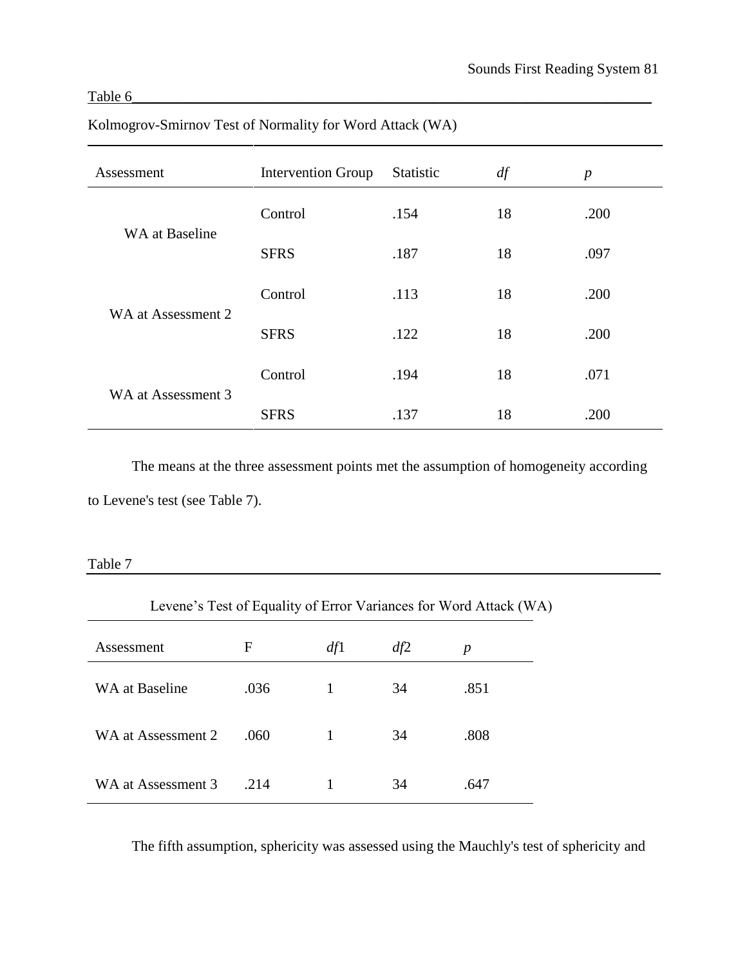# Table  $6_\perp$

| Assessment         | <b>Intervention Group</b> | Statistic | df | $\boldsymbol{p}$ |
|--------------------|---------------------------|-----------|----|------------------|
|                    | Control                   | .154      | 18 | .200             |
| WA at Baseline     | <b>SFRS</b>               | .187      | 18 | .097             |
|                    | Control                   | .113      | 18 | .200             |
| WA at Assessment 2 | <b>SFRS</b>               | .122      | 18 | .200             |
|                    | Control                   | .194      | 18 | .071             |
| WA at Assessment 3 | <b>SFRS</b>               | .137      | 18 | .200             |

## Kolmogrov-Smirnov Test of Normality for Word Attack (WA)

The means at the three assessment points met the assumption of homogeneity according to Levene's test (see Table 7).

<u> 1980 - Johann Barn, mars ann an t-Amhain Aonaich an t-Aonaich an t-Aonaich ann an t-Aonaich ann an t-Aonaich</u>

## Table 7

| Levene's Test of Equality of Error Variances for Word Attack (WA) |      |     |     |      |
|-------------------------------------------------------------------|------|-----|-----|------|
| Assessment                                                        | F    | df1 | df2 | p    |
| WA at Baseline                                                    | .036 |     | 34  | .851 |
| WA at Assessment 2                                                | .060 |     | 34  | .808 |
| WA at Assessment 3                                                | .214 |     | 34  | .647 |

The fifth assumption, sphericity was assessed using the Mauchly's test of sphericity and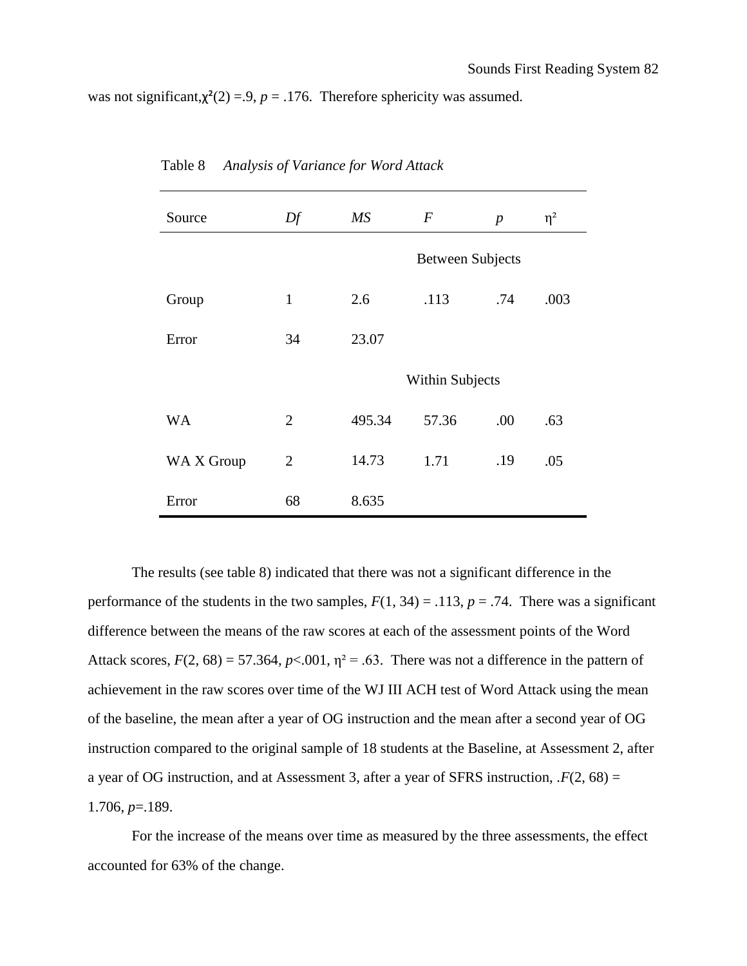was not significant, $\chi^2(2) = 9$ ,  $p = .176$ . Therefore sphericity was assumed.

| Source     | Df             | MS     | $\boldsymbol{F}$        | $\boldsymbol{p}$ | $\eta^2$ |
|------------|----------------|--------|-------------------------|------------------|----------|
|            |                |        | <b>Between Subjects</b> |                  |          |
| Group      | $\mathbf{1}$   | 2.6    | .113                    | .74              | .003     |
| Error      | 34             | 23.07  |                         |                  |          |
|            |                |        | <b>Within Subjects</b>  |                  |          |
| <b>WA</b>  | $\overline{2}$ | 495.34 | 57.36                   | .00              | .63      |
| WA X Group | $\overline{2}$ | 14.73  | 1.71                    | .19              | .05      |
| Error      | 68             | 8.635  |                         |                  |          |

Table 8 *Analysis of Variance for Word Attack*

The results (see table 8) indicated that there was not a significant difference in the performance of the students in the two samples,  $F(1, 34) = .113$ ,  $p = .74$ . There was a significant difference between the means of the raw scores at each of the assessment points of the Word Attack scores,  $F(2, 68) = 57.364$ ,  $p < .001$ ,  $\eta^2 = .63$ . There was not a difference in the pattern of achievement in the raw scores over time of the WJ III ACH test of Word Attack using the mean of the baseline, the mean after a year of OG instruction and the mean after a second year of OG instruction compared to the original sample of 18 students at the Baseline, at Assessment 2, after a year of OG instruction, and at Assessment 3, after a year of SFRS instruction,  $F(2, 68) =$ 1.706, *p*=.189.

For the increase of the means over time as measured by the three assessments, the effect accounted for 63% of the change.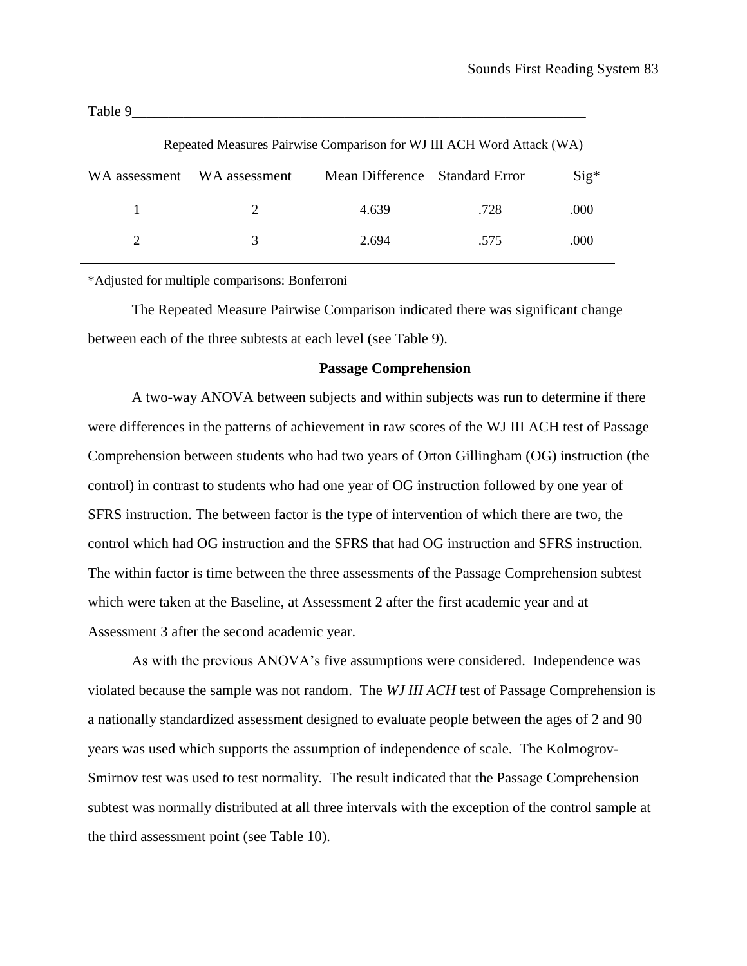| WA assessment WA assessment | Mean Difference Standard Error |      | $Sig^*$ |
|-----------------------------|--------------------------------|------|---------|
|                             | 4.639                          | .728 | .000    |
|                             | 2.694                          | .575 | .000    |

Repeated Measures Pairwise Comparison for WJ III ACH Word Attack (WA)

\*Adjusted for multiple comparisons: Bonferroni

The Repeated Measure Pairwise Comparison indicated there was significant change between each of the three subtests at each level (see Table 9).

#### **Passage Comprehension**

A two-way ANOVA between subjects and within subjects was run to determine if there were differences in the patterns of achievement in raw scores of the WJ III ACH test of Passage Comprehension between students who had two years of Orton Gillingham (OG) instruction (the control) in contrast to students who had one year of OG instruction followed by one year of SFRS instruction. The between factor is the type of intervention of which there are two, the control which had OG instruction and the SFRS that had OG instruction and SFRS instruction. The within factor is time between the three assessments of the Passage Comprehension subtest which were taken at the Baseline, at Assessment 2 after the first academic year and at Assessment 3 after the second academic year.

As with the previous ANOVA's five assumptions were considered. Independence was violated because the sample was not random. The *WJ III ACH* test of Passage Comprehension is a nationally standardized assessment designed to evaluate people between the ages of 2 and 90 years was used which supports the assumption of independence of scale. The Kolmogrov-Smirnov test was used to test normality. The result indicated that the Passage Comprehension subtest was normally distributed at all three intervals with the exception of the control sample at the third assessment point (see Table 10).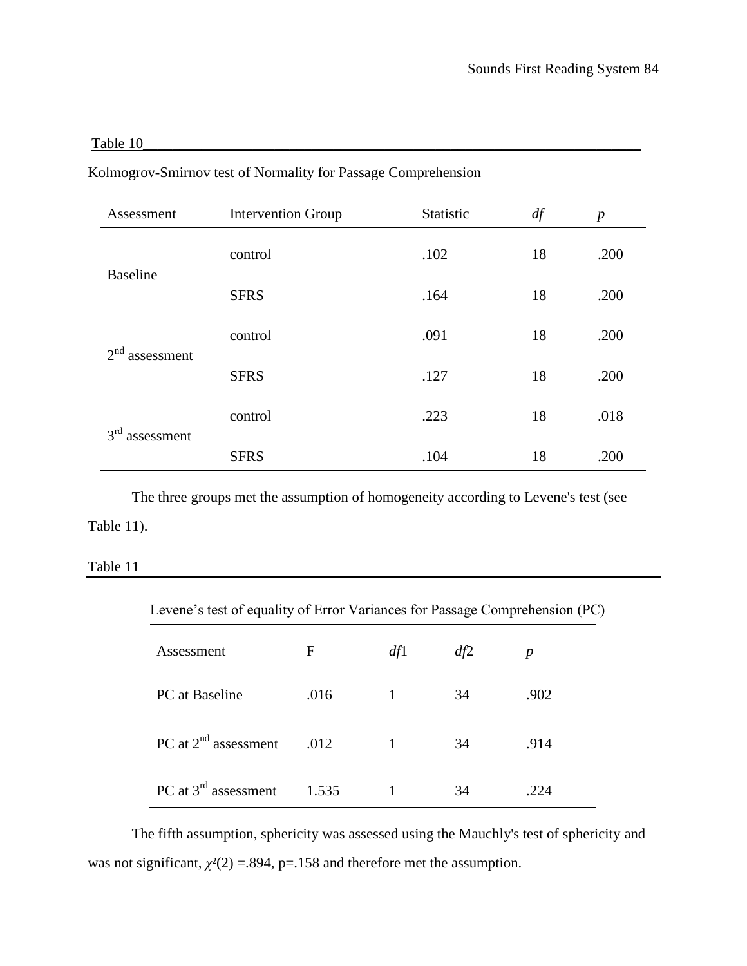## Table 10\_\_\_\_\_\_\_\_\_\_\_\_\_\_\_\_\_\_\_\_\_\_\_\_\_\_\_\_\_\_\_\_\_\_\_\_\_\_\_\_\_\_\_\_\_\_\_\_\_\_\_\_\_\_\_\_\_\_\_\_\_\_\_\_\_\_\_\_

| Assessment                    | <b>Intervention Group</b> | Statistic | df | $\boldsymbol{p}$ |
|-------------------------------|---------------------------|-----------|----|------------------|
|                               | control                   | .102      | 18 | .200             |
| <b>Baseline</b>               | <b>SFRS</b>               | .164      | 18 | .200             |
|                               | control                   | .091      | 18 | .200             |
| 2 <sup>nd</sup><br>assessment | <b>SFRS</b>               | .127      | 18 | .200             |
|                               | control                   | .223      | 18 | .018             |
| 3 <sup>rd</sup><br>assessment | <b>SFRS</b>               | .104      | 18 | .200             |

Kolmogrov-Smirnov test of Normality for Passage Comprehension

The three groups met the assumption of homogeneity according to Levene's test (see Table 11).

#### Table 11

| Levene's test of equality of Error Variances for Passage Comprehension (PC) |       |     |     |      |  |
|-----------------------------------------------------------------------------|-------|-----|-----|------|--|
| Assessment                                                                  | F     | df1 | df2 | p    |  |
| PC at Baseline                                                              | .016  |     | 34  | .902 |  |
| PC at $2nd$ assessment                                                      | .012  |     | 34  | .914 |  |
| PC at $3rd$ assessment                                                      | 1.535 |     | 34  | 224  |  |

The fifth assumption, sphericity was assessed using the Mauchly's test of sphericity and was not significant,  $\chi^2(2) = 0.894$ , p=.158 and therefore met the assumption.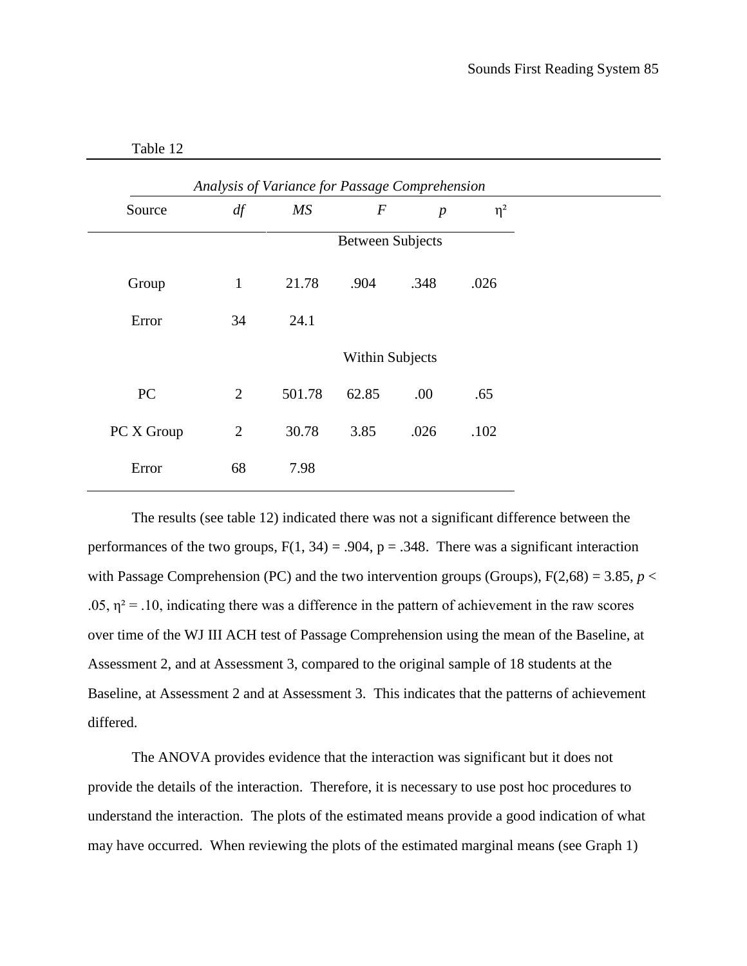| Table |  |
|-------|--|
|-------|--|

|            |                | Analysis of Variance for Passage Comprehension |                         |                  |          |
|------------|----------------|------------------------------------------------|-------------------------|------------------|----------|
| Source     | df             | MS                                             | $\boldsymbol{F}$        | $\boldsymbol{p}$ | $\eta^2$ |
|            |                |                                                | <b>Between Subjects</b> |                  |          |
| Group      | $\mathbf{1}$   | 21.78                                          | .904                    | .348             | .026     |
| Error      | 34             | 24.1                                           |                         |                  |          |
|            |                |                                                | <b>Within Subjects</b>  |                  |          |
| PC         | $\overline{2}$ | 501.78                                         | 62.85                   | .00              | .65      |
| PC X Group | $\overline{2}$ | 30.78                                          | 3.85                    | .026             | .102     |
| Error      | 68             | 7.98                                           |                         |                  |          |

The results (see table 12) indicated there was not a significant difference between the performances of the two groups,  $F(1, 34) = .904$ ,  $p = .348$ . There was a significant interaction with Passage Comprehension (PC) and the two intervention groups (Groups),  $F(2,68) = 3.85$ ,  $p <$ .05,  $\eta^2$  = .10, indicating there was a difference in the pattern of achievement in the raw scores over time of the WJ III ACH test of Passage Comprehension using the mean of the Baseline, at Assessment 2, and at Assessment 3, compared to the original sample of 18 students at the Baseline, at Assessment 2 and at Assessment 3. This indicates that the patterns of achievement differed.

The ANOVA provides evidence that the interaction was significant but it does not provide the details of the interaction. Therefore, it is necessary to use post hoc procedures to understand the interaction. The plots of the estimated means provide a good indication of what may have occurred. When reviewing the plots of the estimated marginal means (see Graph 1)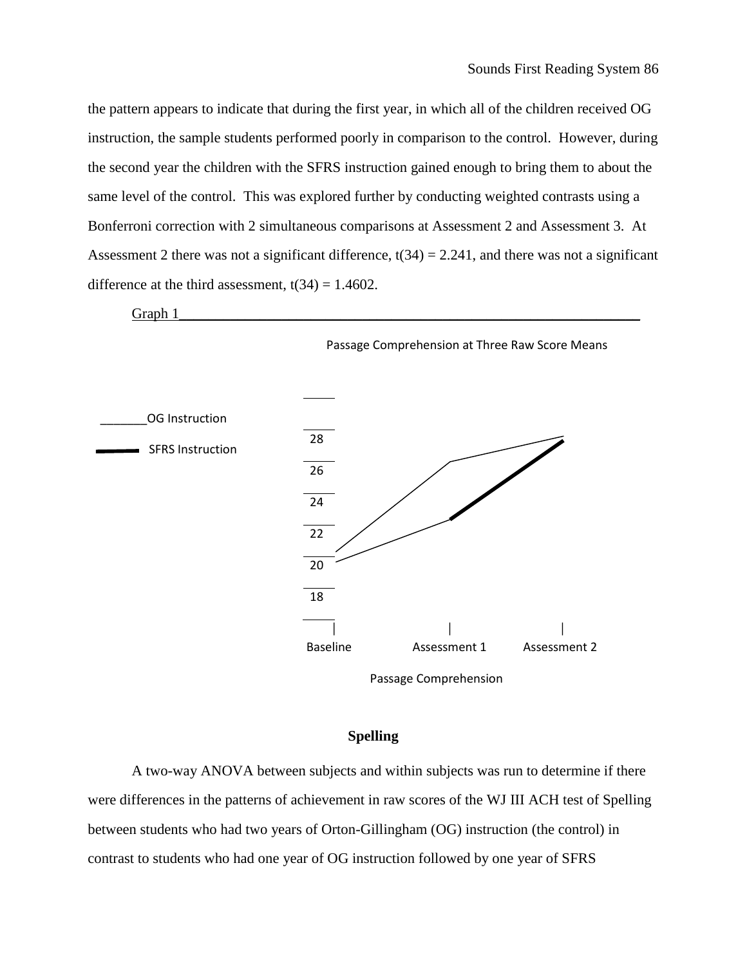the pattern appears to indicate that during the first year, in which all of the children received OG instruction, the sample students performed poorly in comparison to the control. However, during the second year the children with the SFRS instruction gained enough to bring them to about the same level of the control. This was explored further by conducting weighted contrasts using a Bonferroni correction with 2 simultaneous comparisons at Assessment 2 and Assessment 3. At Assessment 2 there was not a significant difference,  $t(34) = 2.241$ , and there was not a significant difference at the third assessment,  $t(34) = 1.4602$ .



Passage Comprehension

## **Spelling**

A two-way ANOVA between subjects and within subjects was run to determine if there were differences in the patterns of achievement in raw scores of the WJ III ACH test of Spelling between students who had two years of Orton-Gillingham (OG) instruction (the control) in contrast to students who had one year of OG instruction followed by one year of SFRS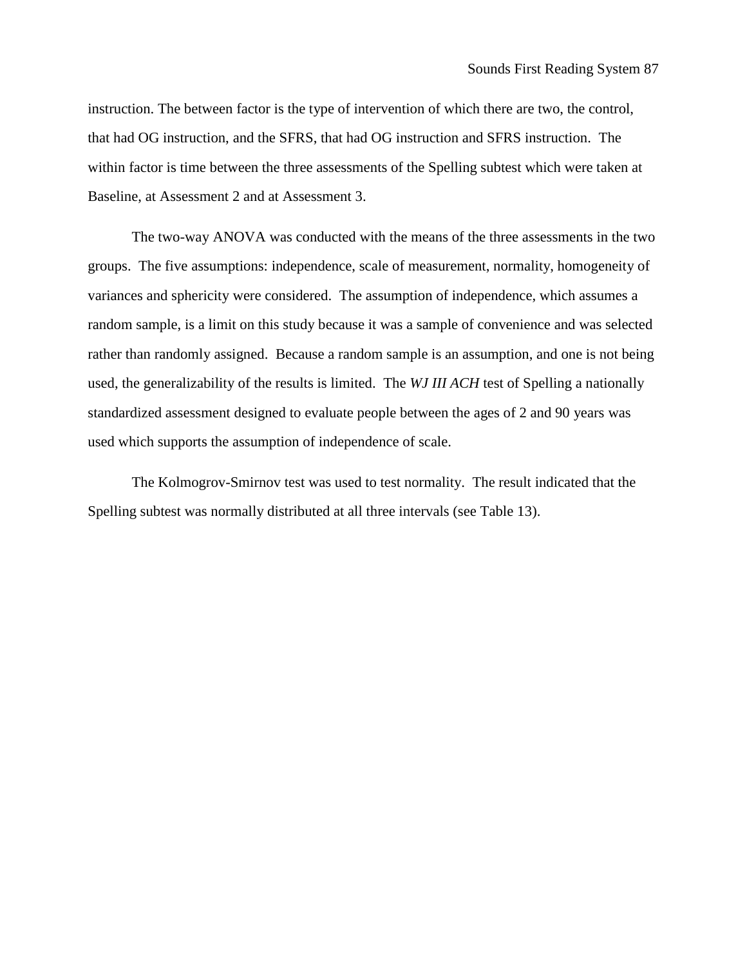instruction. The between factor is the type of intervention of which there are two, the control, that had OG instruction, and the SFRS, that had OG instruction and SFRS instruction. The within factor is time between the three assessments of the Spelling subtest which were taken at Baseline, at Assessment 2 and at Assessment 3.

The two-way ANOVA was conducted with the means of the three assessments in the two groups. The five assumptions: independence, scale of measurement, normality, homogeneity of variances and sphericity were considered. The assumption of independence, which assumes a random sample, is a limit on this study because it was a sample of convenience and was selected rather than randomly assigned. Because a random sample is an assumption, and one is not being used, the generalizability of the results is limited. The *WJ III ACH* test of Spelling a nationally standardized assessment designed to evaluate people between the ages of 2 and 90 years was used which supports the assumption of independence of scale.

The Kolmogrov-Smirnov test was used to test normality. The result indicated that the Spelling subtest was normally distributed at all three intervals (see Table 13).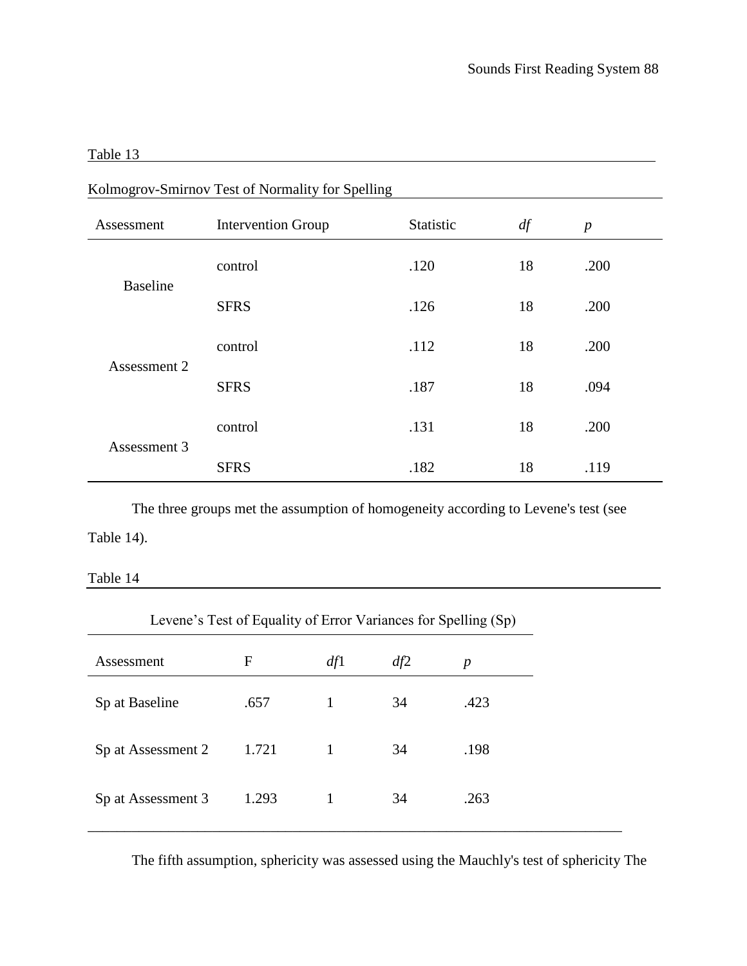## Table 13

| Kolmogrov-Smirnov Test of Normality for Spelling |                           |           |    |                  |
|--------------------------------------------------|---------------------------|-----------|----|------------------|
| Assessment                                       | <b>Intervention Group</b> | Statistic | df | $\boldsymbol{p}$ |
| <b>Baseline</b>                                  | control                   | .120      | 18 | .200             |
|                                                  | <b>SFRS</b>               | .126      | 18 | .200             |
| Assessment 2                                     | control                   | .112      | 18 | .200             |
|                                                  | <b>SFRS</b>               | .187      | 18 | .094             |
| Assessment 3                                     | control                   | .131      | 18 | .200             |
|                                                  | <b>SFRS</b>               | .182      | 18 | .119             |

 $K_1$ lmogrov-Smirnov Test of Normality for Spelling

The three groups met the assumption of homogeneity according to Levene's test (see Table 14).

Table 14

| Levene's Test of Equality of Error Variances for Spelling (Sp) |       |     |     |      |
|----------------------------------------------------------------|-------|-----|-----|------|
| Assessment                                                     | F     | df1 | df2 | p    |
| Sp at Baseline                                                 | .657  | 1   | 34  | .423 |
| Sp at Assessment 2                                             | 1.721 |     | 34  | .198 |
| Sp at Assessment 3                                             | 1.293 |     | 34  | .263 |

The fifth assumption, sphericity was assessed using the Mauchly's test of sphericity The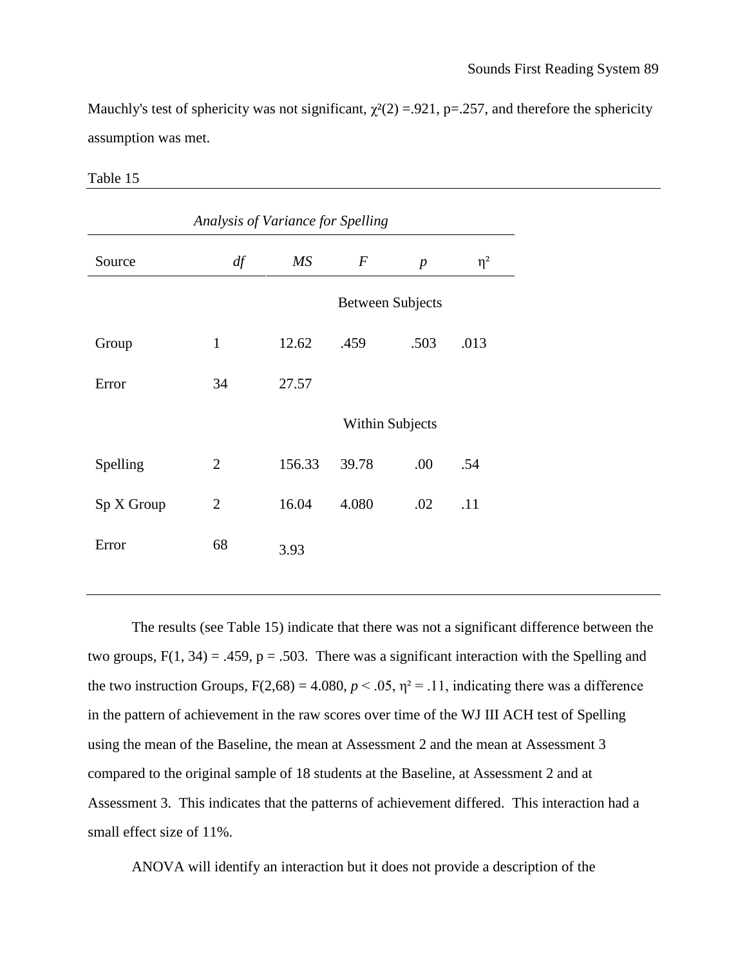Mauchly's test of sphericity was not significant,  $\chi^2(2) = 0.921$ , p=.257, and therefore the sphericity assumption was met.

| Analysis of Variance for Spelling |                        |                  |                  |          |  |
|-----------------------------------|------------------------|------------------|------------------|----------|--|
| df                                | MS                     | $\boldsymbol{F}$ | $\boldsymbol{p}$ | $\eta^2$ |  |
| <b>Between Subjects</b>           |                        |                  |                  |          |  |
| $\mathbf{1}$                      | 12.62                  | .459             | .503             | .013     |  |
| 34                                | 27.57                  |                  |                  |          |  |
|                                   | <b>Within Subjects</b> |                  |                  |          |  |
| $\overline{2}$                    | 156.33                 | 39.78            | .00              | .54      |  |
| $\overline{2}$                    | 16.04                  | 4.080            | .02              | .11      |  |
| 68                                | 3.93                   |                  |                  |          |  |
|                                   |                        |                  |                  |          |  |

Table 15

The results (see Table 15) indicate that there was not a significant difference between the two groups,  $F(1, 34) = .459$ ,  $p = .503$ . There was a significant interaction with the Spelling and the two instruction Groups,  $F(2,68) = 4.080$ ,  $p < .05$ ,  $\eta^2 = .11$ , indicating there was a difference in the pattern of achievement in the raw scores over time of the WJ III ACH test of Spelling using the mean of the Baseline, the mean at Assessment 2 and the mean at Assessment 3 compared to the original sample of 18 students at the Baseline, at Assessment 2 and at Assessment 3. This indicates that the patterns of achievement differed. This interaction had a small effect size of 11%.

ANOVA will identify an interaction but it does not provide a description of the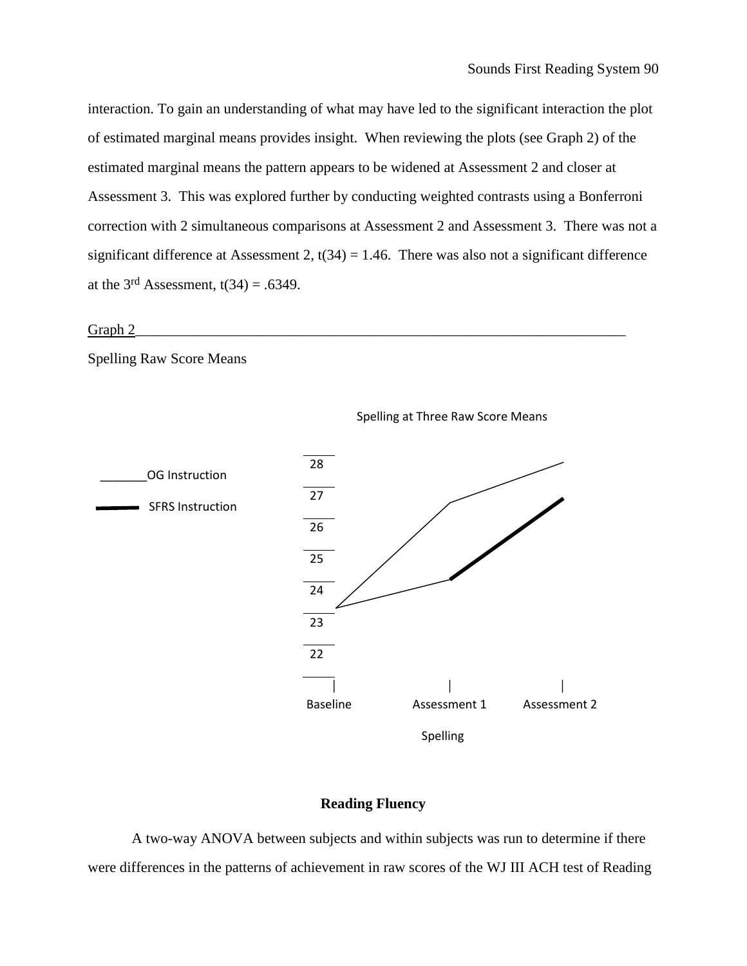interaction. To gain an understanding of what may have led to the significant interaction the plot of estimated marginal means provides insight. When reviewing the plots (see Graph 2) of the estimated marginal means the pattern appears to be widened at Assessment 2 and closer at Assessment 3. This was explored further by conducting weighted contrasts using a Bonferroni correction with 2 simultaneous comparisons at Assessment 2 and Assessment 3. There was not a significant difference at Assessment 2,  $t(34) = 1.46$ . There was also not a significant difference at the  $3<sup>rd</sup>$  Assessment,  $t(34) = .6349$ .

### $Graph 2$  [12]  $\longrightarrow$   $Graph 2$  [12]  $\longrightarrow$   $Open 3$  [12]  $\longrightarrow$   $Open 4$  [12]  $\longrightarrow$   $Open 4$  [12]  $\longrightarrow$   $Open 4$  [12]  $\longrightarrow$   $Open 4$  [12]  $\longrightarrow$   $Open 4$  [12]  $\longrightarrow$   $Open 4$  [12]  $\longrightarrow$   $Open 4$  [12]  $\longrightarrow$   $Open 4$  [12]  $\longrightarrow$   $Open 4$  [12]  $\longrightarrow$   $Open 4$  [12]  $\longrightarrow$   $Open 4$  [12]  $\$

Spelling Raw Score Means



Spelling at Three Raw Score Means

### **Reading Fluency**

A two-way ANOVA between subjects and within subjects was run to determine if there were differences in the patterns of achievement in raw scores of the WJ III ACH test of Reading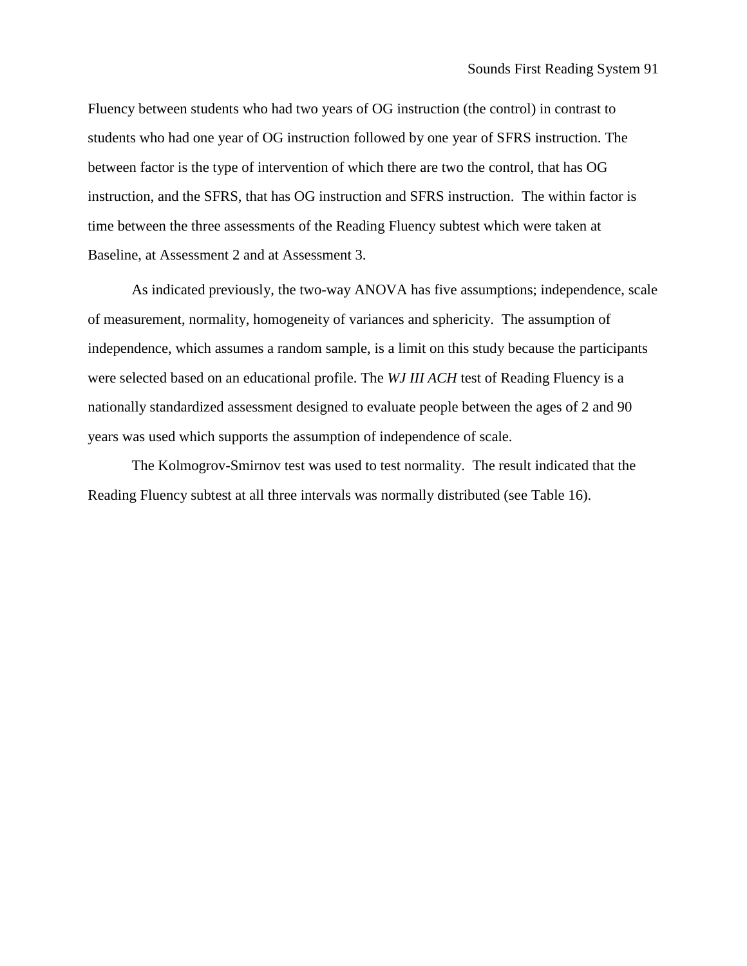Fluency between students who had two years of OG instruction (the control) in contrast to students who had one year of OG instruction followed by one year of SFRS instruction. The between factor is the type of intervention of which there are two the control, that has OG instruction, and the SFRS, that has OG instruction and SFRS instruction. The within factor is time between the three assessments of the Reading Fluency subtest which were taken at Baseline, at Assessment 2 and at Assessment 3.

As indicated previously, the two-way ANOVA has five assumptions; independence, scale of measurement, normality, homogeneity of variances and sphericity. The assumption of independence, which assumes a random sample, is a limit on this study because the participants were selected based on an educational profile. The *WJ III ACH* test of Reading Fluency is a nationally standardized assessment designed to evaluate people between the ages of 2 and 90 years was used which supports the assumption of independence of scale.

The Kolmogrov-Smirnov test was used to test normality. The result indicated that the Reading Fluency subtest at all three intervals was normally distributed (see Table 16).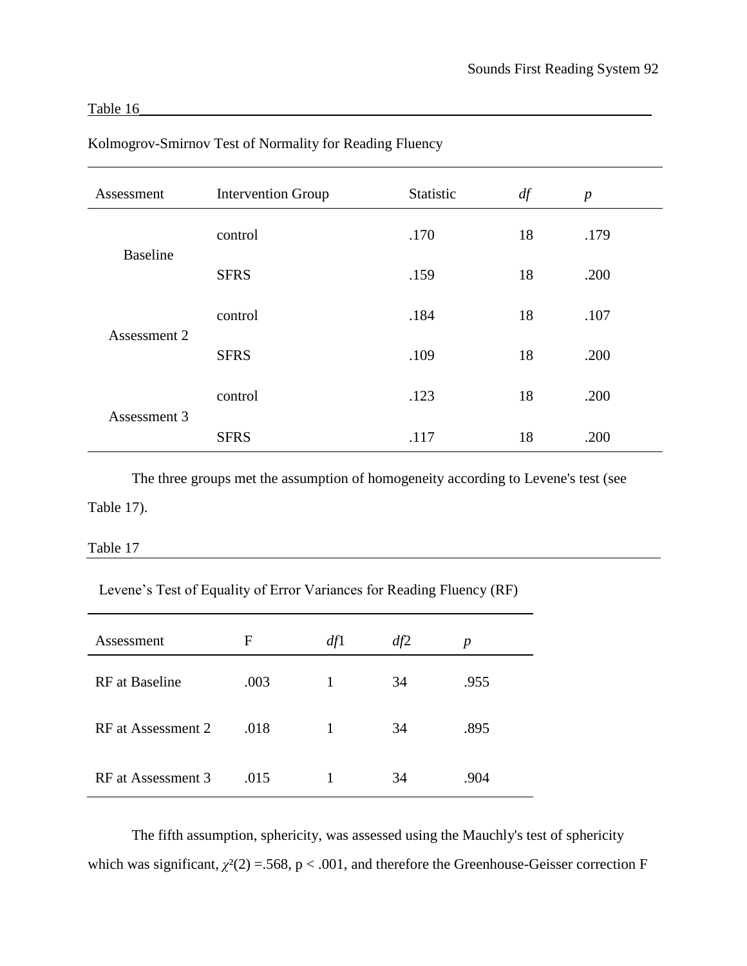## Table 16\_\_\_\_\_\_\_\_\_\_\_\_\_\_\_\_\_\_\_\_\_\_\_\_\_\_\_\_\_\_\_\_\_\_\_\_\_\_\_\_\_\_\_\_\_\_\_\_\_\_\_\_\_\_\_\_\_\_\_\_\_\_\_\_\_\_\_\_\_\_

| Assessment      | <b>Intervention Group</b> | Statistic | df | $\boldsymbol{p}$ |
|-----------------|---------------------------|-----------|----|------------------|
| <b>Baseline</b> | control                   | .170      | 18 | .179             |
|                 | <b>SFRS</b>               | .159      | 18 | .200             |
| Assessment 2    | control                   | .184      | 18 | .107             |
|                 | <b>SFRS</b>               | .109      | 18 | .200             |
| Assessment 3    | control                   | .123      | 18 | .200             |
|                 | <b>SFRS</b>               | .117      | 18 | .200             |

Kolmogrov-Smirnov Test of Normality for Reading Fluency

The three groups met the assumption of homogeneity according to Levene's test (see Table 17).

### Table 17

Levene's Test of Equality of Error Variances for Reading Fluency (RF)

| Assessment            | F    | df1 | df2 | $\boldsymbol{p}$ |
|-----------------------|------|-----|-----|------------------|
| <b>RF</b> at Baseline | .003 | 1   | 34  | .955             |
| RF at Assessment 2    | .018 | 1   | 34  | .895             |
| RF at Assessment 3    | .015 |     | 34  | .904             |

The fifth assumption, sphericity, was assessed using the Mauchly's test of sphericity which was significant,  $\chi^2(2) = 568$ ,  $p < .001$ , and therefore the Greenhouse-Geisser correction F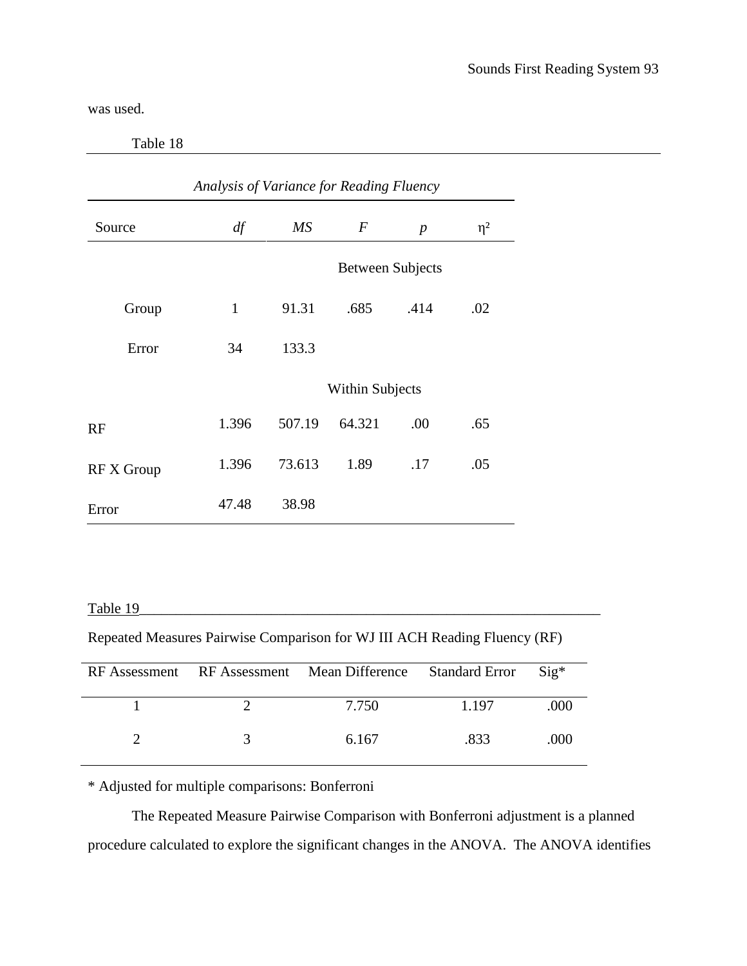was used.

Table 18

| Analysis of Variance for Reading Fluency |              |                        |                         |                  |          |  |  |
|------------------------------------------|--------------|------------------------|-------------------------|------------------|----------|--|--|
| Source                                   | df           | $\overline{MS}$        | $\,F$                   | $\boldsymbol{p}$ | $\eta^2$ |  |  |
|                                          |              |                        | <b>Between Subjects</b> |                  |          |  |  |
| Group                                    | $\mathbf{1}$ | 91.31                  | .685                    | .414             | .02      |  |  |
| Error                                    | 34           | 133.3                  |                         |                  |          |  |  |
|                                          |              | <b>Within Subjects</b> |                         |                  |          |  |  |
| RF                                       | 1.396        | 507.19                 | 64.321                  | .00              | .65      |  |  |
| <b>RF X Group</b>                        | 1.396        | 73.613                 | 1.89                    | .17              | .05      |  |  |
| Error                                    | 47.48        | 38.98                  |                         |                  |          |  |  |

Table 19\_\_\_\_\_\_\_\_\_\_\_\_\_\_\_\_\_\_\_\_\_\_\_\_\_\_\_\_\_\_\_\_\_\_\_\_\_\_\_\_\_\_\_\_\_\_\_\_\_\_\_\_\_\_\_\_\_\_\_\_\_\_\_

Repeated Measures Pairwise Comparison for WJ III ACH Reading Fluency (RF)

|  | RF Assessment RF Assessment Mean Difference Standard Error |         | $\text{Si} \mathfrak{g}^*$ |
|--|------------------------------------------------------------|---------|----------------------------|
|  | 7.750                                                      | 1 1 9 7 | .000                       |
|  | 6.167                                                      | .833    | (100)                      |

\* Adjusted for multiple comparisons: Bonferroni

The Repeated Measure Pairwise Comparison with Bonferroni adjustment is a planned procedure calculated to explore the significant changes in the ANOVA. The ANOVA identifies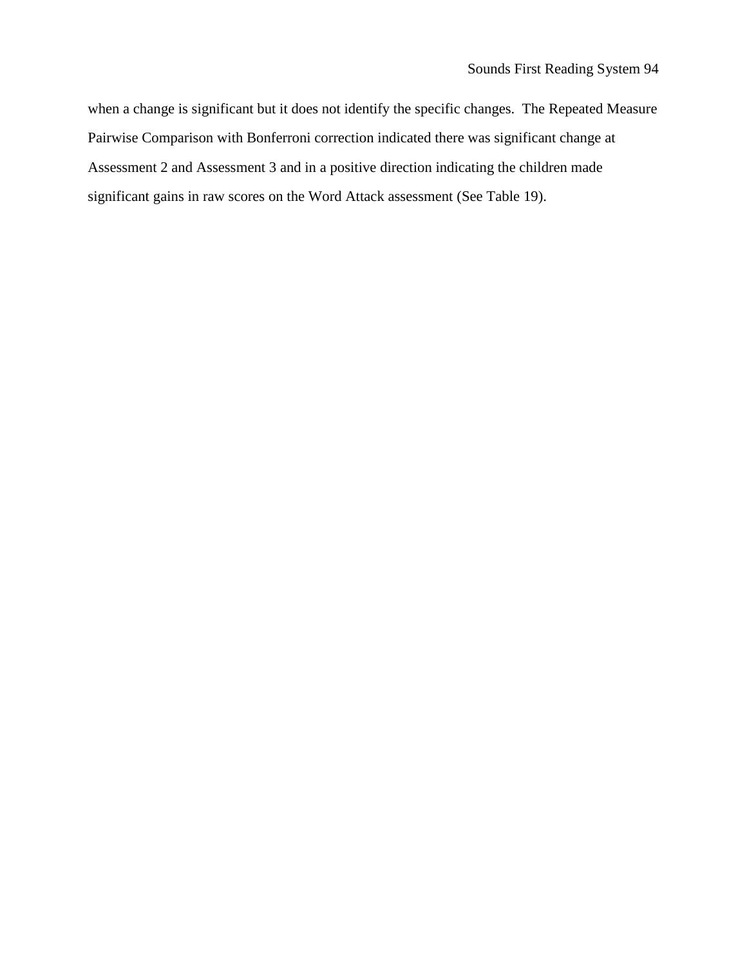when a change is significant but it does not identify the specific changes. The Repeated Measure Pairwise Comparison with Bonferroni correction indicated there was significant change at Assessment 2 and Assessment 3 and in a positive direction indicating the children made significant gains in raw scores on the Word Attack assessment (See Table 19).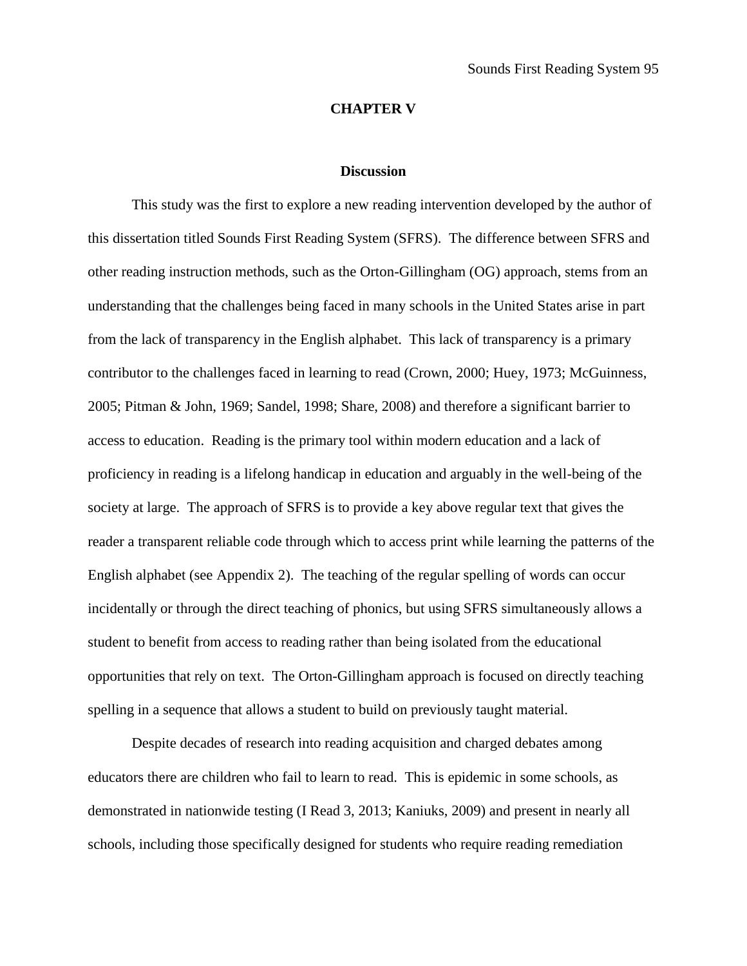## **CHAPTER V**

#### **Discussion**

This study was the first to explore a new reading intervention developed by the author of this dissertation titled Sounds First Reading System (SFRS). The difference between SFRS and other reading instruction methods, such as the Orton-Gillingham (OG) approach, stems from an understanding that the challenges being faced in many schools in the United States arise in part from the lack of transparency in the English alphabet. This lack of transparency is a primary contributor to the challenges faced in learning to read (Crown, 2000; Huey, 1973; McGuinness, 2005; Pitman & John, 1969; Sandel, 1998; Share, 2008) and therefore a significant barrier to access to education. Reading is the primary tool within modern education and a lack of proficiency in reading is a lifelong handicap in education and arguably in the well-being of the society at large. The approach of SFRS is to provide a key above regular text that gives the reader a transparent reliable code through which to access print while learning the patterns of the English alphabet (see Appendix 2). The teaching of the regular spelling of words can occur incidentally or through the direct teaching of phonics, but using SFRS simultaneously allows a student to benefit from access to reading rather than being isolated from the educational opportunities that rely on text. The Orton-Gillingham approach is focused on directly teaching spelling in a sequence that allows a student to build on previously taught material.

Despite decades of research into reading acquisition and charged debates among educators there are children who fail to learn to read. This is epidemic in some schools, as demonstrated in nationwide testing (I Read 3, 2013; Kaniuks, 2009) and present in nearly all schools, including those specifically designed for students who require reading remediation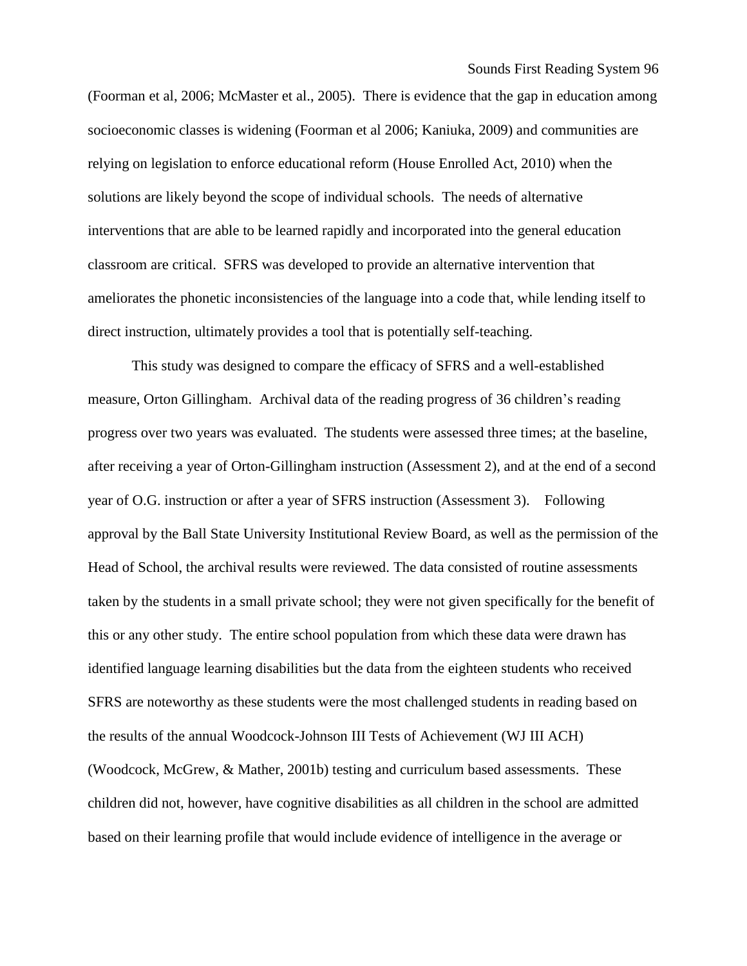Sounds First Reading System 96

(Foorman et al, 2006; McMaster et al., 2005). There is evidence that the gap in education among socioeconomic classes is widening (Foorman et al 2006; Kaniuka, 2009) and communities are relying on legislation to enforce educational reform (House Enrolled Act, 2010) when the solutions are likely beyond the scope of individual schools. The needs of alternative interventions that are able to be learned rapidly and incorporated into the general education classroom are critical. SFRS was developed to provide an alternative intervention that ameliorates the phonetic inconsistencies of the language into a code that, while lending itself to direct instruction, ultimately provides a tool that is potentially self-teaching.

This study was designed to compare the efficacy of SFRS and a well-established measure, Orton Gillingham. Archival data of the reading progress of 36 children's reading progress over two years was evaluated. The students were assessed three times; at the baseline, after receiving a year of Orton-Gillingham instruction (Assessment 2), and at the end of a second year of O.G. instruction or after a year of SFRS instruction (Assessment 3). Following approval by the Ball State University Institutional Review Board, as well as the permission of the Head of School, the archival results were reviewed. The data consisted of routine assessments taken by the students in a small private school; they were not given specifically for the benefit of this or any other study. The entire school population from which these data were drawn has identified language learning disabilities but the data from the eighteen students who received SFRS are noteworthy as these students were the most challenged students in reading based on the results of the annual Woodcock-Johnson III Tests of Achievement (WJ III ACH) (Woodcock, McGrew, & Mather, 2001b) testing and curriculum based assessments. These children did not, however, have cognitive disabilities as all children in the school are admitted based on their learning profile that would include evidence of intelligence in the average or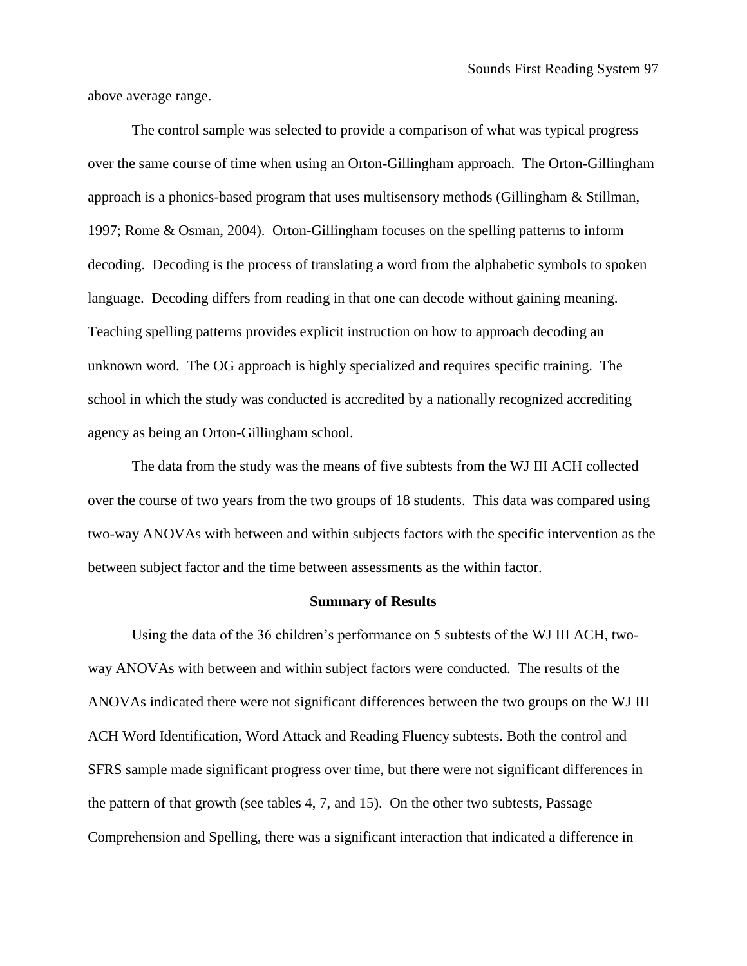above average range.

The control sample was selected to provide a comparison of what was typical progress over the same course of time when using an Orton-Gillingham approach. The Orton-Gillingham approach is a phonics-based program that uses multisensory methods (Gillingham & Stillman, 1997; Rome & Osman, 2004). Orton-Gillingham focuses on the spelling patterns to inform decoding. Decoding is the process of translating a word from the alphabetic symbols to spoken language. Decoding differs from reading in that one can decode without gaining meaning. Teaching spelling patterns provides explicit instruction on how to approach decoding an unknown word. The OG approach is highly specialized and requires specific training. The school in which the study was conducted is accredited by a nationally recognized accrediting agency as being an Orton-Gillingham school.

The data from the study was the means of five subtests from the WJ III ACH collected over the course of two years from the two groups of 18 students. This data was compared using two-way ANOVAs with between and within subjects factors with the specific intervention as the between subject factor and the time between assessments as the within factor.

#### **Summary of Results**

Using the data of the 36 children's performance on 5 subtests of the WJ III ACH, twoway ANOVAs with between and within subject factors were conducted. The results of the ANOVAs indicated there were not significant differences between the two groups on the WJ III ACH Word Identification, Word Attack and Reading Fluency subtests. Both the control and SFRS sample made significant progress over time, but there were not significant differences in the pattern of that growth (see tables 4, 7, and 15). On the other two subtests, Passage Comprehension and Spelling, there was a significant interaction that indicated a difference in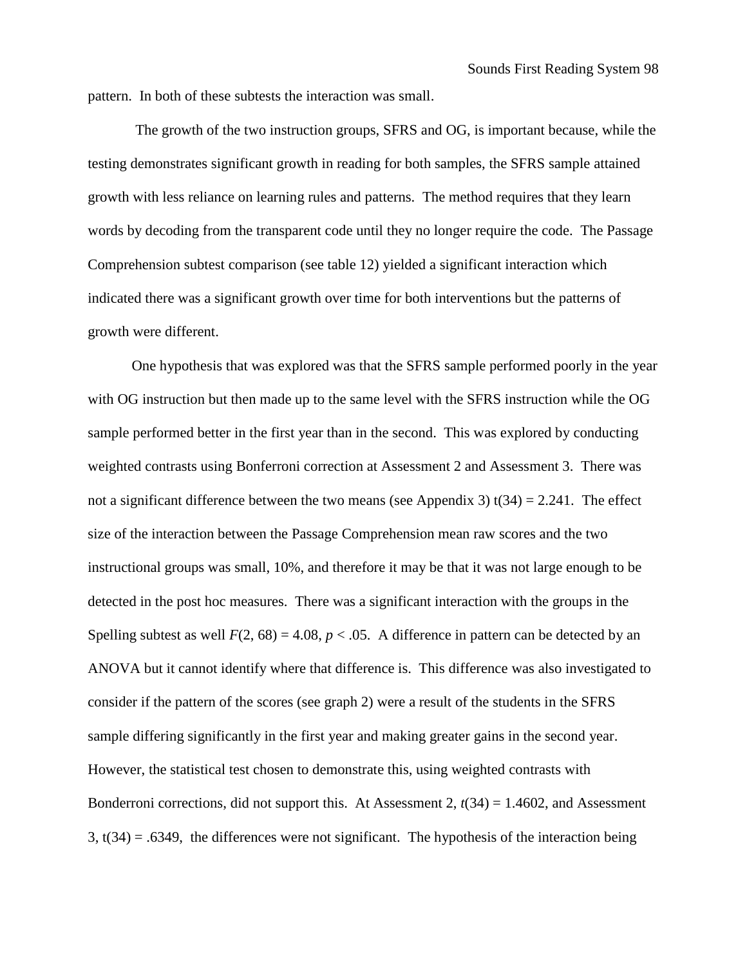pattern. In both of these subtests the interaction was small.

The growth of the two instruction groups, SFRS and OG, is important because, while the testing demonstrates significant growth in reading for both samples, the SFRS sample attained growth with less reliance on learning rules and patterns. The method requires that they learn words by decoding from the transparent code until they no longer require the code. The Passage Comprehension subtest comparison (see table 12) yielded a significant interaction which indicated there was a significant growth over time for both interventions but the patterns of growth were different.

One hypothesis that was explored was that the SFRS sample performed poorly in the year with OG instruction but then made up to the same level with the SFRS instruction while the OG sample performed better in the first year than in the second. This was explored by conducting weighted contrasts using Bonferroni correction at Assessment 2 and Assessment 3. There was not a significant difference between the two means (see Appendix 3)  $t(34) = 2.241$ . The effect size of the interaction between the Passage Comprehension mean raw scores and the two instructional groups was small, 10%, and therefore it may be that it was not large enough to be detected in the post hoc measures. There was a significant interaction with the groups in the Spelling subtest as well  $F(2, 68) = 4.08$ ,  $p < .05$ . A difference in pattern can be detected by an ANOVA but it cannot identify where that difference is. This difference was also investigated to consider if the pattern of the scores (see graph 2) were a result of the students in the SFRS sample differing significantly in the first year and making greater gains in the second year. However, the statistical test chosen to demonstrate this, using weighted contrasts with Bonderroni corrections, did not support this. At Assessment 2, *t*(34) = 1.4602, and Assessment  $3, t(34) = .6349$ , the differences were not significant. The hypothesis of the interaction being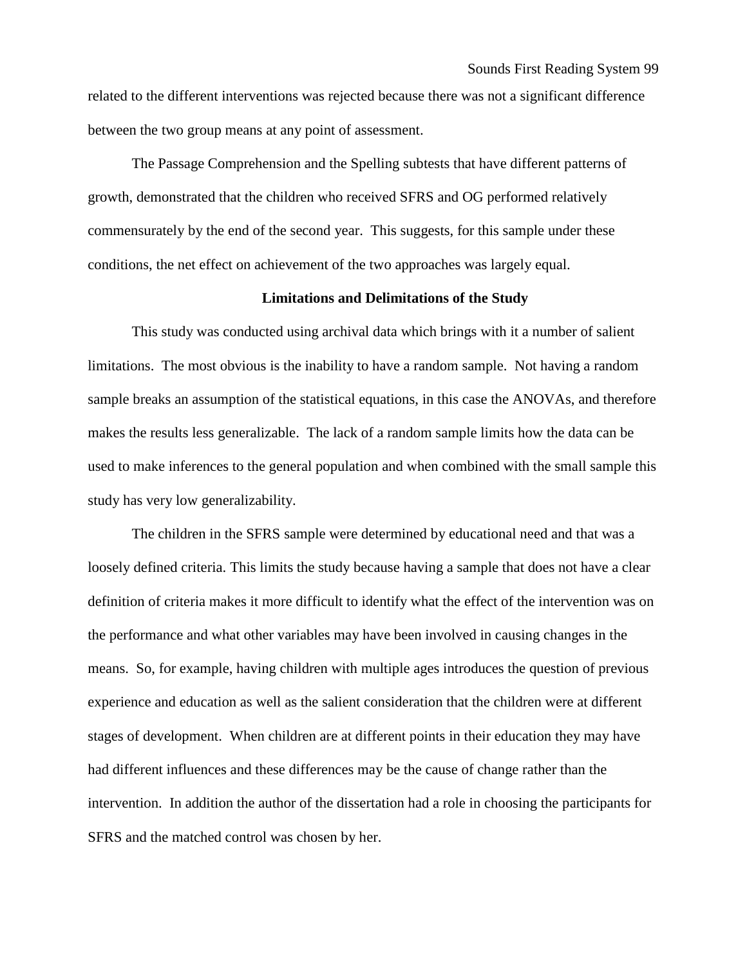related to the different interventions was rejected because there was not a significant difference between the two group means at any point of assessment.

The Passage Comprehension and the Spelling subtests that have different patterns of growth, demonstrated that the children who received SFRS and OG performed relatively commensurately by the end of the second year. This suggests, for this sample under these conditions, the net effect on achievement of the two approaches was largely equal.

### **Limitations and Delimitations of the Study**

This study was conducted using archival data which brings with it a number of salient limitations. The most obvious is the inability to have a random sample. Not having a random sample breaks an assumption of the statistical equations, in this case the ANOVAs, and therefore makes the results less generalizable. The lack of a random sample limits how the data can be used to make inferences to the general population and when combined with the small sample this study has very low generalizability.

The children in the SFRS sample were determined by educational need and that was a loosely defined criteria. This limits the study because having a sample that does not have a clear definition of criteria makes it more difficult to identify what the effect of the intervention was on the performance and what other variables may have been involved in causing changes in the means. So, for example, having children with multiple ages introduces the question of previous experience and education as well as the salient consideration that the children were at different stages of development. When children are at different points in their education they may have had different influences and these differences may be the cause of change rather than the intervention. In addition the author of the dissertation had a role in choosing the participants for SFRS and the matched control was chosen by her.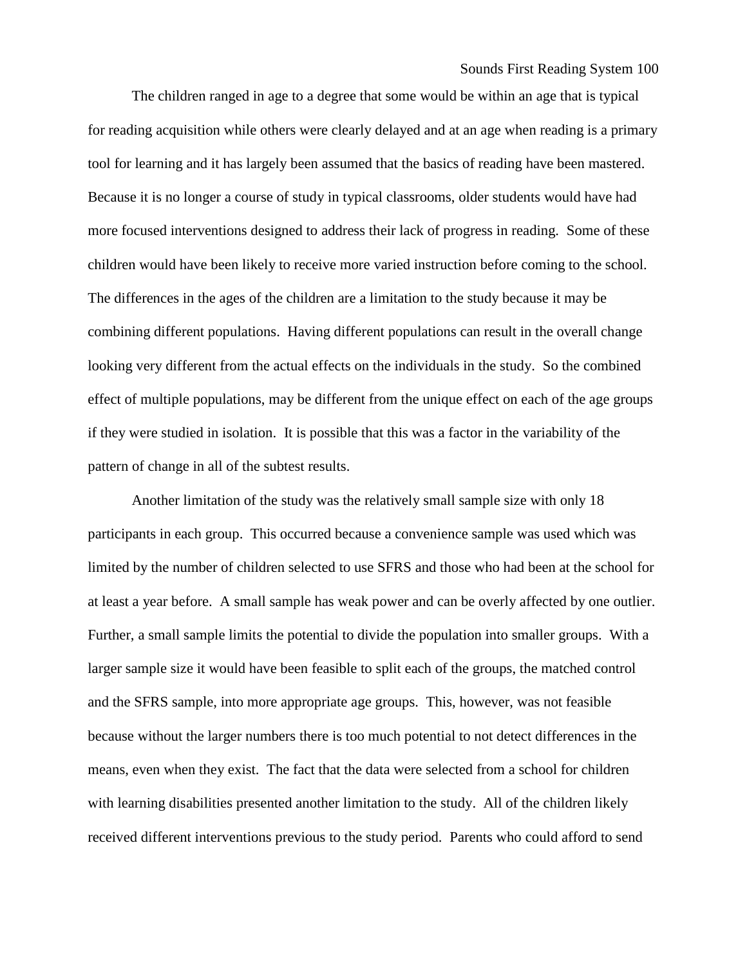Sounds First Reading System 100

The children ranged in age to a degree that some would be within an age that is typical for reading acquisition while others were clearly delayed and at an age when reading is a primary tool for learning and it has largely been assumed that the basics of reading have been mastered. Because it is no longer a course of study in typical classrooms, older students would have had more focused interventions designed to address their lack of progress in reading. Some of these children would have been likely to receive more varied instruction before coming to the school. The differences in the ages of the children are a limitation to the study because it may be combining different populations. Having different populations can result in the overall change looking very different from the actual effects on the individuals in the study. So the combined effect of multiple populations, may be different from the unique effect on each of the age groups if they were studied in isolation. It is possible that this was a factor in the variability of the pattern of change in all of the subtest results.

Another limitation of the study was the relatively small sample size with only 18 participants in each group. This occurred because a convenience sample was used which was limited by the number of children selected to use SFRS and those who had been at the school for at least a year before. A small sample has weak power and can be overly affected by one outlier. Further, a small sample limits the potential to divide the population into smaller groups. With a larger sample size it would have been feasible to split each of the groups, the matched control and the SFRS sample, into more appropriate age groups. This, however, was not feasible because without the larger numbers there is too much potential to not detect differences in the means, even when they exist. The fact that the data were selected from a school for children with learning disabilities presented another limitation to the study. All of the children likely received different interventions previous to the study period. Parents who could afford to send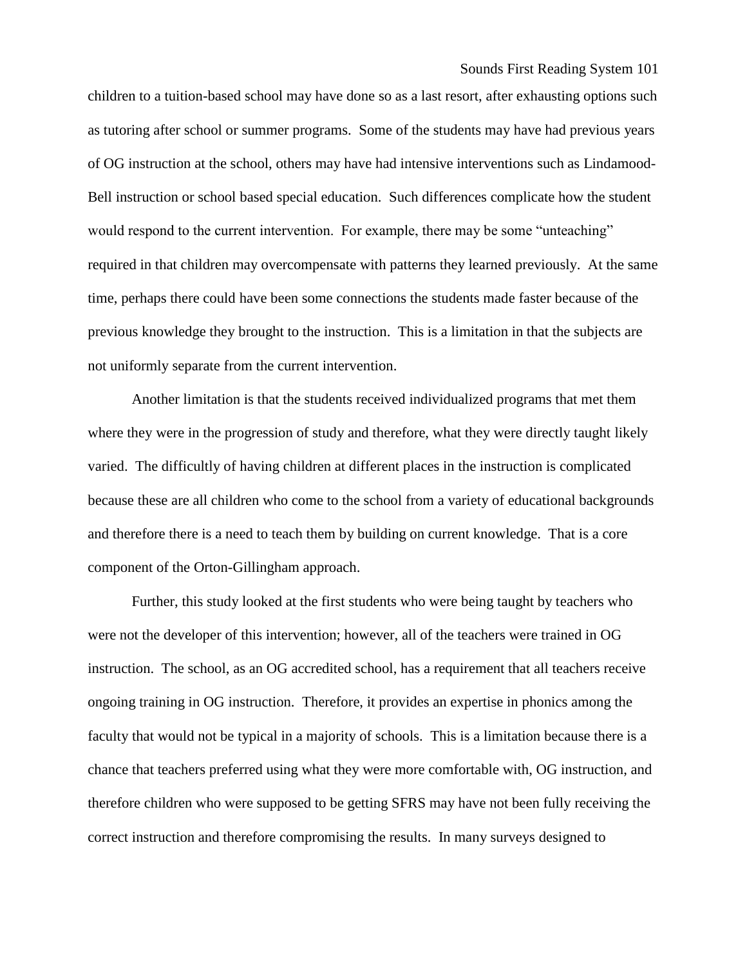Sounds First Reading System 101

children to a tuition-based school may have done so as a last resort, after exhausting options such as tutoring after school or summer programs. Some of the students may have had previous years of OG instruction at the school, others may have had intensive interventions such as Lindamood-Bell instruction or school based special education. Such differences complicate how the student would respond to the current intervention. For example, there may be some "unteaching" required in that children may overcompensate with patterns they learned previously. At the same time, perhaps there could have been some connections the students made faster because of the previous knowledge they brought to the instruction. This is a limitation in that the subjects are not uniformly separate from the current intervention.

Another limitation is that the students received individualized programs that met them where they were in the progression of study and therefore, what they were directly taught likely varied. The difficultly of having children at different places in the instruction is complicated because these are all children who come to the school from a variety of educational backgrounds and therefore there is a need to teach them by building on current knowledge. That is a core component of the Orton-Gillingham approach.

Further, this study looked at the first students who were being taught by teachers who were not the developer of this intervention; however, all of the teachers were trained in OG instruction. The school, as an OG accredited school, has a requirement that all teachers receive ongoing training in OG instruction. Therefore, it provides an expertise in phonics among the faculty that would not be typical in a majority of schools. This is a limitation because there is a chance that teachers preferred using what they were more comfortable with, OG instruction, and therefore children who were supposed to be getting SFRS may have not been fully receiving the correct instruction and therefore compromising the results. In many surveys designed to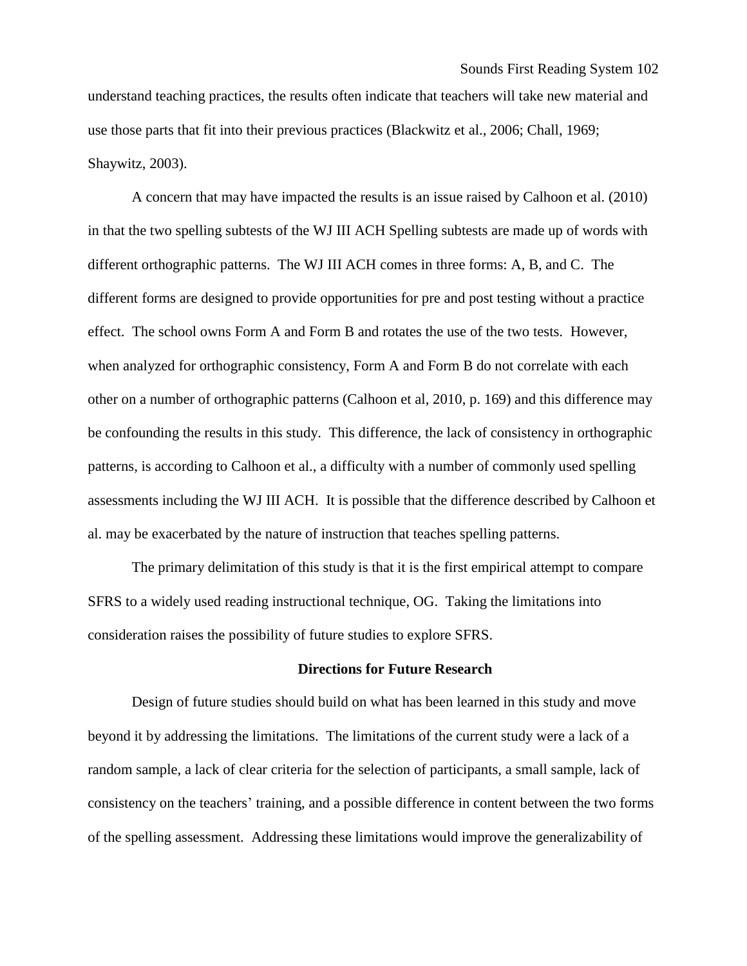understand teaching practices, the results often indicate that teachers will take new material and use those parts that fit into their previous practices (Blackwitz et al., 2006; Chall, 1969; Shaywitz, 2003).

A concern that may have impacted the results is an issue raised by Calhoon et al. (2010) in that the two spelling subtests of the WJ III ACH Spelling subtests are made up of words with different orthographic patterns. The WJ III ACH comes in three forms: A, B, and C. The different forms are designed to provide opportunities for pre and post testing without a practice effect. The school owns Form A and Form B and rotates the use of the two tests. However, when analyzed for orthographic consistency, Form A and Form B do not correlate with each other on a number of orthographic patterns (Calhoon et al, 2010, p. 169) and this difference may be confounding the results in this study. This difference, the lack of consistency in orthographic patterns, is according to Calhoon et al., a difficulty with a number of commonly used spelling assessments including the WJ III ACH. It is possible that the difference described by Calhoon et al. may be exacerbated by the nature of instruction that teaches spelling patterns.

The primary delimitation of this study is that it is the first empirical attempt to compare SFRS to a widely used reading instructional technique, OG. Taking the limitations into consideration raises the possibility of future studies to explore SFRS.

### **Directions for Future Research**

Design of future studies should build on what has been learned in this study and move beyond it by addressing the limitations. The limitations of the current study were a lack of a random sample, a lack of clear criteria for the selection of participants, a small sample, lack of consistency on the teachers' training, and a possible difference in content between the two forms of the spelling assessment. Addressing these limitations would improve the generalizability of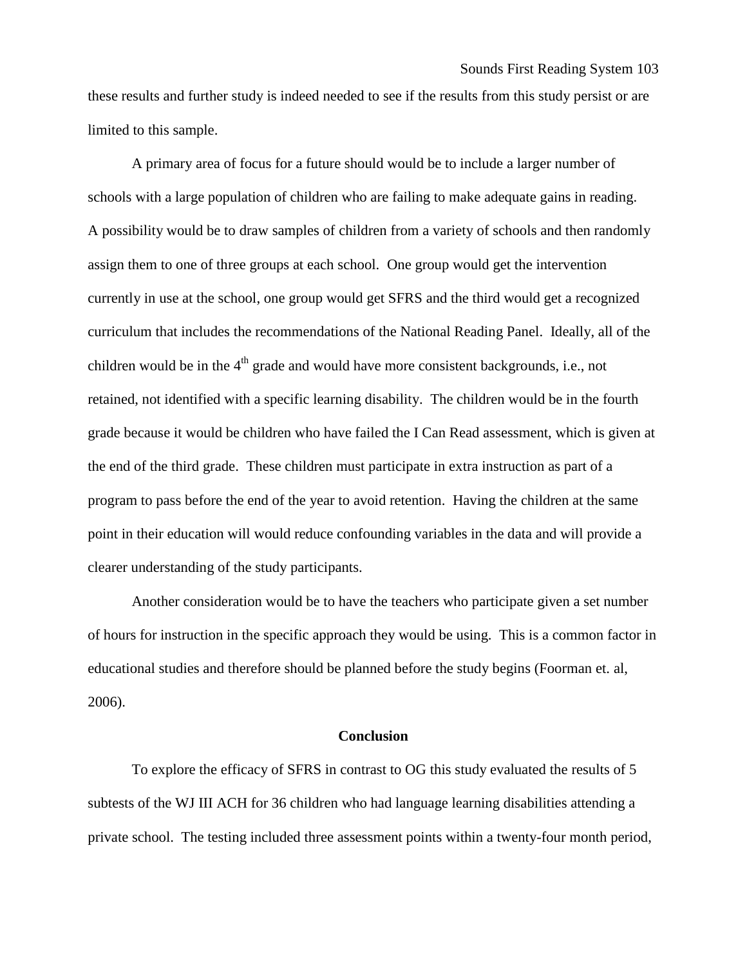these results and further study is indeed needed to see if the results from this study persist or are limited to this sample.

A primary area of focus for a future should would be to include a larger number of schools with a large population of children who are failing to make adequate gains in reading. A possibility would be to draw samples of children from a variety of schools and then randomly assign them to one of three groups at each school. One group would get the intervention currently in use at the school, one group would get SFRS and the third would get a recognized curriculum that includes the recommendations of the National Reading Panel. Ideally, all of the children would be in the  $4<sup>th</sup>$  grade and would have more consistent backgrounds, i.e., not retained, not identified with a specific learning disability. The children would be in the fourth grade because it would be children who have failed the I Can Read assessment, which is given at the end of the third grade. These children must participate in extra instruction as part of a program to pass before the end of the year to avoid retention. Having the children at the same point in their education will would reduce confounding variables in the data and will provide a clearer understanding of the study participants.

Another consideration would be to have the teachers who participate given a set number of hours for instruction in the specific approach they would be using. This is a common factor in educational studies and therefore should be planned before the study begins (Foorman et. al, 2006).

### **Conclusion**

To explore the efficacy of SFRS in contrast to OG this study evaluated the results of 5 subtests of the WJ III ACH for 36 children who had language learning disabilities attending a private school. The testing included three assessment points within a twenty-four month period,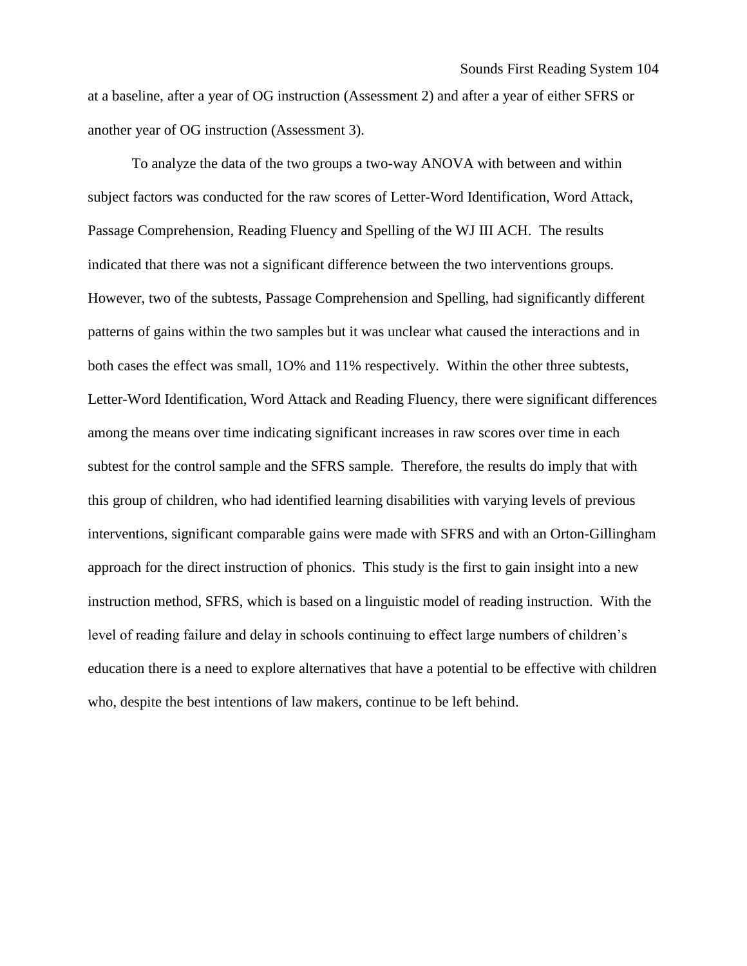at a baseline, after a year of OG instruction (Assessment 2) and after a year of either SFRS or another year of OG instruction (Assessment 3).

To analyze the data of the two groups a two-way ANOVA with between and within subject factors was conducted for the raw scores of Letter-Word Identification, Word Attack, Passage Comprehension, Reading Fluency and Spelling of the WJ III ACH. The results indicated that there was not a significant difference between the two interventions groups. However, two of the subtests, Passage Comprehension and Spelling, had significantly different patterns of gains within the two samples but it was unclear what caused the interactions and in both cases the effect was small, 1O% and 11% respectively. Within the other three subtests, Letter-Word Identification, Word Attack and Reading Fluency, there were significant differences among the means over time indicating significant increases in raw scores over time in each subtest for the control sample and the SFRS sample. Therefore, the results do imply that with this group of children, who had identified learning disabilities with varying levels of previous interventions, significant comparable gains were made with SFRS and with an Orton-Gillingham approach for the direct instruction of phonics. This study is the first to gain insight into a new instruction method, SFRS, which is based on a linguistic model of reading instruction. With the level of reading failure and delay in schools continuing to effect large numbers of children's education there is a need to explore alternatives that have a potential to be effective with children who, despite the best intentions of law makers, continue to be left behind.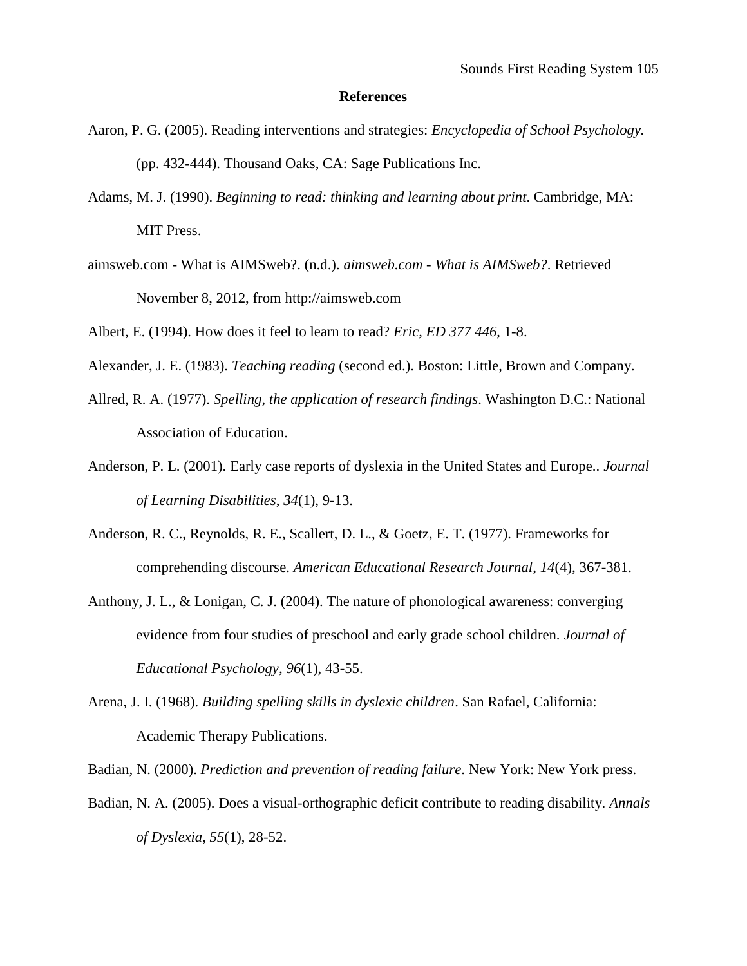#### **References**

- Aaron, P. G. (2005). Reading interventions and strategies: *Encyclopedia of School Psychology.* (pp. 432-444). Thousand Oaks, CA: Sage Publications Inc.
- Adams, M. J. (1990). *Beginning to read: thinking and learning about print*. Cambridge, MA: MIT Press.
- aimsweb.com What is AIMSweb?. (n.d.). *aimsweb.com - What is AIMSweb?*. Retrieved November 8, 2012, from http://aimsweb.com
- Albert, E. (1994). How does it feel to learn to read? *Eric*, *ED 377 446*, 1-8.
- Alexander, J. E. (1983). *Teaching reading* (second ed.). Boston: Little, Brown and Company.
- Allred, R. A. (1977). *Spelling, the application of research findings*. Washington D.C.: National Association of Education.
- Anderson, P. L. (2001). Early case reports of dyslexia in the United States and Europe.. *Journal of Learning Disabilities*, *34*(1), 9-13.
- Anderson, R. C., Reynolds, R. E., Scallert, D. L., & Goetz, E. T. (1977). Frameworks for comprehending discourse. *American Educational Research Journal*, *14*(4), 367-381.
- Anthony, J. L., & Lonigan, C. J. (2004). The nature of phonological awareness: converging evidence from four studies of preschool and early grade school children. *Journal of Educational Psychology*, *96*(1), 43-55.
- Arena, J. I. (1968). *Building spelling skills in dyslexic children*. San Rafael, California: Academic Therapy Publications.

Badian, N. (2000). *Prediction and prevention of reading failure*. New York: New York press.

Badian, N. A. (2005). Does a visual-orthographic deficit contribute to reading disability. *Annals of Dyslexia*, *55*(1), 28-52.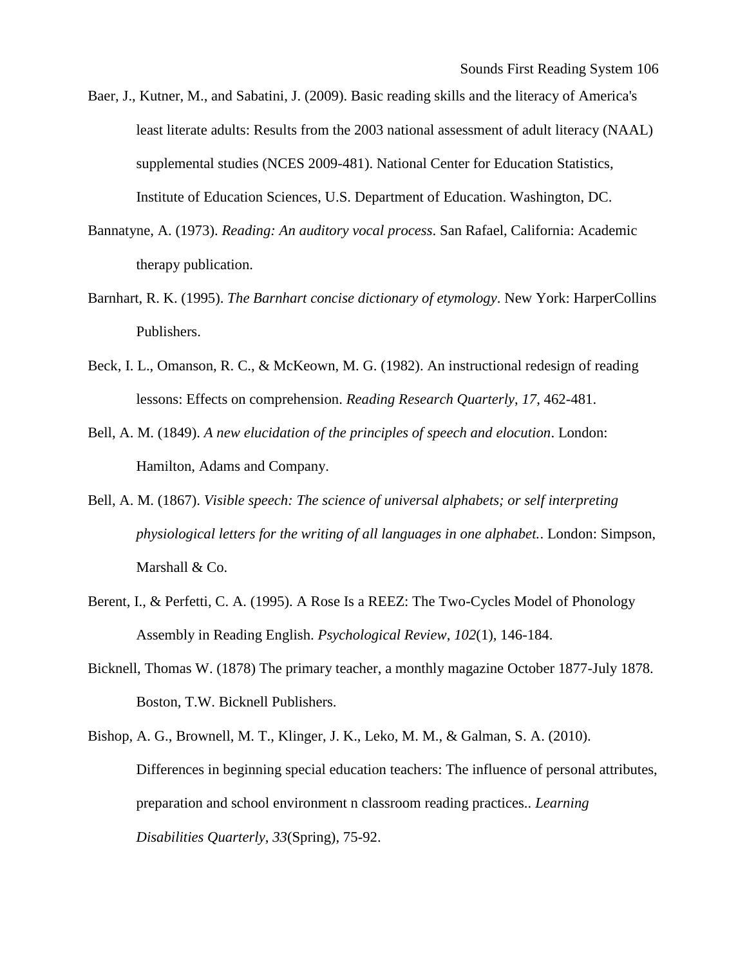- Baer, J., Kutner, M., and Sabatini, J. (2009). Basic reading skills and the literacy of America's least literate adults: Results from the 2003 national assessment of adult literacy (NAAL) supplemental studies (NCES 2009-481). National Center for Education Statistics, Institute of Education Sciences, U.S. Department of Education. Washington, DC.
- Bannatyne, A. (1973). *Reading: An auditory vocal process*. San Rafael, California: Academic therapy publication.
- Barnhart, R. K. (1995). *The Barnhart concise dictionary of etymology*. New York: HarperCollins Publishers.
- Beck, I. L., Omanson, R. C., & McKeown, M. G. (1982). An instructional redesign of reading lessons: Effects on comprehension. *Reading Research Quarterly*, *17*, 462-481.
- Bell, A. M. (1849). *A new elucidation of the principles of speech and elocution*. London: Hamilton, Adams and Company.
- Bell, A. M. (1867). *Visible speech: The science of universal alphabets; or self interpreting physiological letters for the writing of all languages in one alphabet.*. London: Simpson, Marshall & Co.
- Berent, I., & Perfetti, C. A. (1995). A Rose Is a REEZ: The Two-Cycles Model of Phonology Assembly in Reading English. *Psychological Review*, *102*(1), 146-184.
- Bicknell, Thomas W. (1878) The primary teacher, a monthly magazine October 1877-July 1878. Boston, T.W. Bicknell Publishers.
- Bishop, A. G., Brownell, M. T., Klinger, J. K., Leko, M. M., & Galman, S. A. (2010). Differences in beginning special education teachers: The influence of personal attributes, preparation and school environment n classroom reading practices.. *Learning Disabilities Quarterly*, *33*(Spring), 75-92.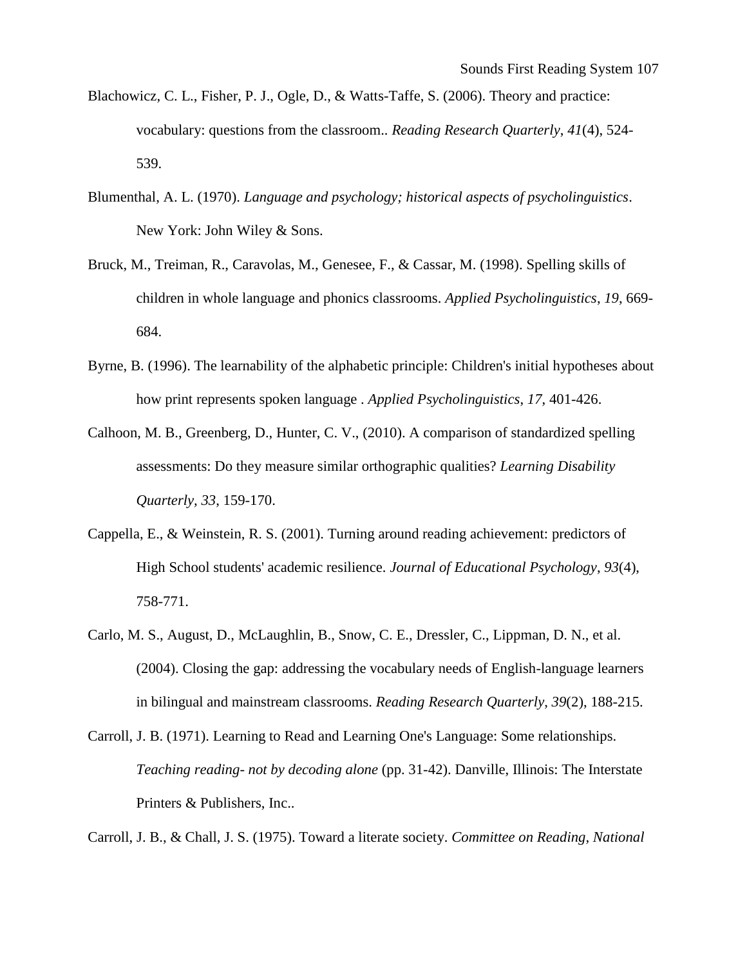- Blachowicz, C. L., Fisher, P. J., Ogle, D., & Watts-Taffe, S. (2006). Theory and practice: vocabulary: questions from the classroom.. *Reading Research Quarterly*, *41*(4), 524- 539.
- Blumenthal, A. L. (1970). *Language and psychology; historical aspects of psycholinguistics*. New York: John Wiley & Sons.
- Bruck, M., Treiman, R., Caravolas, M., Genesee, F., & Cassar, M. (1998). Spelling skills of children in whole language and phonics classrooms. *Applied Psycholinguistics*, *19*, 669- 684.
- Byrne, B. (1996). The learnability of the alphabetic principle: Children's initial hypotheses about how print represents spoken language . *Applied Psycholinguistics*, *17*, 401-426.
- Calhoon, M. B., Greenberg, D., Hunter, C. V., (2010). A comparison of standardized spelling assessments: Do they measure similar orthographic qualities? *Learning Disability Quarterly, 33*, 159-170.
- Cappella, E., & Weinstein, R. S. (2001). Turning around reading achievement: predictors of High School students' academic resilience. *Journal of Educational Psychology*, *93*(4), 758-771.
- Carlo, M. S., August, D., McLaughlin, B., Snow, C. E., Dressler, C., Lippman, D. N., et al. (2004). Closing the gap: addressing the vocabulary needs of English-language learners in bilingual and mainstream classrooms. *Reading Research Quarterly*, *39*(2), 188-215.
- Carroll, J. B. (1971). Learning to Read and Learning One's Language: Some relationships. *Teaching reading- not by decoding alone* (pp. 31-42). Danville, Illinois: The Interstate Printers & Publishers, Inc..

Carroll, J. B., & Chall, J. S. (1975). Toward a literate society. *Committee on Reading, National*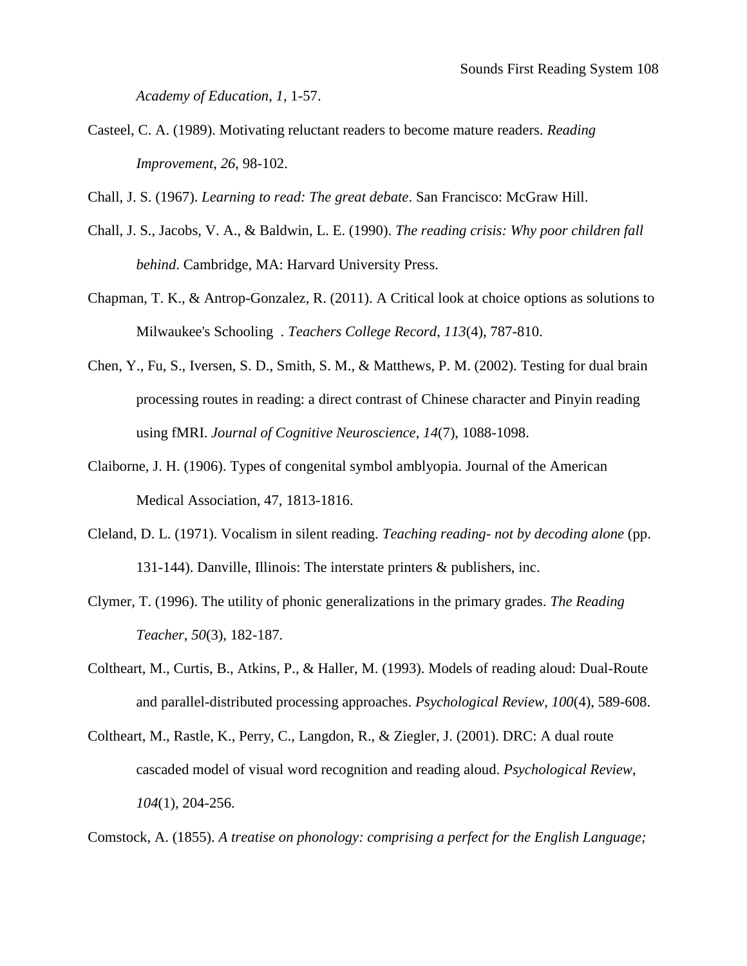*Academy of Education*, *1*, 1-57.

Casteel, C. A. (1989). Motivating reluctant readers to become mature readers. *Reading Improvement*, *26*, 98-102.

Chall, J. S. (1967). *Learning to read: The great debate*. San Francisco: McGraw Hill.

- Chall, J. S., Jacobs, V. A., & Baldwin, L. E. (1990). *The reading crisis: Why poor children fall behind*. Cambridge, MA: Harvard University Press.
- Chapman, T. K., & Antrop-Gonzalez, R. (2011). A Critical look at choice options as solutions to Milwaukee's Schooling . *Teachers College Record*, *113*(4), 787-810.
- Chen, Y., Fu, S., Iversen, S. D., Smith, S. M., & Matthews, P. M. (2002). Testing for dual brain processing routes in reading: a direct contrast of Chinese character and Pinyin reading using fMRI. *Journal of Cognitive Neuroscience*, *14*(7), 1088-1098.
- Claiborne, J. H. (1906). Types of congenital symbol amblyopia. Journal of the American Medical Association, 47, 1813-1816.
- Cleland, D. L. (1971). Vocalism in silent reading. *Teaching reading- not by decoding alone* (pp. 131-144). Danville, Illinois: The interstate printers & publishers, inc.
- Clymer, T. (1996). The utility of phonic generalizations in the primary grades. *The Reading Teacher*, *50*(3), 182-187.
- Coltheart, M., Curtis, B., Atkins, P., & Haller, M. (1993). Models of reading aloud: Dual-Route and parallel-distributed processing approaches. *Psychological Review*, *100*(4), 589-608.
- Coltheart, M., Rastle, K., Perry, C., Langdon, R., & Ziegler, J. (2001). DRC: A dual route cascaded model of visual word recognition and reading aloud. *Psychological Review*, *104*(1), 204-256.

Comstock, A. (1855). *A treatise on phonology: comprising a perfect for the English Language;*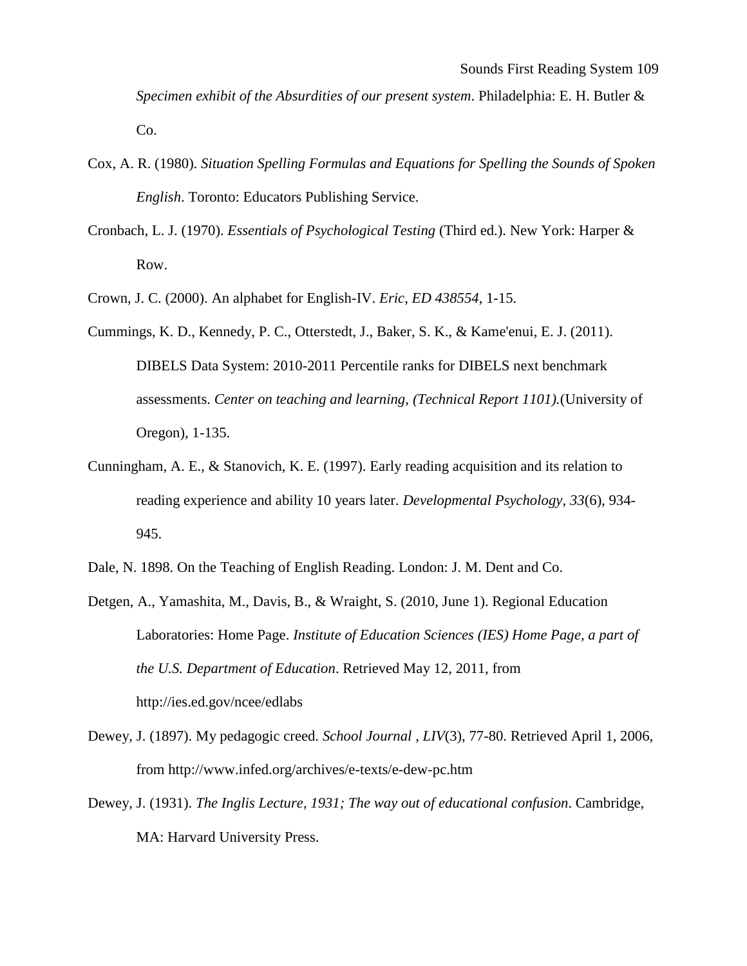*Specimen exhibit of the Absurdities of our present system*. Philadelphia: E. H. Butler & Co.

- Cox, A. R. (1980). *Situation Spelling Formulas and Equations for Spelling the Sounds of Spoken English*. Toronto: Educators Publishing Service.
- Cronbach, L. J. (1970). *Essentials of Psychological Testing* (Third ed.). New York: Harper & Row.
- Crown, J. C. (2000). An alphabet for English-IV. *Eric*, *ED 438554*, 1-15.
- Cummings, K. D., Kennedy, P. C., Otterstedt, J., Baker, S. K., & Kame'enui, E. J. (2011). DIBELS Data System: 2010-2011 Percentile ranks for DIBELS next benchmark assessments. *Center on teaching and learning*, *(Technical Report 1101).*(University of Oregon), 1-135.
- Cunningham, A. E., & Stanovich, K. E. (1997). Early reading acquisition and its relation to reading experience and ability 10 years later. *Developmental Psychology*, *33*(6), 934- 945.
- Dale, N. 1898. On the Teaching of English Reading. London: J. M. Dent and Co.
- Detgen, A., Yamashita, M., Davis, B., & Wraight, S. (2010, June 1). Regional Education Laboratories: Home Page. *Institute of Education Sciences (IES) Home Page, a part of the U.S. Department of Education*. Retrieved May 12, 2011, from http://ies.ed.gov/ncee/edlabs
- Dewey, J. (1897). My pedagogic creed. *School Journal* , *LIV*(3), 77-80. Retrieved April 1, 2006, from http://www.infed.org/archives/e-texts/e-dew-pc.htm
- Dewey, J. (1931). *The Inglis Lecture, 1931; The way out of educational confusion*. Cambridge, MA: Harvard University Press.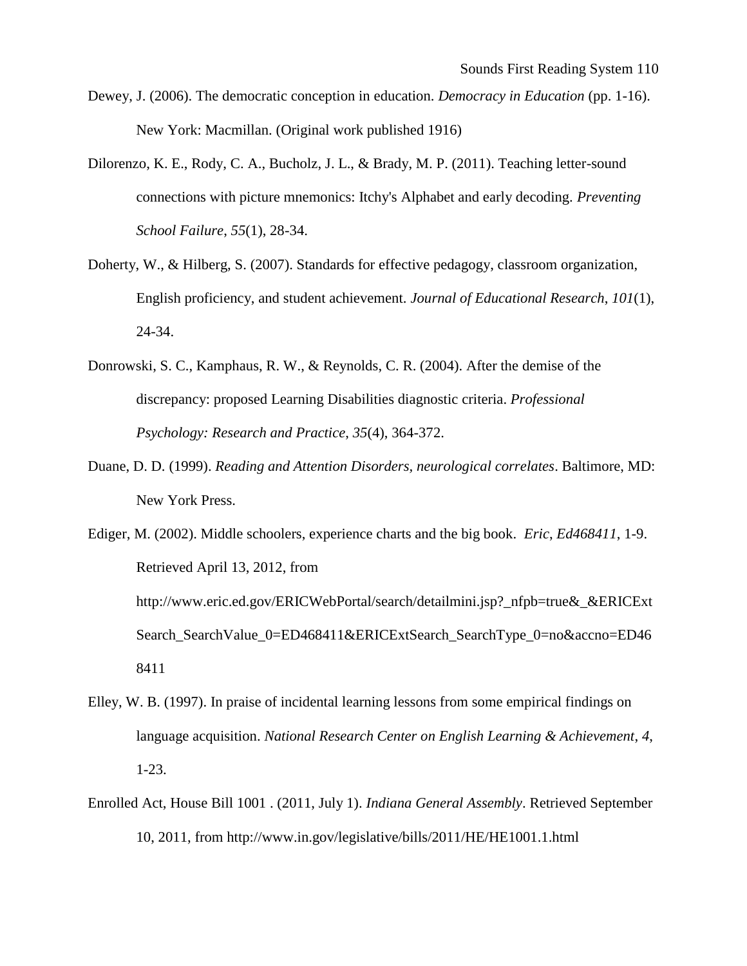- Dewey, J. (2006). The democratic conception in education. *Democracy in Education* (pp. 1-16). New York: Macmillan. (Original work published 1916)
- Dilorenzo, K. E., Rody, C. A., Bucholz, J. L., & Brady, M. P. (2011). Teaching letter-sound connections with picture mnemonics: Itchy's Alphabet and early decoding. *Preventing School Failure*, *55*(1), 28-34.
- Doherty, W., & Hilberg, S. (2007). Standards for effective pedagogy, classroom organization, English proficiency, and student achievement. *Journal of Educational Research*, *101*(1), 24-34.
- Donrowski, S. C., Kamphaus, R. W., & Reynolds, C. R. (2004). After the demise of the discrepancy: proposed Learning Disabilities diagnostic criteria. *Professional Psychology: Research and Practice*, *35*(4), 364-372.
- Duane, D. D. (1999). *Reading and Attention Disorders, neurological correlates*. Baltimore, MD: New York Press.

- Elley, W. B. (1997). In praise of incidental learning lessons from some empirical findings on language acquisition. *National Research Center on English Learning & Achievement*, *4*, 1-23.
- Enrolled Act, House Bill 1001 . (2011, July 1). *Indiana General Assembly*. Retrieved September 10, 2011, from http://www.in.gov/legislative/bills/2011/HE/HE1001.1.html

Ediger, M. (2002). Middle schoolers, experience charts and the big book. *Eric*, *Ed468411*, 1-9. Retrieved April 13, 2012, from http://www.eric.ed.gov/ERICWebPortal/search/detailmini.jsp?\_nfpb=true&\_&ERICExt Search SearchValue 0=ED468411&ERICExtSearch SearchType 0=no&accno=ED46 8411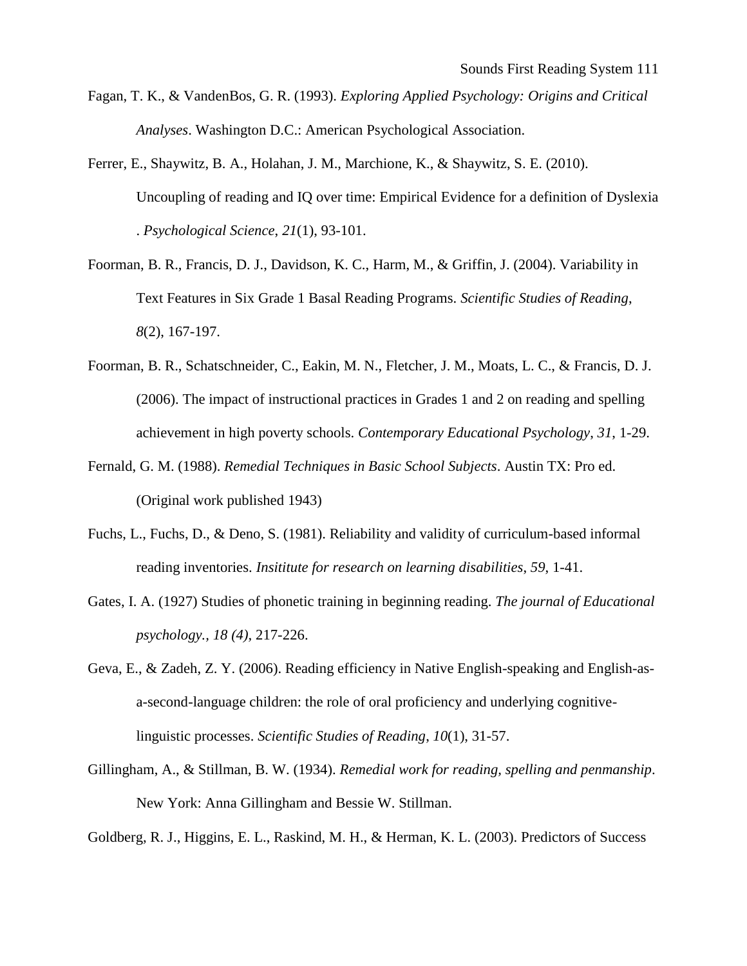- Fagan, T. K., & VandenBos, G. R. (1993). *Exploring Applied Psychology: Origins and Critical Analyses*. Washington D.C.: American Psychological Association.
- Ferrer, E., Shaywitz, B. A., Holahan, J. M., Marchione, K., & Shaywitz, S. E. (2010). Uncoupling of reading and IQ over time: Empirical Evidence for a definition of Dyslexia . *Psychological Science*, *21*(1), 93-101.
- Foorman, B. R., Francis, D. J., Davidson, K. C., Harm, M., & Griffin, J. (2004). Variability in Text Features in Six Grade 1 Basal Reading Programs. *Scientific Studies of Reading*, *8*(2), 167-197.
- Foorman, B. R., Schatschneider, C., Eakin, M. N., Fletcher, J. M., Moats, L. C., & Francis, D. J. (2006). The impact of instructional practices in Grades 1 and 2 on reading and spelling achievement in high poverty schools. *Contemporary Educational Psychology*, *31*, 1-29.
- Fernald, G. M. (1988). *Remedial Techniques in Basic School Subjects*. Austin TX: Pro ed. (Original work published 1943)
- Fuchs, L., Fuchs, D., & Deno, S. (1981). Reliability and validity of curriculum-based informal reading inventories. *Insititute for research on learning disabilities*, *59*, 1-41.
- Gates, I. A. (1927) Studies of phonetic training in beginning reading. *The journal of Educational psychology., 18 (4),* 217-226.
- Geva, E., & Zadeh, Z. Y. (2006). Reading efficiency in Native English-speaking and English-asa-second-language children: the role of oral proficiency and underlying cognitivelinguistic processes. *Scientific Studies of Reading*, *10*(1), 31-57.
- Gillingham, A., & Stillman, B. W. (1934). *Remedial work for reading, spelling and penmanship*. New York: Anna Gillingham and Bessie W. Stillman.

Goldberg, R. J., Higgins, E. L., Raskind, M. H., & Herman, K. L. (2003). Predictors of Success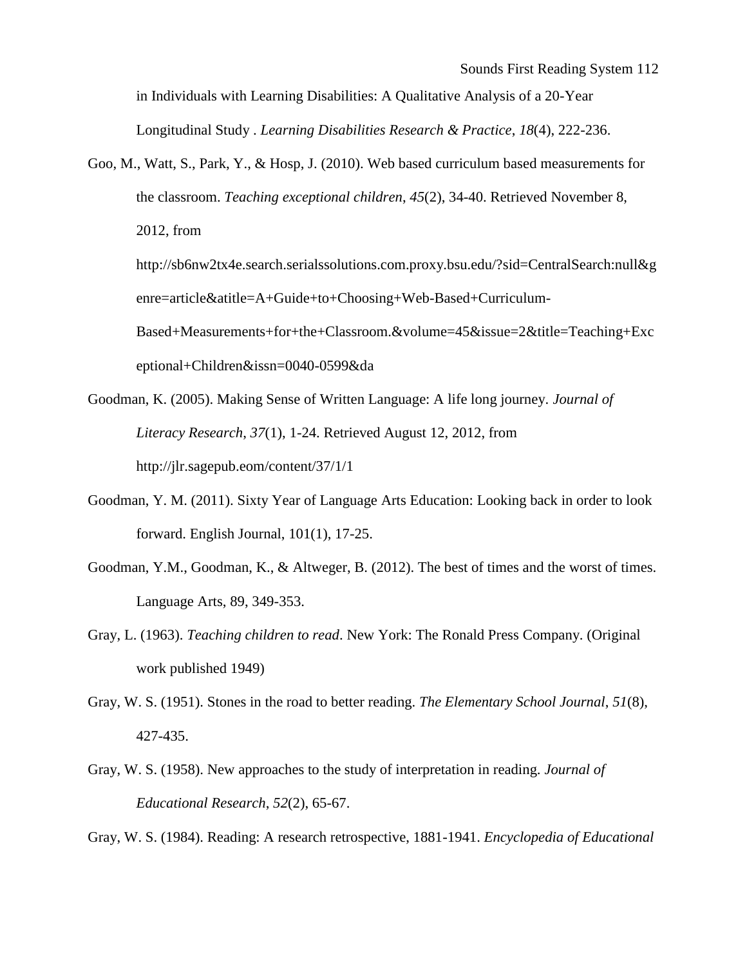in Individuals with Learning Disabilities: A Qualitative Analysis of a 20-Year Longitudinal Study . *Learning Disabilities Research & Practice*, *18*(4), 222-236.

Goo, M., Watt, S., Park, Y., & Hosp, J. (2010). Web based curriculum based measurements for the classroom. *Teaching exceptional children*, *45*(2), 34-40. Retrieved November 8, 2012, from http://sb6nw2tx4e.search.serialssolutions.com.proxy.bsu.edu/?sid=CentralSearch:null&g enre=article&atitle=A+Guide+to+Choosing+Web-Based+Curriculum-Based+Measurements+for+the+Classroom.&volume=45&issue=2&title=Teaching+Exc

eptional+Children&issn=0040-0599&da

- Goodman, K. (2005). Making Sense of Written Language: A life long journey. *Journal of Literacy Research*, *37*(1), 1-24. Retrieved August 12, 2012, from http://jlr.sagepub.eom/content/37/1/1
- Goodman, Y. M. (2011). Sixty Year of Language Arts Education: Looking back in order to look forward. English Journal, 101(1), 17-25.
- Goodman, Y.M., Goodman, K., & Altweger, B. (2012). The best of times and the worst of times. Language Arts, 89, 349-353.
- Gray, L. (1963). *Teaching children to read*. New York: The Ronald Press Company. (Original work published 1949)
- Gray, W. S. (1951). Stones in the road to better reading. *The Elementary School Journal*, *51*(8), 427-435.
- Gray, W. S. (1958). New approaches to the study of interpretation in reading. *Journal of Educational Research*, *52*(2), 65-67.

Gray, W. S. (1984). Reading: A research retrospective, 1881-1941. *Encyclopedia of Educational*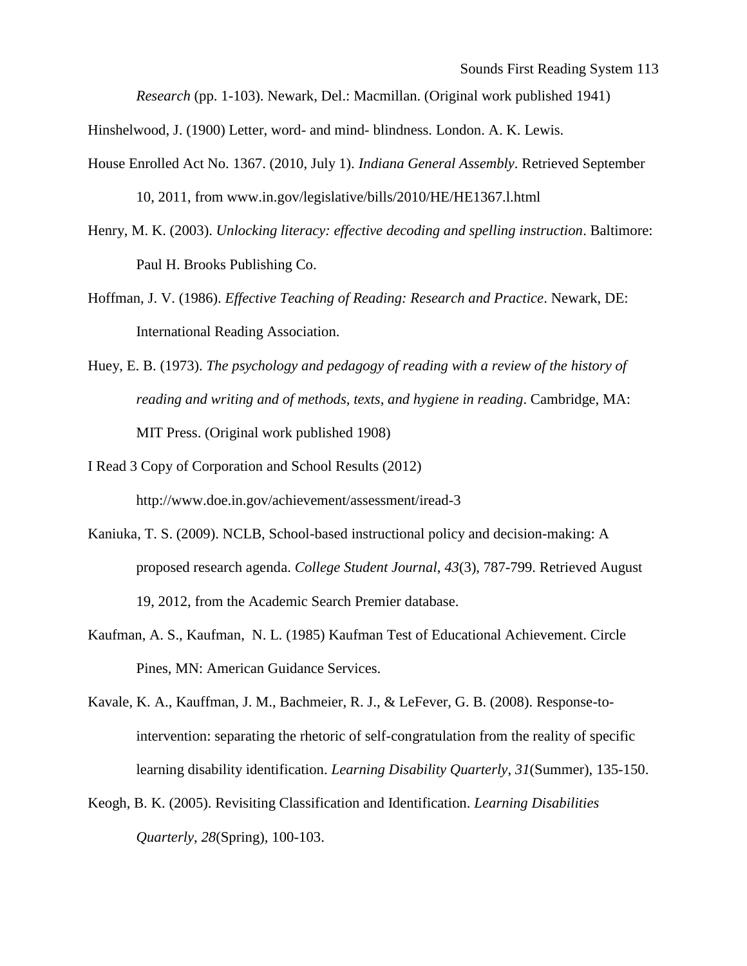*Research* (pp. 1-103). Newark, Del.: Macmillan. (Original work published 1941)

Hinshelwood, J. (1900) Letter, word- and mind- blindness. London. A. K. Lewis.

- House Enrolled Act No. 1367. (2010, July 1). *Indiana General Assembly*. Retrieved September 10, 2011, from www.in.gov/legislative/bills/2010/HE/HE1367.l.html
- Henry, M. K. (2003). *Unlocking literacy: effective decoding and spelling instruction*. Baltimore: Paul H. Brooks Publishing Co.
- Hoffman, J. V. (1986). *Effective Teaching of Reading: Research and Practice*. Newark, DE: International Reading Association.
- Huey, E. B. (1973). *The psychology and pedagogy of reading with a review of the history of reading and writing and of methods, texts, and hygiene in reading*. Cambridge, MA: MIT Press. (Original work published 1908)
- I Read 3 Copy of Corporation and School Results (2012) http://www.doe.in.gov/achievement/assessment/iread-3
- Kaniuka, T. S. (2009). NCLB, School-based instructional policy and decision-making: A proposed research agenda. *College Student Journal*, *43*(3), 787-799. Retrieved August 19, 2012, from the Academic Search Premier database.
- Kaufman, A. S., Kaufman, N. L. (1985) Kaufman Test of Educational Achievement. Circle Pines, MN: American Guidance Services.
- Kavale, K. A., Kauffman, J. M., Bachmeier, R. J., & LeFever, G. B. (2008). Response-tointervention: separating the rhetoric of self-congratulation from the reality of specific learning disability identification. *Learning Disability Quarterly*, *31*(Summer), 135-150.
- Keogh, B. K. (2005). Revisiting Classification and Identification. *Learning Disabilities Quarterly*, *28*(Spring), 100-103.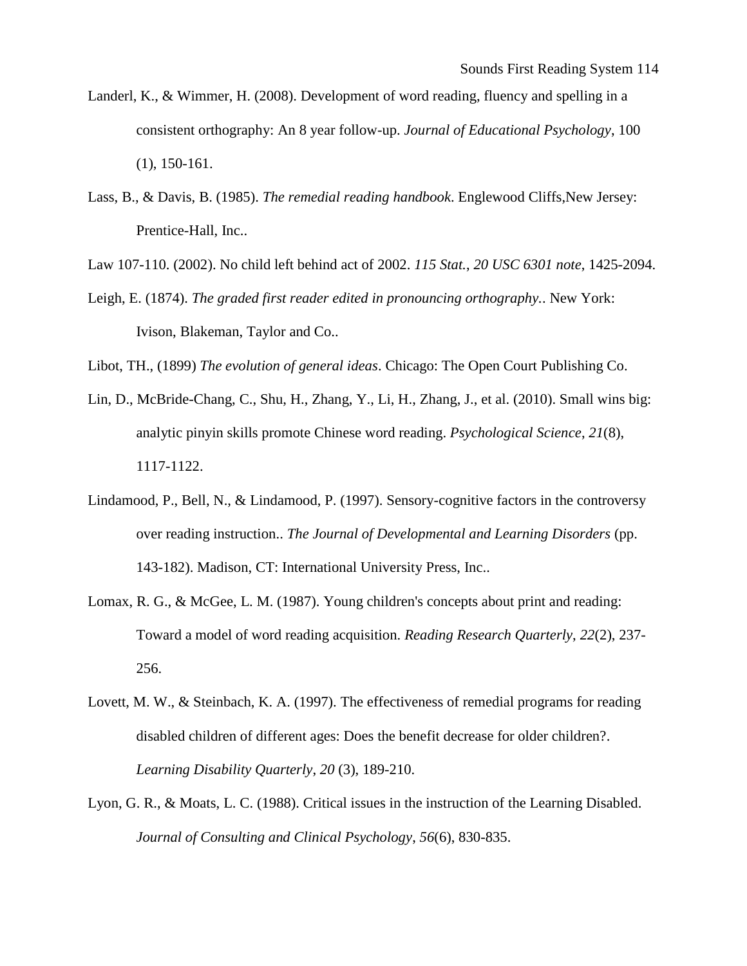- Landerl, K., & Wimmer, H. (2008). Development of word reading, fluency and spelling in a consistent orthography: An 8 year follow-up. *Journal of Educational Psychology*, 100 (1), 150-161.
- Lass, B., & Davis, B. (1985). *The remedial reading handbook*. Englewood Cliffs,New Jersey: Prentice-Hall, Inc..

Law 107-110. (2002). No child left behind act of 2002. *115 Stat.*, *20 USC 6301 note*, 1425-2094.

Leigh, E. (1874). *The graded first reader edited in pronouncing orthography.*. New York: Ivison, Blakeman, Taylor and Co..

Libot, TH., (1899) *The evolution of general ideas*. Chicago: The Open Court Publishing Co.

- Lin, D., McBride-Chang, C., Shu, H., Zhang, Y., Li, H., Zhang, J., et al. (2010). Small wins big: analytic pinyin skills promote Chinese word reading. *Psychological Science*, *21*(8), 1117-1122.
- Lindamood, P., Bell, N., & Lindamood, P. (1997). Sensory-cognitive factors in the controversy over reading instruction.. *The Journal of Developmental and Learning Disorders* (pp. 143-182). Madison, CT: International University Press, Inc..
- Lomax, R. G., & McGee, L. M. (1987). Young children's concepts about print and reading: Toward a model of word reading acquisition. *Reading Research Quarterly*, *22*(2), 237- 256.
- Lovett, M. W., & Steinbach, K. A. (1997). The effectiveness of remedial programs for reading disabled children of different ages: Does the benefit decrease for older children?. *Learning Disability Quarterly*, *20* (3), 189-210.
- Lyon, G. R., & Moats, L. C. (1988). Critical issues in the instruction of the Learning Disabled. *Journal of Consulting and Clinical Psychology*, *56*(6), 830-835.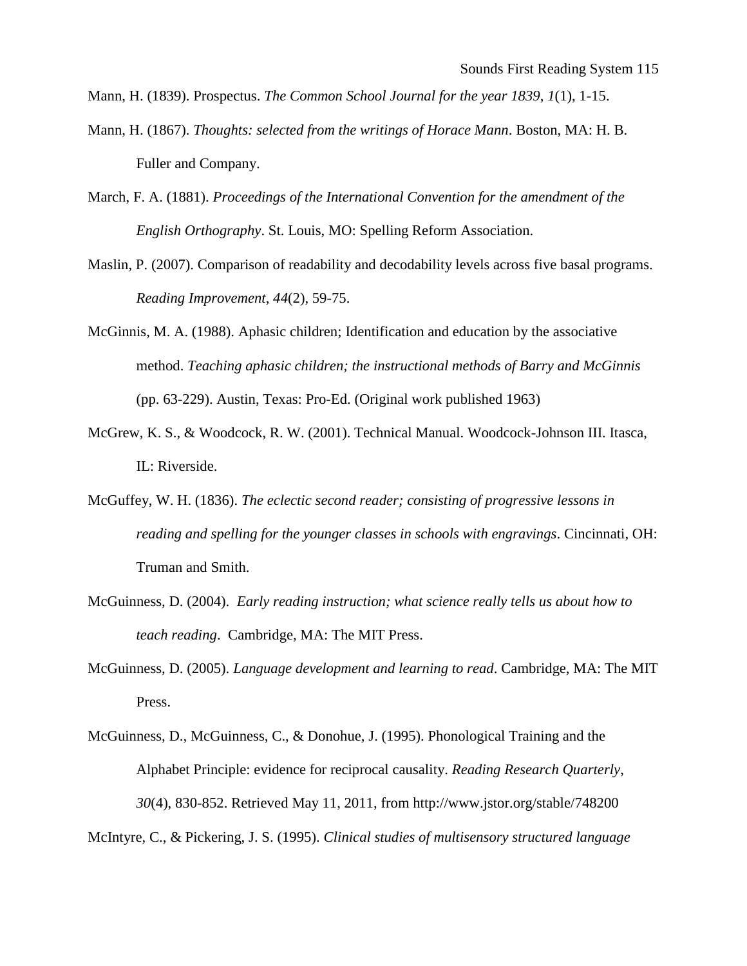Mann, H. (1839). Prospectus. *The Common School Journal for the year 1839*, *1*(1), 1-15.

- Mann, H. (1867). *Thoughts: selected from the writings of Horace Mann*. Boston, MA: H. B. Fuller and Company.
- March, F. A. (1881). *Proceedings of the International Convention for the amendment of the English Orthography*. St. Louis, MO: Spelling Reform Association.
- Maslin, P. (2007). Comparison of readability and decodability levels across five basal programs. *Reading Improvement*, *44*(2), 59-75.
- McGinnis, M. A. (1988). Aphasic children; Identification and education by the associative method. *Teaching aphasic children; the instructional methods of Barry and McGinnis* (pp. 63-229). Austin, Texas: Pro-Ed. (Original work published 1963)
- McGrew, K. S., & Woodcock, R. W. (2001). Technical Manual. Woodcock-Johnson III. Itasca, IL: Riverside.
- McGuffey, W. H. (1836). *The eclectic second reader; consisting of progressive lessons in reading and spelling for the younger classes in schools with engravings*. Cincinnati, OH: Truman and Smith.
- McGuinness, D. (2004). *Early reading instruction; what science really tells us about how to teach reading*. Cambridge, MA: The MIT Press.
- McGuinness, D. (2005). *Language development and learning to read*. Cambridge, MA: The MIT Press.
- McGuinness, D., McGuinness, C., & Donohue, J. (1995). Phonological Training and the Alphabet Principle: evidence for reciprocal causality. *Reading Research Quarterly*, *30*(4), 830-852. Retrieved May 11, 2011, from http://www.jstor.org/stable/748200

McIntyre, C., & Pickering, J. S. (1995). *Clinical studies of multisensory structured language*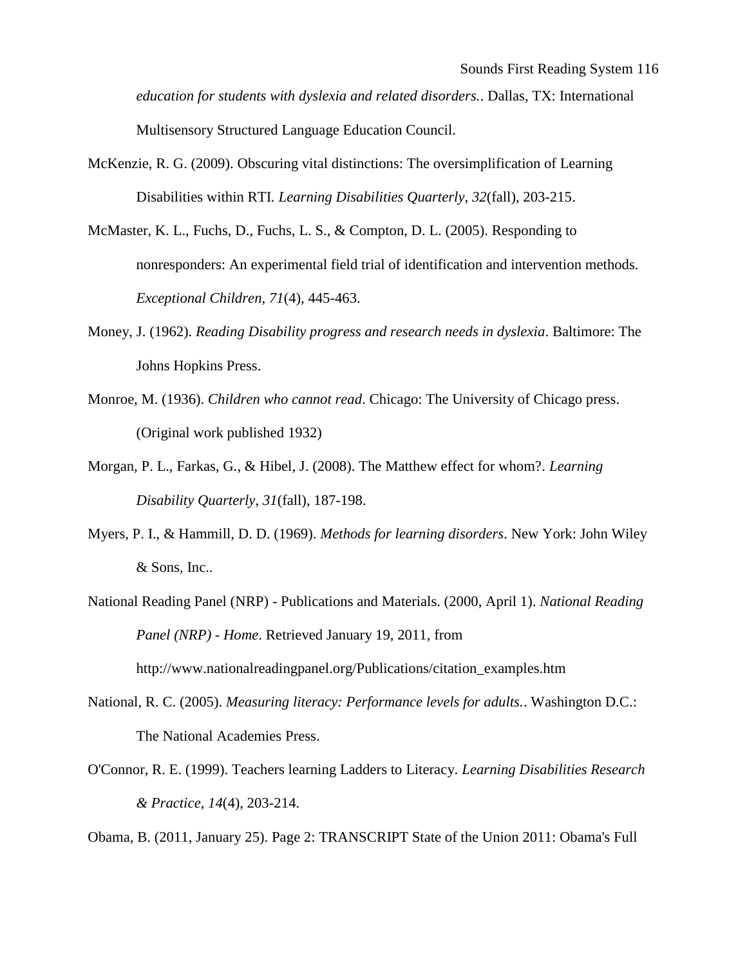*education for students with dyslexia and related disorders.*. Dallas, TX: International Multisensory Structured Language Education Council.

- McKenzie, R. G. (2009). Obscuring vital distinctions: The oversimplification of Learning Disabilities within RTI. *Learning Disabilities Quarterly*, *32*(fall), 203-215.
- McMaster, K. L., Fuchs, D., Fuchs, L. S., & Compton, D. L. (2005). Responding to nonresponders: An experimental field trial of identification and intervention methods. *Exceptional Children*, *71*(4), 445-463.
- Money, J. (1962). *Reading Disability progress and research needs in dyslexia*. Baltimore: The Johns Hopkins Press.
- Monroe, M. (1936). *Children who cannot read*. Chicago: The University of Chicago press. (Original work published 1932)
- Morgan, P. L., Farkas, G., & Hibel, J. (2008). The Matthew effect for whom?. *Learning Disability Quarterly*, *31*(fall), 187-198.
- Myers, P. I., & Hammill, D. D. (1969). *Methods for learning disorders*. New York: John Wiley & Sons, Inc..
- National Reading Panel (NRP) Publications and Materials. (2000, April 1). *National Reading Panel (NRP) - Home*. Retrieved January 19, 2011, from http://www.nationalreadingpanel.org/Publications/citation\_examples.htm
- National, R. C. (2005). *Measuring literacy: Performance levels for adults.*. Washington D.C.: The National Academies Press.
- O'Connor, R. E. (1999). Teachers learning Ladders to Literacy. *Learning Disabilities Research & Practice*, *14*(4), 203-214.

Obama, B. (2011, January 25). Page 2: TRANSCRIPT State of the Union 2011: Obama's Full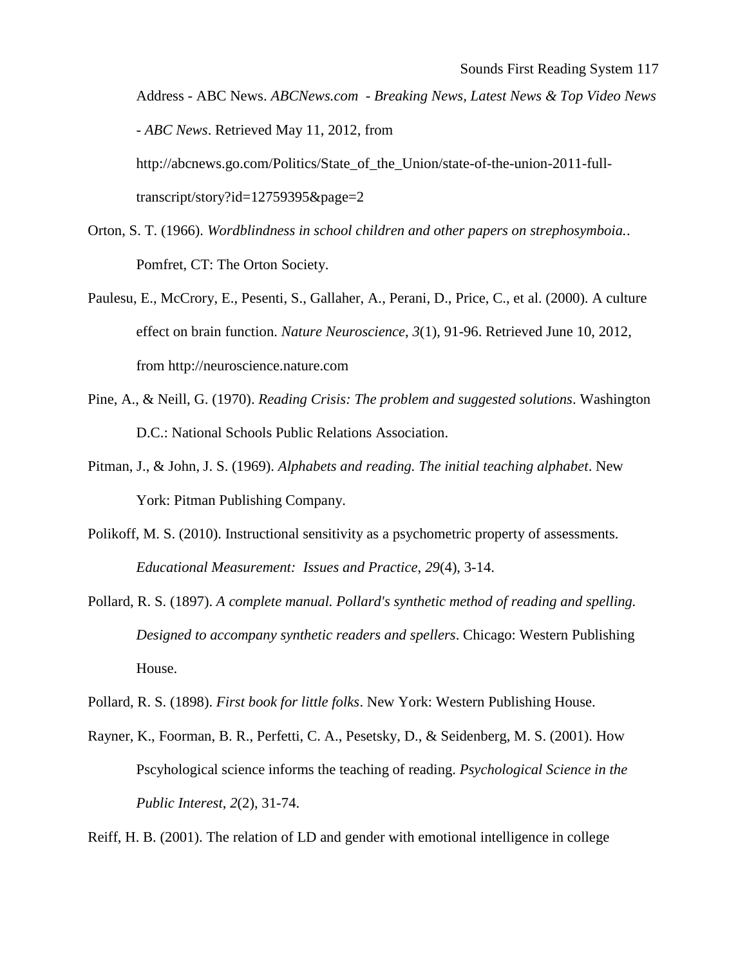Address - ABC News. *ABCNews.com - Breaking News, Latest News & Top Video News - ABC News*. Retrieved May 11, 2012, from http://abcnews.go.com/Politics/State of the Union/state-of-the-union-2011-full-

transcript/story?id=12759395&page=2

- Orton, S. T. (1966). *Wordblindness in school children and other papers on strephosymboia.*. Pomfret, CT: The Orton Society.
- Paulesu, E., McCrory, E., Pesenti, S., Gallaher, A., Perani, D., Price, C., et al. (2000). A culture effect on brain function. *Nature Neuroscience*, *3*(1), 91-96. Retrieved June 10, 2012, from http://neuroscience.nature.com
- Pine, A., & Neill, G. (1970). *Reading Crisis: The problem and suggested solutions*. Washington D.C.: National Schools Public Relations Association.
- Pitman, J., & John, J. S. (1969). *Alphabets and reading. The initial teaching alphabet*. New York: Pitman Publishing Company.
- Polikoff, M. S. (2010). Instructional sensitivity as a psychometric property of assessments. *Educational Measurement: Issues and Practice*, *29*(4), 3-14.
- Pollard, R. S. (1897). *A complete manual. Pollard's synthetic method of reading and spelling. Designed to accompany synthetic readers and spellers*. Chicago: Western Publishing House.

Pollard, R. S. (1898). *First book for little folks*. New York: Western Publishing House.

Rayner, K., Foorman, B. R., Perfetti, C. A., Pesetsky, D., & Seidenberg, M. S. (2001). How Pscyhological science informs the teaching of reading. *Psychological Science in the Public Interest*, *2*(2), 31-74.

Reiff, H. B. (2001). The relation of LD and gender with emotional intelligence in college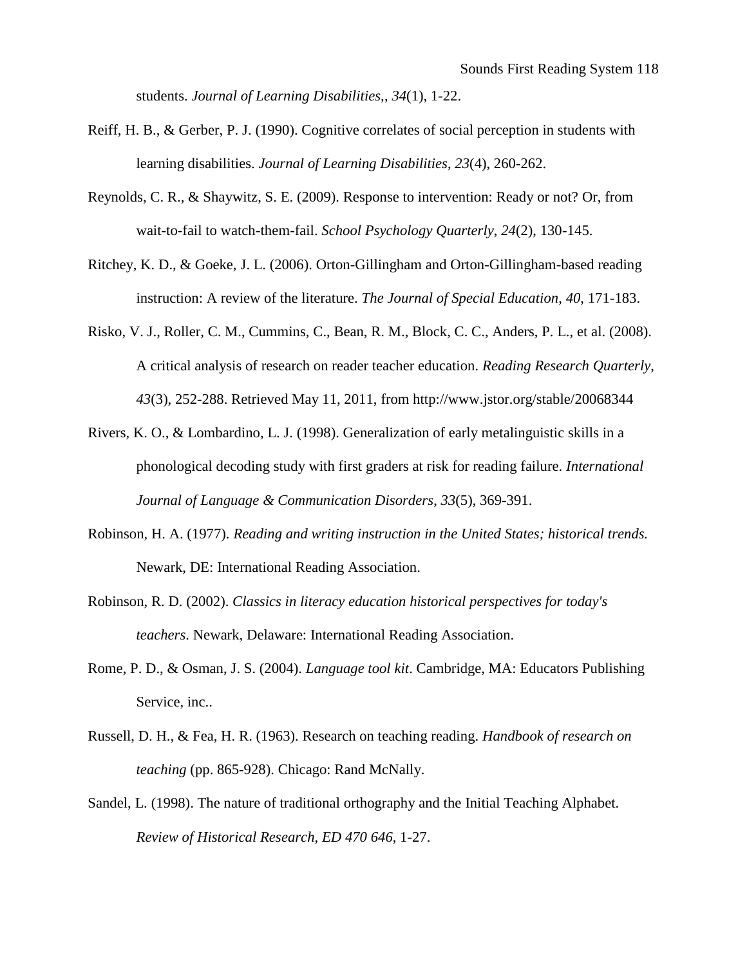students. *Journal of Learning Disabilities,*, *34*(1), 1-22.

- Reiff, H. B., & Gerber, P. J. (1990). Cognitive correlates of social perception in students with learning disabilities. *Journal of Learning Disabilities*, *23*(4), 260-262.
- Reynolds, C. R., & Shaywitz, S. E. (2009). Response to intervention: Ready or not? Or, from wait-to-fail to watch-them-fail. *School Psychology Quarterly*, *24*(2), 130-145.
- Ritchey, K. D., & Goeke, J. L. (2006). Orton-Gillingham and Orton-Gillingham-based reading instruction: A review of the literature. *The Journal of Special Education*, *40*, 171-183.
- Risko, V. J., Roller, C. M., Cummins, C., Bean, R. M., Block, C. C., Anders, P. L., et al. (2008). A critical analysis of research on reader teacher education. *Reading Research Quarterly*, *43*(3), 252-288. Retrieved May 11, 2011, from http://www.jstor.org/stable/20068344
- Rivers, K. O., & Lombardino, L. J. (1998). Generalization of early metalinguistic skills in a phonological decoding study with first graders at risk for reading failure. *International Journal of Language & Communication Disorders*, *33*(5), 369-391.
- Robinson, H. A. (1977). *Reading and writing instruction in the United States; historical trends.* Newark, DE: International Reading Association.
- Robinson, R. D. (2002). *Classics in literacy education historical perspectives for today's teachers*. Newark, Delaware: International Reading Association.
- Rome, P. D., & Osman, J. S. (2004). *Language tool kit*. Cambridge, MA: Educators Publishing Service, inc..
- Russell, D. H., & Fea, H. R. (1963). Research on teaching reading. *Handbook of research on teaching* (pp. 865-928). Chicago: Rand McNally.
- Sandel, L. (1998). The nature of traditional orthography and the Initial Teaching Alphabet. *Review of Historical Research*, *ED 470 646*, 1-27.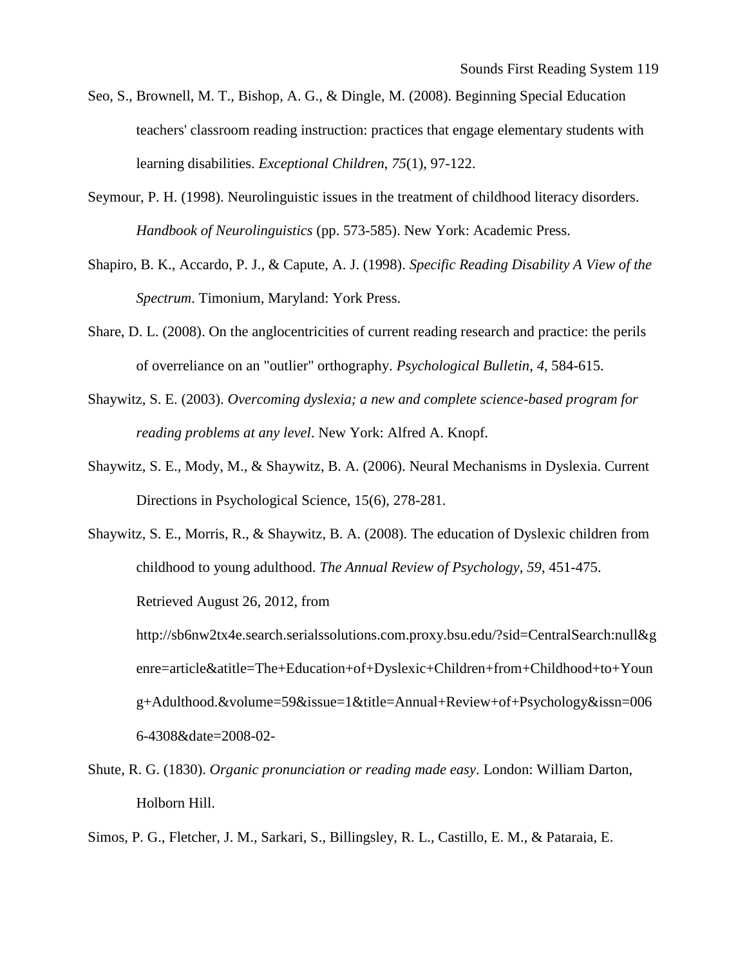- Seo, S., Brownell, M. T., Bishop, A. G., & Dingle, M. (2008). Beginning Special Education teachers' classroom reading instruction: practices that engage elementary students with learning disabilities. *Exceptional Children*, *75*(1), 97-122.
- Seymour, P. H. (1998). Neurolinguistic issues in the treatment of childhood literacy disorders. *Handbook of Neurolinguistics* (pp. 573-585). New York: Academic Press.
- Shapiro, B. K., Accardo, P. J., & Capute, A. J. (1998). *Specific Reading Disability A View of the Spectrum*. Timonium, Maryland: York Press.
- Share, D. L. (2008). On the anglocentricities of current reading research and practice: the perils of overreliance on an "outlier" orthography. *Psychological Bulletin*, *4*, 584-615.
- Shaywitz, S. E. (2003). *Overcoming dyslexia; a new and complete science-based program for reading problems at any level*. New York: Alfred A. Knopf.
- Shaywitz, S. E., Mody, M., & Shaywitz, B. A. (2006). Neural Mechanisms in Dyslexia. Current Directions in Psychological Science, 15(6), 278-281.
- Shaywitz, S. E., Morris, R., & Shaywitz, B. A. (2008). The education of Dyslexic children from childhood to young adulthood. *The Annual Review of Psychology*, *59*, 451-475. Retrieved August 26, 2012, from http://sb6nw2tx4e.search.serialssolutions.com.proxy.bsu.edu/?sid=CentralSearch:null&g enre=article&atitle=The+Education+of+Dyslexic+Children+from+Childhood+to+Youn g+Adulthood.&volume=59&issue=1&title=Annual+Review+of+Psychology&issn=006 6-4308&date=2008-02-
- Shute, R. G. (1830). *Organic pronunciation or reading made easy*. London: William Darton, Holborn Hill.

Simos, P. G., Fletcher, J. M., Sarkari, S., Billingsley, R. L., Castillo, E. M., & Pataraia, E.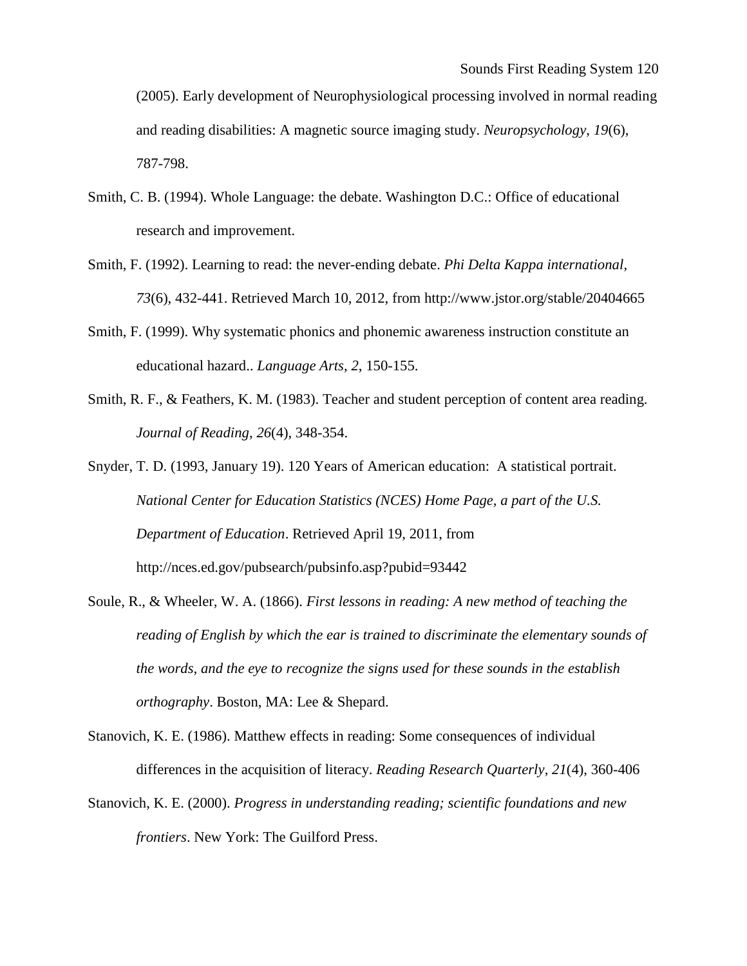(2005). Early development of Neurophysiological processing involved in normal reading and reading disabilities: A magnetic source imaging study. *Neuropsychology*, *19*(6), 787-798.

- Smith, C. B. (1994). Whole Language: the debate. Washington D.C.: Office of educational research and improvement.
- Smith, F. (1992). Learning to read: the never-ending debate. *Phi Delta Kappa international*, *73*(6), 432-441. Retrieved March 10, 2012, from http://www.jstor.org/stable/20404665
- Smith, F. (1999). Why systematic phonics and phonemic awareness instruction constitute an educational hazard.. *Language Arts*, *2*, 150-155.
- Smith, R. F., & Feathers, K. M. (1983). Teacher and student perception of content area reading. *Journal of Reading*, *26*(4), 348-354.
- Snyder, T. D. (1993, January 19). 120 Years of American education: A statistical portrait. *National Center for Education Statistics (NCES) Home Page, a part of the U.S. Department of Education*. Retrieved April 19, 2011, from http://nces.ed.gov/pubsearch/pubsinfo.asp?pubid=93442
- Soule, R., & Wheeler, W. A. (1866). *First lessons in reading: A new method of teaching the reading of English by which the ear is trained to discriminate the elementary sounds of the words, and the eye to recognize the signs used for these sounds in the establish orthography*. Boston, MA: Lee & Shepard.
- Stanovich, K. E. (1986). Matthew effects in reading: Some consequences of individual differences in the acquisition of literacy. *Reading Research Quarterly*, *21*(4), 360-406
- Stanovich, K. E. (2000). *Progress in understanding reading; scientific foundations and new frontiers*. New York: The Guilford Press.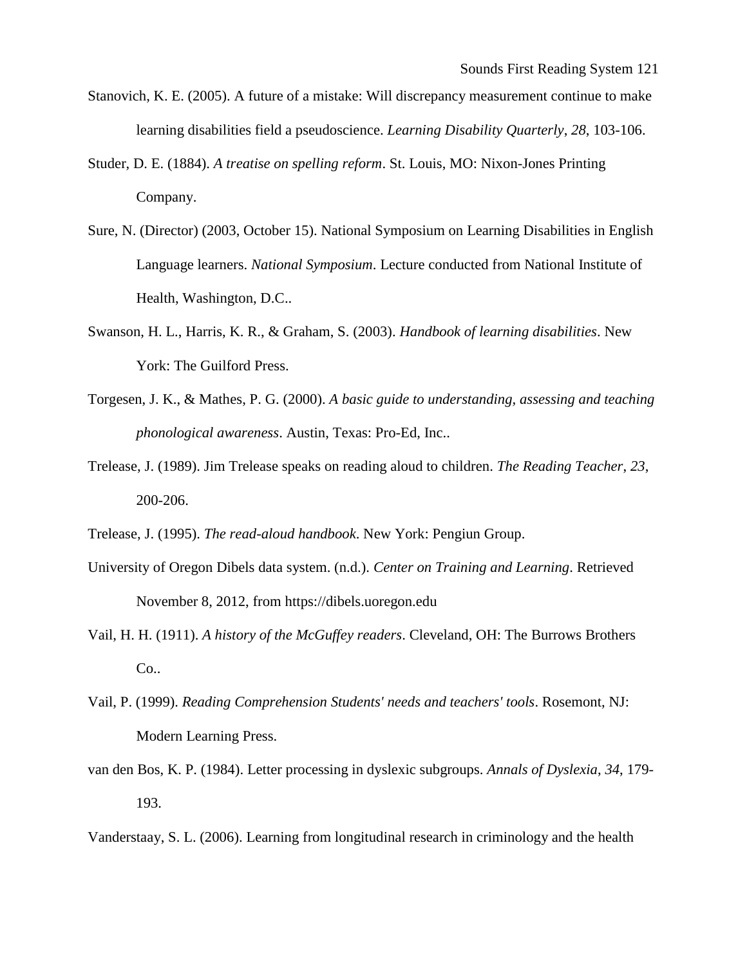- Stanovich, K. E. (2005). A future of a mistake: Will discrepancy measurement continue to make learning disabilities field a pseudoscience. *Learning Disability Quarterly*, *28*, 103-106.
- Studer, D. E. (1884). *A treatise on spelling reform*. St. Louis, MO: Nixon-Jones Printing Company.
- Sure, N. (Director) (2003, October 15). National Symposium on Learning Disabilities in English Language learners. *National Symposium*. Lecture conducted from National Institute of Health, Washington, D.C..
- Swanson, H. L., Harris, K. R., & Graham, S. (2003). *Handbook of learning disabilities*. New York: The Guilford Press.
- Torgesen, J. K., & Mathes, P. G. (2000). *A basic guide to understanding, assessing and teaching phonological awareness*. Austin, Texas: Pro-Ed, Inc..
- Trelease, J. (1989). Jim Trelease speaks on reading aloud to children. *The Reading Teacher*, *23*, 200-206.
- Trelease, J. (1995). *The read-aloud handbook*. New York: Pengiun Group.
- University of Oregon Dibels data system. (n.d.). *Center on Training and Learning*. Retrieved November 8, 2012, from https://dibels.uoregon.edu
- Vail, H. H. (1911). *A history of the McGuffey readers*. Cleveland, OH: The Burrows Brothers Co..
- Vail, P. (1999). *Reading Comprehension Students' needs and teachers' tools*. Rosemont, NJ: Modern Learning Press.
- van den Bos, K. P. (1984). Letter processing in dyslexic subgroups. *Annals of Dyslexia*, *34*, 179- 193.

Vanderstaay, S. L. (2006). Learning from longitudinal research in criminology and the health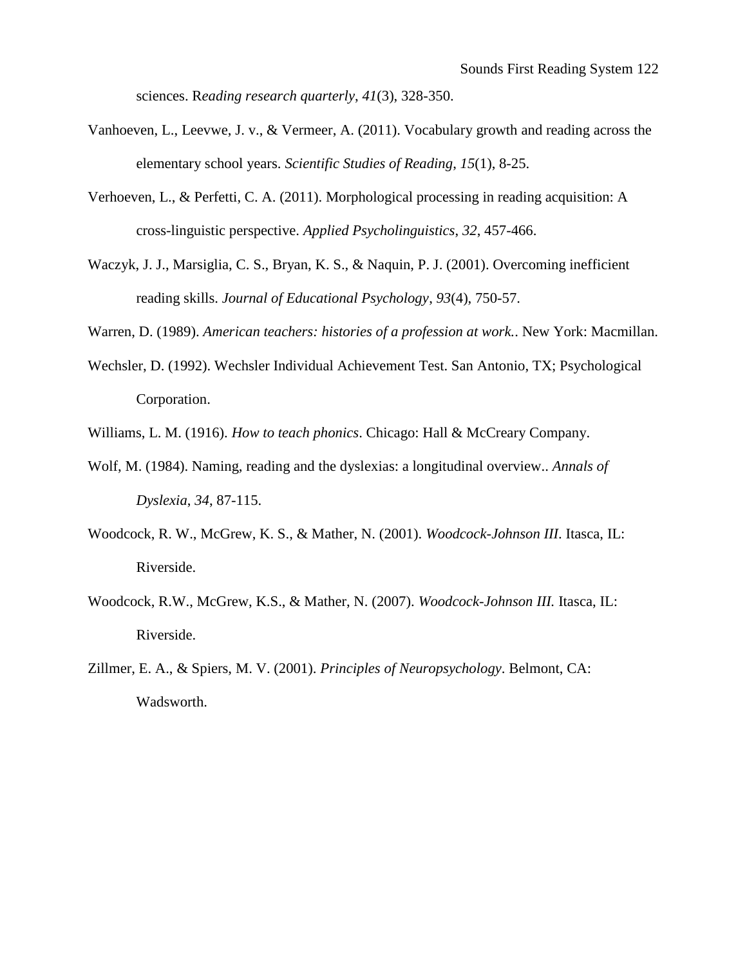sciences. R*eading research quarterly*, *41*(3), 328-350.

- Vanhoeven, L., Leevwe, J. v., & Vermeer, A. (2011). Vocabulary growth and reading across the elementary school years. *Scientific Studies of Reading*, *15*(1), 8-25.
- Verhoeven, L., & Perfetti, C. A. (2011). Morphological processing in reading acquisition: A cross-linguistic perspective. *Applied Psycholinguistics*, *32*, 457-466.
- Waczyk, J. J., Marsiglia, C. S., Bryan, K. S., & Naquin, P. J. (2001). Overcoming inefficient reading skills. *Journal of Educational Psychology*, *93*(4), 750-57.

Warren, D. (1989). *American teachers: histories of a profession at work.*. New York: Macmillan.

Wechsler, D. (1992). Wechsler Individual Achievement Test. San Antonio, TX; Psychological Corporation.

Williams, L. M. (1916). *How to teach phonics*. Chicago: Hall & McCreary Company.

- Wolf, M. (1984). Naming, reading and the dyslexias: a longitudinal overview.. *Annals of Dyslexia*, *34*, 87-115.
- Woodcock, R. W., McGrew, K. S., & Mather, N. (2001). *Woodcock-Johnson III*. Itasca, IL: Riverside.
- Woodcock, R.W., McGrew, K.S., & Mather, N. (2007). *Woodcock-Johnson III.* Itasca, IL: Riverside.
- Zillmer, E. A., & Spiers, M. V. (2001). *Principles of Neuropsychology*. Belmont, CA: Wadsworth.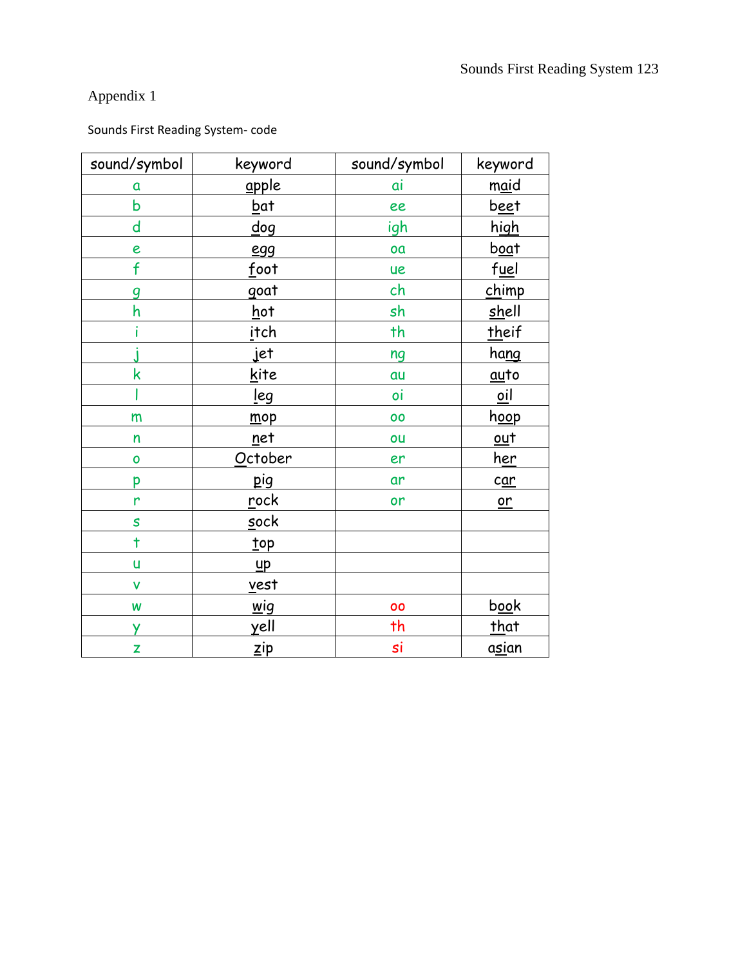## Appendix 1

## Sounds First Reading System- code

| sound/symbol            | keyword                    | sound/symbol | keyword                  |
|-------------------------|----------------------------|--------------|--------------------------|
| a                       | apple                      | αi           | m <u>ai</u> d            |
| $\mathsf b$             | <u>b</u> at                | ee           | <u>beet</u>              |
| d                       | $\underline{\mathsf{dog}}$ | igh          | <u>high</u>              |
| e                       | <b>egg</b>                 | oa           | boat                     |
| f                       | foot                       | ue           | fuel                     |
| g                       | goat                       | ch           | chimp                    |
| h                       | <u>h</u> ot                | sh           | shell                    |
|                         | <u>i</u> tch               | th           | theif                    |
|                         | jet                        | ng           | hang                     |
| $\overline{\mathsf{k}}$ | kite                       | au           | auto                     |
|                         | <u>l</u> eg                | oi           | $\overline{\mathsf{ol}}$ |
| m                       | mop                        | 00           | h <u>oo</u> p            |
| $\mathsf{n}$            | net                        | ou           | $out$                    |
| $\mathbf{o}$            | October                    | er           | <u>her</u>               |
| p                       | pig                        | ar           | c <u>ar</u>              |
| r                       | rock                       | or           | $or$                     |
| S                       | sock                       |              |                          |
| $\ddagger$              | top                        |              |                          |
| ū                       | $\mathbf{u}$ p             |              |                          |
| $\checkmark$            | <u>v</u> est               |              |                          |
| W                       | $\underline{wig}$          | 00           | book                     |
| Ÿ                       | $\underline{\chi}$ ell     | th           | that                     |
| Z                       | $\mathbf{z}$ ip            | si           | asian                    |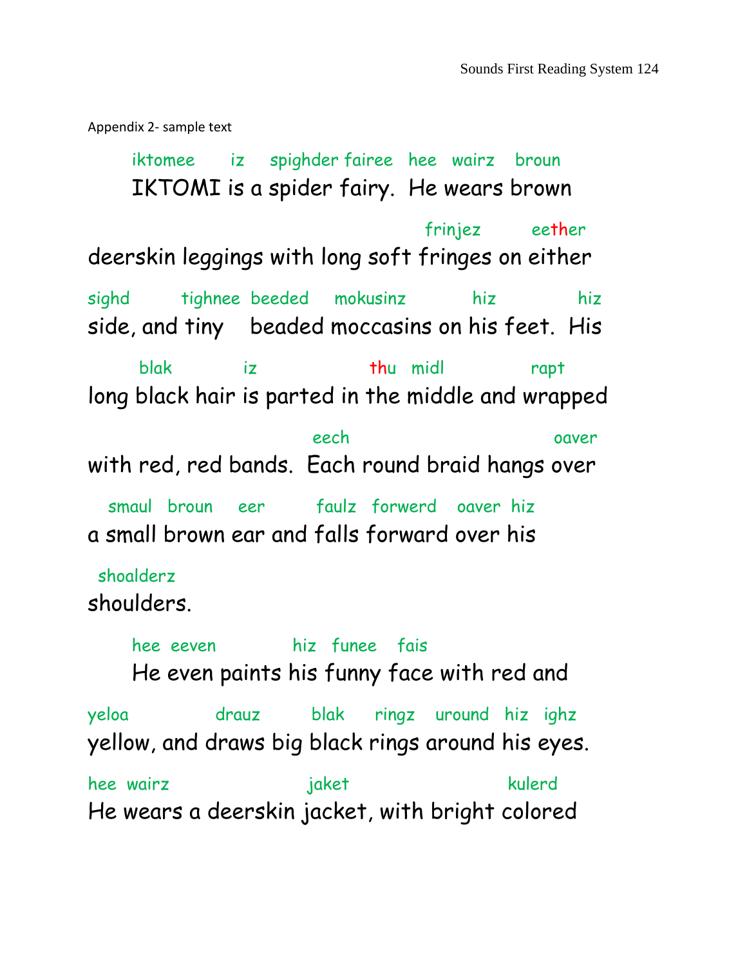Appendix 2- sample text

iktomee iz spighder fairee hee wairz broun IKTOMI is a spider fairy. He wears brown frinjez eether deerskin leggings with long soft fringes on either sighd tighnee beeded mokusinz hiz hiz side, and tiny beaded moccasins on his feet. His blak iz thu midl rapt long black hair is parted in the middle and wrapped eech oaver with red, red bands. Each round braid hangs over smaul broun eer faulz forwerd oaver hiz a small brown ear and falls forward over his shoalderz shoulders. hee eeven hiz funee fais He even paints his funny face with red and yeloa drauz blak ringz uround hiz ighz yellow, and draws big black rings around his eyes. hee wairz beeld jaket kulerd He wears a deerskin jacket, with bright colored